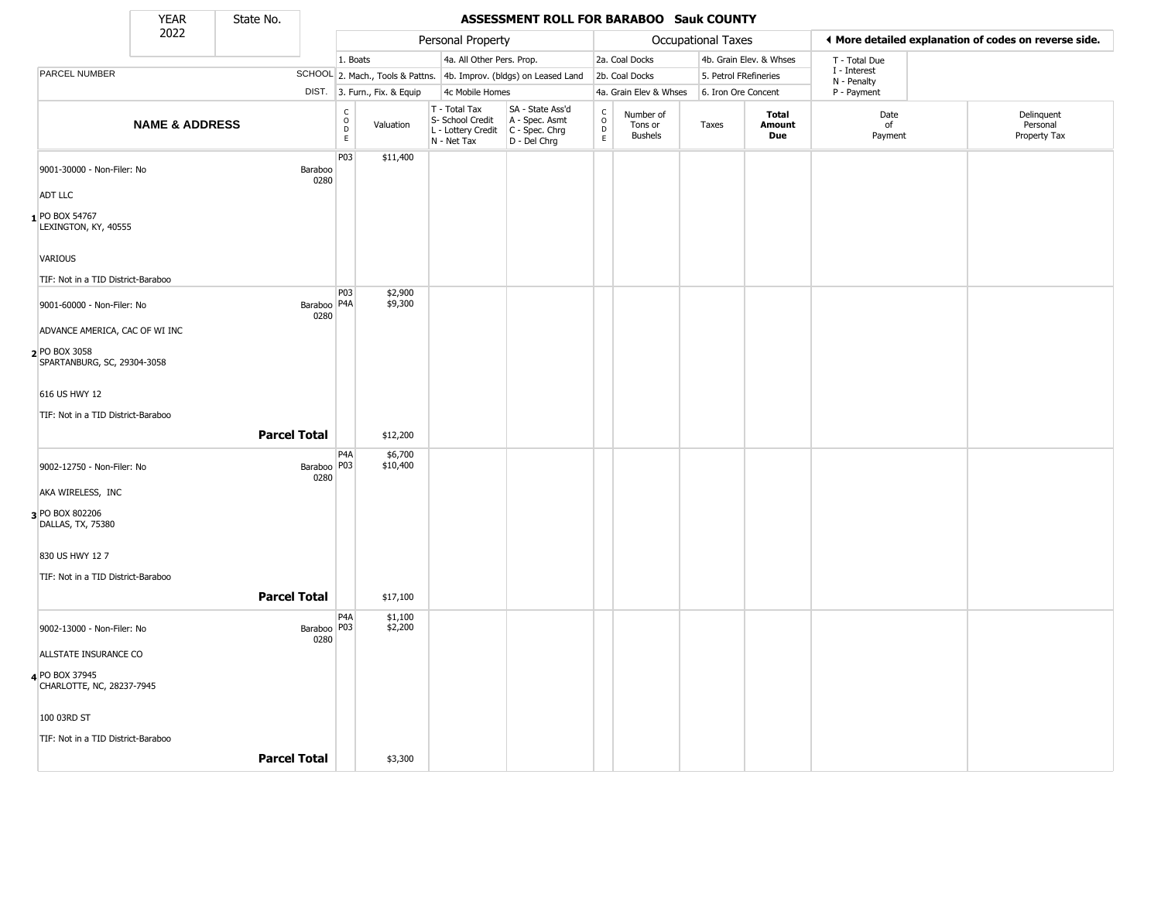State No.

т

## **YEAR** State No. **ASSESSMENT ROLL FOR BARABOO Sauk COUNTY**

|                                                                                | 2022                      |                       |                                              |                              | Personal Property                                                      |                                                                      |                                   |                                        | Occupational Taxes    |                         |                             | ◀ More detailed explanation of codes on reverse side. |
|--------------------------------------------------------------------------------|---------------------------|-----------------------|----------------------------------------------|------------------------------|------------------------------------------------------------------------|----------------------------------------------------------------------|-----------------------------------|----------------------------------------|-----------------------|-------------------------|-----------------------------|-------------------------------------------------------|
|                                                                                |                           |                       | 1. Boats                                     |                              | 4a. All Other Pers. Prop.                                              |                                                                      |                                   | 2a. Coal Docks                         |                       | 4b. Grain Elev. & Whses | T - Total Due               |                                                       |
| PARCEL NUMBER                                                                  |                           |                       |                                              |                              |                                                                        | SCHOOL 2. Mach., Tools & Pattns. 4b. Improv. (bldgs) on Leased Land  |                                   | 2b. Coal Docks                         | 5. Petrol FRefineries |                         | I - Interest<br>N - Penalty |                                                       |
|                                                                                |                           |                       |                                              | DIST. 3. Furn., Fix. & Equip | 4c Mobile Homes                                                        |                                                                      |                                   | 4a. Grain Elev & Whses                 | 6. Iron Ore Concent   |                         | P - Payment                 |                                                       |
|                                                                                | <b>NAME &amp; ADDRESS</b> |                       | $\begin{array}{c}\nC \\ O \\ E\n\end{array}$ | Valuation                    | T - Total Tax<br>S- School Credit<br>L - Lottery Credit<br>N - Net Tax | SA - State Ass'd<br>A - Spec. Asmt<br>C - Spec. Chrg<br>D - Del Chrg | $\frac{c}{0}$<br>D<br>$\mathsf E$ | Number of<br>Tons or<br><b>Bushels</b> | Taxes                 | Total<br>Amount<br>Due  | Date<br>of<br>Payment       | Delinquent<br>Personal<br>Property Tax                |
| 9001-30000 - Non-Filer: No                                                     |                           | Baraboo<br>0280       | P03                                          | \$11,400                     |                                                                        |                                                                      |                                   |                                        |                       |                         |                             |                                                       |
| <b>ADT LLC</b><br>PO BOX 54767<br>LEXINGTON, KY, 40555                         |                           |                       |                                              |                              |                                                                        |                                                                      |                                   |                                        |                       |                         |                             |                                                       |
| VARIOUS<br>TIF: Not in a TID District-Baraboo                                  |                           |                       |                                              |                              |                                                                        |                                                                      |                                   |                                        |                       |                         |                             |                                                       |
| 9001-60000 - Non-Filer: No                                                     |                           | Baraboo   P4A<br>0280 | P03                                          | \$2,900<br>\$9,300           |                                                                        |                                                                      |                                   |                                        |                       |                         |                             |                                                       |
| ADVANCE AMERICA, CAC OF WI INC<br>2 PO BOX 3058<br>SPARTANBURG, SC, 29304-3058 |                           |                       |                                              |                              |                                                                        |                                                                      |                                   |                                        |                       |                         |                             |                                                       |
| 616 US HWY 12                                                                  |                           |                       |                                              |                              |                                                                        |                                                                      |                                   |                                        |                       |                         |                             |                                                       |
| TIF: Not in a TID District-Baraboo                                             |                           | <b>Parcel Total</b>   |                                              | \$12,200                     |                                                                        |                                                                      |                                   |                                        |                       |                         |                             |                                                       |
| 9002-12750 - Non-Filer: No                                                     |                           | Baraboo   P03<br>0280 | P4A                                          | \$6,700<br>\$10,400          |                                                                        |                                                                      |                                   |                                        |                       |                         |                             |                                                       |
| AKA WIRELESS, INC                                                              |                           |                       |                                              |                              |                                                                        |                                                                      |                                   |                                        |                       |                         |                             |                                                       |
| 3 PO BOX 802206<br>DALLAS, TX, 75380                                           |                           |                       |                                              |                              |                                                                        |                                                                      |                                   |                                        |                       |                         |                             |                                                       |
| 830 US HWY 12 7                                                                |                           |                       |                                              |                              |                                                                        |                                                                      |                                   |                                        |                       |                         |                             |                                                       |
| TIF: Not in a TID District-Baraboo                                             |                           | <b>Parcel Total</b>   |                                              | \$17,100                     |                                                                        |                                                                      |                                   |                                        |                       |                         |                             |                                                       |
| 9002-13000 - Non-Filer: No                                                     |                           | Baraboo   P03<br>0280 | P <sub>4</sub> A                             | \$1,100<br>\$2,200           |                                                                        |                                                                      |                                   |                                        |                       |                         |                             |                                                       |
| ALLSTATE INSURANCE CO                                                          |                           |                       |                                              |                              |                                                                        |                                                                      |                                   |                                        |                       |                         |                             |                                                       |
| 4 PO BOX 37945<br>CHARLOTTE, NC, 28237-7945                                    |                           |                       |                                              |                              |                                                                        |                                                                      |                                   |                                        |                       |                         |                             |                                                       |
| 100 03RD ST                                                                    |                           |                       |                                              |                              |                                                                        |                                                                      |                                   |                                        |                       |                         |                             |                                                       |
| TIF: Not in a TID District-Baraboo                                             |                           | <b>Parcel Total</b>   |                                              | \$3,300                      |                                                                        |                                                                      |                                   |                                        |                       |                         |                             |                                                       |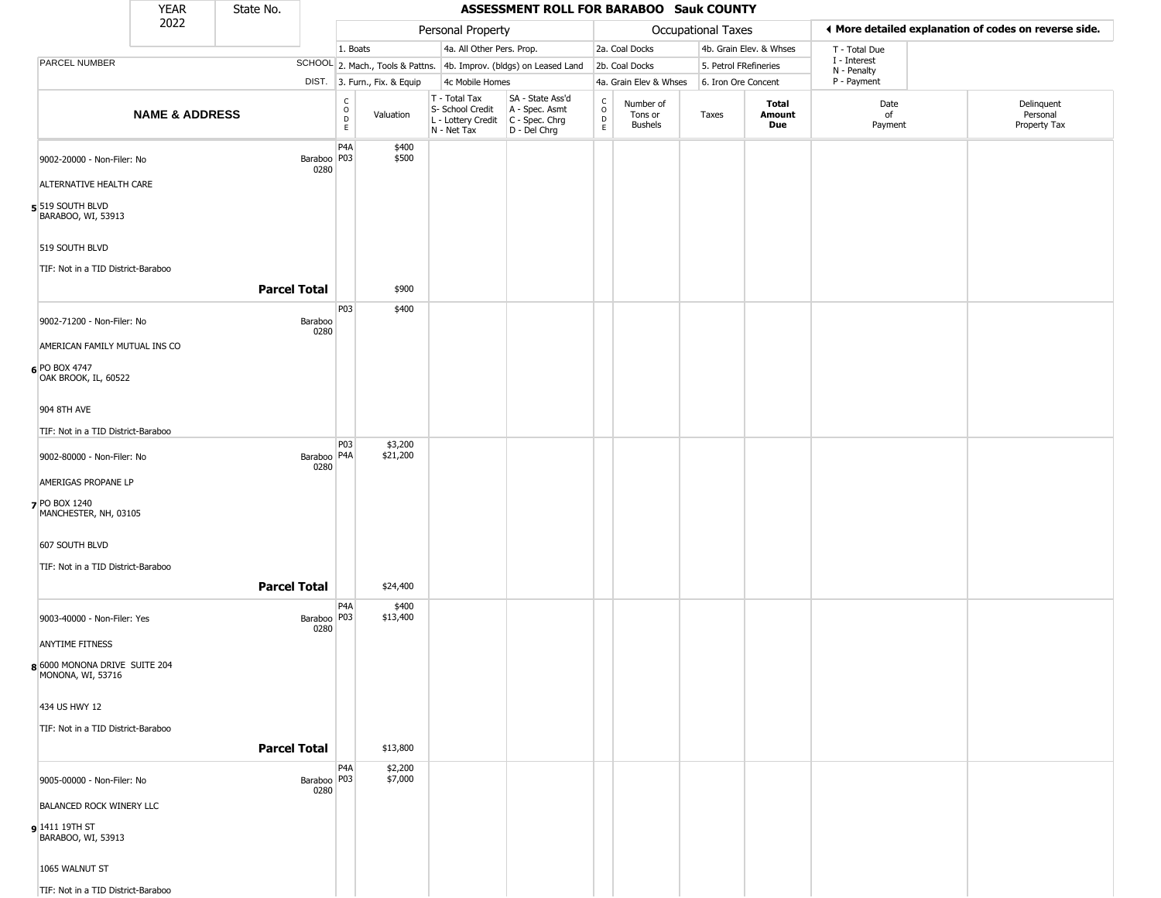|                                                    | YEAR                      | State No. |                       |                                                   |                              |                                                                        | ASSESSMENT ROLL FOR BARABOO Sauk COUNTY                              |                                                |                                        |                       |                         |                             |                                                       |
|----------------------------------------------------|---------------------------|-----------|-----------------------|---------------------------------------------------|------------------------------|------------------------------------------------------------------------|----------------------------------------------------------------------|------------------------------------------------|----------------------------------------|-----------------------|-------------------------|-----------------------------|-------------------------------------------------------|
|                                                    | 2022                      |           |                       |                                                   |                              | Personal Property                                                      |                                                                      |                                                |                                        | Occupational Taxes    |                         |                             | ♦ More detailed explanation of codes on reverse side. |
|                                                    |                           |           |                       | 1. Boats                                          |                              | 4a. All Other Pers. Prop.                                              |                                                                      |                                                | 2a. Coal Docks                         |                       | 4b. Grain Elev. & Whses | T - Total Due               |                                                       |
| PARCEL NUMBER                                      |                           |           |                       |                                                   |                              |                                                                        | SCHOOL 2. Mach., Tools & Pattns. 4b. Improv. (bldgs) on Leased Land  |                                                | 2b. Coal Docks                         | 5. Petrol FRefineries |                         | I - Interest<br>N - Penalty |                                                       |
|                                                    |                           |           |                       |                                                   | DIST. 3. Furn., Fix. & Equip | 4c Mobile Homes                                                        |                                                                      |                                                | 4a. Grain Elev & Whses                 | 6. Iron Ore Concent   |                         | P - Payment                 |                                                       |
|                                                    | <b>NAME &amp; ADDRESS</b> |           |                       | $\begin{array}{c}\nC \\ O \\ D \\ E\n\end{array}$ | Valuation                    | T - Total Tax<br>S- School Credit<br>L - Lottery Credit<br>N - Net Tax | SA - State Ass'd<br>A - Spec. Asmt<br>C - Spec. Chrg<br>D - Del Chrg | $\begin{matrix} 0 \\ 0 \\ 0 \end{matrix}$<br>E | Number of<br>Tons or<br><b>Bushels</b> | Taxes                 | Total<br>Amount<br>Due  | Date<br>of<br>Payment       | Delinquent<br>Personal<br>Property Tax                |
| 9002-20000 - Non-Filer: No                         |                           |           | Baraboo P03           | P <sub>4</sub> A                                  | \$400<br>\$500               |                                                                        |                                                                      |                                                |                                        |                       |                         |                             |                                                       |
| ALTERNATIVE HEALTH CARE                            |                           |           | 0280                  |                                                   |                              |                                                                        |                                                                      |                                                |                                        |                       |                         |                             |                                                       |
| $5$ 519 SOUTH BLVD<br>BARABOO, WI, 53913           |                           |           |                       |                                                   |                              |                                                                        |                                                                      |                                                |                                        |                       |                         |                             |                                                       |
| 519 SOUTH BLVD                                     |                           |           |                       |                                                   |                              |                                                                        |                                                                      |                                                |                                        |                       |                         |                             |                                                       |
| TIF: Not in a TID District-Baraboo                 |                           |           | <b>Parcel Total</b>   |                                                   | \$900                        |                                                                        |                                                                      |                                                |                                        |                       |                         |                             |                                                       |
|                                                    |                           |           |                       |                                                   |                              |                                                                        |                                                                      |                                                |                                        |                       |                         |                             |                                                       |
| 9002-71200 - Non-Filer: No                         |                           |           | Baraboo<br>0280       | P03                                               | \$400                        |                                                                        |                                                                      |                                                |                                        |                       |                         |                             |                                                       |
| AMERICAN FAMILY MUTUAL INS CO                      |                           |           |                       |                                                   |                              |                                                                        |                                                                      |                                                |                                        |                       |                         |                             |                                                       |
| $6$ PO BOX 4747<br>OAK BROOK, IL, 60522            |                           |           |                       |                                                   |                              |                                                                        |                                                                      |                                                |                                        |                       |                         |                             |                                                       |
| 904 8TH AVE                                        |                           |           |                       |                                                   |                              |                                                                        |                                                                      |                                                |                                        |                       |                         |                             |                                                       |
| TIF: Not in a TID District-Baraboo                 |                           |           |                       |                                                   |                              |                                                                        |                                                                      |                                                |                                        |                       |                         |                             |                                                       |
| 9002-80000 - Non-Filer: No                         |                           |           | Baraboo   P4A<br>0280 | P03                                               | \$3,200<br>\$21,200          |                                                                        |                                                                      |                                                |                                        |                       |                         |                             |                                                       |
| AMERIGAS PROPANE LP                                |                           |           |                       |                                                   |                              |                                                                        |                                                                      |                                                |                                        |                       |                         |                             |                                                       |
| 7 PO BOX 1240<br>MANCHESTER, NH, 03105             |                           |           |                       |                                                   |                              |                                                                        |                                                                      |                                                |                                        |                       |                         |                             |                                                       |
| 607 SOUTH BLVD                                     |                           |           |                       |                                                   |                              |                                                                        |                                                                      |                                                |                                        |                       |                         |                             |                                                       |
| TIF: Not in a TID District-Baraboo                 |                           |           |                       |                                                   |                              |                                                                        |                                                                      |                                                |                                        |                       |                         |                             |                                                       |
|                                                    |                           |           | <b>Parcel Total</b>   |                                                   | \$24,400                     |                                                                        |                                                                      |                                                |                                        |                       |                         |                             |                                                       |
| 9003-40000 - Non-Filer: Yes                        |                           |           | Baraboo   P03<br>0280 | P4A                                               | \$400<br>\$13,400            |                                                                        |                                                                      |                                                |                                        |                       |                         |                             |                                                       |
| <b>ANYTIME FITNESS</b>                             |                           |           |                       |                                                   |                              |                                                                        |                                                                      |                                                |                                        |                       |                         |                             |                                                       |
| 8 6000 MONONA DRIVE SUITE 204<br>MONONA, WI, 53716 |                           |           |                       |                                                   |                              |                                                                        |                                                                      |                                                |                                        |                       |                         |                             |                                                       |
| 434 US HWY 12                                      |                           |           |                       |                                                   |                              |                                                                        |                                                                      |                                                |                                        |                       |                         |                             |                                                       |
| TIF: Not in a TID District-Baraboo                 |                           |           | <b>Parcel Total</b>   |                                                   | \$13,800                     |                                                                        |                                                                      |                                                |                                        |                       |                         |                             |                                                       |
|                                                    |                           |           |                       | P <sub>4</sub> A                                  | \$2,200                      |                                                                        |                                                                      |                                                |                                        |                       |                         |                             |                                                       |
| 9005-00000 - Non-Filer: No                         |                           |           | Baraboo   P03<br>0280 |                                                   | \$7,000                      |                                                                        |                                                                      |                                                |                                        |                       |                         |                             |                                                       |
| <b>BALANCED ROCK WINERY LLC</b>                    |                           |           |                       |                                                   |                              |                                                                        |                                                                      |                                                |                                        |                       |                         |                             |                                                       |
| 1411 19TH ST<br>BARABOO, WI, 53913                 |                           |           |                       |                                                   |                              |                                                                        |                                                                      |                                                |                                        |                       |                         |                             |                                                       |
| 1065 WALNUT ST                                     |                           |           |                       |                                                   |                              |                                                                        |                                                                      |                                                |                                        |                       |                         |                             |                                                       |
| TIF: Not in a TID District-Baraboo                 |                           |           |                       |                                                   |                              |                                                                        |                                                                      |                                                |                                        |                       |                         |                             |                                                       |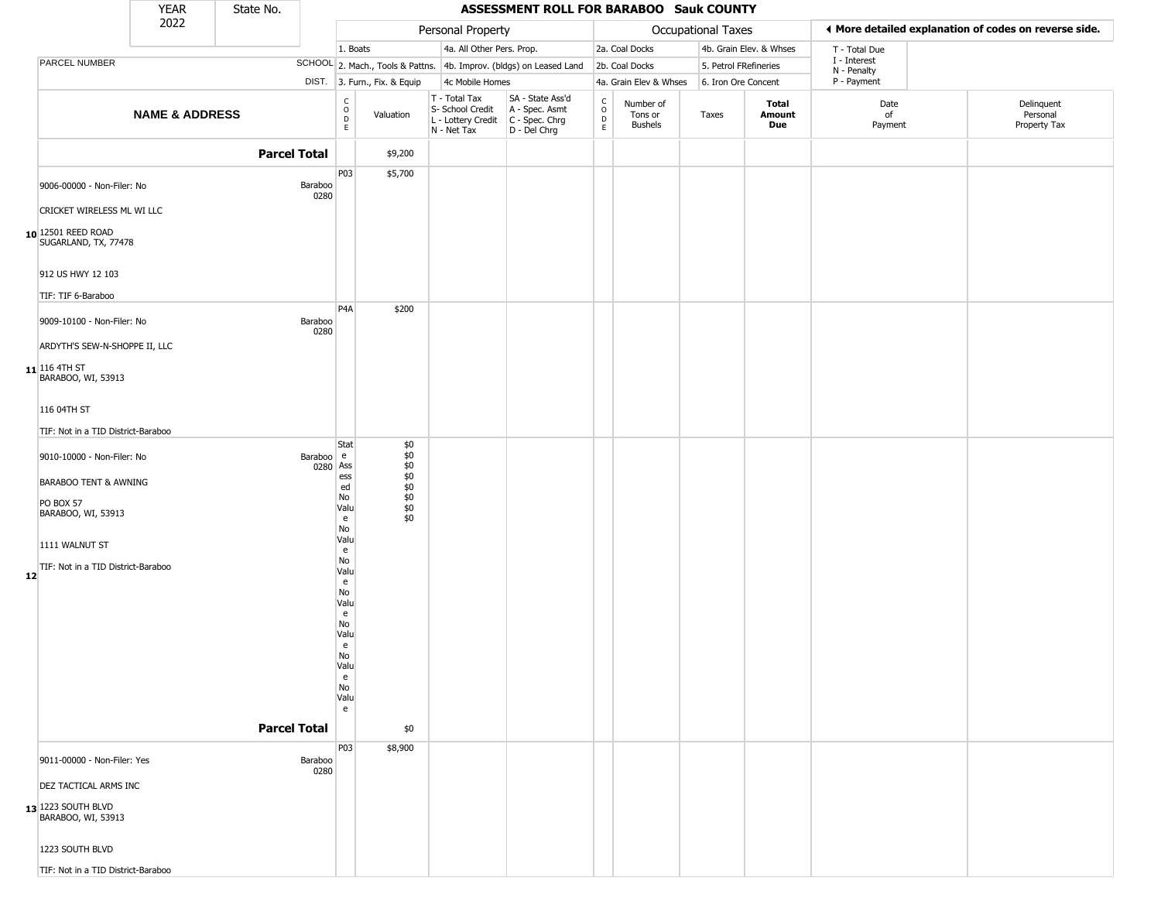|                                                                        | <b>YEAR</b>               | State No.           |                                                          |                                                     |                                                                                         | ASSESSMENT ROLL FOR BARABOO Sauk COUNTY                             |                  |                                 |                           |                         |                             |                                                       |
|------------------------------------------------------------------------|---------------------------|---------------------|----------------------------------------------------------|-----------------------------------------------------|-----------------------------------------------------------------------------------------|---------------------------------------------------------------------|------------------|---------------------------------|---------------------------|-------------------------|-----------------------------|-------------------------------------------------------|
|                                                                        | 2022                      |                     |                                                          |                                                     | Personal Property                                                                       |                                                                     |                  |                                 | <b>Occupational Taxes</b> |                         |                             | ♦ More detailed explanation of codes on reverse side. |
|                                                                        |                           |                     |                                                          | 1. Boats                                            | 4a. All Other Pers. Prop.                                                               |                                                                     |                  | 2a. Coal Docks                  |                           | 4b. Grain Elev. & Whses | T - Total Due               |                                                       |
| PARCEL NUMBER                                                          |                           |                     |                                                          |                                                     |                                                                                         | SCHOOL 2. Mach., Tools & Pattns. 4b. Improv. (bldgs) on Leased Land |                  | 2b. Coal Docks                  |                           | 5. Petrol FRefineries   | I - Interest<br>N - Penalty |                                                       |
|                                                                        |                           |                     |                                                          | DIST. 3. Furn., Fix. & Equip                        | 4c Mobile Homes                                                                         |                                                                     |                  | 4a. Grain Elev & Whses          | 6. Iron Ore Concent       |                         | P - Payment                 |                                                       |
|                                                                        | <b>NAME &amp; ADDRESS</b> |                     | $\begin{smallmatrix} C \\ O \\ D \end{smallmatrix}$<br>E | Valuation                                           | T - Total Tax<br>S- School Credit<br>L - Lottery Credit   C - Spec. Chrg<br>N - Net Tax | SA - State Ass'd<br>A - Spec. Asmt<br>D - Del Chrg                  | C<br>D<br>D<br>E | Number of<br>Tons or<br>Bushels | Taxes                     | Total<br>Amount<br>Due  | Date<br>of<br>Payment       | Delinquent<br>Personal<br>Property Tax                |
|                                                                        |                           | <b>Parcel Total</b> |                                                          | \$9,200                                             |                                                                                         |                                                                     |                  |                                 |                           |                         |                             |                                                       |
| 9006-00000 - Non-Filer: No                                             |                           |                     | P03<br>Baraboo<br>0280                                   | \$5,700                                             |                                                                                         |                                                                     |                  |                                 |                           |                         |                             |                                                       |
| CRICKET WIRELESS ML WI LLC                                             |                           |                     |                                                          |                                                     |                                                                                         |                                                                     |                  |                                 |                           |                         |                             |                                                       |
| 10 12501 REED ROAD<br>SUGARLAND, TX, 77478                             |                           |                     |                                                          |                                                     |                                                                                         |                                                                     |                  |                                 |                           |                         |                             |                                                       |
| 912 US HWY 12 103<br>TIF: TIF 6-Baraboo                                |                           |                     |                                                          |                                                     |                                                                                         |                                                                     |                  |                                 |                           |                         |                             |                                                       |
| 9009-10100 - Non-Filer: No                                             |                           |                     | P <sub>4</sub> A<br>Baraboo<br>0280                      | \$200                                               |                                                                                         |                                                                     |                  |                                 |                           |                         |                             |                                                       |
| ARDYTH'S SEW-N-SHOPPE II, LLC<br>$11$ 116 4TH ST<br>BARABOO, WI, 53913 |                           |                     |                                                          |                                                     |                                                                                         |                                                                     |                  |                                 |                           |                         |                             |                                                       |
| 116 04TH ST                                                            |                           |                     |                                                          |                                                     |                                                                                         |                                                                     |                  |                                 |                           |                         |                             |                                                       |
| TIF: Not in a TID District-Baraboo                                     |                           |                     |                                                          |                                                     |                                                                                         |                                                                     |                  |                                 |                           |                         |                             |                                                       |
| 9010-10000 - Non-Filer: No                                             |                           |                     | Stat<br>Baraboo e<br>0280 Ass<br>ess                     | \$0<br>$$0$<br>$$0$<br>$$0$<br>$$0$<br>$$0$<br>$$0$ |                                                                                         |                                                                     |                  |                                 |                           |                         |                             |                                                       |
| <b>BARABOO TENT &amp; AWNING</b>                                       |                           |                     | ed<br>No                                                 |                                                     |                                                                                         |                                                                     |                  |                                 |                           |                         |                             |                                                       |
| <b>PO BOX 57</b><br>BARABOO, WI, 53913                                 |                           |                     | Valu<br>e<br>No                                          | $\dot{\$0}$<br>\$0                                  |                                                                                         |                                                                     |                  |                                 |                           |                         |                             |                                                       |
| 1111 WALNUT ST                                                         |                           |                     | Valu<br>e                                                |                                                     |                                                                                         |                                                                     |                  |                                 |                           |                         |                             |                                                       |
| TIF: Not in a TID District-Baraboo<br>12                               |                           |                     | No<br>Valu<br>e<br>No                                    |                                                     |                                                                                         |                                                                     |                  |                                 |                           |                         |                             |                                                       |
|                                                                        |                           |                     | Valu<br>$\mathsf{e}\,$<br>No<br>Valu                     |                                                     |                                                                                         |                                                                     |                  |                                 |                           |                         |                             |                                                       |
|                                                                        |                           |                     | e<br>No<br>Valu                                          |                                                     |                                                                                         |                                                                     |                  |                                 |                           |                         |                             |                                                       |
|                                                                        |                           |                     | e<br>No<br>Valu<br>e                                     |                                                     |                                                                                         |                                                                     |                  |                                 |                           |                         |                             |                                                       |
|                                                                        |                           | <b>Parcel Total</b> |                                                          | \$0                                                 |                                                                                         |                                                                     |                  |                                 |                           |                         |                             |                                                       |
| 9011-00000 - Non-Filer: Yes                                            |                           |                     | P03<br>Baraboo<br>0280                                   | \$8,900                                             |                                                                                         |                                                                     |                  |                                 |                           |                         |                             |                                                       |
| DEZ TACTICAL ARMS INC                                                  |                           |                     |                                                          |                                                     |                                                                                         |                                                                     |                  |                                 |                           |                         |                             |                                                       |
| $13$ <sup>1223</sup> SOUTH BLVD<br>BARABOO, WI, 53913                  |                           |                     |                                                          |                                                     |                                                                                         |                                                                     |                  |                                 |                           |                         |                             |                                                       |
| 1223 SOUTH BLVD                                                        |                           |                     |                                                          |                                                     |                                                                                         |                                                                     |                  |                                 |                           |                         |                             |                                                       |
| TIF: Not in a TID District-Baraboo                                     |                           |                     |                                                          |                                                     |                                                                                         |                                                                     |                  |                                 |                           |                         |                             |                                                       |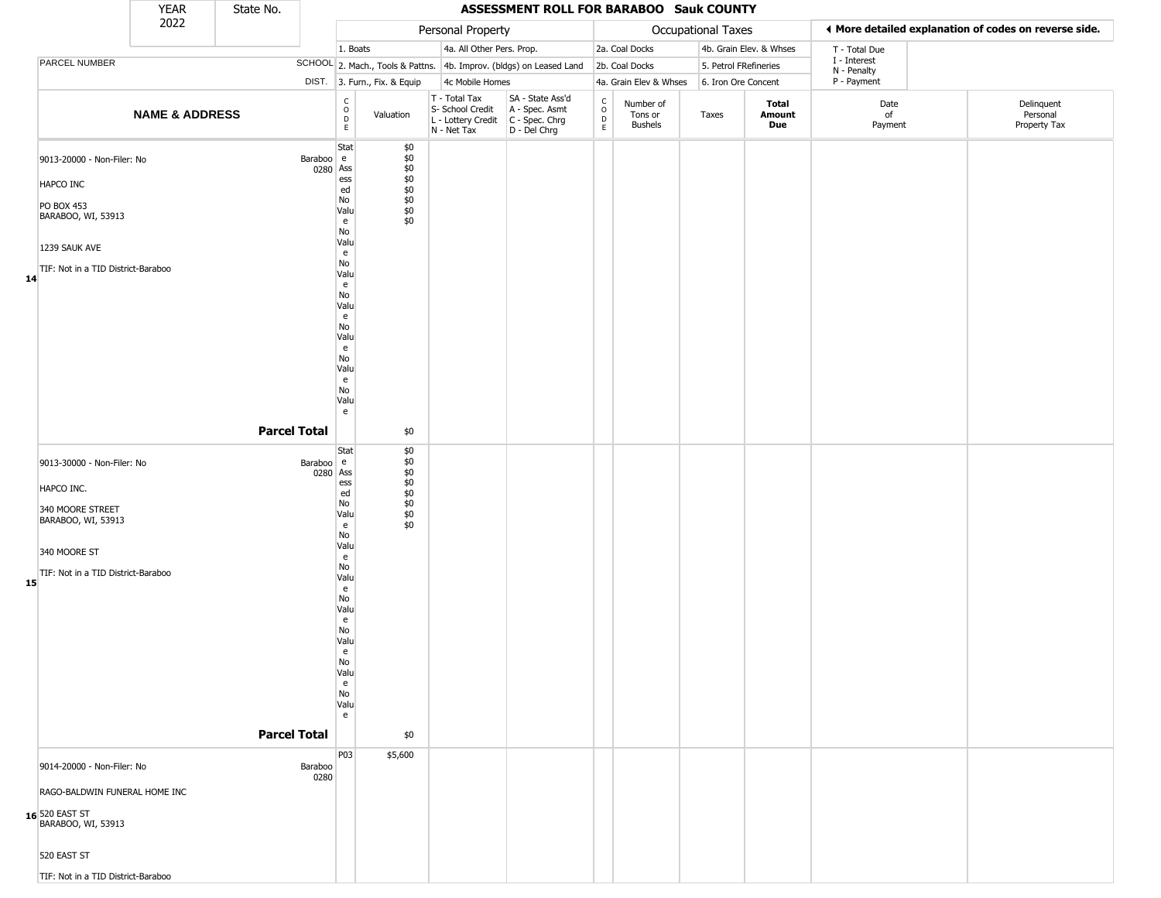|                                                                                                                                                          | <b>YEAR</b>               | State No.           |                       |                                                                                                                                                        |                                                                          |                                                                          | ASSESSMENT ROLL FOR BARABOO Sauk COUNTY                                  |                                              |                                 |                       |                         |                             |                                                       |
|----------------------------------------------------------------------------------------------------------------------------------------------------------|---------------------------|---------------------|-----------------------|--------------------------------------------------------------------------------------------------------------------------------------------------------|--------------------------------------------------------------------------|--------------------------------------------------------------------------|--------------------------------------------------------------------------|----------------------------------------------|---------------------------------|-----------------------|-------------------------|-----------------------------|-------------------------------------------------------|
|                                                                                                                                                          | 2022                      |                     |                       |                                                                                                                                                        |                                                                          | Personal Property                                                        |                                                                          |                                              |                                 | Occupational Taxes    |                         |                             | ♦ More detailed explanation of codes on reverse side. |
|                                                                                                                                                          |                           |                     |                       | 1. Boats                                                                                                                                               |                                                                          | 4a. All Other Pers. Prop.                                                |                                                                          |                                              | 2a. Coal Docks                  |                       | 4b. Grain Elev. & Whses | T - Total Due               |                                                       |
| PARCEL NUMBER                                                                                                                                            |                           |                     |                       |                                                                                                                                                        |                                                                          |                                                                          | SCHOOL 2. Mach., Tools & Pattns. 4b. Improv. (bldgs) on Leased Land      |                                              | 2b. Coal Docks                  | 5. Petrol FRefineries |                         | I - Interest<br>N - Penalty |                                                       |
|                                                                                                                                                          |                           |                     |                       |                                                                                                                                                        | DIST. 3. Furn., Fix. & Equip                                             | 4c Mobile Homes                                                          |                                                                          |                                              | 4a. Grain Elev & Whses          | 6. Iron Ore Concent   |                         | P - Payment                 |                                                       |
|                                                                                                                                                          | <b>NAME &amp; ADDRESS</b> |                     |                       | $_{\rm o}^{\rm c}$<br>$\mathsf D$<br>$\mathsf E$                                                                                                       | Valuation                                                                | T - Total Tax<br>S- School Credit<br>L - Lottery Credit<br>$N - Net Tax$ | SA - State Ass'd<br>A - Spec. Asmt<br>$C - Spec. Chrg$<br>$D - Del Chrg$ | $\int_{0}^{c}$<br>$\mathsf D$<br>$\mathsf E$ | Number of<br>Tons or<br>Bushels | Taxes                 | Total<br>Amount<br>Due  | Date<br>of<br>Payment       | Delinquent<br>Personal<br>Property Tax                |
| 9013-20000 - Non-Filer: No<br>HAPCO INC<br>PO BOX 453<br>BARABOO, WI, 53913<br>1239 SAUK AVE<br>TIF: Not in a TID District-Baraboo<br>14                 |                           |                     | Baraboo e<br>0280 Ass | Stat<br>ess<br>ed<br>No<br>Valu<br>e<br>No<br>Valu<br>e<br>No<br>Valu<br>e<br>No<br>Valu<br>e<br>No<br>Valu<br>e<br>No<br>Valu<br>e<br>No<br>Valu      | \$0                                                                      |                                                                          |                                                                          |                                              |                                 |                       |                         |                             |                                                       |
|                                                                                                                                                          |                           | <b>Parcel Total</b> |                       | e                                                                                                                                                      | \$0                                                                      |                                                                          |                                                                          |                                              |                                 |                       |                         |                             |                                                       |
| 9013-30000 - Non-Filer: No<br>HAPCO INC.<br>340 MOORE STREET<br>BARABOO, WI, 53913<br>340 MOORE ST<br>TIF: Not in a TID District-Baraboo<br>15           |                           | <b>Parcel Total</b> | Baraboo e<br>0280 Ass | Stat<br>ess<br>ed<br>No<br>Valu<br>e<br>No<br>Valu<br>e<br>No<br>Valu<br>e<br>No<br>Valu<br>e<br>No<br>Valu<br>e<br>No<br>Valu<br>e<br>No<br>Valu<br>e | \$0<br>\$0<br>$$0$<br>$$0$<br>$$0$<br>$$0$<br>$$0$<br>$$0$<br>\$0<br>\$0 |                                                                          |                                                                          |                                              |                                 |                       |                         |                             |                                                       |
| 9014-20000 - Non-Filer: No<br>RAGO-BALDWIN FUNERAL HOME INC<br>16 520 EAST ST<br>BARABOO, WI, 53913<br>520 EAST ST<br>TIF: Not in a TID District-Baraboo |                           |                     | Baraboo<br>0280       | P03                                                                                                                                                    | \$5,600                                                                  |                                                                          |                                                                          |                                              |                                 |                       |                         |                             |                                                       |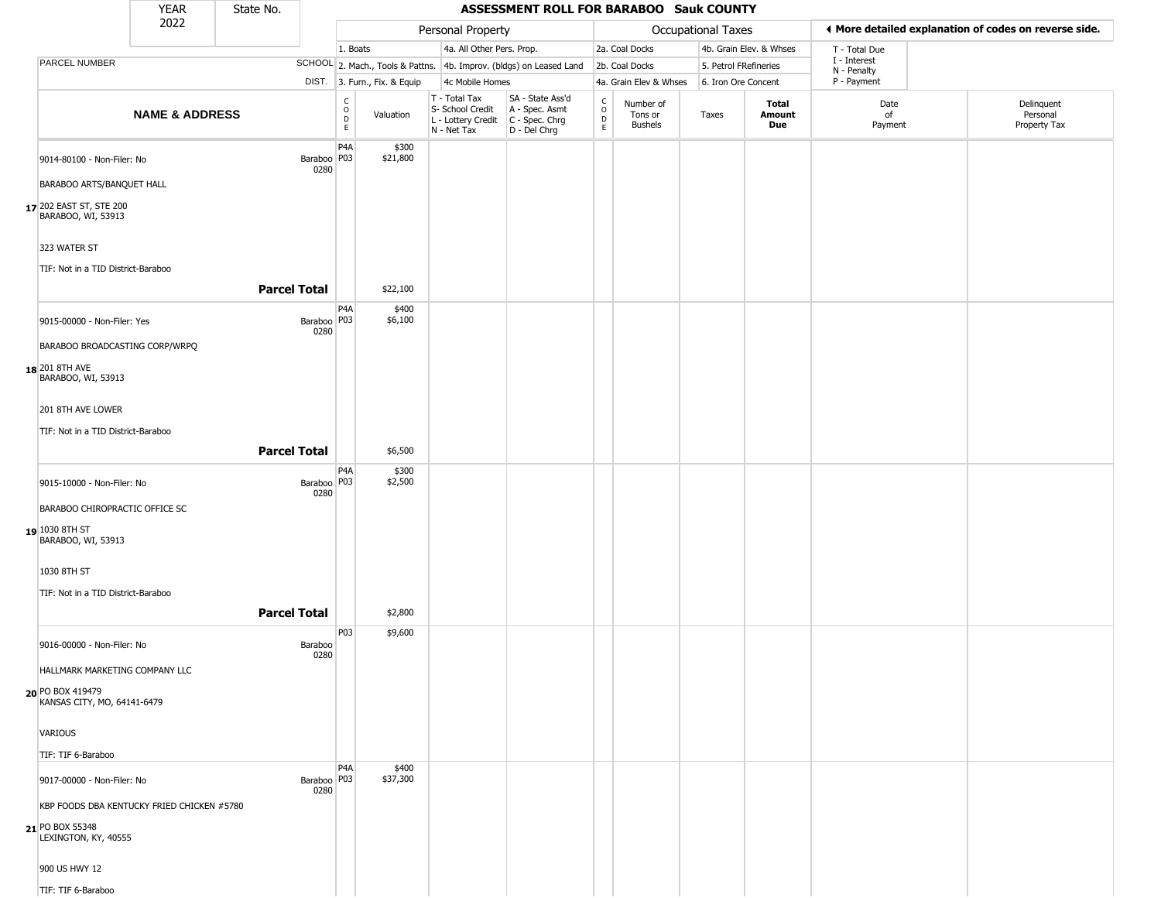|                                                              | <b>YEAR</b>                                | State No.           |                       |                                                 |                              |                                                                                         | ASSESSMENT ROLL FOR BARABOO Sauk COUNTY                             |                          |                                 |                           |                         |                             |                                                        |
|--------------------------------------------------------------|--------------------------------------------|---------------------|-----------------------|-------------------------------------------------|------------------------------|-----------------------------------------------------------------------------------------|---------------------------------------------------------------------|--------------------------|---------------------------------|---------------------------|-------------------------|-----------------------------|--------------------------------------------------------|
|                                                              | 2022                                       |                     |                       |                                                 |                              | Personal Property                                                                       |                                                                     |                          |                                 | <b>Occupational Taxes</b> |                         |                             | If More detailed explanation of codes on reverse side. |
|                                                              |                                            |                     |                       | 1. Boats                                        |                              | 4a. All Other Pers. Prop.                                                               |                                                                     |                          | 2a. Coal Docks                  |                           | 4b. Grain Elev. & Whses | T - Total Due               |                                                        |
| PARCEL NUMBER                                                |                                            |                     |                       |                                                 |                              |                                                                                         | SCHOOL 2. Mach., Tools & Pattns. 4b. Improv. (bldgs) on Leased Land |                          | 2b. Coal Docks                  | 5. Petrol FRefineries     |                         | I - Interest<br>N - Penalty |                                                        |
|                                                              |                                            |                     |                       |                                                 | DIST. 3. Furn., Fix. & Equip | 4c Mobile Homes                                                                         |                                                                     |                          | 4a. Grain Elev & Whses          | 6. Iron Ore Concent       |                         | P - Payment                 |                                                        |
|                                                              | <b>NAME &amp; ADDRESS</b>                  |                     |                       | $\begin{array}{c} C \\ O \\ D \\ E \end{array}$ | Valuation                    | T - Total Tax<br>S- School Credit<br>L - Lottery Credit   C - Spec. Chrg<br>N - Net Tax | SA - State Ass'd<br>A - Spec. Asmt<br>D - Del Chrg                  | $\int_{0}^{c}$<br>D<br>E | Number of<br>Tons or<br>Bushels | Taxes                     | Total<br>Amount<br>Due  | Date<br>of<br>Payment       | Delinquent<br>Personal<br>Property Tax                 |
| 9014-80100 - Non-Filer: No                                   |                                            |                     | Baraboo   P03<br>0280 | P <sub>4</sub> A                                | \$300<br>\$21,800            |                                                                                         |                                                                     |                          |                                 |                           |                         |                             |                                                        |
| BARABOO ARTS/BANQUET HALL                                    |                                            |                     |                       |                                                 |                              |                                                                                         |                                                                     |                          |                                 |                           |                         |                             |                                                        |
| 17 202 EAST ST, STE 200<br>BARABOO, WI, 53913                |                                            |                     |                       |                                                 |                              |                                                                                         |                                                                     |                          |                                 |                           |                         |                             |                                                        |
| 323 WATER ST                                                 |                                            |                     |                       |                                                 |                              |                                                                                         |                                                                     |                          |                                 |                           |                         |                             |                                                        |
| TIF: Not in a TID District-Baraboo                           |                                            | <b>Parcel Total</b> |                       |                                                 | \$22,100                     |                                                                                         |                                                                     |                          |                                 |                           |                         |                             |                                                        |
| 9015-00000 - Non-Filer: Yes                                  |                                            |                     | Baraboo P03<br>0280   | P <sub>4</sub> A                                | \$400<br>\$6,100             |                                                                                         |                                                                     |                          |                                 |                           |                         |                             |                                                        |
| BARABOO BROADCASTING CORP/WRPQ                               |                                            |                     |                       |                                                 |                              |                                                                                         |                                                                     |                          |                                 |                           |                         |                             |                                                        |
| 18 201 8TH AVE<br>BARABOO, WI, 53913                         |                                            |                     |                       |                                                 |                              |                                                                                         |                                                                     |                          |                                 |                           |                         |                             |                                                        |
| 201 8TH AVE LOWER                                            |                                            |                     |                       |                                                 |                              |                                                                                         |                                                                     |                          |                                 |                           |                         |                             |                                                        |
| TIF: Not in a TID District-Baraboo                           |                                            | <b>Parcel Total</b> |                       |                                                 | \$6,500                      |                                                                                         |                                                                     |                          |                                 |                           |                         |                             |                                                        |
|                                                              |                                            |                     |                       | P <sub>4</sub> A                                | \$300                        |                                                                                         |                                                                     |                          |                                 |                           |                         |                             |                                                        |
| 9015-10000 - Non-Filer: No<br>BARABOO CHIROPRACTIC OFFICE SC |                                            |                     | Baraboo   P03<br>0280 |                                                 | \$2,500                      |                                                                                         |                                                                     |                          |                                 |                           |                         |                             |                                                        |
| 19 1030 8TH ST<br>BARABOO, WI, 53913                         |                                            |                     |                       |                                                 |                              |                                                                                         |                                                                     |                          |                                 |                           |                         |                             |                                                        |
| 1030 8TH ST                                                  |                                            |                     |                       |                                                 |                              |                                                                                         |                                                                     |                          |                                 |                           |                         |                             |                                                        |
| TIF: Not in a TID District-Baraboo                           |                                            |                     |                       |                                                 |                              |                                                                                         |                                                                     |                          |                                 |                           |                         |                             |                                                        |
|                                                              |                                            | <b>Parcel Total</b> |                       |                                                 | \$2,800                      |                                                                                         |                                                                     |                          |                                 |                           |                         |                             |                                                        |
| 9016-00000 - Non-Filer: No                                   |                                            |                     | Baraboo<br>0280       | P03                                             | \$9,600                      |                                                                                         |                                                                     |                          |                                 |                           |                         |                             |                                                        |
| HALLMARK MARKETING COMPANY LLC                               |                                            |                     |                       |                                                 |                              |                                                                                         |                                                                     |                          |                                 |                           |                         |                             |                                                        |
| 20 PO BOX 419479<br>KANSAS CITY, MO, 64141-6479              |                                            |                     |                       |                                                 |                              |                                                                                         |                                                                     |                          |                                 |                           |                         |                             |                                                        |
| <b>VARIOUS</b>                                               |                                            |                     |                       |                                                 |                              |                                                                                         |                                                                     |                          |                                 |                           |                         |                             |                                                        |
| TIF: TIF 6-Baraboo                                           |                                            |                     |                       |                                                 |                              |                                                                                         |                                                                     |                          |                                 |                           |                         |                             |                                                        |
| 9017-00000 - Non-Filer: No                                   |                                            |                     | Baraboo   P03<br>0280 | P <sub>4</sub> A                                | \$400<br>\$37,300            |                                                                                         |                                                                     |                          |                                 |                           |                         |                             |                                                        |
|                                                              | KBP FOODS DBA KENTUCKY FRIED CHICKEN #5780 |                     |                       |                                                 |                              |                                                                                         |                                                                     |                          |                                 |                           |                         |                             |                                                        |
| 21 PO BOX 55348<br>LEXINGTON, KY, 40555                      |                                            |                     |                       |                                                 |                              |                                                                                         |                                                                     |                          |                                 |                           |                         |                             |                                                        |
| 900 US HWY 12                                                |                                            |                     |                       |                                                 |                              |                                                                                         |                                                                     |                          |                                 |                           |                         |                             |                                                        |
| TIF: TIF 6-Baraboo                                           |                                            |                     |                       |                                                 |                              |                                                                                         |                                                                     |                          |                                 |                           |                         |                             |                                                        |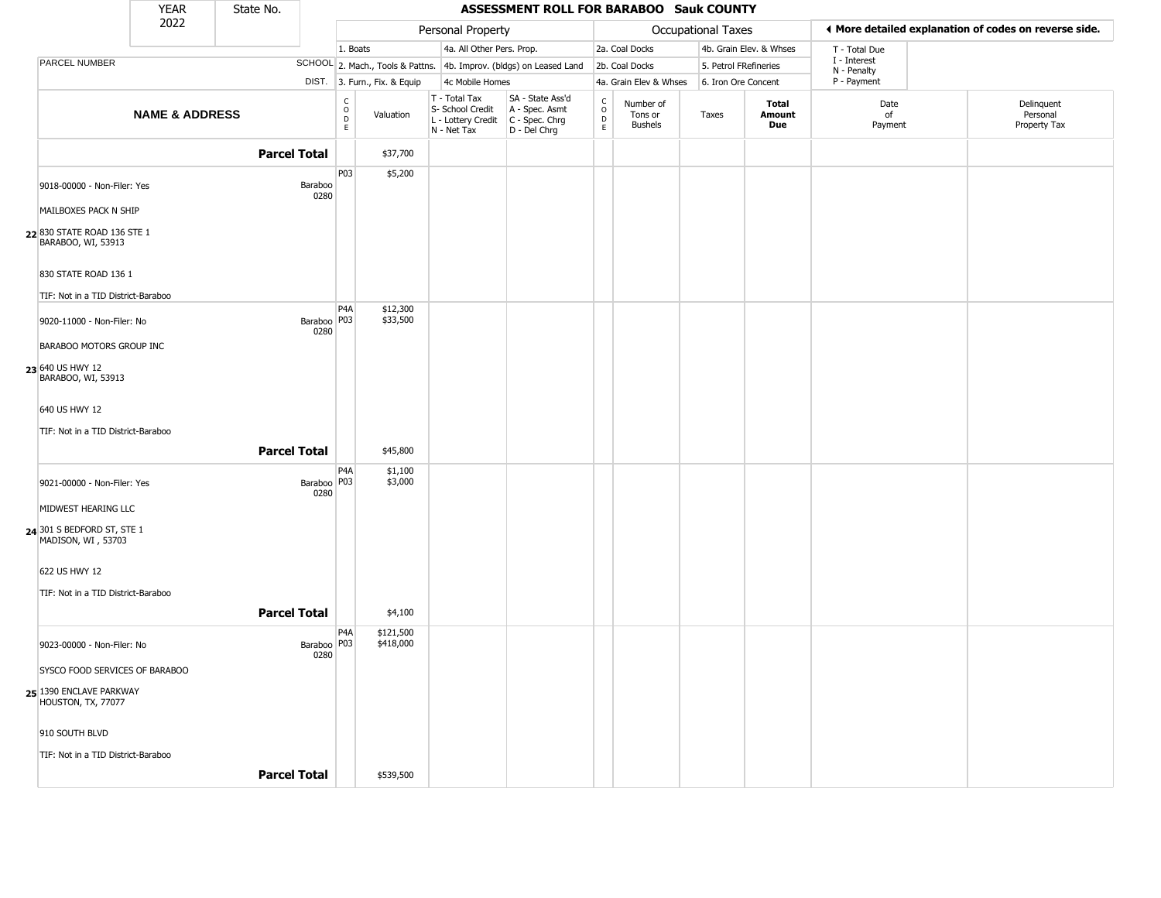|                                                                  | <b>YEAR</b>               | State No.           |                       |                                                       |                              |                                                                        | ASSESSMENT ROLL FOR BARABOO Sauk COUNTY                                            |                                            |                                        |                           |                         |                             |                                                       |
|------------------------------------------------------------------|---------------------------|---------------------|-----------------------|-------------------------------------------------------|------------------------------|------------------------------------------------------------------------|------------------------------------------------------------------------------------|--------------------------------------------|----------------------------------------|---------------------------|-------------------------|-----------------------------|-------------------------------------------------------|
|                                                                  | 2022                      |                     |                       |                                                       |                              | Personal Property                                                      |                                                                                    |                                            |                                        | <b>Occupational Taxes</b> |                         |                             | ◀ More detailed explanation of codes on reverse side. |
|                                                                  |                           |                     |                       | 1. Boats                                              |                              | 4a. All Other Pers. Prop.                                              |                                                                                    |                                            | 2a. Coal Docks                         |                           | 4b. Grain Elev. & Whses | T - Total Due               |                                                       |
| PARCEL NUMBER                                                    |                           |                     |                       |                                                       |                              |                                                                        | SCHOOL 2. Mach., Tools & Pattns. 4b. Improv. (bldgs) on Leased Land 2b. Coal Docks |                                            |                                        | 5. Petrol FRefineries     |                         | I - Interest<br>N - Penalty |                                                       |
|                                                                  |                           |                     |                       |                                                       | DIST. 3. Furn., Fix. & Equip | 4c Mobile Homes                                                        |                                                                                    |                                            | 4a. Grain Elev & Whses                 | 6. Iron Ore Concent       |                         | P - Payment                 |                                                       |
|                                                                  | <b>NAME &amp; ADDRESS</b> |                     |                       | $\mathsf{C}$<br>$\circ$<br>$\mathsf D$<br>$\mathsf E$ | Valuation                    | T - Total Tax<br>S- School Credit<br>L - Lottery Credit<br>N - Net Tax | SA - State Ass'd<br>A - Spec. Asmt<br>C - Spec. Chrg<br>D - Del Chrg               | $\begin{array}{c} C \\ 0 \\ E \end{array}$ | Number of<br>Tons or<br><b>Bushels</b> | Taxes                     | Total<br>Amount<br>Due  | Date<br>of<br>Payment       | Delinquent<br>Personal<br>Property Tax                |
|                                                                  |                           | <b>Parcel Total</b> |                       |                                                       | \$37,700                     |                                                                        |                                                                                    |                                            |                                        |                           |                         |                             |                                                       |
| 9018-00000 - Non-Filer: Yes<br>MAILBOXES PACK N SHIP             |                           |                     | Baraboo<br>0280       | P03                                                   | \$5,200                      |                                                                        |                                                                                    |                                            |                                        |                           |                         |                             |                                                       |
| 22 830 STATE ROAD 136 STE 1<br>BARABOO, WI, 53913                |                           |                     |                       |                                                       |                              |                                                                        |                                                                                    |                                            |                                        |                           |                         |                             |                                                       |
| 830 STATE ROAD 136 1                                             |                           |                     |                       |                                                       |                              |                                                                        |                                                                                    |                                            |                                        |                           |                         |                             |                                                       |
| TIF: Not in a TID District-Baraboo<br>9020-11000 - Non-Filer: No |                           |                     | Baraboo   P03<br>0280 | P <sub>4</sub> A                                      | \$12,300<br>\$33,500         |                                                                        |                                                                                    |                                            |                                        |                           |                         |                             |                                                       |
| BARABOO MOTORS GROUP INC                                         |                           |                     |                       |                                                       |                              |                                                                        |                                                                                    |                                            |                                        |                           |                         |                             |                                                       |
| 23 640 US HWY 12<br>BARABOO, WI, 53913                           |                           |                     |                       |                                                       |                              |                                                                        |                                                                                    |                                            |                                        |                           |                         |                             |                                                       |
| 640 US HWY 12                                                    |                           |                     |                       |                                                       |                              |                                                                        |                                                                                    |                                            |                                        |                           |                         |                             |                                                       |
| TIF: Not in a TID District-Baraboo                               |                           | <b>Parcel Total</b> |                       |                                                       | \$45,800                     |                                                                        |                                                                                    |                                            |                                        |                           |                         |                             |                                                       |
| 9021-00000 - Non-Filer: Yes                                      |                           |                     | Baraboo   P03<br>0280 | P4A                                                   | \$1,100<br>\$3,000           |                                                                        |                                                                                    |                                            |                                        |                           |                         |                             |                                                       |
| MIDWEST HEARING LLC                                              |                           |                     |                       |                                                       |                              |                                                                        |                                                                                    |                                            |                                        |                           |                         |                             |                                                       |
| 24 301 S BEDFORD ST, STE 1<br>MADISON, WI, 53703                 |                           |                     |                       |                                                       |                              |                                                                        |                                                                                    |                                            |                                        |                           |                         |                             |                                                       |
| 622 US HWY 12                                                    |                           |                     |                       |                                                       |                              |                                                                        |                                                                                    |                                            |                                        |                           |                         |                             |                                                       |
| TIF: Not in a TID District-Baraboo                               |                           | <b>Parcel Total</b> |                       |                                                       | \$4,100                      |                                                                        |                                                                                    |                                            |                                        |                           |                         |                             |                                                       |
| 9023-00000 - Non-Filer: No                                       |                           |                     | Baraboo   P03         | P <sub>4</sub> A                                      | \$121,500<br>\$418,000       |                                                                        |                                                                                    |                                            |                                        |                           |                         |                             |                                                       |
| SYSCO FOOD SERVICES OF BARABOO                                   |                           |                     | 0280                  |                                                       |                              |                                                                        |                                                                                    |                                            |                                        |                           |                         |                             |                                                       |
| 25 1390 ENCLAVE PARKWAY<br>HOUSTON, TX, 77077                    |                           |                     |                       |                                                       |                              |                                                                        |                                                                                    |                                            |                                        |                           |                         |                             |                                                       |
| 910 SOUTH BLVD                                                   |                           |                     |                       |                                                       |                              |                                                                        |                                                                                    |                                            |                                        |                           |                         |                             |                                                       |
| TIF: Not in a TID District-Baraboo                               |                           | <b>Parcel Total</b> |                       |                                                       | \$539,500                    |                                                                        |                                                                                    |                                            |                                        |                           |                         |                             |                                                       |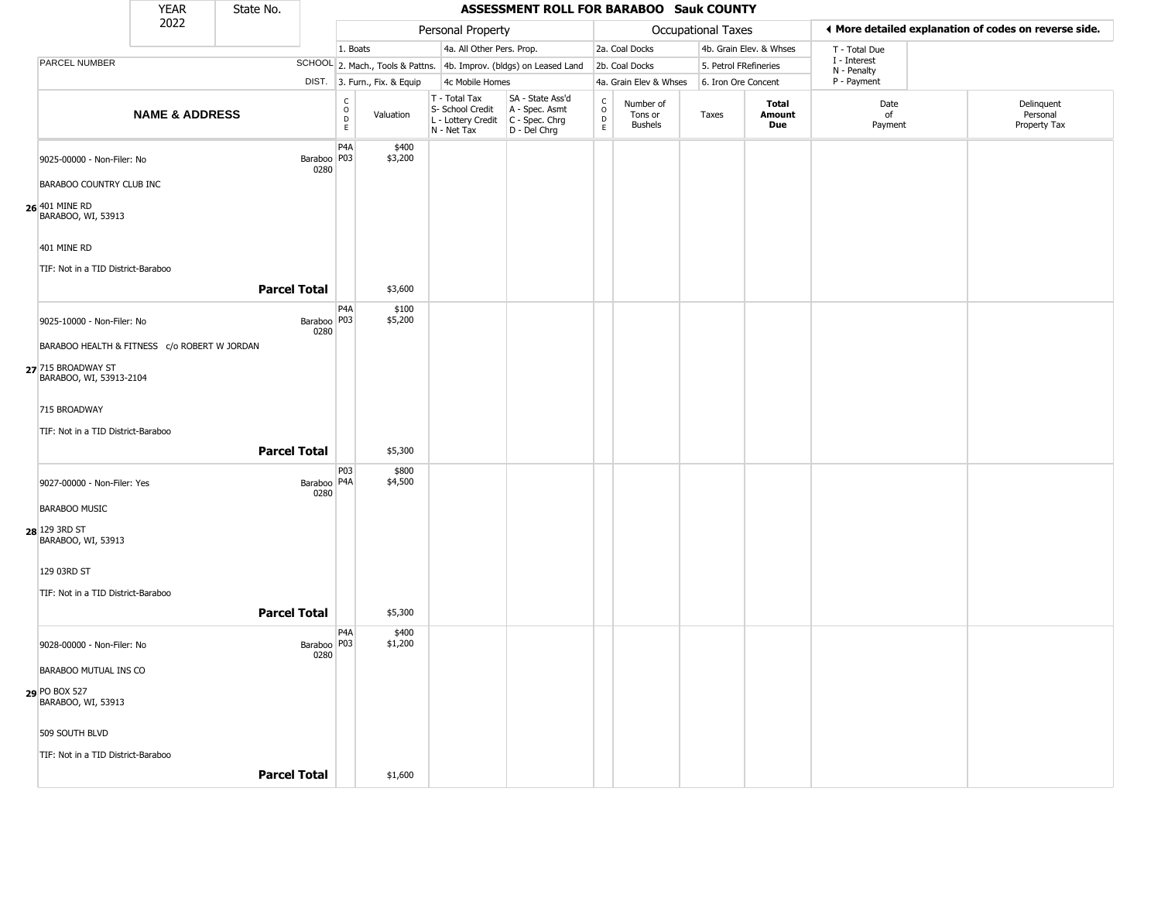|                                               | <b>YEAR</b>               | State No.           |                                   |                                              |                              |                                                                        | <b>ASSESSMENT ROLL FOR BARABOO Sauk COUNTY</b>                       |                                 |                                        |                           |                         |                            |                                                       |
|-----------------------------------------------|---------------------------|---------------------|-----------------------------------|----------------------------------------------|------------------------------|------------------------------------------------------------------------|----------------------------------------------------------------------|---------------------------------|----------------------------------------|---------------------------|-------------------------|----------------------------|-------------------------------------------------------|
|                                               | 2022                      |                     |                                   |                                              |                              | Personal Property                                                      |                                                                      |                                 |                                        | <b>Occupational Taxes</b> |                         |                            | ◀ More detailed explanation of codes on reverse side. |
|                                               |                           |                     |                                   | 1. Boats                                     |                              | 4a. All Other Pers. Prop.                                              |                                                                      |                                 | 2a. Coal Docks                         |                           | 4b. Grain Elev. & Whses | T - Total Due              |                                                       |
| <b>PARCEL NUMBER</b>                          |                           |                     |                                   |                                              |                              |                                                                        | SCHOOL 2. Mach., Tools & Pattns. 4b. Improv. (bldgs) on Leased Land  |                                 | 2b. Coal Docks                         |                           | 5. Petrol FRefineries   | I - Interest               |                                                       |
|                                               |                           |                     |                                   |                                              | DIST. 3. Furn., Fix. & Equip | 4c Mobile Homes                                                        |                                                                      |                                 | 4a. Grain Elev & Whses                 |                           | 6. Iron Ore Concent     | N - Penalty<br>P - Payment |                                                       |
|                                               | <b>NAME &amp; ADDRESS</b> |                     |                                   | $\mathsf{C}$<br>$\circ$<br>$\mathsf{D}$<br>E | Valuation                    | T - Total Tax<br>S- School Credit<br>L - Lottery Credit<br>N - Net Tax | SA - State Ass'd<br>A - Spec. Asmt<br>C - Spec. Chrg<br>D - Del Chrg | $\rm ^c_o$<br>$\mathsf{D}$<br>E | Number of<br>Tons or<br><b>Bushels</b> | Taxes                     | Total<br>Amount<br>Due  | Date<br>of<br>Payment      | Delinquent<br>Personal<br>Property Tax                |
| 9025-00000 - Non-Filer: No                    |                           |                     | Baraboo <sup> </sup> P03 <br>0280 | P <sub>4</sub> A                             | \$400<br>\$3,200             |                                                                        |                                                                      |                                 |                                        |                           |                         |                            |                                                       |
| <b>BARABOO COUNTRY CLUB INC</b>               |                           |                     |                                   |                                              |                              |                                                                        |                                                                      |                                 |                                        |                           |                         |                            |                                                       |
| 26 401 MINE RD<br>BARABOO, WI, 53913          |                           |                     |                                   |                                              |                              |                                                                        |                                                                      |                                 |                                        |                           |                         |                            |                                                       |
| 401 MINE RD                                   |                           |                     |                                   |                                              |                              |                                                                        |                                                                      |                                 |                                        |                           |                         |                            |                                                       |
| TIF: Not in a TID District-Baraboo            |                           |                     |                                   |                                              |                              |                                                                        |                                                                      |                                 |                                        |                           |                         |                            |                                                       |
|                                               |                           | <b>Parcel Total</b> |                                   |                                              | \$3,600                      |                                                                        |                                                                      |                                 |                                        |                           |                         |                            |                                                       |
| 9025-10000 - Non-Filer: No                    |                           |                     | Baraboo P03<br>0280               | P <sub>4</sub> A                             | \$100<br>\$5,200             |                                                                        |                                                                      |                                 |                                        |                           |                         |                            |                                                       |
| BARABOO HEALTH & FITNESS c/o ROBERT W JORDAN  |                           |                     |                                   |                                              |                              |                                                                        |                                                                      |                                 |                                        |                           |                         |                            |                                                       |
| 27 715 BROADWAY ST<br>BARABOO, WI, 53913-2104 |                           |                     |                                   |                                              |                              |                                                                        |                                                                      |                                 |                                        |                           |                         |                            |                                                       |
| 715 BROADWAY                                  |                           |                     |                                   |                                              |                              |                                                                        |                                                                      |                                 |                                        |                           |                         |                            |                                                       |
| TIF: Not in a TID District-Baraboo            |                           | <b>Parcel Total</b> |                                   |                                              | \$5,300                      |                                                                        |                                                                      |                                 |                                        |                           |                         |                            |                                                       |
|                                               |                           |                     |                                   | P03                                          | \$800                        |                                                                        |                                                                      |                                 |                                        |                           |                         |                            |                                                       |
| 9027-00000 - Non-Filer: Yes                   |                           |                     | Baraboo   P4A<br>0280             |                                              | \$4,500                      |                                                                        |                                                                      |                                 |                                        |                           |                         |                            |                                                       |
| <b>BARABOO MUSIC</b>                          |                           |                     |                                   |                                              |                              |                                                                        |                                                                      |                                 |                                        |                           |                         |                            |                                                       |
| 28 129 3RD ST<br>BARABOO, WI, 53913           |                           |                     |                                   |                                              |                              |                                                                        |                                                                      |                                 |                                        |                           |                         |                            |                                                       |
| 129 03RD ST                                   |                           |                     |                                   |                                              |                              |                                                                        |                                                                      |                                 |                                        |                           |                         |                            |                                                       |
| TIF: Not in a TID District-Baraboo            |                           |                     |                                   |                                              |                              |                                                                        |                                                                      |                                 |                                        |                           |                         |                            |                                                       |
|                                               |                           | <b>Parcel Total</b> |                                   |                                              | \$5,300                      |                                                                        |                                                                      |                                 |                                        |                           |                         |                            |                                                       |
| 9028-00000 - Non-Filer: No                    |                           |                     | Baraboo   P03<br>0280             | P <sub>4</sub> A                             | \$400<br>\$1,200             |                                                                        |                                                                      |                                 |                                        |                           |                         |                            |                                                       |
| BARABOO MUTUAL INS CO                         |                           |                     |                                   |                                              |                              |                                                                        |                                                                      |                                 |                                        |                           |                         |                            |                                                       |
| 29 PO BOX 527<br>BARABOO, WI, 53913           |                           |                     |                                   |                                              |                              |                                                                        |                                                                      |                                 |                                        |                           |                         |                            |                                                       |
| 509 SOUTH BLVD                                |                           |                     |                                   |                                              |                              |                                                                        |                                                                      |                                 |                                        |                           |                         |                            |                                                       |
| TIF: Not in a TID District-Baraboo            |                           |                     |                                   |                                              |                              |                                                                        |                                                                      |                                 |                                        |                           |                         |                            |                                                       |
|                                               |                           | <b>Parcel Total</b> |                                   |                                              | \$1,600                      |                                                                        |                                                                      |                                 |                                        |                           |                         |                            |                                                       |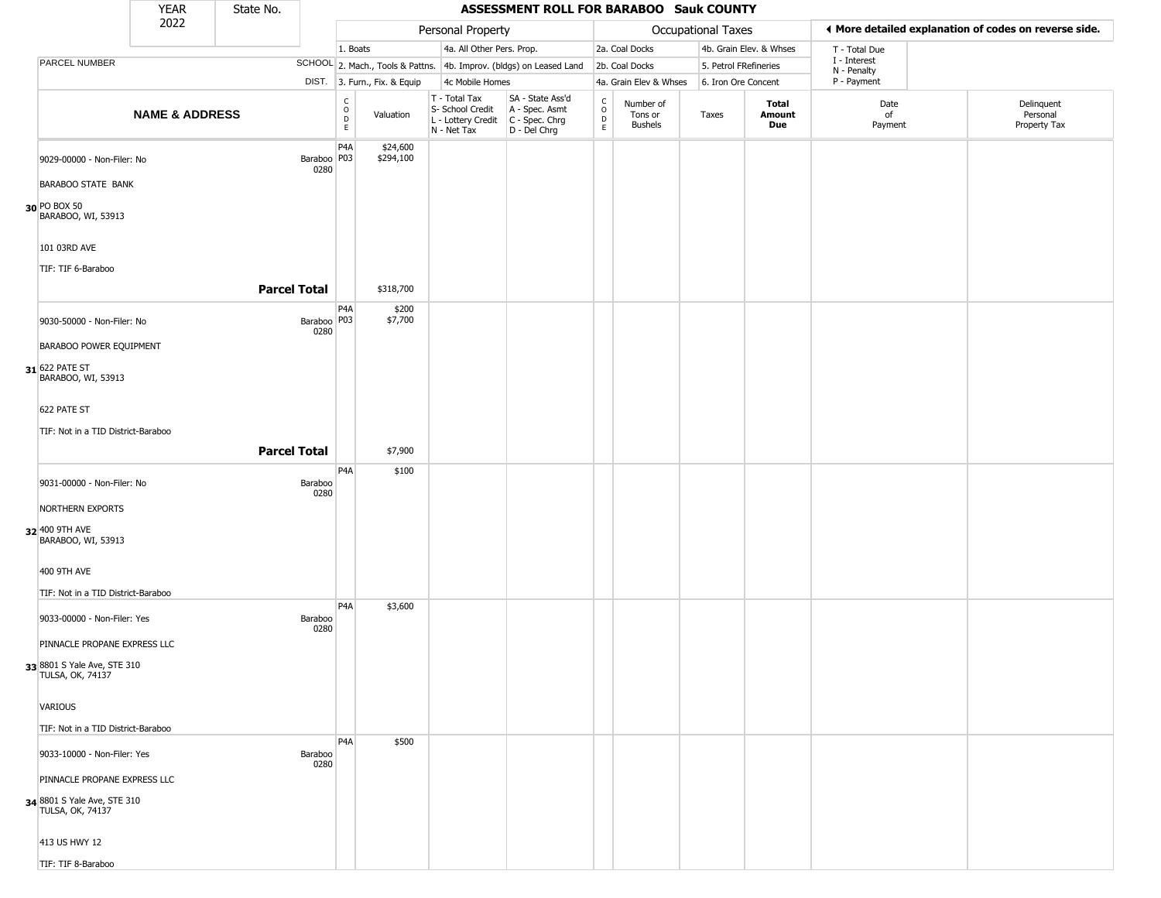|                                                                                                                                                              | <b>YEAR</b>               | State No.           |                       |                                                              |                              |                                                                        | ASSESSMENT ROLL FOR BARABOO Sauk COUNTY                                |                                                 |                                        |                       |                         |                             |                                                       |
|--------------------------------------------------------------------------------------------------------------------------------------------------------------|---------------------------|---------------------|-----------------------|--------------------------------------------------------------|------------------------------|------------------------------------------------------------------------|------------------------------------------------------------------------|-------------------------------------------------|----------------------------------------|-----------------------|-------------------------|-----------------------------|-------------------------------------------------------|
|                                                                                                                                                              | 2022                      |                     |                       |                                                              |                              | Personal Property                                                      |                                                                        |                                                 |                                        | Occupational Taxes    |                         |                             | ♦ More detailed explanation of codes on reverse side. |
|                                                                                                                                                              |                           |                     |                       | 1. Boats                                                     |                              | 4a. All Other Pers. Prop.                                              |                                                                        |                                                 | 2a. Coal Docks                         |                       | 4b. Grain Elev. & Whses | T - Total Due               |                                                       |
| PARCEL NUMBER                                                                                                                                                |                           |                     |                       |                                                              |                              |                                                                        | SCHOOL 2. Mach., Tools & Pattns. 4b. Improv. (bldgs) on Leased Land    |                                                 | 2b. Coal Docks                         | 5. Petrol FRefineries |                         | I - Interest<br>N - Penalty |                                                       |
|                                                                                                                                                              |                           |                     |                       |                                                              | DIST. 3. Furn., Fix. & Equip | 4c Mobile Homes                                                        |                                                                        |                                                 | 4a. Grain Elev & Whses                 | 6. Iron Ore Concent   |                         | P - Payment                 |                                                       |
|                                                                                                                                                              | <b>NAME &amp; ADDRESS</b> |                     |                       | $\mathsf{C}$<br>$\begin{array}{c}\n0 \\ D \\ E\n\end{array}$ | Valuation                    | T - Total Tax<br>S- School Credit<br>L - Lottery Credit<br>N - Net Tax | SA - State Ass'd<br>A - Spec. Asmt<br>$C - Spec. Chrg$<br>D - Del Chrg | $\begin{array}{c} C \\ O \\ D \\ E \end{array}$ | Number of<br>Tons or<br><b>Bushels</b> | Taxes                 | Total<br>Amount<br>Due  | Date<br>of<br>Payment       | Delinquent<br>Personal<br>Property Tax                |
| 9029-00000 - Non-Filer: No<br><b>BARABOO STATE BANK</b><br>30 PO BOX 50                                                                                      |                           |                     | Baraboo   P03<br>0280 | P <sub>4</sub> A                                             | \$24,600<br>\$294,100        |                                                                        |                                                                        |                                                 |                                        |                       |                         |                             |                                                       |
| BARABOO, WI, 53913<br>101 03RD AVE<br>TIF: TIF 6-Baraboo                                                                                                     |                           | <b>Parcel Total</b> |                       |                                                              | \$318,700                    |                                                                        |                                                                        |                                                 |                                        |                       |                         |                             |                                                       |
| 9030-50000 - Non-Filer: No<br>BARABOO POWER EQUIPMENT<br>31 622 PATE ST<br>BARABOO, WI, 53913<br>622 PATE ST<br>TIF: Not in a TID District-Baraboo           |                           |                     | Baraboo   P03<br>0280 | P <sub>4</sub> A                                             | \$200<br>\$7,700             |                                                                        |                                                                        |                                                 |                                        |                       |                         |                             |                                                       |
|                                                                                                                                                              |                           | <b>Parcel Total</b> |                       |                                                              | \$7,900                      |                                                                        |                                                                        |                                                 |                                        |                       |                         |                             |                                                       |
| 9031-00000 - Non-Filer: No<br>NORTHERN EXPORTS<br>32 400 9TH AVE<br>BARABOO, WI, 53913                                                                       |                           |                     | Baraboo<br>0280       | P <sub>4</sub> A                                             | \$100                        |                                                                        |                                                                        |                                                 |                                        |                       |                         |                             |                                                       |
| 400 9TH AVE<br>TIF: Not in a TID District-Baraboo                                                                                                            |                           |                     |                       |                                                              |                              |                                                                        |                                                                        |                                                 |                                        |                       |                         |                             |                                                       |
| 9033-00000 - Non-Filer: Yes<br>PINNACLE PROPANE EXPRESS LLC<br>33 8801 S Yale Ave, STE 310<br><b>TULSA, OK, 74137</b>                                        |                           |                     | Baraboo<br>0280       | P <sub>4</sub> A                                             | \$3,600                      |                                                                        |                                                                        |                                                 |                                        |                       |                         |                             |                                                       |
| VARIOUS<br>TIF: Not in a TID District-Baraboo                                                                                                                |                           |                     |                       |                                                              |                              |                                                                        |                                                                        |                                                 |                                        |                       |                         |                             |                                                       |
| 9033-10000 - Non-Filer: Yes<br>PINNACLE PROPANE EXPRESS LLC<br>34 8801 S Yale Ave, STE 310<br><b>TULSA, OK, 74137</b><br>413 US HWY 12<br>TIF: TIF 8-Baraboo |                           |                     | Baraboo<br>0280       | P4A                                                          | \$500                        |                                                                        |                                                                        |                                                 |                                        |                       |                         |                             |                                                       |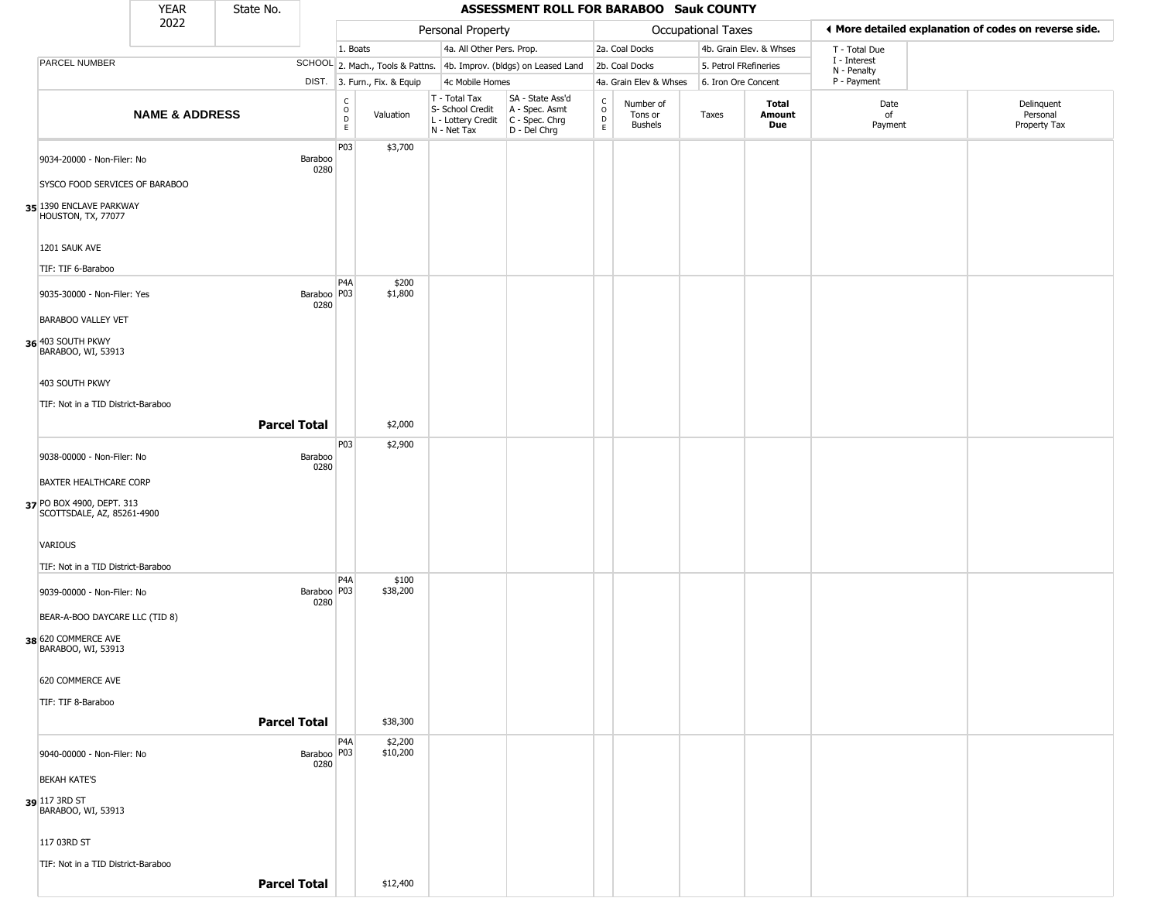|                                                              | YEAR                      | State No. |                       |                                          |                              |                                                                                       | <b>ASSESSMENT ROLL FOR BARABOO Sauk COUNTY</b>                      |                             |                                 |                       |                         |                             |                                                       |
|--------------------------------------------------------------|---------------------------|-----------|-----------------------|------------------------------------------|------------------------------|---------------------------------------------------------------------------------------|---------------------------------------------------------------------|-----------------------------|---------------------------------|-----------------------|-------------------------|-----------------------------|-------------------------------------------------------|
|                                                              | 2022                      |           |                       |                                          |                              | Personal Property                                                                     |                                                                     |                             |                                 | Occupational Taxes    |                         |                             | ♦ More detailed explanation of codes on reverse side. |
|                                                              |                           |           |                       | 1. Boats                                 |                              | 4a. All Other Pers. Prop.                                                             |                                                                     |                             | 2a. Coal Docks                  |                       | 4b. Grain Elev. & Whses | T - Total Due               |                                                       |
| PARCEL NUMBER                                                |                           |           |                       |                                          |                              |                                                                                       | SCHOOL 2. Mach., Tools & Pattns. 4b. Improv. (bldgs) on Leased Land |                             | 2b. Coal Docks                  | 5. Petrol FRefineries |                         | I - Interest<br>N - Penalty |                                                       |
|                                                              |                           |           |                       |                                          | DIST. 3. Furn., Fix. & Equip | 4c Mobile Homes                                                                       |                                                                     |                             | 4a. Grain Elev & Whses          | 6. Iron Ore Concent   |                         | P - Payment                 |                                                       |
|                                                              | <b>NAME &amp; ADDRESS</b> |           |                       | $\rm _o^C$<br>$\mathsf D$<br>$\mathsf E$ | Valuation                    | T - Total Tax<br>S- School Credit<br>L - Lottery Credit C - Spec. Chrg<br>N - Net Tax | SA - State Ass'd<br>A - Spec. Asmt<br>D - Del Chrg                  | C<br>$\mathsf{o}$<br>D<br>E | Number of<br>Tons or<br>Bushels | Taxes                 | Total<br>Amount<br>Due  | Date<br>of<br>Payment       | Delinquent<br>Personal<br>Property Tax                |
|                                                              |                           |           |                       | P03                                      | \$3,700                      |                                                                                       |                                                                     |                             |                                 |                       |                         |                             |                                                       |
| 9034-20000 - Non-Filer: No<br>SYSCO FOOD SERVICES OF BARABOO |                           |           | Baraboo<br>0280       |                                          |                              |                                                                                       |                                                                     |                             |                                 |                       |                         |                             |                                                       |
| 35 1390 ENCLAVE PARKWAY<br>HOUSTON, TX, 77077                |                           |           |                       |                                          |                              |                                                                                       |                                                                     |                             |                                 |                       |                         |                             |                                                       |
|                                                              |                           |           |                       |                                          |                              |                                                                                       |                                                                     |                             |                                 |                       |                         |                             |                                                       |
| 1201 SAUK AVE<br>TIF: TIF 6-Baraboo                          |                           |           |                       |                                          |                              |                                                                                       |                                                                     |                             |                                 |                       |                         |                             |                                                       |
| 9035-30000 - Non-Filer: Yes                                  |                           |           | Baraboo   P03         | P <sub>4</sub> A                         | \$200<br>\$1,800             |                                                                                       |                                                                     |                             |                                 |                       |                         |                             |                                                       |
| <b>BARABOO VALLEY VET</b>                                    |                           |           | 0280                  |                                          |                              |                                                                                       |                                                                     |                             |                                 |                       |                         |                             |                                                       |
| 36 403 SOUTH PKWY<br>BARABOO, WI, 53913                      |                           |           |                       |                                          |                              |                                                                                       |                                                                     |                             |                                 |                       |                         |                             |                                                       |
| 403 SOUTH PKWY                                               |                           |           |                       |                                          |                              |                                                                                       |                                                                     |                             |                                 |                       |                         |                             |                                                       |
| TIF: Not in a TID District-Baraboo                           |                           |           |                       |                                          |                              |                                                                                       |                                                                     |                             |                                 |                       |                         |                             |                                                       |
|                                                              |                           |           | <b>Parcel Total</b>   | <b>P03</b>                               | \$2,000<br>\$2,900           |                                                                                       |                                                                     |                             |                                 |                       |                         |                             |                                                       |
| 9038-00000 - Non-Filer: No                                   |                           |           | Baraboo<br>0280       |                                          |                              |                                                                                       |                                                                     |                             |                                 |                       |                         |                             |                                                       |
| BAXTER HEALTHCARE CORP                                       |                           |           |                       |                                          |                              |                                                                                       |                                                                     |                             |                                 |                       |                         |                             |                                                       |
| 37 PO BOX 4900, DEPT. 313<br>SCOTTSDALE, AZ, 85261-4900      |                           |           |                       |                                          |                              |                                                                                       |                                                                     |                             |                                 |                       |                         |                             |                                                       |
| VARIOUS                                                      |                           |           |                       |                                          |                              |                                                                                       |                                                                     |                             |                                 |                       |                         |                             |                                                       |
| TIF: Not in a TID District-Baraboo                           |                           |           |                       | P <sub>4</sub> A                         | \$100                        |                                                                                       |                                                                     |                             |                                 |                       |                         |                             |                                                       |
| 9039-00000 - Non-Filer: No                                   |                           |           | Baraboo   P03<br>0280 |                                          | \$38,200                     |                                                                                       |                                                                     |                             |                                 |                       |                         |                             |                                                       |
| BEAR-A-BOO DAYCARE LLC (TID 8)                               |                           |           |                       |                                          |                              |                                                                                       |                                                                     |                             |                                 |                       |                         |                             |                                                       |
| 38 620 COMMERCE AVE<br>BARABOO, WI, 53913                    |                           |           |                       |                                          |                              |                                                                                       |                                                                     |                             |                                 |                       |                         |                             |                                                       |
| 620 COMMERCE AVE                                             |                           |           |                       |                                          |                              |                                                                                       |                                                                     |                             |                                 |                       |                         |                             |                                                       |
| TIF: TIF 8-Baraboo                                           |                           |           |                       |                                          |                              |                                                                                       |                                                                     |                             |                                 |                       |                         |                             |                                                       |
|                                                              |                           |           | <b>Parcel Total</b>   |                                          | \$38,300                     |                                                                                       |                                                                     |                             |                                 |                       |                         |                             |                                                       |
| 9040-00000 - Non-Filer: No                                   |                           |           | Baraboo P03<br>0280   | P4A                                      | \$2,200<br>\$10,200          |                                                                                       |                                                                     |                             |                                 |                       |                         |                             |                                                       |
| <b>BEKAH KATE'S</b>                                          |                           |           |                       |                                          |                              |                                                                                       |                                                                     |                             |                                 |                       |                         |                             |                                                       |
| 39 117 3RD ST<br>BARABOO, WI, 53913                          |                           |           |                       |                                          |                              |                                                                                       |                                                                     |                             |                                 |                       |                         |                             |                                                       |
| 117 03RD ST                                                  |                           |           |                       |                                          |                              |                                                                                       |                                                                     |                             |                                 |                       |                         |                             |                                                       |
| TIF: Not in a TID District-Baraboo                           |                           |           |                       |                                          |                              |                                                                                       |                                                                     |                             |                                 |                       |                         |                             |                                                       |
|                                                              |                           |           | <b>Parcel Total</b>   |                                          | \$12,400                     |                                                                                       |                                                                     |                             |                                 |                       |                         |                             |                                                       |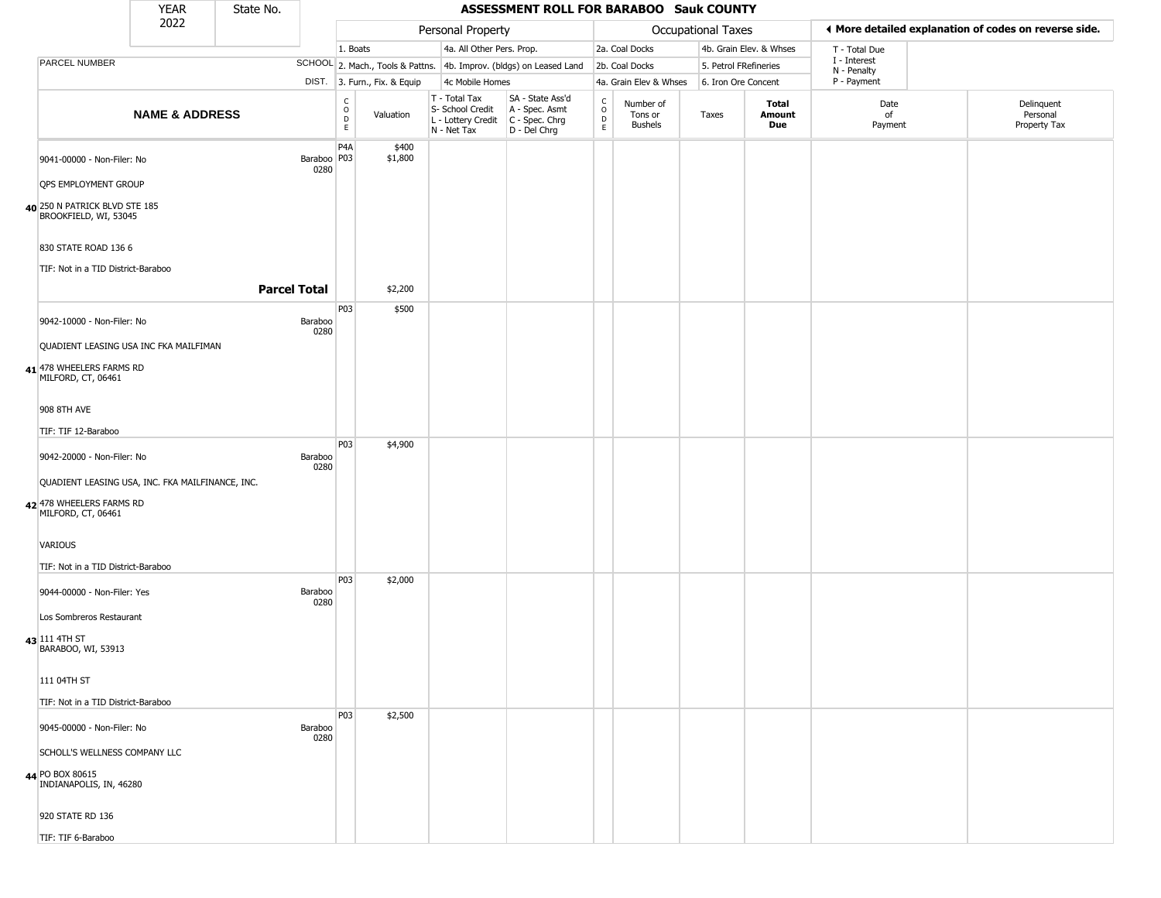|                                                        | <b>YEAR</b>                                      | State No. |                       |                                                                    |                              |                                                                                           | ASSESSMENT ROLL FOR BARABOO Sauk COUNTY                             |                                              |                                        |                       |                         |                             |                                                       |
|--------------------------------------------------------|--------------------------------------------------|-----------|-----------------------|--------------------------------------------------------------------|------------------------------|-------------------------------------------------------------------------------------------|---------------------------------------------------------------------|----------------------------------------------|----------------------------------------|-----------------------|-------------------------|-----------------------------|-------------------------------------------------------|
|                                                        | 2022                                             |           |                       |                                                                    |                              | Personal Property                                                                         |                                                                     |                                              |                                        | Occupational Taxes    |                         |                             | ♦ More detailed explanation of codes on reverse side. |
|                                                        |                                                  |           |                       | 1. Boats                                                           |                              | 4a. All Other Pers. Prop.                                                                 |                                                                     |                                              | 2a. Coal Docks                         |                       | 4b. Grain Elev. & Whses | T - Total Due               |                                                       |
| PARCEL NUMBER                                          |                                                  |           |                       |                                                                    |                              |                                                                                           | SCHOOL 2. Mach., Tools & Pattns. 4b. Improv. (bldgs) on Leased Land |                                              | 2b. Coal Docks                         | 5. Petrol FRefineries |                         | I - Interest<br>N - Penalty |                                                       |
|                                                        |                                                  |           |                       |                                                                    | DIST. 3. Furn., Fix. & Equip | 4c Mobile Homes                                                                           |                                                                     |                                              | 4a. Grain Elev & Whses                 | 6. Iron Ore Concent   |                         | P - Payment                 |                                                       |
|                                                        | <b>NAME &amp; ADDRESS</b>                        |           |                       | $\begin{smallmatrix} C \\ O \\ D \end{smallmatrix}$<br>$\mathsf E$ | Valuation                    | $T - Total Tax$<br>S- School Credit<br>L - Lottery Credit   C - Spec. Chrg<br>N - Net Tax | SA - State Ass'd<br>A - Spec. Asmt<br>D - Del Chrg                  | $\begin{array}{c}\nC \\ O \\ D\n\end{array}$ | Number of<br>Tons or<br><b>Bushels</b> | Taxes                 | Total<br>Amount<br>Due  | Date<br>of<br>Payment       | Delinquent<br>Personal<br>Property Tax                |
| 9041-00000 - Non-Filer: No                             |                                                  |           | Baraboo   P03<br>0280 | P <sub>4</sub> A                                                   | \$400<br>\$1,800             |                                                                                           |                                                                     |                                              |                                        |                       |                         |                             |                                                       |
| OPS EMPLOYMENT GROUP                                   |                                                  |           |                       |                                                                    |                              |                                                                                           |                                                                     |                                              |                                        |                       |                         |                             |                                                       |
| 40 250 N PATRICK BLVD STE 185<br>BROOKFIELD, WI, 53045 |                                                  |           |                       |                                                                    |                              |                                                                                           |                                                                     |                                              |                                        |                       |                         |                             |                                                       |
| 830 STATE ROAD 136 6                                   |                                                  |           |                       |                                                                    |                              |                                                                                           |                                                                     |                                              |                                        |                       |                         |                             |                                                       |
| TIF: Not in a TID District-Baraboo                     |                                                  |           |                       |                                                                    |                              |                                                                                           |                                                                     |                                              |                                        |                       |                         |                             |                                                       |
|                                                        |                                                  |           | <b>Parcel Total</b>   |                                                                    | \$2,200                      |                                                                                           |                                                                     |                                              |                                        |                       |                         |                             |                                                       |
|                                                        |                                                  |           |                       | P03                                                                | \$500                        |                                                                                           |                                                                     |                                              |                                        |                       |                         |                             |                                                       |
| 9042-10000 - Non-Filer: No                             |                                                  |           | Baraboo<br>0280       |                                                                    |                              |                                                                                           |                                                                     |                                              |                                        |                       |                         |                             |                                                       |
|                                                        | QUADIENT LEASING USA INC FKA MAILFIMAN           |           |                       |                                                                    |                              |                                                                                           |                                                                     |                                              |                                        |                       |                         |                             |                                                       |
| 41 478 WHEELERS FARMS RD<br>MILFORD, CT, 06461         |                                                  |           |                       |                                                                    |                              |                                                                                           |                                                                     |                                              |                                        |                       |                         |                             |                                                       |
| 908 8TH AVE                                            |                                                  |           |                       |                                                                    |                              |                                                                                           |                                                                     |                                              |                                        |                       |                         |                             |                                                       |
| TIF: TIF 12-Baraboo                                    |                                                  |           |                       |                                                                    |                              |                                                                                           |                                                                     |                                              |                                        |                       |                         |                             |                                                       |
| 9042-20000 - Non-Filer: No                             |                                                  |           | Baraboo<br>0280       | P03                                                                | \$4,900                      |                                                                                           |                                                                     |                                              |                                        |                       |                         |                             |                                                       |
|                                                        | QUADIENT LEASING USA, INC. FKA MAILFINANCE, INC. |           |                       |                                                                    |                              |                                                                                           |                                                                     |                                              |                                        |                       |                         |                             |                                                       |
| 42 478 WHEELERS FARMS RD<br>MILFORD, CT, 06461         |                                                  |           |                       |                                                                    |                              |                                                                                           |                                                                     |                                              |                                        |                       |                         |                             |                                                       |
| VARIOUS                                                |                                                  |           |                       |                                                                    |                              |                                                                                           |                                                                     |                                              |                                        |                       |                         |                             |                                                       |
| TIF: Not in a TID District-Baraboo                     |                                                  |           |                       | P03                                                                | \$2,000                      |                                                                                           |                                                                     |                                              |                                        |                       |                         |                             |                                                       |
| 9044-00000 - Non-Filer: Yes                            |                                                  |           | Baraboo<br>0280       |                                                                    |                              |                                                                                           |                                                                     |                                              |                                        |                       |                         |                             |                                                       |
| Los Sombreros Restaurant                               |                                                  |           |                       |                                                                    |                              |                                                                                           |                                                                     |                                              |                                        |                       |                         |                             |                                                       |
| 43 111 4TH ST<br>BARABOO, WI, 53913                    |                                                  |           |                       |                                                                    |                              |                                                                                           |                                                                     |                                              |                                        |                       |                         |                             |                                                       |
| 111 04TH ST                                            |                                                  |           |                       |                                                                    |                              |                                                                                           |                                                                     |                                              |                                        |                       |                         |                             |                                                       |
| TIF: Not in a TID District-Baraboo                     |                                                  |           |                       |                                                                    |                              |                                                                                           |                                                                     |                                              |                                        |                       |                         |                             |                                                       |
| 9045-00000 - Non-Filer: No                             |                                                  |           | Baraboo               | P03                                                                | \$2,500                      |                                                                                           |                                                                     |                                              |                                        |                       |                         |                             |                                                       |
|                                                        |                                                  |           | 0280                  |                                                                    |                              |                                                                                           |                                                                     |                                              |                                        |                       |                         |                             |                                                       |
|                                                        | SCHOLL'S WELLNESS COMPANY LLC                    |           |                       |                                                                    |                              |                                                                                           |                                                                     |                                              |                                        |                       |                         |                             |                                                       |
| 44 PO BOX 80615<br>INDIANAPOLIS, IN, 46280             |                                                  |           |                       |                                                                    |                              |                                                                                           |                                                                     |                                              |                                        |                       |                         |                             |                                                       |
| 920 STATE RD 136                                       |                                                  |           |                       |                                                                    |                              |                                                                                           |                                                                     |                                              |                                        |                       |                         |                             |                                                       |
| TIF: TIF 6-Baraboo                                     |                                                  |           |                       |                                                                    |                              |                                                                                           |                                                                     |                                              |                                        |                       |                         |                             |                                                       |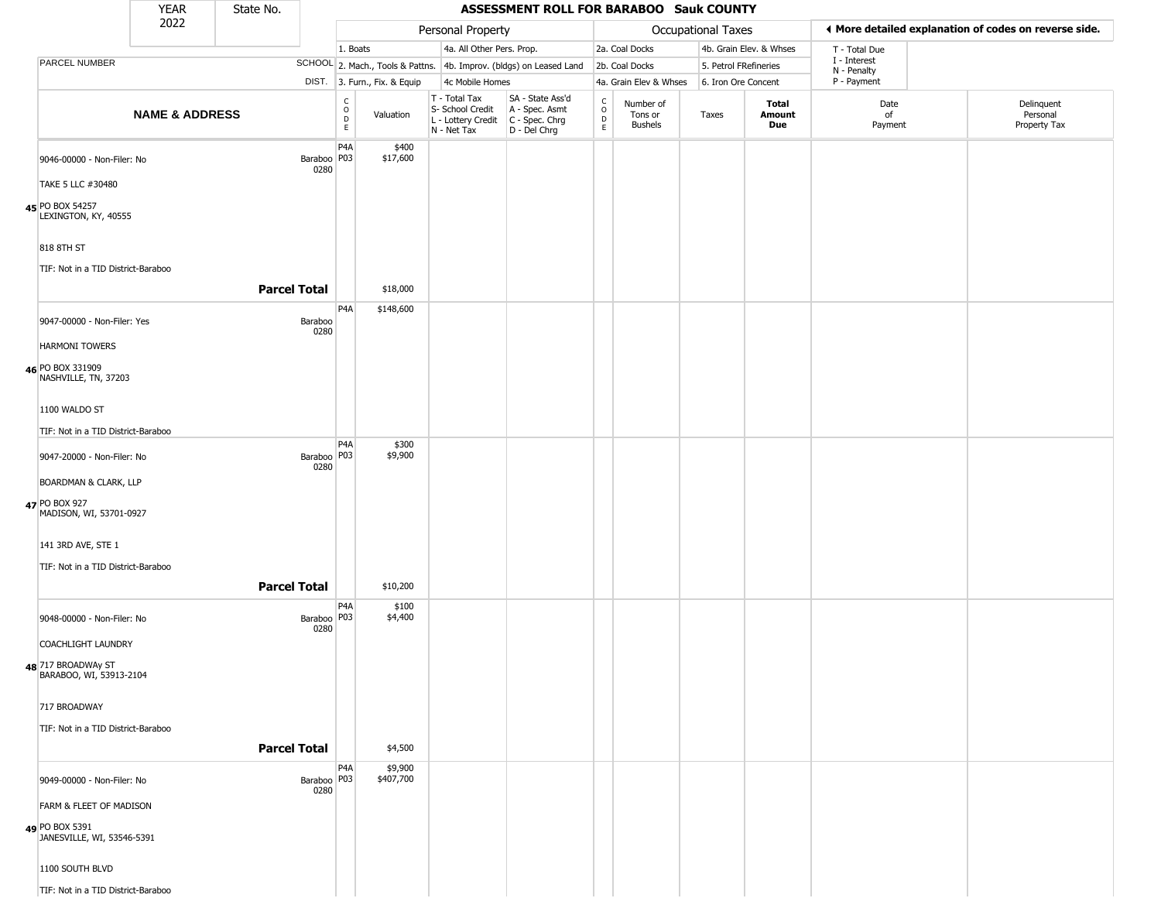|                                               | <b>YEAR</b>               | State No.           |                         |                                                 |                              |                                                                                         | ASSESSMENT ROLL FOR BARABOO Sauk COUNTY                             |                                                 |                                        |                           |                         |                             |                                                       |
|-----------------------------------------------|---------------------------|---------------------|-------------------------|-------------------------------------------------|------------------------------|-----------------------------------------------------------------------------------------|---------------------------------------------------------------------|-------------------------------------------------|----------------------------------------|---------------------------|-------------------------|-----------------------------|-------------------------------------------------------|
|                                               | 2022                      |                     |                         |                                                 |                              | Personal Property                                                                       |                                                                     |                                                 |                                        | <b>Occupational Taxes</b> |                         |                             | ♦ More detailed explanation of codes on reverse side. |
|                                               |                           |                     |                         | 1. Boats                                        |                              | 4a. All Other Pers. Prop.                                                               |                                                                     |                                                 | 2a. Coal Docks                         |                           | 4b. Grain Elev. & Whses | T - Total Due               |                                                       |
| PARCEL NUMBER                                 |                           |                     |                         |                                                 |                              |                                                                                         | SCHOOL 2. Mach., Tools & Pattns. 4b. Improv. (bldgs) on Leased Land |                                                 | 2b. Coal Docks                         | 5. Petrol FRefineries     |                         | I - Interest<br>N - Penalty |                                                       |
|                                               |                           |                     |                         |                                                 | DIST. 3. Furn., Fix. & Equip | 4c Mobile Homes                                                                         |                                                                     |                                                 | 4a. Grain Elev & Whses                 | 6. Iron Ore Concent       |                         | P - Payment                 |                                                       |
|                                               | <b>NAME &amp; ADDRESS</b> |                     |                         | $\begin{array}{c} C \\ O \\ D \\ E \end{array}$ | Valuation                    | T - Total Tax<br>S- School Credit<br>L - Lottery Credit   C - Spec. Chrg<br>N - Net Tax | SA - State Ass'd<br>A - Spec. Asmt<br>D - Del Chrg                  | $\begin{array}{c} C \\ O \\ D \\ E \end{array}$ | Number of<br>Tons or<br><b>Bushels</b> | Taxes                     | Total<br>Amount<br>Due  | Date<br>of<br>Payment       | Delinquent<br>Personal<br>Property Tax                |
| 9046-00000 - Non-Filer: No                    |                           |                     | Baraboo   P03<br>0280   | P <sub>4</sub> A                                | \$400<br>\$17,600            |                                                                                         |                                                                     |                                                 |                                        |                           |                         |                             |                                                       |
| TAKE 5 LLC #30480                             |                           |                     |                         |                                                 |                              |                                                                                         |                                                                     |                                                 |                                        |                           |                         |                             |                                                       |
| 45 PO BOX 54257<br>LEXINGTON, KY, 40555       |                           |                     |                         |                                                 |                              |                                                                                         |                                                                     |                                                 |                                        |                           |                         |                             |                                                       |
| 818 8TH ST                                    |                           |                     |                         |                                                 |                              |                                                                                         |                                                                     |                                                 |                                        |                           |                         |                             |                                                       |
| TIF: Not in a TID District-Baraboo            |                           | <b>Parcel Total</b> |                         |                                                 | \$18,000                     |                                                                                         |                                                                     |                                                 |                                        |                           |                         |                             |                                                       |
| 9047-00000 - Non-Filer: Yes                   |                           |                     | Baraboo<br>0280         | P4A                                             | \$148,600                    |                                                                                         |                                                                     |                                                 |                                        |                           |                         |                             |                                                       |
| <b>HARMONI TOWERS</b>                         |                           |                     |                         |                                                 |                              |                                                                                         |                                                                     |                                                 |                                        |                           |                         |                             |                                                       |
| 46 PO BOX 331909<br>NASHVILLE, TN, 37203      |                           |                     |                         |                                                 |                              |                                                                                         |                                                                     |                                                 |                                        |                           |                         |                             |                                                       |
| 1100 WALDO ST                                 |                           |                     |                         |                                                 |                              |                                                                                         |                                                                     |                                                 |                                        |                           |                         |                             |                                                       |
| TIF: Not in a TID District-Baraboo            |                           |                     |                         |                                                 |                              |                                                                                         |                                                                     |                                                 |                                        |                           |                         |                             |                                                       |
| 9047-20000 - Non-Filer: No                    |                           |                     | Baraboo   P03           | P <sub>4</sub> A                                | \$300<br>\$9,900             |                                                                                         |                                                                     |                                                 |                                        |                           |                         |                             |                                                       |
| BOARDMAN & CLARK, LLP                         |                           |                     | 0280                    |                                                 |                              |                                                                                         |                                                                     |                                                 |                                        |                           |                         |                             |                                                       |
| 47 PO BOX 927<br>MADISON, WI, 53701-0927      |                           |                     |                         |                                                 |                              |                                                                                         |                                                                     |                                                 |                                        |                           |                         |                             |                                                       |
| 141 3RD AVE, STE 1                            |                           |                     |                         |                                                 |                              |                                                                                         |                                                                     |                                                 |                                        |                           |                         |                             |                                                       |
| TIF: Not in a TID District-Baraboo            |                           |                     |                         |                                                 |                              |                                                                                         |                                                                     |                                                 |                                        |                           |                         |                             |                                                       |
|                                               |                           | <b>Parcel Total</b> |                         |                                                 | \$10,200                     |                                                                                         |                                                                     |                                                 |                                        |                           |                         |                             |                                                       |
| 9048-00000 - Non-Filer: No                    |                           |                     | Baraboo   P03  <br>0280 | P <sub>4</sub> A                                | \$100<br>\$4,400             |                                                                                         |                                                                     |                                                 |                                        |                           |                         |                             |                                                       |
| <b>COACHLIGHT LAUNDRY</b>                     |                           |                     |                         |                                                 |                              |                                                                                         |                                                                     |                                                 |                                        |                           |                         |                             |                                                       |
| 48 717 BROADWAy ST<br>BARABOO, WI, 53913-2104 |                           |                     |                         |                                                 |                              |                                                                                         |                                                                     |                                                 |                                        |                           |                         |                             |                                                       |
| 717 BROADWAY                                  |                           |                     |                         |                                                 |                              |                                                                                         |                                                                     |                                                 |                                        |                           |                         |                             |                                                       |
| TIF: Not in a TID District-Baraboo            |                           |                     |                         |                                                 |                              |                                                                                         |                                                                     |                                                 |                                        |                           |                         |                             |                                                       |
|                                               |                           | <b>Parcel Total</b> |                         |                                                 | \$4,500                      |                                                                                         |                                                                     |                                                 |                                        |                           |                         |                             |                                                       |
| 9049-00000 - Non-Filer: No                    |                           |                     |                         | P <sub>4</sub> A                                | \$9,900<br>\$407,700         |                                                                                         |                                                                     |                                                 |                                        |                           |                         |                             |                                                       |
| FARM & FLEET OF MADISON                       |                           |                     |                         |                                                 |                              |                                                                                         |                                                                     |                                                 |                                        |                           |                         |                             |                                                       |
| 49 PO BOX 5391<br>JANESVILLE, WI, 53546-5391  |                           |                     |                         |                                                 |                              |                                                                                         |                                                                     |                                                 |                                        |                           |                         |                             |                                                       |
| 1100 SOUTH BLVD                               |                           |                     |                         |                                                 |                              |                                                                                         |                                                                     |                                                 |                                        |                           |                         |                             |                                                       |
| TIF: Not in a TID District-Baraboo            |                           |                     |                         |                                                 |                              |                                                                                         |                                                                     |                                                 |                                        |                           |                         |                             |                                                       |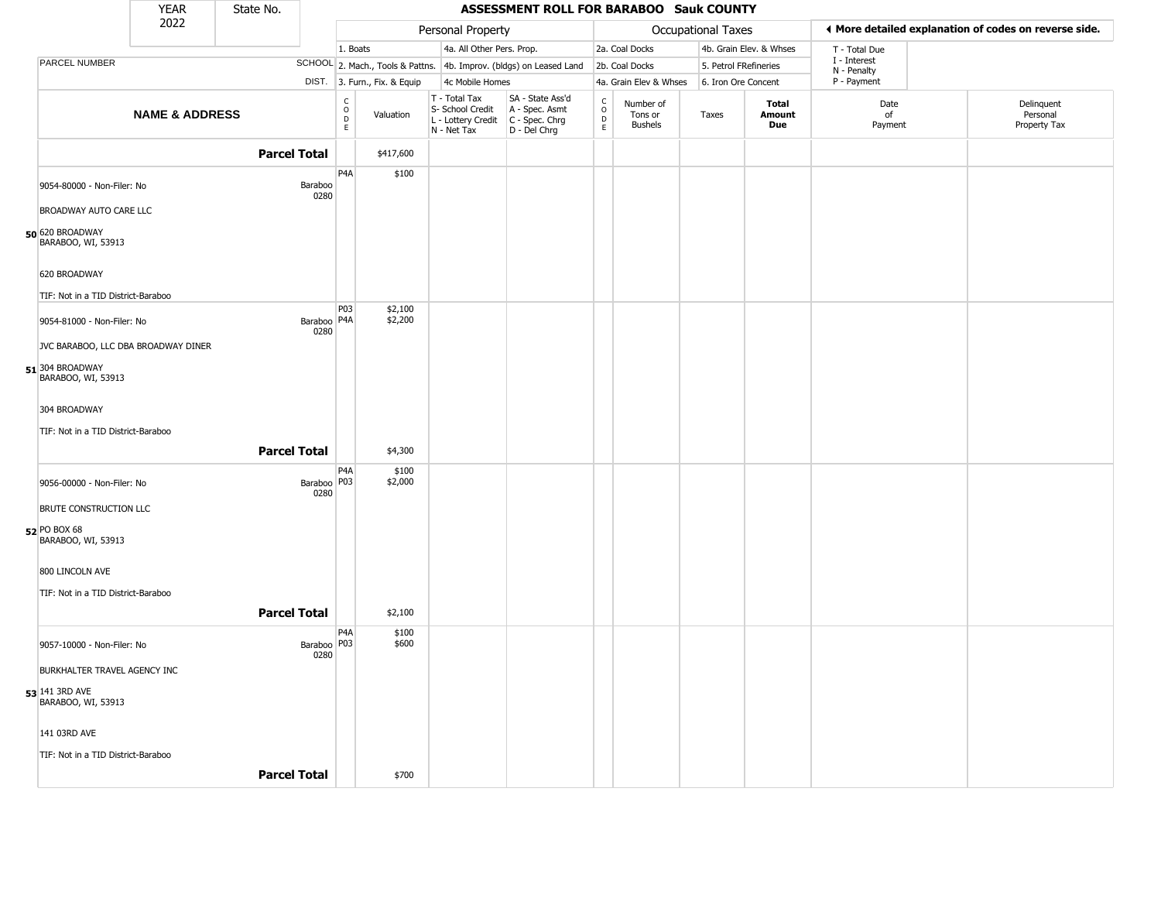|                                         | <b>YEAR</b>               | State No. |                       |                                                                    |                              |                                                                        | ASSESSMENT ROLL FOR BARABOO Sauk COUNTY                              |                                              |                                        |                    |                         |                             |                                                       |
|-----------------------------------------|---------------------------|-----------|-----------------------|--------------------------------------------------------------------|------------------------------|------------------------------------------------------------------------|----------------------------------------------------------------------|----------------------------------------------|----------------------------------------|--------------------|-------------------------|-----------------------------|-------------------------------------------------------|
|                                         | 2022                      |           |                       |                                                                    |                              | Personal Property                                                      |                                                                      |                                              |                                        | Occupational Taxes |                         |                             | ♦ More detailed explanation of codes on reverse side. |
|                                         |                           |           |                       | 1. Boats                                                           |                              | 4a. All Other Pers. Prop.                                              |                                                                      |                                              | 2a. Coal Docks                         |                    | 4b. Grain Elev. & Whses | T - Total Due               |                                                       |
| PARCEL NUMBER                           |                           |           |                       |                                                                    |                              |                                                                        | SCHOOL 2. Mach., Tools & Pattns. 4b. Improv. (bldgs) on Leased Land  |                                              | 2b. Coal Docks                         |                    | 5. Petrol FRefineries   | I - Interest<br>N - Penalty |                                                       |
|                                         |                           |           |                       |                                                                    | DIST. 3. Furn., Fix. & Equip | 4c Mobile Homes                                                        |                                                                      |                                              | 4a. Grain Elev & Whses                 |                    | 6. Iron Ore Concent     | P - Payment                 |                                                       |
|                                         | <b>NAME &amp; ADDRESS</b> |           |                       | $\begin{smallmatrix} C \\ O \\ D \end{smallmatrix}$<br>$\mathsf E$ | Valuation                    | T - Total Tax<br>S- School Credit<br>L - Lottery Credit<br>N - Net Tax | SA - State Ass'd<br>A - Spec. Asmt<br>C - Spec. Chrg<br>D - Del Chrg | $\begin{array}{c}\nC \\ O \\ D\n\end{array}$ | Number of<br>Tons or<br><b>Bushels</b> | Taxes              | Total<br>Amount<br>Due  | Date<br>of<br>Payment       | Delinquent<br>Personal<br>Property Tax                |
|                                         |                           |           | <b>Parcel Total</b>   |                                                                    | \$417,600                    |                                                                        |                                                                      |                                              |                                        |                    |                         |                             |                                                       |
| 9054-80000 - Non-Filer: No              |                           |           | Baraboo<br>0280       | P <sub>4</sub> A                                                   | \$100                        |                                                                        |                                                                      |                                              |                                        |                    |                         |                             |                                                       |
| BROADWAY AUTO CARE LLC                  |                           |           |                       |                                                                    |                              |                                                                        |                                                                      |                                              |                                        |                    |                         |                             |                                                       |
| 50 620 BROADWAY<br>BARABOO, WI, 53913   |                           |           |                       |                                                                    |                              |                                                                        |                                                                      |                                              |                                        |                    |                         |                             |                                                       |
| 620 BROADWAY                            |                           |           |                       |                                                                    |                              |                                                                        |                                                                      |                                              |                                        |                    |                         |                             |                                                       |
| TIF: Not in a TID District-Baraboo      |                           |           |                       |                                                                    |                              |                                                                        |                                                                      |                                              |                                        |                    |                         |                             |                                                       |
| 9054-81000 - Non-Filer: No              |                           |           | Baraboo   P4A<br>0280 | P03                                                                | \$2,100<br>\$2,200           |                                                                        |                                                                      |                                              |                                        |                    |                         |                             |                                                       |
| JVC BARABOO, LLC DBA BROADWAY DINER     |                           |           |                       |                                                                    |                              |                                                                        |                                                                      |                                              |                                        |                    |                         |                             |                                                       |
| $51$ 304 BROADWAY<br>BARABOO, WI, 53913 |                           |           |                       |                                                                    |                              |                                                                        |                                                                      |                                              |                                        |                    |                         |                             |                                                       |
| 304 BROADWAY                            |                           |           |                       |                                                                    |                              |                                                                        |                                                                      |                                              |                                        |                    |                         |                             |                                                       |
| TIF: Not in a TID District-Baraboo      |                           |           |                       |                                                                    |                              |                                                                        |                                                                      |                                              |                                        |                    |                         |                             |                                                       |
|                                         |                           |           | <b>Parcel Total</b>   |                                                                    | \$4,300                      |                                                                        |                                                                      |                                              |                                        |                    |                         |                             |                                                       |
| 9056-00000 - Non-Filer: No              |                           |           | Baraboo   P03<br>0280 | P4A                                                                | \$100<br>\$2,000             |                                                                        |                                                                      |                                              |                                        |                    |                         |                             |                                                       |
| BRUTE CONSTRUCTION LLC                  |                           |           |                       |                                                                    |                              |                                                                        |                                                                      |                                              |                                        |                    |                         |                             |                                                       |
| 52 PO BOX 68<br>BARABOO, WI, 53913      |                           |           |                       |                                                                    |                              |                                                                        |                                                                      |                                              |                                        |                    |                         |                             |                                                       |
| 800 LINCOLN AVE                         |                           |           |                       |                                                                    |                              |                                                                        |                                                                      |                                              |                                        |                    |                         |                             |                                                       |
| TIF: Not in a TID District-Baraboo      |                           |           |                       |                                                                    |                              |                                                                        |                                                                      |                                              |                                        |                    |                         |                             |                                                       |
|                                         |                           |           | <b>Parcel Total</b>   |                                                                    | \$2,100                      |                                                                        |                                                                      |                                              |                                        |                    |                         |                             |                                                       |
| 9057-10000 - Non-Filer: No              |                           |           | Baraboo P03           | P <sub>4</sub> A                                                   | \$100<br>\$600               |                                                                        |                                                                      |                                              |                                        |                    |                         |                             |                                                       |
| <b>BURKHALTER TRAVEL AGENCY INC</b>     |                           |           | 0280                  |                                                                    |                              |                                                                        |                                                                      |                                              |                                        |                    |                         |                             |                                                       |
|                                         |                           |           |                       |                                                                    |                              |                                                                        |                                                                      |                                              |                                        |                    |                         |                             |                                                       |
| 53 141 3RD AVE<br>BARABOO, WI, 53913    |                           |           |                       |                                                                    |                              |                                                                        |                                                                      |                                              |                                        |                    |                         |                             |                                                       |
| 141 03RD AVE                            |                           |           |                       |                                                                    |                              |                                                                        |                                                                      |                                              |                                        |                    |                         |                             |                                                       |
| TIF: Not in a TID District-Baraboo      |                           |           |                       |                                                                    |                              |                                                                        |                                                                      |                                              |                                        |                    |                         |                             |                                                       |
|                                         |                           |           | <b>Parcel Total</b>   |                                                                    | \$700                        |                                                                        |                                                                      |                                              |                                        |                    |                         |                             |                                                       |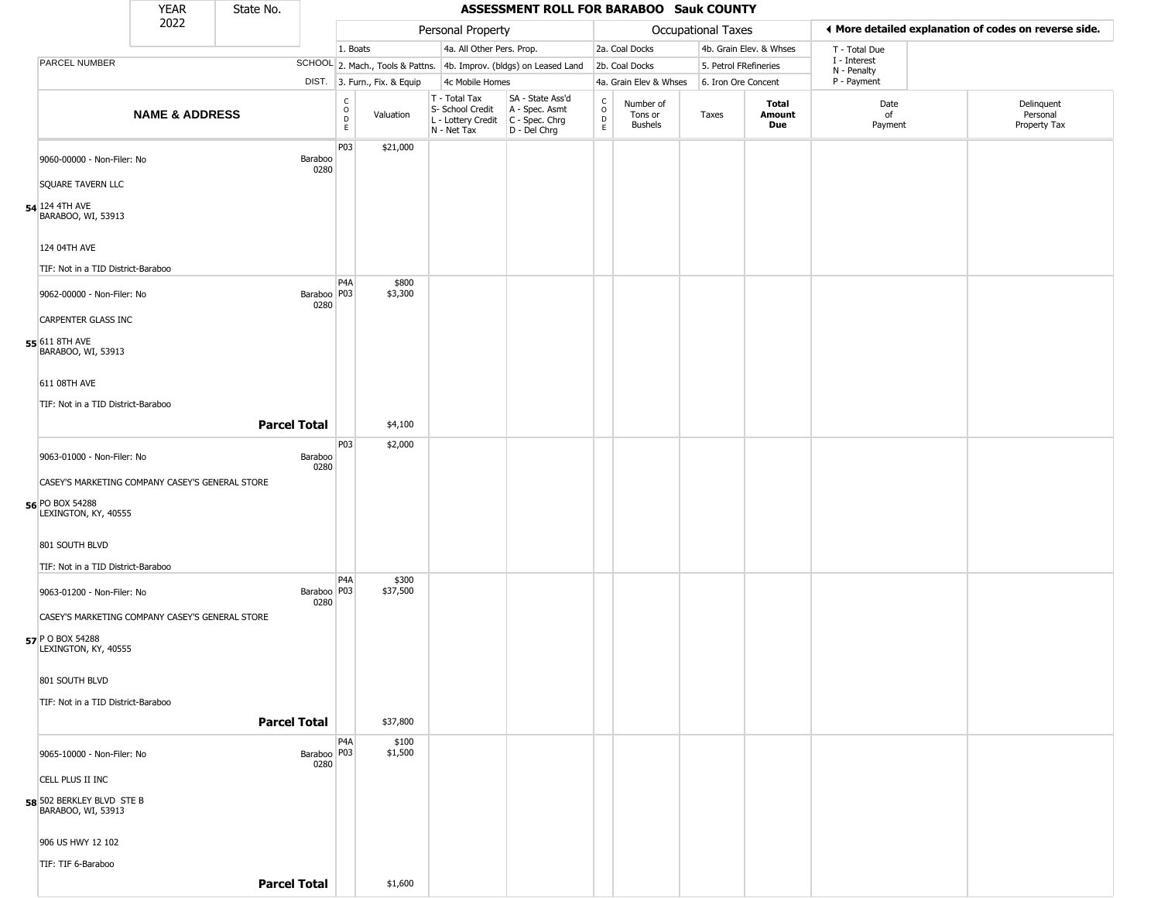|                                                             | <b>YEAR</b>               | State No.           |                       |                                            |                              |                                                                        | ASSESSMENT ROLL FOR BARABOO Sauk COUNTY                                |                                          |                                        |                       |                         |                             |                                                       |
|-------------------------------------------------------------|---------------------------|---------------------|-----------------------|--------------------------------------------|------------------------------|------------------------------------------------------------------------|------------------------------------------------------------------------|------------------------------------------|----------------------------------------|-----------------------|-------------------------|-----------------------------|-------------------------------------------------------|
|                                                             | 2022                      |                     |                       |                                            |                              | Personal Property                                                      |                                                                        |                                          |                                        | Occupational Taxes    |                         |                             | ♦ More detailed explanation of codes on reverse side. |
|                                                             |                           |                     |                       | 1. Boats                                   |                              | 4a. All Other Pers. Prop.                                              |                                                                        |                                          | 2a. Coal Docks                         |                       | 4b. Grain Elev. & Whses | T - Total Due               |                                                       |
| PARCEL NUMBER                                               |                           |                     |                       |                                            |                              |                                                                        | SCHOOL 2. Mach., Tools & Pattns. 4b. Improv. (bldgs) on Leased Land    |                                          | 2b. Coal Docks                         | 5. Petrol FRefineries |                         | I - Interest<br>N - Penalty |                                                       |
|                                                             |                           |                     |                       |                                            | DIST. 3. Furn., Fix. & Equip | 4c Mobile Homes                                                        |                                                                        |                                          | 4a. Grain Elev & Whses                 | 6. Iron Ore Concent   |                         | P - Payment                 |                                                       |
|                                                             | <b>NAME &amp; ADDRESS</b> |                     |                       | $\begin{array}{c} C \\ O \\ E \end{array}$ | Valuation                    | T - Total Tax<br>S- School Credit<br>L - Lottery Credit<br>N - Net Tax | SA - State Ass'd<br>A - Spec. Asmt<br>$C - Spec. Chrg$<br>D - Del Chrg | $\rm _o^C$<br>$\mathsf D$<br>$\mathsf E$ | Number of<br>Tons or<br><b>Bushels</b> | Taxes                 | Total<br>Amount<br>Due  | Date<br>of<br>Payment       | Delinquent<br>Personal<br>Property Tax                |
| 9060-00000 - Non-Filer: No                                  |                           |                     | Baraboo<br>0280       | P <sub>0</sub> 3                           | \$21,000                     |                                                                        |                                                                        |                                          |                                        |                       |                         |                             |                                                       |
| SQUARE TAVERN LLC                                           |                           |                     |                       |                                            |                              |                                                                        |                                                                        |                                          |                                        |                       |                         |                             |                                                       |
| 54 124 4TH AVE<br>BARABOO, WI, 53913                        |                           |                     |                       |                                            |                              |                                                                        |                                                                        |                                          |                                        |                       |                         |                             |                                                       |
| 124 04TH AVE                                                |                           |                     |                       |                                            |                              |                                                                        |                                                                        |                                          |                                        |                       |                         |                             |                                                       |
| TIF: Not in a TID District-Baraboo                          |                           |                     |                       | P <sub>4</sub> A                           | \$800                        |                                                                        |                                                                        |                                          |                                        |                       |                         |                             |                                                       |
| 9062-00000 - Non-Filer: No                                  |                           |                     | Baraboo   P03<br>0280 |                                            | \$3,300                      |                                                                        |                                                                        |                                          |                                        |                       |                         |                             |                                                       |
| CARPENTER GLASS INC<br>55 611 8TH AVE<br>BARABOO, WI, 53913 |                           |                     |                       |                                            |                              |                                                                        |                                                                        |                                          |                                        |                       |                         |                             |                                                       |
| 611 08TH AVE                                                |                           |                     |                       |                                            |                              |                                                                        |                                                                        |                                          |                                        |                       |                         |                             |                                                       |
| TIF: Not in a TID District-Baraboo                          |                           |                     |                       |                                            |                              |                                                                        |                                                                        |                                          |                                        |                       |                         |                             |                                                       |
|                                                             |                           | <b>Parcel Total</b> |                       |                                            | \$4,100                      |                                                                        |                                                                        |                                          |                                        |                       |                         |                             |                                                       |
| 9063-01000 - Non-Filer: No                                  |                           |                     | Baraboo<br>0280       | P03                                        | \$2,000                      |                                                                        |                                                                        |                                          |                                        |                       |                         |                             |                                                       |
| CASEY'S MARKETING COMPANY CASEY'S GENERAL STORE             |                           |                     |                       |                                            |                              |                                                                        |                                                                        |                                          |                                        |                       |                         |                             |                                                       |
| 56 PO BOX 54288<br>LEXINGTON, KY, 40555                     |                           |                     |                       |                                            |                              |                                                                        |                                                                        |                                          |                                        |                       |                         |                             |                                                       |
| 801 SOUTH BLVD                                              |                           |                     |                       |                                            |                              |                                                                        |                                                                        |                                          |                                        |                       |                         |                             |                                                       |
| TIF: Not in a TID District-Baraboo                          |                           |                     |                       | P <sub>4</sub> A                           | \$300                        |                                                                        |                                                                        |                                          |                                        |                       |                         |                             |                                                       |
| 9063-01200 - Non-Filer: No                                  |                           |                     | Baraboo   P03<br>0280 |                                            | \$37,500                     |                                                                        |                                                                        |                                          |                                        |                       |                         |                             |                                                       |
| CASEY'S MARKETING COMPANY CASEY'S GENERAL STORE             |                           |                     |                       |                                            |                              |                                                                        |                                                                        |                                          |                                        |                       |                         |                             |                                                       |
| 57 P O BOX 54288<br>LEXINGTON, KY, 40555                    |                           |                     |                       |                                            |                              |                                                                        |                                                                        |                                          |                                        |                       |                         |                             |                                                       |
| 801 SOUTH BLVD                                              |                           |                     |                       |                                            |                              |                                                                        |                                                                        |                                          |                                        |                       |                         |                             |                                                       |
| TIF: Not in a TID District-Baraboo                          |                           |                     |                       |                                            |                              |                                                                        |                                                                        |                                          |                                        |                       |                         |                             |                                                       |
|                                                             |                           | <b>Parcel Total</b> |                       |                                            | \$37,800                     |                                                                        |                                                                        |                                          |                                        |                       |                         |                             |                                                       |
| 9065-10000 - Non-Filer: No                                  |                           |                     | Baraboo   P03<br>0280 | P <sub>4</sub> A                           | \$100<br>\$1,500             |                                                                        |                                                                        |                                          |                                        |                       |                         |                             |                                                       |
| CELL PLUS II INC                                            |                           |                     |                       |                                            |                              |                                                                        |                                                                        |                                          |                                        |                       |                         |                             |                                                       |
| 58 502 BERKLEY BLVD STE B<br>BARABOO, WI, 53913             |                           |                     |                       |                                            |                              |                                                                        |                                                                        |                                          |                                        |                       |                         |                             |                                                       |
| 906 US HWY 12 102                                           |                           |                     |                       |                                            |                              |                                                                        |                                                                        |                                          |                                        |                       |                         |                             |                                                       |
| TIF: TIF 6-Baraboo                                          |                           |                     |                       |                                            |                              |                                                                        |                                                                        |                                          |                                        |                       |                         |                             |                                                       |
|                                                             |                           |                     | <b>Parcel Total</b>   |                                            | \$1,600                      |                                                                        |                                                                        |                                          |                                        |                       |                         |                             |                                                       |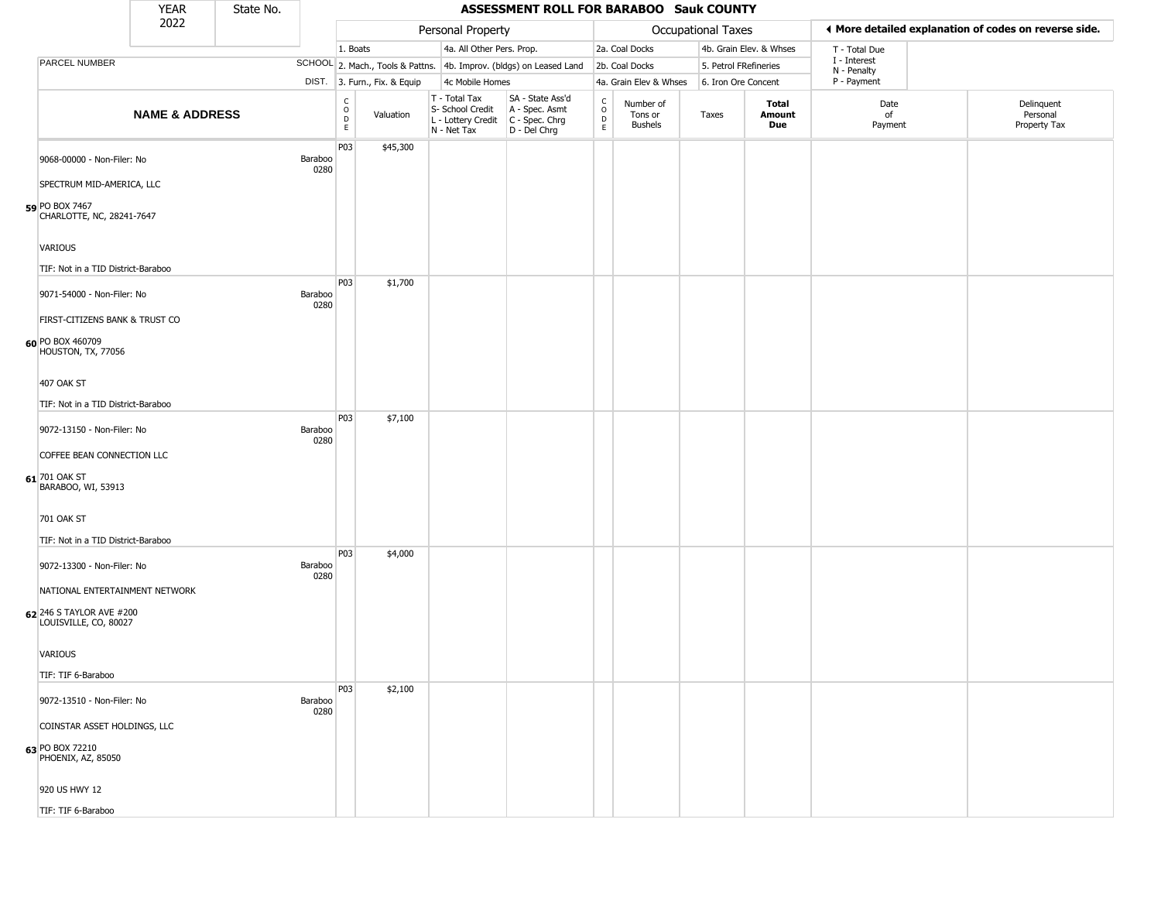|                                                    | <b>YEAR</b>               | State No. |                 |                                   |                              |                                                                        | ASSESSMENT ROLL FOR BARABOO Sauk COUNTY                              |                                            |                                        |                       |                         |                             |                                                       |
|----------------------------------------------------|---------------------------|-----------|-----------------|-----------------------------------|------------------------------|------------------------------------------------------------------------|----------------------------------------------------------------------|--------------------------------------------|----------------------------------------|-----------------------|-------------------------|-----------------------------|-------------------------------------------------------|
|                                                    | 2022                      |           |                 |                                   |                              | Personal Property                                                      |                                                                      |                                            |                                        | Occupational Taxes    |                         |                             | ◀ More detailed explanation of codes on reverse side. |
|                                                    |                           |           |                 | 1. Boats                          |                              | 4a. All Other Pers. Prop.                                              |                                                                      |                                            | 2a. Coal Docks                         |                       | 4b. Grain Elev. & Whses | T - Total Due               |                                                       |
| PARCEL NUMBER                                      |                           |           |                 |                                   |                              |                                                                        | SCHOOL 2. Mach., Tools & Pattns. 4b. Improv. (bldgs) on Leased Land  |                                            | 2b. Coal Docks                         | 5. Petrol FRefineries |                         | I - Interest<br>N - Penalty |                                                       |
|                                                    |                           |           |                 |                                   | DIST. 3. Furn., Fix. & Equip | 4c Mobile Homes                                                        |                                                                      |                                            | 4a. Grain Elev & Whses                 | 6. Iron Ore Concent   |                         | P - Payment                 |                                                       |
|                                                    | <b>NAME &amp; ADDRESS</b> |           |                 | C<br>$\circ$<br>$\mathsf{D}$<br>E | Valuation                    | T - Total Tax<br>S- School Credit<br>L - Lottery Credit<br>N - Net Tax | SA - State Ass'd<br>A - Spec. Asmt<br>C - Spec. Chrg<br>D - Del Chrg | $\begin{array}{c} C \\ 0 \\ E \end{array}$ | Number of<br>Tons or<br><b>Bushels</b> | Taxes                 | Total<br>Amount<br>Due  | Date<br>of<br>Payment       | Delinquent<br>Personal<br>Property Tax                |
| 9068-00000 - Non-Filer: No                         |                           |           | Baraboo<br>0280 | P03                               | \$45,300                     |                                                                        |                                                                      |                                            |                                        |                       |                         |                             |                                                       |
| SPECTRUM MID-AMERICA, LLC                          |                           |           |                 |                                   |                              |                                                                        |                                                                      |                                            |                                        |                       |                         |                             |                                                       |
| 59 PO BOX 7467<br>CHARLOTTE, NC, 28241-7647        |                           |           |                 |                                   |                              |                                                                        |                                                                      |                                            |                                        |                       |                         |                             |                                                       |
| VARIOUS                                            |                           |           |                 |                                   |                              |                                                                        |                                                                      |                                            |                                        |                       |                         |                             |                                                       |
| TIF: Not in a TID District-Baraboo                 |                           |           |                 | P03                               | \$1,700                      |                                                                        |                                                                      |                                            |                                        |                       |                         |                             |                                                       |
| 9071-54000 - Non-Filer: No                         |                           |           | Baraboo<br>0280 |                                   |                              |                                                                        |                                                                      |                                            |                                        |                       |                         |                             |                                                       |
| FIRST-CITIZENS BANK & TRUST CO<br>60 PO BOX 460709 |                           |           |                 |                                   |                              |                                                                        |                                                                      |                                            |                                        |                       |                         |                             |                                                       |
| HOUSTON, TX, 77056                                 |                           |           |                 |                                   |                              |                                                                        |                                                                      |                                            |                                        |                       |                         |                             |                                                       |
| 407 OAK ST                                         |                           |           |                 |                                   |                              |                                                                        |                                                                      |                                            |                                        |                       |                         |                             |                                                       |
| TIF: Not in a TID District-Baraboo                 |                           |           |                 |                                   |                              |                                                                        |                                                                      |                                            |                                        |                       |                         |                             |                                                       |
| 9072-13150 - Non-Filer: No                         |                           |           | Baraboo<br>0280 | P03                               | \$7,100                      |                                                                        |                                                                      |                                            |                                        |                       |                         |                             |                                                       |
| COFFEE BEAN CONNECTION LLC                         |                           |           |                 |                                   |                              |                                                                        |                                                                      |                                            |                                        |                       |                         |                             |                                                       |
| 61 701 OAK ST<br>BARABOO, WI, 53913                |                           |           |                 |                                   |                              |                                                                        |                                                                      |                                            |                                        |                       |                         |                             |                                                       |
| 701 OAK ST                                         |                           |           |                 |                                   |                              |                                                                        |                                                                      |                                            |                                        |                       |                         |                             |                                                       |
| TIF: Not in a TID District-Baraboo                 |                           |           |                 |                                   |                              |                                                                        |                                                                      |                                            |                                        |                       |                         |                             |                                                       |
| 9072-13300 - Non-Filer: No                         |                           |           | Baraboo<br>0280 | P03                               | \$4,000                      |                                                                        |                                                                      |                                            |                                        |                       |                         |                             |                                                       |
| NATIONAL ENTERTAINMENT NETWORK                     |                           |           |                 |                                   |                              |                                                                        |                                                                      |                                            |                                        |                       |                         |                             |                                                       |
| 62 246 S TAYLOR AVE #200<br>LOUISVILLE, CO, 80027  |                           |           |                 |                                   |                              |                                                                        |                                                                      |                                            |                                        |                       |                         |                             |                                                       |
| VARIOUS                                            |                           |           |                 |                                   |                              |                                                                        |                                                                      |                                            |                                        |                       |                         |                             |                                                       |
| TIF: TIF 6-Baraboo                                 |                           |           |                 |                                   |                              |                                                                        |                                                                      |                                            |                                        |                       |                         |                             |                                                       |
| 9072-13510 - Non-Filer: No                         |                           |           | Baraboo<br>0280 | <b>P03</b>                        | \$2,100                      |                                                                        |                                                                      |                                            |                                        |                       |                         |                             |                                                       |
| COINSTAR ASSET HOLDINGS, LLC                       |                           |           |                 |                                   |                              |                                                                        |                                                                      |                                            |                                        |                       |                         |                             |                                                       |
| 63 PO BOX 72210<br>PHOENIX, AZ, 85050              |                           |           |                 |                                   |                              |                                                                        |                                                                      |                                            |                                        |                       |                         |                             |                                                       |
| 920 US HWY 12                                      |                           |           |                 |                                   |                              |                                                                        |                                                                      |                                            |                                        |                       |                         |                             |                                                       |
| TIF: TIF 6-Baraboo                                 |                           |           |                 |                                   |                              |                                                                        |                                                                      |                                            |                                        |                       |                         |                             |                                                       |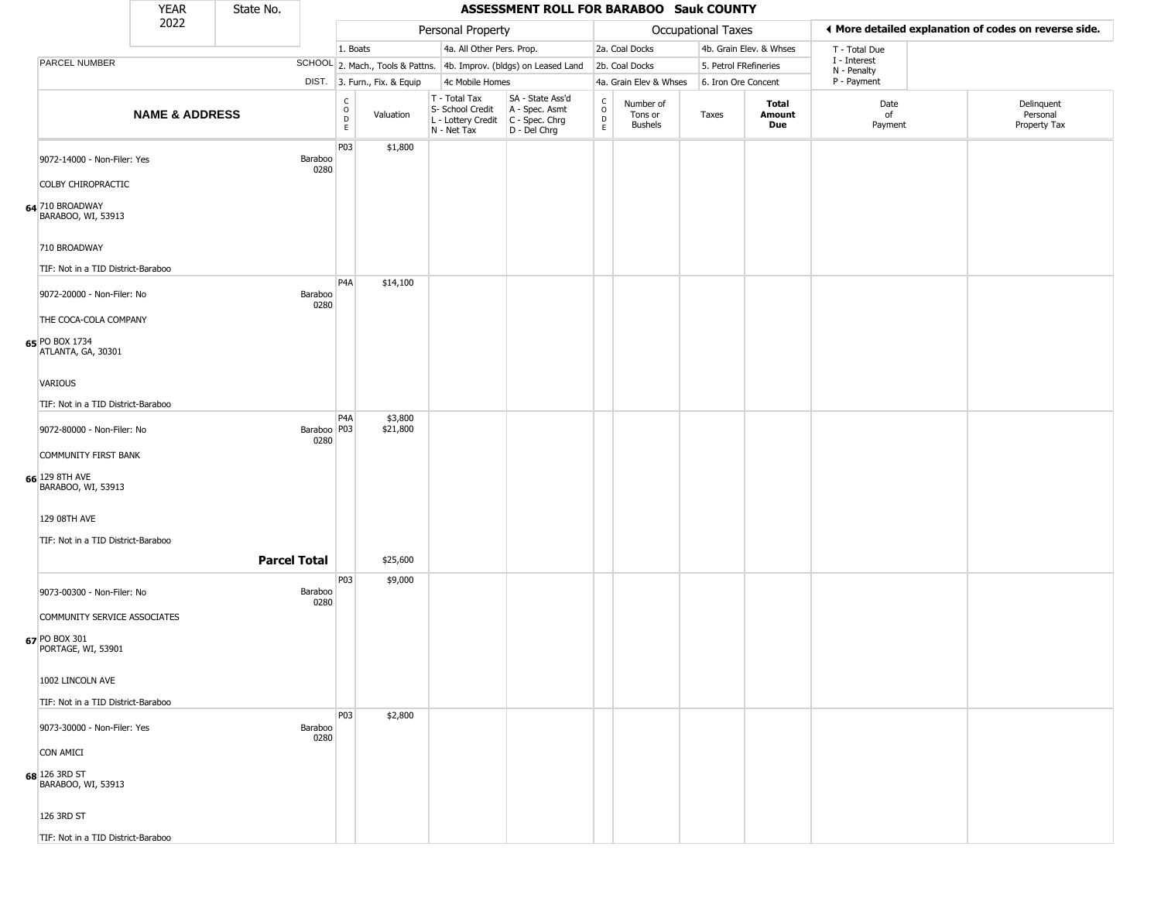|                                       | <b>YEAR</b>               | State No.           |                       |                                                   |                              |                                                                                         | ASSESSMENT ROLL FOR BARABOO Sauk COUNTY                             |                                                          |                                 |                       |                         |                             |                                                       |
|---------------------------------------|---------------------------|---------------------|-----------------------|---------------------------------------------------|------------------------------|-----------------------------------------------------------------------------------------|---------------------------------------------------------------------|----------------------------------------------------------|---------------------------------|-----------------------|-------------------------|-----------------------------|-------------------------------------------------------|
|                                       | 2022                      |                     |                       |                                                   |                              | Personal Property                                                                       |                                                                     |                                                          |                                 | Occupational Taxes    |                         |                             | ♦ More detailed explanation of codes on reverse side. |
|                                       |                           |                     |                       | 1. Boats                                          |                              | 4a. All Other Pers. Prop.                                                               |                                                                     |                                                          | 2a. Coal Docks                  |                       | 4b. Grain Elev. & Whses | T - Total Due               |                                                       |
| PARCEL NUMBER                         |                           |                     |                       |                                                   |                              |                                                                                         | SCHOOL 2. Mach., Tools & Pattns. 4b. Improv. (bldgs) on Leased Land |                                                          | 2b. Coal Docks                  | 5. Petrol FRefineries |                         | I - Interest<br>N - Penalty |                                                       |
|                                       |                           |                     |                       |                                                   | DIST. 3. Furn., Fix. & Equip | 4c Mobile Homes                                                                         |                                                                     |                                                          | 4a. Grain Elev & Whses          | 6. Iron Ore Concent   |                         | P - Payment                 |                                                       |
|                                       | <b>NAME &amp; ADDRESS</b> |                     |                       | $\begin{array}{c}\nC \\ O \\ D \\ E\n\end{array}$ | Valuation                    | T - Total Tax<br>S- School Credit<br>L - Lottery Credit   C - Spec. Chrg<br>N - Net Tax | SA - State Ass'd<br>A - Spec. Asmt<br>D - Del Chrg                  | $\begin{matrix} 0 \\ 0 \\ 0 \end{matrix}$<br>$\mathsf E$ | Number of<br>Tons or<br>Bushels | Taxes                 | Total<br>Amount<br>Due  | Date<br>of<br>Payment       | Delinquent<br>Personal<br>Property Tax                |
| 9072-14000 - Non-Filer: Yes           |                           |                     | Baraboo<br>0280       | P03                                               | \$1,800                      |                                                                                         |                                                                     |                                                          |                                 |                       |                         |                             |                                                       |
| COLBY CHIROPRACTIC                    |                           |                     |                       |                                                   |                              |                                                                                         |                                                                     |                                                          |                                 |                       |                         |                             |                                                       |
| 64 710 BROADWAY<br>BARABOO, WI, 53913 |                           |                     |                       |                                                   |                              |                                                                                         |                                                                     |                                                          |                                 |                       |                         |                             |                                                       |
| 710 BROADWAY                          |                           |                     |                       |                                                   |                              |                                                                                         |                                                                     |                                                          |                                 |                       |                         |                             |                                                       |
| TIF: Not in a TID District-Baraboo    |                           |                     |                       |                                                   |                              |                                                                                         |                                                                     |                                                          |                                 |                       |                         |                             |                                                       |
| 9072-20000 - Non-Filer: No            |                           |                     | Baraboo<br>0280       | P <sub>4</sub> A                                  | \$14,100                     |                                                                                         |                                                                     |                                                          |                                 |                       |                         |                             |                                                       |
| THE COCA-COLA COMPANY                 |                           |                     |                       |                                                   |                              |                                                                                         |                                                                     |                                                          |                                 |                       |                         |                             |                                                       |
| 65 PO BOX 1734<br>ATLANTA, GA, 30301  |                           |                     |                       |                                                   |                              |                                                                                         |                                                                     |                                                          |                                 |                       |                         |                             |                                                       |
| <b>VARIOUS</b>                        |                           |                     |                       |                                                   |                              |                                                                                         |                                                                     |                                                          |                                 |                       |                         |                             |                                                       |
| TIF: Not in a TID District-Baraboo    |                           |                     |                       |                                                   |                              |                                                                                         |                                                                     |                                                          |                                 |                       |                         |                             |                                                       |
| 9072-80000 - Non-Filer: No            |                           |                     | Baraboo   P03<br>0280 | P4A                                               | \$3,800<br>\$21,800          |                                                                                         |                                                                     |                                                          |                                 |                       |                         |                             |                                                       |
| <b>COMMUNITY FIRST BANK</b>           |                           |                     |                       |                                                   |                              |                                                                                         |                                                                     |                                                          |                                 |                       |                         |                             |                                                       |
| 66 129 8TH AVE<br>BARABOO, WI, 53913  |                           |                     |                       |                                                   |                              |                                                                                         |                                                                     |                                                          |                                 |                       |                         |                             |                                                       |
| 129 08TH AVE                          |                           |                     |                       |                                                   |                              |                                                                                         |                                                                     |                                                          |                                 |                       |                         |                             |                                                       |
| TIF: Not in a TID District-Baraboo    |                           |                     |                       |                                                   |                              |                                                                                         |                                                                     |                                                          |                                 |                       |                         |                             |                                                       |
|                                       |                           | <b>Parcel Total</b> |                       |                                                   | \$25,600                     |                                                                                         |                                                                     |                                                          |                                 |                       |                         |                             |                                                       |
|                                       |                           |                     |                       | P03                                               | \$9,000                      |                                                                                         |                                                                     |                                                          |                                 |                       |                         |                             |                                                       |
| 9073-00300 - Non-Filer: No            |                           |                     | Baraboo<br>0280       |                                                   |                              |                                                                                         |                                                                     |                                                          |                                 |                       |                         |                             |                                                       |
| COMMUNITY SERVICE ASSOCIATES          |                           |                     |                       |                                                   |                              |                                                                                         |                                                                     |                                                          |                                 |                       |                         |                             |                                                       |
| 67 PO BOX 301<br>PORTAGE, WI, 53901   |                           |                     |                       |                                                   |                              |                                                                                         |                                                                     |                                                          |                                 |                       |                         |                             |                                                       |
| 1002 LINCOLN AVE                      |                           |                     |                       |                                                   |                              |                                                                                         |                                                                     |                                                          |                                 |                       |                         |                             |                                                       |
| TIF: Not in a TID District-Baraboo    |                           |                     |                       |                                                   |                              |                                                                                         |                                                                     |                                                          |                                 |                       |                         |                             |                                                       |
| 9073-30000 - Non-Filer: Yes           |                           |                     | Baraboo               | P03                                               | \$2,800                      |                                                                                         |                                                                     |                                                          |                                 |                       |                         |                             |                                                       |
|                                       |                           |                     | 0280                  |                                                   |                              |                                                                                         |                                                                     |                                                          |                                 |                       |                         |                             |                                                       |
| <b>CON AMICI</b>                      |                           |                     |                       |                                                   |                              |                                                                                         |                                                                     |                                                          |                                 |                       |                         |                             |                                                       |
| 68 126 3RD ST<br>BARABOO, WI, 53913   |                           |                     |                       |                                                   |                              |                                                                                         |                                                                     |                                                          |                                 |                       |                         |                             |                                                       |
| 126 3RD ST                            |                           |                     |                       |                                                   |                              |                                                                                         |                                                                     |                                                          |                                 |                       |                         |                             |                                                       |
| TIF: Not in a TID District-Baraboo    |                           |                     |                       |                                                   |                              |                                                                                         |                                                                     |                                                          |                                 |                       |                         |                             |                                                       |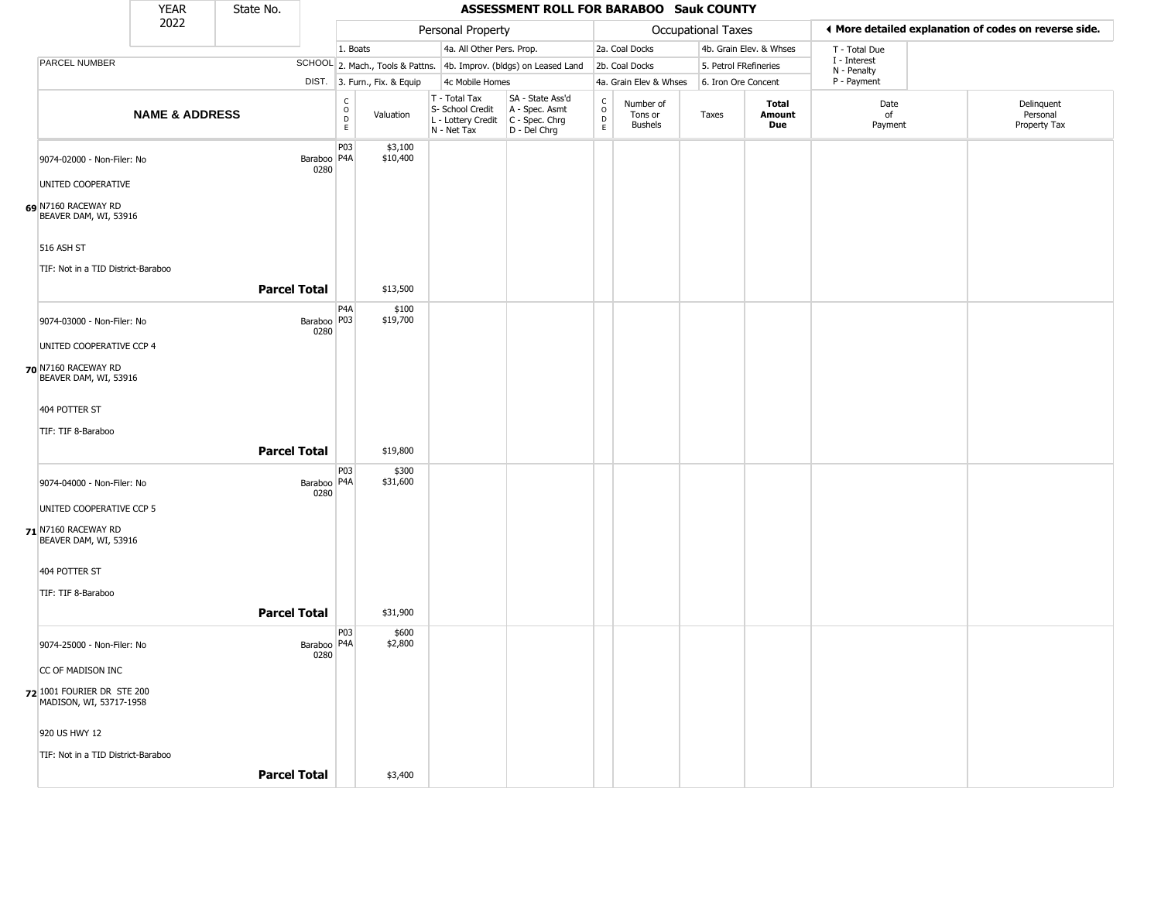|                                                       | <b>YEAR</b>               | State No.           |                       |                                                 |                              |                                                                                       | <b>ASSESSMENT ROLL FOR BARABOO Sauk COUNTY</b>                      |                                |                                        |                    |                         |                            |                                                       |
|-------------------------------------------------------|---------------------------|---------------------|-----------------------|-------------------------------------------------|------------------------------|---------------------------------------------------------------------------------------|---------------------------------------------------------------------|--------------------------------|----------------------------------------|--------------------|-------------------------|----------------------------|-------------------------------------------------------|
|                                                       | 2022                      |                     |                       |                                                 |                              | Personal Property                                                                     |                                                                     |                                |                                        | Occupational Taxes |                         |                            | ◀ More detailed explanation of codes on reverse side. |
|                                                       |                           |                     |                       | 1. Boats                                        |                              | 4a. All Other Pers. Prop.                                                             |                                                                     |                                | 2a. Coal Docks                         |                    | 4b. Grain Elev. & Whses | T - Total Due              |                                                       |
| PARCEL NUMBER                                         |                           |                     |                       |                                                 |                              |                                                                                       | SCHOOL 2. Mach., Tools & Pattns. 4b. Improv. (bldgs) on Leased Land |                                | 2b. Coal Docks                         |                    | 5. Petrol FRefineries   | I - Interest               |                                                       |
|                                                       |                           |                     |                       |                                                 | DIST. 3. Furn., Fix. & Equip | 4c Mobile Homes                                                                       |                                                                     |                                | 4a. Grain Elev & Whses                 |                    | 6. Iron Ore Concent     | N - Penalty<br>P - Payment |                                                       |
|                                                       | <b>NAME &amp; ADDRESS</b> |                     |                       | $\mathsf{C}$<br>$\mathsf O$<br>D<br>$\mathsf E$ | Valuation                    | T - Total Tax<br>S- School Credit<br>L - Lottery Credit C - Spec. Chrg<br>N - Net Tax | SA - State Ass'd<br>A - Spec. Asmt<br>D - Del Chrg                  | $\frac{C}{O}$<br>$\frac{D}{E}$ | Number of<br>Tons or<br><b>Bushels</b> | Taxes              | Total<br>Amount<br>Due  | Date<br>of<br>Payment      | Delinquent<br>Personal<br>Property Tax                |
| 9074-02000 - Non-Filer: No<br>UNITED COOPERATIVE      |                           |                     | Baraboo   P4A<br>0280 | P03                                             | \$3,100<br>\$10,400          |                                                                                       |                                                                     |                                |                                        |                    |                         |                            |                                                       |
| 69 N7160 RACEWAY RD<br>BEAVER DAM, WI, 53916          |                           |                     |                       |                                                 |                              |                                                                                       |                                                                     |                                |                                        |                    |                         |                            |                                                       |
| 516 ASH ST                                            |                           |                     |                       |                                                 |                              |                                                                                       |                                                                     |                                |                                        |                    |                         |                            |                                                       |
| TIF: Not in a TID District-Baraboo                    |                           |                     |                       |                                                 |                              |                                                                                       |                                                                     |                                |                                        |                    |                         |                            |                                                       |
|                                                       |                           | <b>Parcel Total</b> |                       |                                                 | \$13,500                     |                                                                                       |                                                                     |                                |                                        |                    |                         |                            |                                                       |
| 9074-03000 - Non-Filer: No                            |                           |                     | Baraboo P03<br>0280   | P <sub>4</sub> A                                | \$100<br>\$19,700            |                                                                                       |                                                                     |                                |                                        |                    |                         |                            |                                                       |
| UNITED COOPERATIVE CCP 4                              |                           |                     |                       |                                                 |                              |                                                                                       |                                                                     |                                |                                        |                    |                         |                            |                                                       |
| 70 N7160 RACEWAY RD<br>BEAVER DAM, WI, 53916          |                           |                     |                       |                                                 |                              |                                                                                       |                                                                     |                                |                                        |                    |                         |                            |                                                       |
| 404 POTTER ST                                         |                           |                     |                       |                                                 |                              |                                                                                       |                                                                     |                                |                                        |                    |                         |                            |                                                       |
| TIF: TIF 8-Baraboo                                    |                           |                     |                       |                                                 |                              |                                                                                       |                                                                     |                                |                                        |                    |                         |                            |                                                       |
|                                                       |                           | <b>Parcel Total</b> |                       |                                                 | \$19,800                     |                                                                                       |                                                                     |                                |                                        |                    |                         |                            |                                                       |
| 9074-04000 - Non-Filer: No                            |                           |                     | Baraboo   P4A<br>0280 | P03                                             | \$300<br>\$31,600            |                                                                                       |                                                                     |                                |                                        |                    |                         |                            |                                                       |
| UNITED COOPERATIVE CCP 5                              |                           |                     |                       |                                                 |                              |                                                                                       |                                                                     |                                |                                        |                    |                         |                            |                                                       |
| 71 N7160 RACEWAY RD<br>BEAVER DAM, WI, 53916          |                           |                     |                       |                                                 |                              |                                                                                       |                                                                     |                                |                                        |                    |                         |                            |                                                       |
| 404 POTTER ST                                         |                           |                     |                       |                                                 |                              |                                                                                       |                                                                     |                                |                                        |                    |                         |                            |                                                       |
| TIF: TIF 8-Baraboo                                    |                           |                     |                       |                                                 |                              |                                                                                       |                                                                     |                                |                                        |                    |                         |                            |                                                       |
|                                                       |                           | <b>Parcel Total</b> |                       |                                                 | \$31,900                     |                                                                                       |                                                                     |                                |                                        |                    |                         |                            |                                                       |
|                                                       |                           |                     |                       | P03                                             | \$600                        |                                                                                       |                                                                     |                                |                                        |                    |                         |                            |                                                       |
| 9074-25000 - Non-Filer: No                            |                           |                     | Baraboo   P4A<br>0280 |                                                 | \$2,800                      |                                                                                       |                                                                     |                                |                                        |                    |                         |                            |                                                       |
| CC OF MADISON INC                                     |                           |                     |                       |                                                 |                              |                                                                                       |                                                                     |                                |                                        |                    |                         |                            |                                                       |
| 72 1001 FOURIER DR STE 200<br>MADISON, WI, 53717-1958 |                           |                     |                       |                                                 |                              |                                                                                       |                                                                     |                                |                                        |                    |                         |                            |                                                       |
| 920 US HWY 12                                         |                           |                     |                       |                                                 |                              |                                                                                       |                                                                     |                                |                                        |                    |                         |                            |                                                       |
| TIF: Not in a TID District-Baraboo                    |                           |                     |                       |                                                 |                              |                                                                                       |                                                                     |                                |                                        |                    |                         |                            |                                                       |
|                                                       |                           | <b>Parcel Total</b> |                       |                                                 | \$3,400                      |                                                                                       |                                                                     |                                |                                        |                    |                         |                            |                                                       |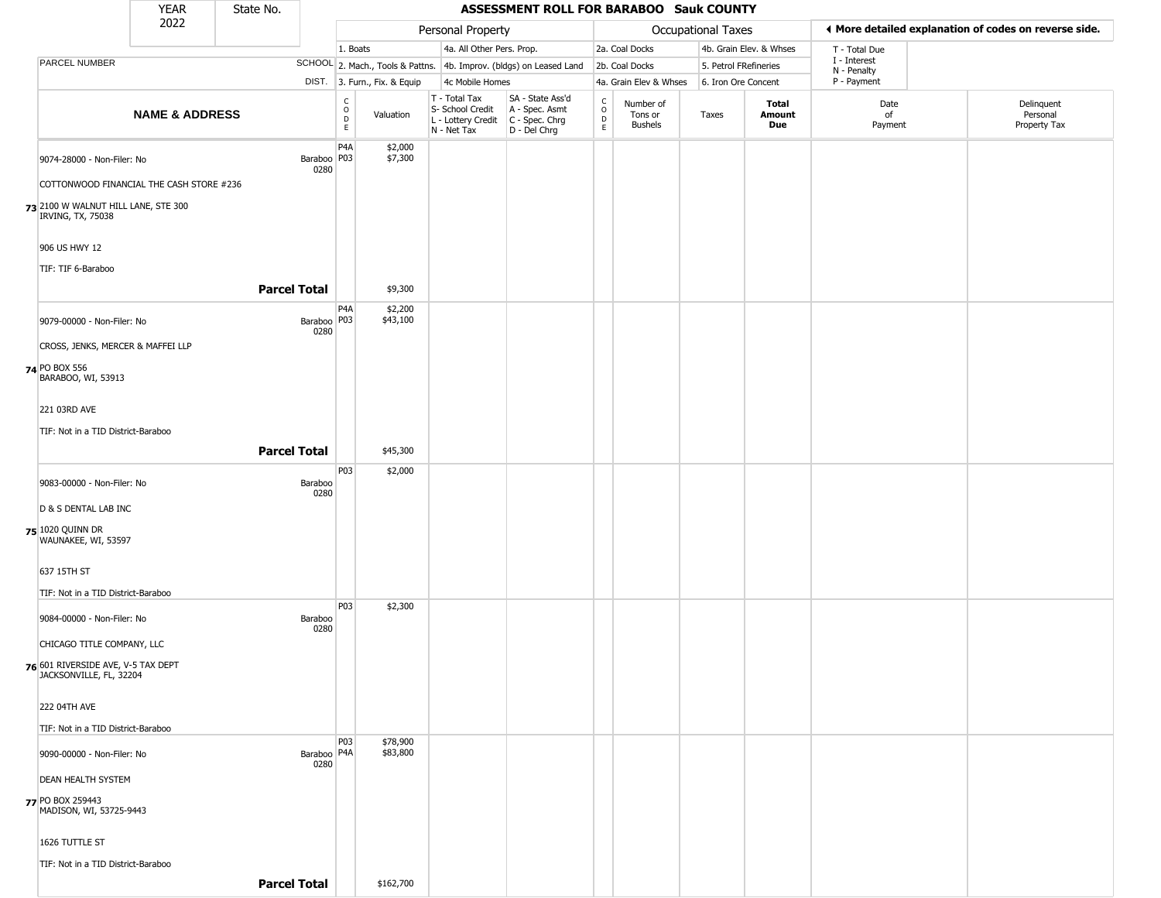|                                                               | <b>YEAR</b>                                                                                                                                                                                                                                         | State No.           |                       |                                                 |                              |                                                                                         | ASSESSMENT ROLL FOR BARABOO Sauk COUNTY                             |                                                   |                                        |                       |                         |                             |                                                       |
|---------------------------------------------------------------|-----------------------------------------------------------------------------------------------------------------------------------------------------------------------------------------------------------------------------------------------------|---------------------|-----------------------|-------------------------------------------------|------------------------------|-----------------------------------------------------------------------------------------|---------------------------------------------------------------------|---------------------------------------------------|----------------------------------------|-----------------------|-------------------------|-----------------------------|-------------------------------------------------------|
|                                                               | 2022                                                                                                                                                                                                                                                |                     |                       |                                                 |                              | Personal Property                                                                       |                                                                     |                                                   |                                        | Occupational Taxes    |                         |                             | ◀ More detailed explanation of codes on reverse side. |
|                                                               |                                                                                                                                                                                                                                                     |                     |                       | 1. Boats                                        |                              | 4a. All Other Pers. Prop.                                                               |                                                                     |                                                   | 2a. Coal Docks                         |                       | 4b. Grain Elev. & Whses | T - Total Due               |                                                       |
| PARCEL NUMBER                                                 |                                                                                                                                                                                                                                                     |                     |                       |                                                 |                              |                                                                                         | SCHOOL 2. Mach., Tools & Pattns. 4b. Improv. (bldgs) on Leased Land |                                                   | 2b. Coal Docks                         | 5. Petrol FRefineries |                         | I - Interest<br>N - Penalty |                                                       |
|                                                               | <b>NAME &amp; ADDRESS</b><br>9074-28000 - Non-Filer: No<br>COTTONWOOD FINANCIAL THE CASH STORE #236<br>73 2100 W WALNUT HILL LANE, STE 300<br>9079-00000 - Non-Filer: No<br>CROSS, JENKS, MERCER & MAFFEI LLP<br>TIF: Not in a TID District-Baraboo |                     |                       |                                                 | DIST. 3. Furn., Fix. & Equip | 4c Mobile Homes                                                                         |                                                                     |                                                   | 4a. Grain Elev & Whses                 | 6. Iron Ore Concent   |                         | P - Payment                 |                                                       |
|                                                               |                                                                                                                                                                                                                                                     |                     |                       | $\begin{array}{c} C \\ O \\ D \\ E \end{array}$ | Valuation                    | T - Total Tax<br>S- School Credit<br>L - Lottery Credit   C - Spec. Chrg<br>N - Net Tax | SA - State Ass'd<br>A - Spec. Asmt<br>$D - Del Chrg$                | $\begin{array}{c}\nC \\ O \\ D \\ E\n\end{array}$ | Number of<br>Tons or<br><b>Bushels</b> | Taxes                 | Total<br>Amount<br>Due  | Date<br>of<br>Payment       | Delinquent<br>Personal<br>Property Tax                |
|                                                               |                                                                                                                                                                                                                                                     |                     | Baraboo   P03         | P <sub>4</sub> A                                | \$2,000<br>\$7,300           |                                                                                         |                                                                     |                                                   |                                        |                       |                         |                             |                                                       |
|                                                               |                                                                                                                                                                                                                                                     |                     | 0280                  |                                                 |                              |                                                                                         |                                                                     |                                                   |                                        |                       |                         |                             |                                                       |
| IRVING, TX, 75038                                             |                                                                                                                                                                                                                                                     |                     |                       |                                                 |                              |                                                                                         |                                                                     |                                                   |                                        |                       |                         |                             |                                                       |
| 906 US HWY 12                                                 |                                                                                                                                                                                                                                                     |                     |                       |                                                 |                              |                                                                                         |                                                                     |                                                   |                                        |                       |                         |                             |                                                       |
| TIF: TIF 6-Baraboo                                            |                                                                                                                                                                                                                                                     | <b>Parcel Total</b> |                       |                                                 | \$9,300                      |                                                                                         |                                                                     |                                                   |                                        |                       |                         |                             |                                                       |
|                                                               |                                                                                                                                                                                                                                                     |                     |                       |                                                 |                              |                                                                                         |                                                                     |                                                   |                                        |                       |                         |                             |                                                       |
|                                                               |                                                                                                                                                                                                                                                     |                     | Baraboo   P03<br>0280 | P <sub>4</sub> A                                | \$2,200<br>\$43,100          |                                                                                         |                                                                     |                                                   |                                        |                       |                         |                             |                                                       |
|                                                               |                                                                                                                                                                                                                                                     |                     |                       |                                                 |                              |                                                                                         |                                                                     |                                                   |                                        |                       |                         |                             |                                                       |
| 74 PO BOX 556<br>BARABOO, WI, 53913                           |                                                                                                                                                                                                                                                     |                     |                       |                                                 |                              |                                                                                         |                                                                     |                                                   |                                        |                       |                         |                             |                                                       |
| 221 03RD AVE                                                  |                                                                                                                                                                                                                                                     |                     |                       |                                                 |                              |                                                                                         |                                                                     |                                                   |                                        |                       |                         |                             |                                                       |
|                                                               |                                                                                                                                                                                                                                                     | <b>Parcel Total</b> |                       |                                                 | \$45,300                     |                                                                                         |                                                                     |                                                   |                                        |                       |                         |                             |                                                       |
|                                                               |                                                                                                                                                                                                                                                     |                     |                       | P03                                             | \$2,000                      |                                                                                         |                                                                     |                                                   |                                        |                       |                         |                             |                                                       |
| 9083-00000 - Non-Filer: No                                    |                                                                                                                                                                                                                                                     |                     | Baraboo<br>0280       |                                                 |                              |                                                                                         |                                                                     |                                                   |                                        |                       |                         |                             |                                                       |
| D & S DENTAL LAB INC                                          |                                                                                                                                                                                                                                                     |                     |                       |                                                 |                              |                                                                                         |                                                                     |                                                   |                                        |                       |                         |                             |                                                       |
| $75$ 1020 QUINN DR<br>WAUNAKEE, WI, 53597                     |                                                                                                                                                                                                                                                     |                     |                       |                                                 |                              |                                                                                         |                                                                     |                                                   |                                        |                       |                         |                             |                                                       |
| 637 15TH ST                                                   |                                                                                                                                                                                                                                                     |                     |                       |                                                 |                              |                                                                                         |                                                                     |                                                   |                                        |                       |                         |                             |                                                       |
| TIF: Not in a TID District-Baraboo                            |                                                                                                                                                                                                                                                     |                     |                       |                                                 |                              |                                                                                         |                                                                     |                                                   |                                        |                       |                         |                             |                                                       |
| 9084-00000 - Non-Filer: No                                    |                                                                                                                                                                                                                                                     |                     | Baraboo<br>0280       | P03                                             | \$2,300                      |                                                                                         |                                                                     |                                                   |                                        |                       |                         |                             |                                                       |
| CHICAGO TITLE COMPANY, LLC                                    |                                                                                                                                                                                                                                                     |                     |                       |                                                 |                              |                                                                                         |                                                                     |                                                   |                                        |                       |                         |                             |                                                       |
| 76 601 RIVERSIDE AVE, V-5 TAX DEPT<br>JACKSONVILLE, FL, 32204 |                                                                                                                                                                                                                                                     |                     |                       |                                                 |                              |                                                                                         |                                                                     |                                                   |                                        |                       |                         |                             |                                                       |
| 222 04TH AVE                                                  |                                                                                                                                                                                                                                                     |                     |                       |                                                 |                              |                                                                                         |                                                                     |                                                   |                                        |                       |                         |                             |                                                       |
| TIF: Not in a TID District-Baraboo                            |                                                                                                                                                                                                                                                     |                     |                       |                                                 |                              |                                                                                         |                                                                     |                                                   |                                        |                       |                         |                             |                                                       |
| 9090-00000 - Non-Filer: No                                    |                                                                                                                                                                                                                                                     |                     | Baraboo   P4A<br>0280 | P03                                             | \$78,900<br>\$83,800         |                                                                                         |                                                                     |                                                   |                                        |                       |                         |                             |                                                       |
| <b>DEAN HEALTH SYSTEM</b>                                     |                                                                                                                                                                                                                                                     |                     |                       |                                                 |                              |                                                                                         |                                                                     |                                                   |                                        |                       |                         |                             |                                                       |
| 77 PO BOX 259443<br>MADISON, WI, 53725-9443                   |                                                                                                                                                                                                                                                     |                     |                       |                                                 |                              |                                                                                         |                                                                     |                                                   |                                        |                       |                         |                             |                                                       |
| 1626 TUTTLE ST                                                |                                                                                                                                                                                                                                                     |                     |                       |                                                 |                              |                                                                                         |                                                                     |                                                   |                                        |                       |                         |                             |                                                       |
| TIF: Not in a TID District-Baraboo                            |                                                                                                                                                                                                                                                     |                     |                       |                                                 |                              |                                                                                         |                                                                     |                                                   |                                        |                       |                         |                             |                                                       |
|                                                               |                                                                                                                                                                                                                                                     | <b>Parcel Total</b> |                       |                                                 | \$162,700                    |                                                                                         |                                                                     |                                                   |                                        |                       |                         |                             |                                                       |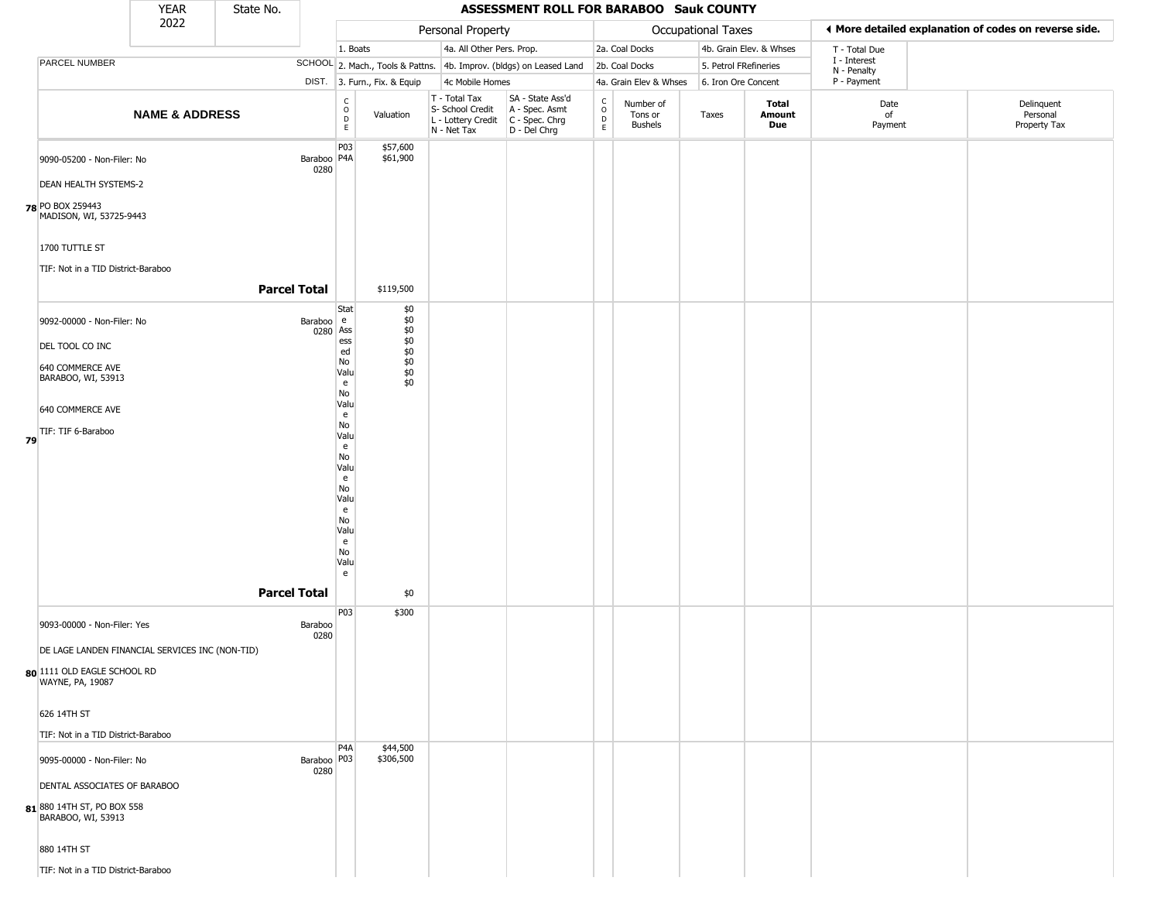|    |                                                                                                                                                                                                                      | <b>YEAR</b>               | State No.           |                                        |                                                                                                                                                        |                                                                      |                                                                                         | ASSESSMENT ROLL FOR BARABOO Sauk COUNTY                             |                                             |                                        |                       |                         |                             |                                                       |
|----|----------------------------------------------------------------------------------------------------------------------------------------------------------------------------------------------------------------------|---------------------------|---------------------|----------------------------------------|--------------------------------------------------------------------------------------------------------------------------------------------------------|----------------------------------------------------------------------|-----------------------------------------------------------------------------------------|---------------------------------------------------------------------|---------------------------------------------|----------------------------------------|-----------------------|-------------------------|-----------------------------|-------------------------------------------------------|
|    |                                                                                                                                                                                                                      | 2022                      |                     |                                        |                                                                                                                                                        |                                                                      | Personal Property                                                                       |                                                                     |                                             |                                        | Occupational Taxes    |                         |                             | ♦ More detailed explanation of codes on reverse side. |
|    |                                                                                                                                                                                                                      |                           |                     |                                        | 1. Boats                                                                                                                                               |                                                                      | 4a. All Other Pers. Prop.                                                               |                                                                     |                                             | 2a. Coal Docks                         |                       | 4b. Grain Elev. & Whses | T - Total Due               |                                                       |
|    | PARCEL NUMBER                                                                                                                                                                                                        |                           |                     |                                        |                                                                                                                                                        |                                                                      |                                                                                         | SCHOOL 2. Mach., Tools & Pattns. 4b. Improv. (bldgs) on Leased Land |                                             | 2b. Coal Docks                         | 5. Petrol FRefineries |                         | I - Interest<br>N - Penalty |                                                       |
|    |                                                                                                                                                                                                                      |                           |                     |                                        | DIST. 3. Furn., Fix. & Equip                                                                                                                           |                                                                      | 4c Mobile Homes                                                                         |                                                                     |                                             | 4a. Grain Elev & Whses                 | 6. Iron Ore Concent   |                         | P - Payment                 |                                                       |
|    |                                                                                                                                                                                                                      | <b>NAME &amp; ADDRESS</b> |                     |                                        | $_{\rm o}^{\rm c}$<br>$\mathsf D$<br>$\mathsf E$                                                                                                       | Valuation                                                            | T - Total Tax<br>S- School Credit<br>L - Lottery Credit   C - Spec. Chrg<br>N - Net Tax | SA - State Ass'd<br>A - Spec. Asmt<br>D - Del Chrg                  | C<br>$\circ$<br>$\mathsf{D}$<br>$\mathsf E$ | Number of<br>Tons or<br><b>Bushels</b> | Taxes                 | Total<br>Amount<br>Due  | Date<br>of<br>Payment       | Delinquent<br>Personal<br>Property Tax                |
|    | 9090-05200 - Non-Filer: No<br><b>DEAN HEALTH SYSTEMS-2</b><br>78 PO BOX 259443<br>MADISON, WI, 53725-9443                                                                                                            |                           |                     | Baraboo   P4A<br>0280                  | P03                                                                                                                                                    | \$57,600<br>\$61,900                                                 |                                                                                         |                                                                     |                                             |                                        |                       |                         |                             |                                                       |
|    | 1700 TUTTLE ST<br>TIF: Not in a TID District-Baraboo                                                                                                                                                                 |                           |                     |                                        |                                                                                                                                                        |                                                                      |                                                                                         |                                                                     |                                             |                                        |                       |                         |                             |                                                       |
|    |                                                                                                                                                                                                                      |                           | <b>Parcel Total</b> |                                        |                                                                                                                                                        | \$119,500                                                            |                                                                                         |                                                                     |                                             |                                        |                       |                         |                             |                                                       |
| 79 | 9092-00000 - Non-Filer: No<br>DEL TOOL CO INC<br>640 COMMERCE AVE<br>BARABOO, WI, 53913<br>640 COMMERCE AVE<br>TIF: TIF 6-Baraboo                                                                                    |                           | <b>Parcel Total</b> | Baraboo e<br>0280 Ass                  | Stat<br>ess<br>ed<br>No<br>Valu<br>e<br>No<br>Valu<br>e<br>No<br>Valu<br>e<br>No<br>Valu<br>e<br>No<br>Valu<br>e<br>No<br>Valu<br>e<br>No<br>Valu<br>e | \$0<br>\$0<br>\$0<br>$$0\,$<br>$$0$$<br>$$0$$<br>$$0$$<br>\$0<br>\$0 |                                                                                         |                                                                     |                                             |                                        |                       |                         |                             |                                                       |
|    | 9093-00000 - Non-Filer: Yes<br>DE LAGE LANDEN FINANCIAL SERVICES INC (NON-TID)<br>80 1111 OLD EAGLE SCHOOL RD<br>WAYNE, PA, 19087<br>626 14TH ST<br>TIF: Not in a TID District-Baraboo<br>9095-00000 - Non-Filer: No |                           |                     | Baraboo<br>0280<br>Baraboo P03<br>0280 | P <sub>0</sub> 3<br>P <sub>4</sub> A                                                                                                                   | \$300<br>\$44,500<br>\$306,500                                       |                                                                                         |                                                                     |                                             |                                        |                       |                         |                             |                                                       |
|    | DENTAL ASSOCIATES OF BARABOO<br>81 880 14TH ST, PO BOX 558<br>BARABOO, WI, 53913<br>880 14TH ST<br>TIF: Not in a TID District-Baraboo                                                                                |                           |                     |                                        |                                                                                                                                                        |                                                                      |                                                                                         |                                                                     |                                             |                                        |                       |                         |                             |                                                       |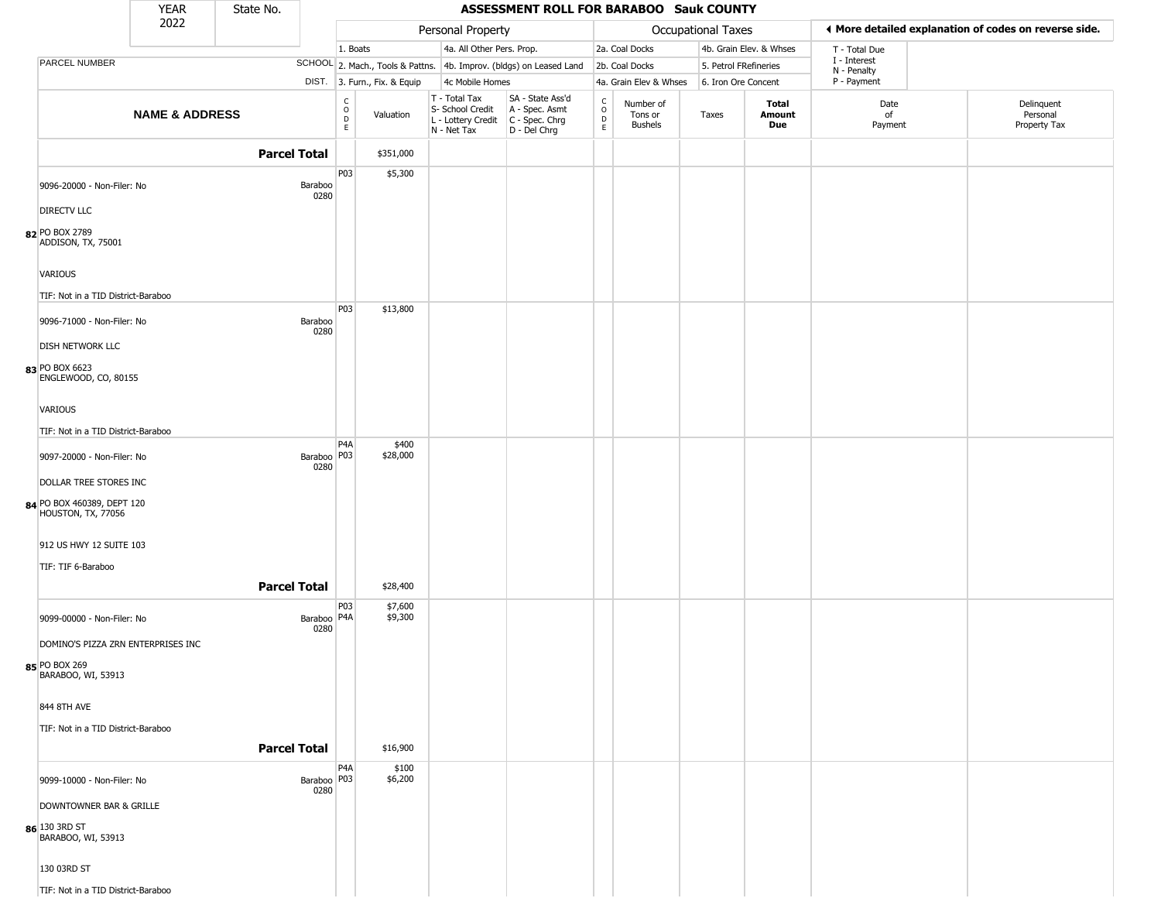|                                                  | <b>YEAR</b>               | State No.             |                                                 |                              |                                                                                         | ASSESSMENT ROLL FOR BARABOO Sauk COUNTY                             |                                                          |                                        |                           |                         |                             |                                                       |
|--------------------------------------------------|---------------------------|-----------------------|-------------------------------------------------|------------------------------|-----------------------------------------------------------------------------------------|---------------------------------------------------------------------|----------------------------------------------------------|----------------------------------------|---------------------------|-------------------------|-----------------------------|-------------------------------------------------------|
|                                                  | 2022                      |                       |                                                 |                              | Personal Property                                                                       |                                                                     |                                                          |                                        | <b>Occupational Taxes</b> |                         |                             | ◀ More detailed explanation of codes on reverse side. |
|                                                  |                           |                       |                                                 | 1. Boats                     | 4a. All Other Pers. Prop.                                                               |                                                                     |                                                          | 2a. Coal Docks                         |                           | 4b. Grain Elev. & Whses | T - Total Due               |                                                       |
| PARCEL NUMBER                                    |                           |                       |                                                 |                              |                                                                                         | SCHOOL 2. Mach., Tools & Pattns. 4b. Improv. (bldgs) on Leased Land |                                                          | 2b. Coal Docks                         | 5. Petrol FRefineries     |                         | I - Interest<br>N - Penalty |                                                       |
|                                                  |                           |                       |                                                 | DIST. 3. Furn., Fix. & Equip | 4c Mobile Homes                                                                         |                                                                     |                                                          | 4a. Grain Elev & Whses                 | 6. Iron Ore Concent       |                         | P - Payment                 |                                                       |
|                                                  | <b>NAME &amp; ADDRESS</b> |                       | $\begin{array}{c} C \\ O \\ D \\ E \end{array}$ | Valuation                    | T - Total Tax<br>S- School Credit<br>L - Lottery Credit   C - Spec. Chrg<br>N - Net Tax | SA - State Ass'd<br>A - Spec. Asmt<br>D - Del Chrg                  | $\begin{smallmatrix} C \\ O \\ D \end{smallmatrix}$<br>E | Number of<br>Tons or<br><b>Bushels</b> | Taxes                     | Total<br>Amount<br>Due  | Date<br>of<br>Payment       | Delinquent<br>Personal<br>Property Tax                |
|                                                  |                           | <b>Parcel Total</b>   |                                                 | \$351,000                    |                                                                                         |                                                                     |                                                          |                                        |                           |                         |                             |                                                       |
|                                                  |                           |                       | P03                                             | \$5,300                      |                                                                                         |                                                                     |                                                          |                                        |                           |                         |                             |                                                       |
| 9096-20000 - Non-Filer: No                       |                           | Baraboo<br>0280       |                                                 |                              |                                                                                         |                                                                     |                                                          |                                        |                           |                         |                             |                                                       |
| <b>DIRECTV LLC</b>                               |                           |                       |                                                 |                              |                                                                                         |                                                                     |                                                          |                                        |                           |                         |                             |                                                       |
| 82 PO BOX 2789<br>ADDISON, TX, 75001             |                           |                       |                                                 |                              |                                                                                         |                                                                     |                                                          |                                        |                           |                         |                             |                                                       |
| <b>VARIOUS</b>                                   |                           |                       |                                                 |                              |                                                                                         |                                                                     |                                                          |                                        |                           |                         |                             |                                                       |
| TIF: Not in a TID District-Baraboo               |                           |                       |                                                 |                              |                                                                                         |                                                                     |                                                          |                                        |                           |                         |                             |                                                       |
| 9096-71000 - Non-Filer: No                       |                           | Baraboo<br>0280       | <b>P03</b>                                      | \$13,800                     |                                                                                         |                                                                     |                                                          |                                        |                           |                         |                             |                                                       |
| <b>DISH NETWORK LLC</b>                          |                           |                       |                                                 |                              |                                                                                         |                                                                     |                                                          |                                        |                           |                         |                             |                                                       |
| 83 PO BOX 6623<br>ENGLEWOOD, CO, 80155           |                           |                       |                                                 |                              |                                                                                         |                                                                     |                                                          |                                        |                           |                         |                             |                                                       |
| VARIOUS                                          |                           |                       |                                                 |                              |                                                                                         |                                                                     |                                                          |                                        |                           |                         |                             |                                                       |
| TIF: Not in a TID District-Baraboo               |                           |                       |                                                 |                              |                                                                                         |                                                                     |                                                          |                                        |                           |                         |                             |                                                       |
| 9097-20000 - Non-Filer: No                       |                           | Baraboo   P03<br>0280 | P <sub>4</sub> A                                | \$400<br>\$28,000            |                                                                                         |                                                                     |                                                          |                                        |                           |                         |                             |                                                       |
| DOLLAR TREE STORES INC                           |                           |                       |                                                 |                              |                                                                                         |                                                                     |                                                          |                                        |                           |                         |                             |                                                       |
| 84 PO BOX 460389, DEPT 120<br>HOUSTON, TX, 77056 |                           |                       |                                                 |                              |                                                                                         |                                                                     |                                                          |                                        |                           |                         |                             |                                                       |
| 912 US HWY 12 SUITE 103                          |                           |                       |                                                 |                              |                                                                                         |                                                                     |                                                          |                                        |                           |                         |                             |                                                       |
| TIF: TIF 6-Baraboo                               |                           |                       |                                                 |                              |                                                                                         |                                                                     |                                                          |                                        |                           |                         |                             |                                                       |
|                                                  |                           | <b>Parcel Total</b>   |                                                 | \$28,400                     |                                                                                         |                                                                     |                                                          |                                        |                           |                         |                             |                                                       |
| 9099-00000 - Non-Filer: No                       |                           | Baraboo P4A<br>0280   | P03                                             | \$7,600<br>\$9,300           |                                                                                         |                                                                     |                                                          |                                        |                           |                         |                             |                                                       |
| DOMINO'S PIZZA ZRN ENTERPRISES INC               |                           |                       |                                                 |                              |                                                                                         |                                                                     |                                                          |                                        |                           |                         |                             |                                                       |
| 85 PO BOX 269<br>BARABOO, WI, 53913              |                           |                       |                                                 |                              |                                                                                         |                                                                     |                                                          |                                        |                           |                         |                             |                                                       |
| 844 8TH AVE                                      |                           |                       |                                                 |                              |                                                                                         |                                                                     |                                                          |                                        |                           |                         |                             |                                                       |
| TIF: Not in a TID District-Baraboo               |                           |                       |                                                 |                              |                                                                                         |                                                                     |                                                          |                                        |                           |                         |                             |                                                       |
|                                                  |                           | <b>Parcel Total</b>   |                                                 | \$16,900                     |                                                                                         |                                                                     |                                                          |                                        |                           |                         |                             |                                                       |
| 9099-10000 - Non-Filer: No                       |                           | Baraboo   P03<br>0280 | P <sub>4</sub> A                                | \$100<br>\$6,200             |                                                                                         |                                                                     |                                                          |                                        |                           |                         |                             |                                                       |
| DOWNTOWNER BAR & GRILLE                          |                           |                       |                                                 |                              |                                                                                         |                                                                     |                                                          |                                        |                           |                         |                             |                                                       |
| 86 130 3RD ST<br>BARABOO, WI, 53913              |                           |                       |                                                 |                              |                                                                                         |                                                                     |                                                          |                                        |                           |                         |                             |                                                       |
| 130 03RD ST                                      |                           |                       |                                                 |                              |                                                                                         |                                                                     |                                                          |                                        |                           |                         |                             |                                                       |
| TIF: Not in a TID District-Baraboo               |                           |                       |                                                 |                              |                                                                                         |                                                                     |                                                          |                                        |                           |                         |                             |                                                       |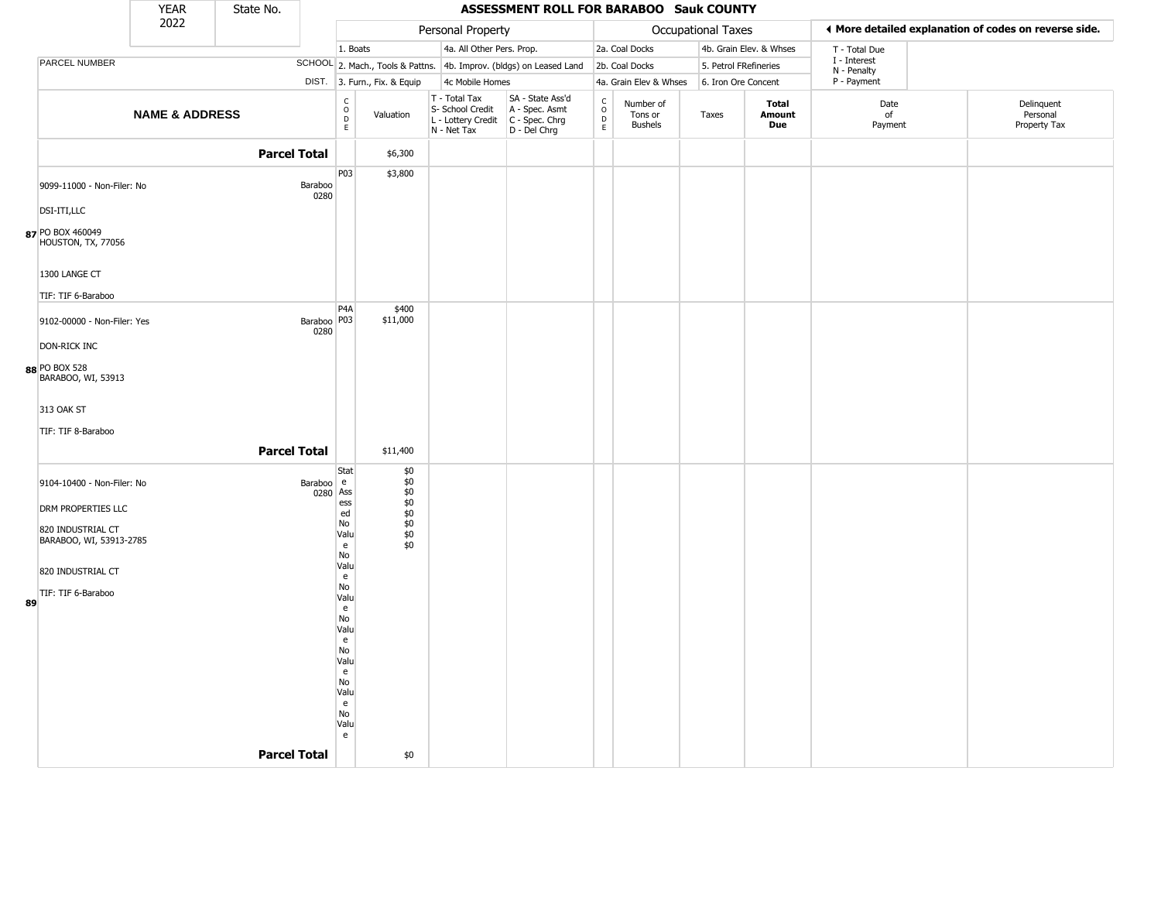|    |                                              | <b>YEAR</b>               | State No.           |                       |                                                 |                                                        |                                                                        | <b>ASSESSMENT ROLL FOR BARABOO Sauk COUNTY</b>                         |                                                   |                                 |                    |                               |                             |                                                       |
|----|----------------------------------------------|---------------------------|---------------------|-----------------------|-------------------------------------------------|--------------------------------------------------------|------------------------------------------------------------------------|------------------------------------------------------------------------|---------------------------------------------------|---------------------------------|--------------------|-------------------------------|-----------------------------|-------------------------------------------------------|
|    |                                              | 2022                      |                     |                       |                                                 |                                                        | Personal Property                                                      |                                                                        |                                                   |                                 | Occupational Taxes |                               |                             | ♦ More detailed explanation of codes on reverse side. |
|    |                                              |                           |                     |                       | 1. Boats                                        |                                                        | 4a. All Other Pers. Prop.                                              |                                                                        |                                                   | 2a. Coal Docks                  |                    | 4b. Grain Elev. & Whses       | T - Total Due               |                                                       |
|    | PARCEL NUMBER                                |                           |                     |                       |                                                 |                                                        |                                                                        | SCHOOL 2. Mach., Tools & Pattns. 4b. Improv. (bldgs) on Leased Land    |                                                   | 2b. Coal Docks                  |                    | 5. Petrol FRefineries         | I - Interest<br>N - Penalty |                                                       |
|    |                                              |                           |                     |                       |                                                 | DIST. 3. Furn., Fix. & Equip                           | 4c Mobile Homes                                                        |                                                                        |                                                   | 4a. Grain Elev & Whses          |                    | 6. Iron Ore Concent           | P - Payment                 |                                                       |
|    |                                              | <b>NAME &amp; ADDRESS</b> |                     |                       | $\begin{array}{c} C \\ O \\ D \\ E \end{array}$ | Valuation                                              | T - Total Tax<br>S- School Credit<br>L - Lottery Credit<br>N - Net Tax | SA - State Ass'd<br>A - Spec. Asmt<br>$C - Spec. Chrg$<br>D - Del Chrg | C<br>$\begin{array}{c}\n0 \\ 0 \\ E\n\end{array}$ | Number of<br>Tons or<br>Bushels | Taxes              | <b>Total</b><br>Amount<br>Due | Date<br>of<br>Payment       | Delinquent<br>Personal<br>Property Tax                |
|    |                                              |                           | <b>Parcel Total</b> |                       |                                                 | \$6,300                                                |                                                                        |                                                                        |                                                   |                                 |                    |                               |                             |                                                       |
|    | 9099-11000 - Non-Filer: No                   |                           |                     | Baraboo<br>0280       | P03                                             | \$3,800                                                |                                                                        |                                                                        |                                                   |                                 |                    |                               |                             |                                                       |
|    | DSI-ITI,LLC                                  |                           |                     |                       |                                                 |                                                        |                                                                        |                                                                        |                                                   |                                 |                    |                               |                             |                                                       |
|    | 87 PO BOX 460049<br>HOUSTON, TX, 77056       |                           |                     |                       |                                                 |                                                        |                                                                        |                                                                        |                                                   |                                 |                    |                               |                             |                                                       |
|    | 1300 LANGE CT                                |                           |                     |                       |                                                 |                                                        |                                                                        |                                                                        |                                                   |                                 |                    |                               |                             |                                                       |
|    | TIF: TIF 6-Baraboo                           |                           |                     |                       |                                                 |                                                        |                                                                        |                                                                        |                                                   |                                 |                    |                               |                             |                                                       |
|    | 9102-00000 - Non-Filer: Yes                  |                           |                     | Baraboo P03<br>0280   | P <sub>4</sub> A                                | \$400<br>\$11,000                                      |                                                                        |                                                                        |                                                   |                                 |                    |                               |                             |                                                       |
|    | <b>DON-RICK INC</b>                          |                           |                     |                       |                                                 |                                                        |                                                                        |                                                                        |                                                   |                                 |                    |                               |                             |                                                       |
|    | 88 PO BOX 528<br>BARABOO, WI, 53913          |                           |                     |                       |                                                 |                                                        |                                                                        |                                                                        |                                                   |                                 |                    |                               |                             |                                                       |
|    | 313 OAK ST                                   |                           |                     |                       |                                                 |                                                        |                                                                        |                                                                        |                                                   |                                 |                    |                               |                             |                                                       |
|    | TIF: TIF 8-Baraboo                           |                           |                     |                       |                                                 |                                                        |                                                                        |                                                                        |                                                   |                                 |                    |                               |                             |                                                       |
|    |                                              |                           | <b>Parcel Total</b> |                       |                                                 | \$11,400                                               |                                                                        |                                                                        |                                                   |                                 |                    |                               |                             |                                                       |
|    | 9104-10400 - Non-Filer: No                   |                           |                     | Baraboo e<br>0280 Ass | Stat                                            | \$0<br>$$^{40}_{60}$<br>$$^{40}_{60}$<br>$$^{40}_{60}$ |                                                                        |                                                                        |                                                   |                                 |                    |                               |                             |                                                       |
|    | DRM PROPERTIES LLC                           |                           |                     |                       | ess<br>ed                                       |                                                        |                                                                        |                                                                        |                                                   |                                 |                    |                               |                             |                                                       |
|    | 820 INDUSTRIAL CT<br>BARABOO, WI, 53913-2785 |                           |                     |                       | No<br>Valu<br>e<br>No                           | \$0<br>\$0                                             |                                                                        |                                                                        |                                                   |                                 |                    |                               |                             |                                                       |
|    | 820 INDUSTRIAL CT                            |                           |                     |                       | Valu<br>e                                       |                                                        |                                                                        |                                                                        |                                                   |                                 |                    |                               |                             |                                                       |
| 89 | TIF: TIF 6-Baraboo                           |                           |                     |                       | No<br>Valu<br>e                                 |                                                        |                                                                        |                                                                        |                                                   |                                 |                    |                               |                             |                                                       |
|    |                                              |                           |                     |                       | No<br>Valu                                      |                                                        |                                                                        |                                                                        |                                                   |                                 |                    |                               |                             |                                                       |
|    |                                              |                           |                     |                       | e<br>No                                         |                                                        |                                                                        |                                                                        |                                                   |                                 |                    |                               |                             |                                                       |
|    |                                              |                           |                     |                       | Valu                                            |                                                        |                                                                        |                                                                        |                                                   |                                 |                    |                               |                             |                                                       |
|    |                                              |                           |                     |                       | e<br>No                                         |                                                        |                                                                        |                                                                        |                                                   |                                 |                    |                               |                             |                                                       |
|    |                                              |                           |                     |                       | Valu<br>e                                       |                                                        |                                                                        |                                                                        |                                                   |                                 |                    |                               |                             |                                                       |
|    |                                              |                           |                     |                       | No<br>Valu                                      |                                                        |                                                                        |                                                                        |                                                   |                                 |                    |                               |                             |                                                       |
|    |                                              |                           |                     |                       | e                                               |                                                        |                                                                        |                                                                        |                                                   |                                 |                    |                               |                             |                                                       |
|    |                                              |                           | <b>Parcel Total</b> |                       |                                                 | \$0                                                    |                                                                        |                                                                        |                                                   |                                 |                    |                               |                             |                                                       |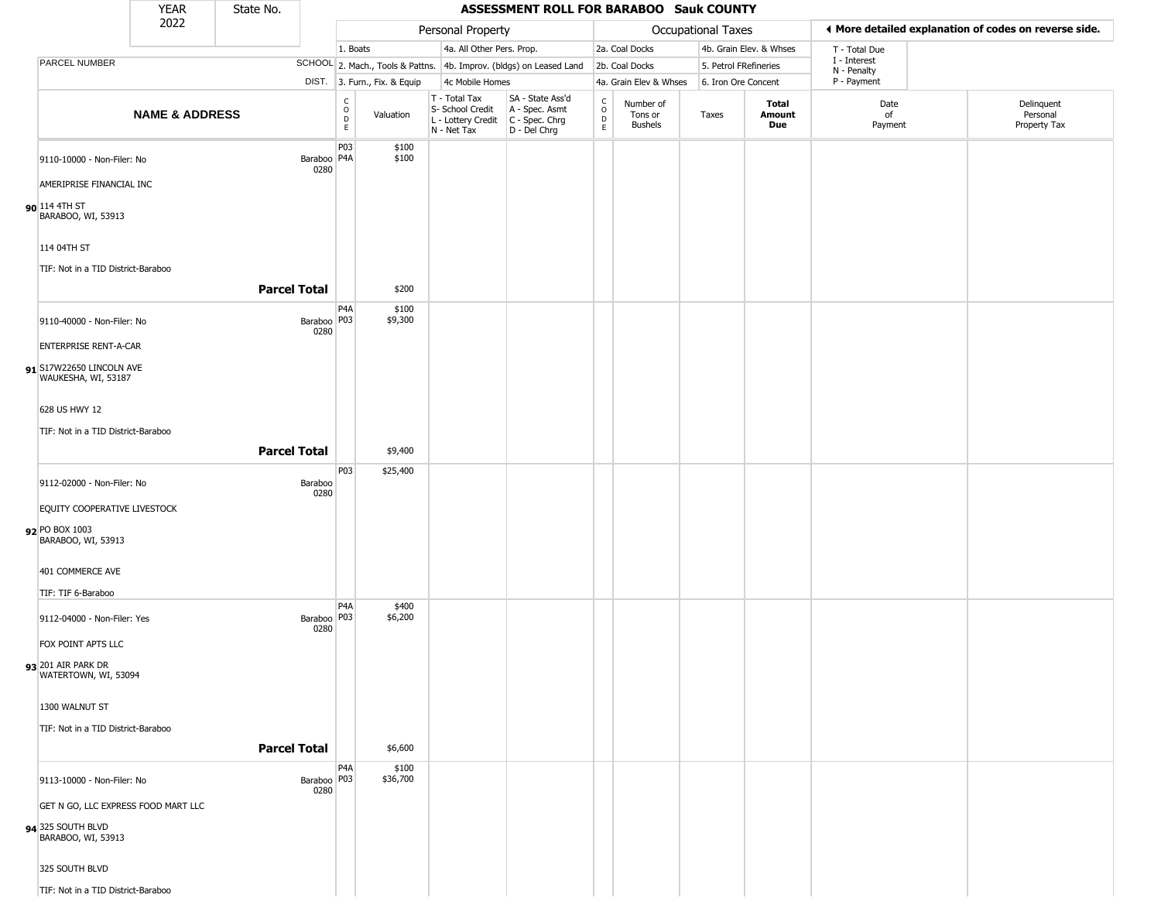|                |                                                        | <b>YEAR</b>                         | State No. |                       |                                         |                              |                                                                        | ASSESSMENT ROLL FOR BARABOO Sauk COUNTY                              |                      |                                        |                           |                         |                            |                                                       |
|----------------|--------------------------------------------------------|-------------------------------------|-----------|-----------------------|-----------------------------------------|------------------------------|------------------------------------------------------------------------|----------------------------------------------------------------------|----------------------|----------------------------------------|---------------------------|-------------------------|----------------------------|-------------------------------------------------------|
|                |                                                        | 2022                                |           |                       |                                         |                              | Personal Property                                                      |                                                                      |                      |                                        | <b>Occupational Taxes</b> |                         |                            | ♦ More detailed explanation of codes on reverse side. |
|                |                                                        |                                     |           |                       | 1. Boats                                |                              | 4a. All Other Pers. Prop.                                              |                                                                      |                      | 2a. Coal Docks                         |                           | 4b. Grain Elev. & Whses | T - Total Due              |                                                       |
|                | PARCEL NUMBER                                          |                                     |           |                       |                                         |                              |                                                                        | SCHOOL 2. Mach., Tools & Pattns. 4b. Improv. (bldgs) on Leased Land  |                      | 2b. Coal Docks                         | 5. Petrol FRefineries     |                         | I - Interest               |                                                       |
|                |                                                        |                                     |           |                       |                                         | DIST. 3. Furn., Fix. & Equip | 4c Mobile Homes                                                        |                                                                      |                      | 4a. Grain Elev & Whses                 | 6. Iron Ore Concent       |                         | N - Penalty<br>P - Payment |                                                       |
|                |                                                        | <b>NAME &amp; ADDRESS</b>           |           |                       | $\rm _o^C$<br>$\mathsf{D}_{\mathsf{E}}$ | Valuation                    | T - Total Tax<br>S- School Credit<br>L - Lottery Credit<br>N - Net Tax | SA - State Ass'd<br>A - Spec. Asmt<br>C - Spec. Chrg<br>D - Del Chrg | $\rm _o^c$<br>D<br>E | Number of<br>Tons or<br><b>Bushels</b> | Taxes                     | Total<br>Amount<br>Due  | Date<br>of<br>Payment      | Delinquent<br>Personal<br>Property Tax                |
|                | 9110-10000 - Non-Filer: No<br>AMERIPRISE FINANCIAL INC |                                     |           | Baraboo   P4A<br>0280 | P03                                     | \$100<br>\$100               |                                                                        |                                                                      |                      |                                        |                           |                         |                            |                                                       |
| 90 114 4TH ST  | BARABOO, WI, 53913                                     |                                     |           |                       |                                         |                              |                                                                        |                                                                      |                      |                                        |                           |                         |                            |                                                       |
| 114 04TH ST    | TIF: Not in a TID District-Baraboo                     |                                     |           |                       |                                         |                              |                                                                        |                                                                      |                      |                                        |                           |                         |                            |                                                       |
|                |                                                        |                                     |           | <b>Parcel Total</b>   |                                         | \$200                        |                                                                        |                                                                      |                      |                                        |                           |                         |                            |                                                       |
|                | 9110-40000 - Non-Filer: No                             |                                     |           | Baraboo   P03<br>0280 | P4A                                     | \$100<br>\$9,300             |                                                                        |                                                                      |                      |                                        |                           |                         |                            |                                                       |
|                | <b>ENTERPRISE RENT-A-CAR</b>                           |                                     |           |                       |                                         |                              |                                                                        |                                                                      |                      |                                        |                           |                         |                            |                                                       |
|                | 91 S17W22650 LINCOLN AVE<br>WAUKESHA, WI, 53187        |                                     |           |                       |                                         |                              |                                                                        |                                                                      |                      |                                        |                           |                         |                            |                                                       |
|                | 628 US HWY 12                                          |                                     |           |                       |                                         |                              |                                                                        |                                                                      |                      |                                        |                           |                         |                            |                                                       |
|                | TIF: Not in a TID District-Baraboo                     |                                     |           |                       |                                         |                              |                                                                        |                                                                      |                      |                                        |                           |                         |                            |                                                       |
|                |                                                        |                                     |           | <b>Parcel Total</b>   |                                         | \$9,400                      |                                                                        |                                                                      |                      |                                        |                           |                         |                            |                                                       |
|                |                                                        |                                     |           |                       | P03                                     | \$25,400                     |                                                                        |                                                                      |                      |                                        |                           |                         |                            |                                                       |
|                | 9112-02000 - Non-Filer: No                             |                                     |           | Baraboo               |                                         |                              |                                                                        |                                                                      |                      |                                        |                           |                         |                            |                                                       |
|                | EQUITY COOPERATIVE LIVESTOCK                           |                                     |           | 0280                  |                                         |                              |                                                                        |                                                                      |                      |                                        |                           |                         |                            |                                                       |
| 92 PO BOX 1003 | BARABOO, WI, 53913                                     |                                     |           |                       |                                         |                              |                                                                        |                                                                      |                      |                                        |                           |                         |                            |                                                       |
|                | 401 COMMERCE AVE                                       |                                     |           |                       |                                         |                              |                                                                        |                                                                      |                      |                                        |                           |                         |                            |                                                       |
|                |                                                        |                                     |           |                       |                                         |                              |                                                                        |                                                                      |                      |                                        |                           |                         |                            |                                                       |
|                | TIF: TIF 6-Baraboo<br>9112-04000 - Non-Filer: Yes      |                                     |           | Baraboo   P03<br>0280 | P4A                                     | \$400<br>\$6,200             |                                                                        |                                                                      |                      |                                        |                           |                         |                            |                                                       |
|                | FOX POINT APTS LLC                                     |                                     |           |                       |                                         |                              |                                                                        |                                                                      |                      |                                        |                           |                         |                            |                                                       |
|                | 93 201 AIR PARK DR<br>WATERTOWN, WI, 53094             |                                     |           |                       |                                         |                              |                                                                        |                                                                      |                      |                                        |                           |                         |                            |                                                       |
|                | 1300 WALNUT ST                                         |                                     |           |                       |                                         |                              |                                                                        |                                                                      |                      |                                        |                           |                         |                            |                                                       |
|                | TIF: Not in a TID District-Baraboo                     |                                     |           |                       |                                         |                              |                                                                        |                                                                      |                      |                                        |                           |                         |                            |                                                       |
|                |                                                        |                                     |           | <b>Parcel Total</b>   |                                         | \$6,600                      |                                                                        |                                                                      |                      |                                        |                           |                         |                            |                                                       |
|                | 9113-10000 - Non-Filer: No                             |                                     |           | Baraboo   P03<br>0280 | P <sub>4</sub> A                        | \$100<br>\$36,700            |                                                                        |                                                                      |                      |                                        |                           |                         |                            |                                                       |
|                |                                                        | GET N GO, LLC EXPRESS FOOD MART LLC |           |                       |                                         |                              |                                                                        |                                                                      |                      |                                        |                           |                         |                            |                                                       |
|                | 94 325 SOUTH BLVD<br>BARABOO, WI, 53913                |                                     |           |                       |                                         |                              |                                                                        |                                                                      |                      |                                        |                           |                         |                            |                                                       |
|                | 325 SOUTH BLVD                                         |                                     |           |                       |                                         |                              |                                                                        |                                                                      |                      |                                        |                           |                         |                            |                                                       |
|                | TIF: Not in a TID District-Baraboo                     |                                     |           |                       |                                         |                              |                                                                        |                                                                      |                      |                                        |                           |                         |                            |                                                       |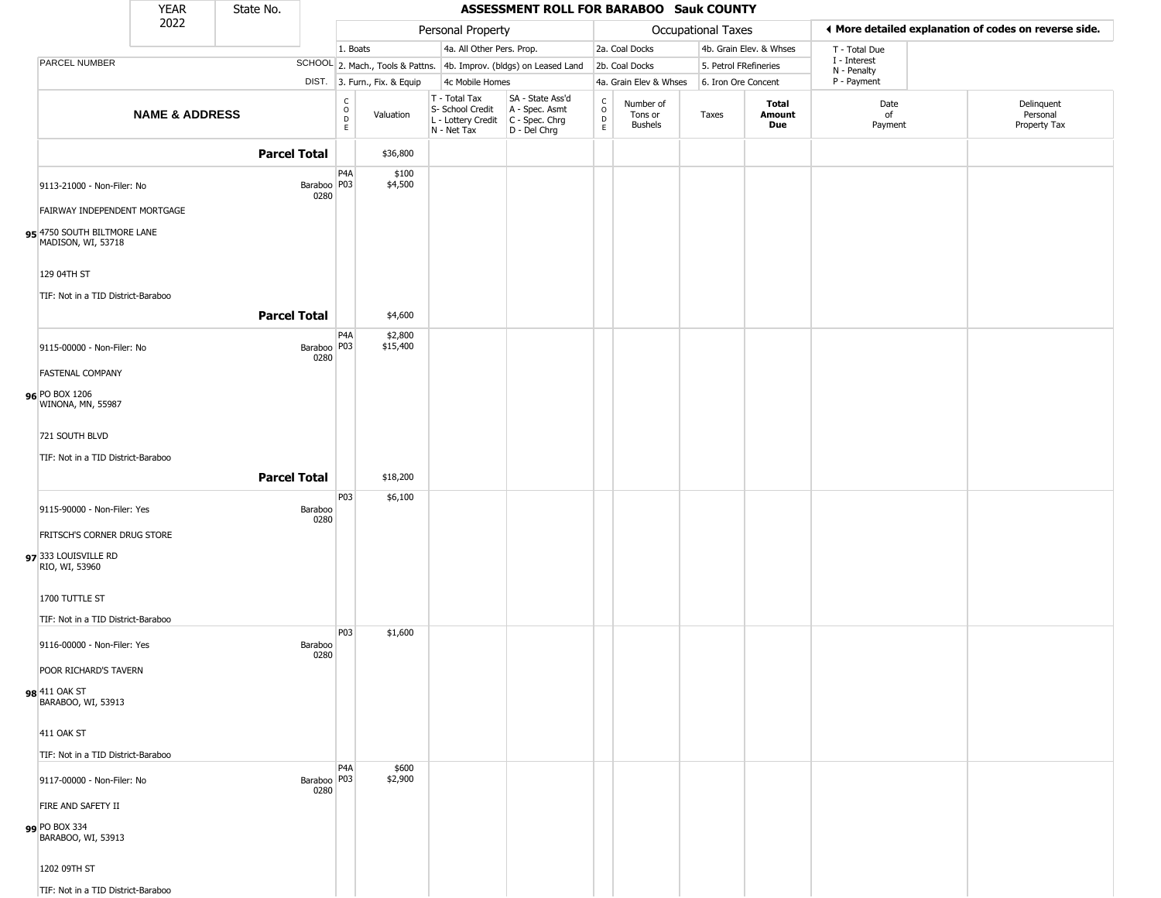|                                                   | <b>YEAR</b>               | State No.           |                                                 |                              |                                                                                         | <b>ASSESSMENT ROLL FOR BARABOO Sauk COUNTY</b>                      |                                                          |                                        |                       |                         |                             |                                                       |
|---------------------------------------------------|---------------------------|---------------------|-------------------------------------------------|------------------------------|-----------------------------------------------------------------------------------------|---------------------------------------------------------------------|----------------------------------------------------------|----------------------------------------|-----------------------|-------------------------|-----------------------------|-------------------------------------------------------|
|                                                   | 2022                      |                     |                                                 |                              | Personal Property                                                                       |                                                                     |                                                          |                                        | Occupational Taxes    |                         |                             | ◀ More detailed explanation of codes on reverse side. |
|                                                   |                           |                     |                                                 | 1. Boats                     | 4a. All Other Pers. Prop.                                                               |                                                                     |                                                          | 2a. Coal Docks                         |                       | 4b. Grain Elev. & Whses | T - Total Due               |                                                       |
| PARCEL NUMBER                                     |                           |                     |                                                 |                              |                                                                                         | SCHOOL 2. Mach., Tools & Pattns. 4b. Improv. (bldgs) on Leased Land |                                                          | 2b. Coal Docks                         | 5. Petrol FRefineries |                         | I - Interest<br>N - Penalty |                                                       |
|                                                   |                           |                     |                                                 | DIST. 3. Furn., Fix. & Equip | 4c Mobile Homes                                                                         |                                                                     |                                                          | 4a. Grain Elev & Whses                 | 6. Iron Ore Concent   |                         | P - Payment                 |                                                       |
|                                                   | <b>NAME &amp; ADDRESS</b> |                     | $\begin{array}{c} C \\ O \\ D \\ E \end{array}$ | Valuation                    | T - Total Tax<br>S- School Credit<br>L - Lottery Credit   C - Spec. Chrg<br>N - Net Tax | SA - State Ass'd<br>A - Spec. Asmt<br>D - Del Chrg                  | $\begin{smallmatrix} C \\ O \\ D \end{smallmatrix}$<br>E | Number of<br>Tons or<br><b>Bushels</b> | Taxes                 | Total<br>Amount<br>Due  | Date<br>of<br>Payment       | Delinquent<br>Personal<br>Property Tax                |
|                                                   |                           | <b>Parcel Total</b> |                                                 | \$36,800                     |                                                                                         |                                                                     |                                                          |                                        |                       |                         |                             |                                                       |
| 9113-21000 - Non-Filer: No                        |                           | 0280                | P <sub>4</sub> A<br>Baraboo   P03               | \$100<br>\$4,500             |                                                                                         |                                                                     |                                                          |                                        |                       |                         |                             |                                                       |
| FAIRWAY INDEPENDENT MORTGAGE                      |                           |                     |                                                 |                              |                                                                                         |                                                                     |                                                          |                                        |                       |                         |                             |                                                       |
| 95 4750 SOUTH BILTMORE LANE<br>MADISON, WI, 53718 |                           |                     |                                                 |                              |                                                                                         |                                                                     |                                                          |                                        |                       |                         |                             |                                                       |
| 129 04TH ST                                       |                           |                     |                                                 |                              |                                                                                         |                                                                     |                                                          |                                        |                       |                         |                             |                                                       |
| TIF: Not in a TID District-Baraboo                |                           |                     |                                                 |                              |                                                                                         |                                                                     |                                                          |                                        |                       |                         |                             |                                                       |
|                                                   |                           | <b>Parcel Total</b> | P <sub>4</sub> A                                | \$4,600<br>\$2,800           |                                                                                         |                                                                     |                                                          |                                        |                       |                         |                             |                                                       |
| 9115-00000 - Non-Filer: No                        |                           | 0280                | Baraboo P03                                     | \$15,400                     |                                                                                         |                                                                     |                                                          |                                        |                       |                         |                             |                                                       |
| <b>FASTENAL COMPANY</b>                           |                           |                     |                                                 |                              |                                                                                         |                                                                     |                                                          |                                        |                       |                         |                             |                                                       |
| 96 PO BOX 1206<br>WINONA, MN, 55987               |                           |                     |                                                 |                              |                                                                                         |                                                                     |                                                          |                                        |                       |                         |                             |                                                       |
| 721 SOUTH BLVD                                    |                           |                     |                                                 |                              |                                                                                         |                                                                     |                                                          |                                        |                       |                         |                             |                                                       |
| TIF: Not in a TID District-Baraboo                |                           |                     |                                                 |                              |                                                                                         |                                                                     |                                                          |                                        |                       |                         |                             |                                                       |
|                                                   |                           | <b>Parcel Total</b> |                                                 | \$18,200                     |                                                                                         |                                                                     |                                                          |                                        |                       |                         |                             |                                                       |
| 9115-90000 - Non-Filer: Yes                       |                           | Baraboo<br>0280     | P03                                             | \$6,100                      |                                                                                         |                                                                     |                                                          |                                        |                       |                         |                             |                                                       |
| FRITSCH'S CORNER DRUG STORE                       |                           |                     |                                                 |                              |                                                                                         |                                                                     |                                                          |                                        |                       |                         |                             |                                                       |
| 97 333 LOUISVILLE RD<br>RIO, WI, 53960            |                           |                     |                                                 |                              |                                                                                         |                                                                     |                                                          |                                        |                       |                         |                             |                                                       |
| 1700 TUTTLE ST                                    |                           |                     |                                                 |                              |                                                                                         |                                                                     |                                                          |                                        |                       |                         |                             |                                                       |
| TIF: Not in a TID District-Baraboo                |                           |                     |                                                 |                              |                                                                                         |                                                                     |                                                          |                                        |                       |                         |                             |                                                       |
| 9116-00000 - Non-Filer: Yes                       |                           | Baraboo<br>0280     | <b>P03</b>                                      | \$1,600                      |                                                                                         |                                                                     |                                                          |                                        |                       |                         |                             |                                                       |
| POOR RICHARD'S TAVERN                             |                           |                     |                                                 |                              |                                                                                         |                                                                     |                                                          |                                        |                       |                         |                             |                                                       |
| 98 <sup>411</sup> OAK ST<br>BARABOO, WI, 53913    |                           |                     |                                                 |                              |                                                                                         |                                                                     |                                                          |                                        |                       |                         |                             |                                                       |
| 411 OAK ST                                        |                           |                     |                                                 |                              |                                                                                         |                                                                     |                                                          |                                        |                       |                         |                             |                                                       |
| TIF: Not in a TID District-Baraboo                |                           |                     |                                                 |                              |                                                                                         |                                                                     |                                                          |                                        |                       |                         |                             |                                                       |
| 9117-00000 - Non-Filer: No                        |                           | 0280                | P <sub>4</sub> A<br>Baraboo   P03               | \$600<br>\$2,900             |                                                                                         |                                                                     |                                                          |                                        |                       |                         |                             |                                                       |
| FIRE AND SAFETY II                                |                           |                     |                                                 |                              |                                                                                         |                                                                     |                                                          |                                        |                       |                         |                             |                                                       |
| 99 PO BOX 334<br>BARABOO, WI, 53913               |                           |                     |                                                 |                              |                                                                                         |                                                                     |                                                          |                                        |                       |                         |                             |                                                       |
| 1202 09TH ST                                      |                           |                     |                                                 |                              |                                                                                         |                                                                     |                                                          |                                        |                       |                         |                             |                                                       |
| TIF: Not in a TID District-Baraboo                |                           |                     |                                                 |                              |                                                                                         |                                                                     |                                                          |                                        |                       |                         |                             |                                                       |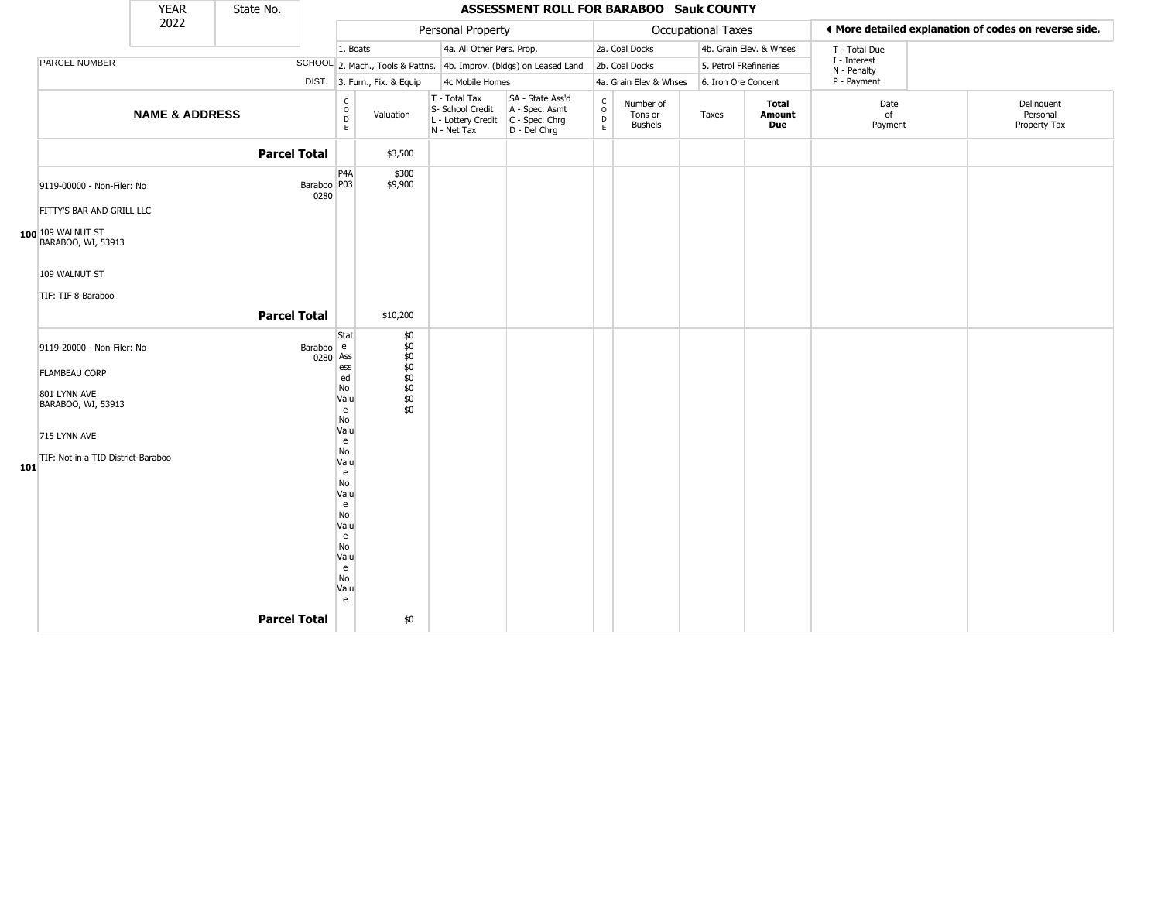|     |                                                                                          | <b>YEAR</b>               | State No.           |                       |                                                                                                             |                                                      |                                                                        | <b>ASSESSMENT ROLL FOR BARABOO Sauk COUNTY</b>                       |                                                   |                                        |                           |                         |                             |                                                       |
|-----|------------------------------------------------------------------------------------------|---------------------------|---------------------|-----------------------|-------------------------------------------------------------------------------------------------------------|------------------------------------------------------|------------------------------------------------------------------------|----------------------------------------------------------------------|---------------------------------------------------|----------------------------------------|---------------------------|-------------------------|-----------------------------|-------------------------------------------------------|
|     |                                                                                          | 2022                      |                     |                       |                                                                                                             |                                                      | Personal Property                                                      |                                                                      |                                                   |                                        | <b>Occupational Taxes</b> |                         |                             | ♦ More detailed explanation of codes on reverse side. |
|     |                                                                                          |                           |                     |                       | 1. Boats                                                                                                    |                                                      | 4a. All Other Pers. Prop.                                              |                                                                      |                                                   | 2a. Coal Docks                         |                           | 4b. Grain Elev. & Whses | T - Total Due               |                                                       |
|     | PARCEL NUMBER                                                                            |                           |                     |                       |                                                                                                             |                                                      |                                                                        | SCHOOL 2. Mach., Tools & Pattns. 4b. Improv. (bldgs) on Leased Land  |                                                   | 2b. Coal Docks                         | 5. Petrol FRefineries     |                         | I - Interest<br>N - Penalty |                                                       |
|     |                                                                                          |                           |                     | DIST.                 |                                                                                                             | 3. Furn., Fix. & Equip                               | 4c Mobile Homes                                                        |                                                                      |                                                   | 4a. Grain Elev & Whses                 | 6. Iron Ore Concent       |                         | P - Payment                 |                                                       |
|     |                                                                                          | <b>NAME &amp; ADDRESS</b> |                     |                       | $\begin{matrix} 0 \\ 0 \\ D \end{matrix}$<br>E                                                              | Valuation                                            | T - Total Tax<br>S- School Credit<br>L - Lottery Credit<br>N - Net Tax | SA - State Ass'd<br>A - Spec. Asmt<br>C - Spec. Chrg<br>D - Del Chrg | $\begin{array}{c}\nC \\ O \\ D \\ E\n\end{array}$ | Number of<br>Tons or<br><b>Bushels</b> | Taxes                     | Total<br>Amount<br>Due  | Date<br>of<br>Payment       | Delinquent<br>Personal<br>Property Tax                |
|     |                                                                                          |                           | <b>Parcel Total</b> |                       |                                                                                                             | \$3,500                                              |                                                                        |                                                                      |                                                   |                                        |                           |                         |                             |                                                       |
|     | 9119-00000 - Non-Filer: No<br>FITTY'S BAR AND GRILL LLC                                  |                           |                     | Baraboo   P03<br>0280 | P <sub>4</sub> A                                                                                            | \$300<br>\$9,900                                     |                                                                        |                                                                      |                                                   |                                        |                           |                         |                             |                                                       |
|     | 100 109 WALNUT ST<br>BARABOO, WI, 53913                                                  |                           |                     |                       |                                                                                                             |                                                      |                                                                        |                                                                      |                                                   |                                        |                           |                         |                             |                                                       |
|     | 109 WALNUT ST                                                                            |                           |                     |                       |                                                                                                             |                                                      |                                                                        |                                                                      |                                                   |                                        |                           |                         |                             |                                                       |
|     | TIF: TIF 8-Baraboo                                                                       |                           | <b>Parcel Total</b> |                       |                                                                                                             |                                                      |                                                                        |                                                                      |                                                   |                                        |                           |                         |                             |                                                       |
|     |                                                                                          |                           |                     |                       |                                                                                                             | \$10,200                                             |                                                                        |                                                                      |                                                   |                                        |                           |                         |                             |                                                       |
|     | 9119-20000 - Non-Filer: No<br><b>FLAMBEAU CORP</b><br>801 LYNN AVE<br>BARABOO, WI, 53913 |                           |                     | Baraboo e<br>0280 Ass | Stat<br>ess<br>ed<br>No<br>Valu<br>e<br>No                                                                  | \$0<br>\$0<br>\$0<br>\$0<br>\$0<br>\$0<br>\$0<br>\$0 |                                                                        |                                                                      |                                                   |                                        |                           |                         |                             |                                                       |
|     | 715 LYNN AVE                                                                             |                           |                     |                       | Valu                                                                                                        |                                                      |                                                                        |                                                                      |                                                   |                                        |                           |                         |                             |                                                       |
| 101 | TIF: Not in a TID District-Baraboo                                                       |                           | <b>Parcel Total</b> |                       | e<br>No<br>Valu<br>e<br>No<br>Valu<br>$\mathbf{e}$<br>No<br>Valu<br>e<br>No<br>Valu<br>e<br>No<br>Valu<br>e | \$0                                                  |                                                                        |                                                                      |                                                   |                                        |                           |                         |                             |                                                       |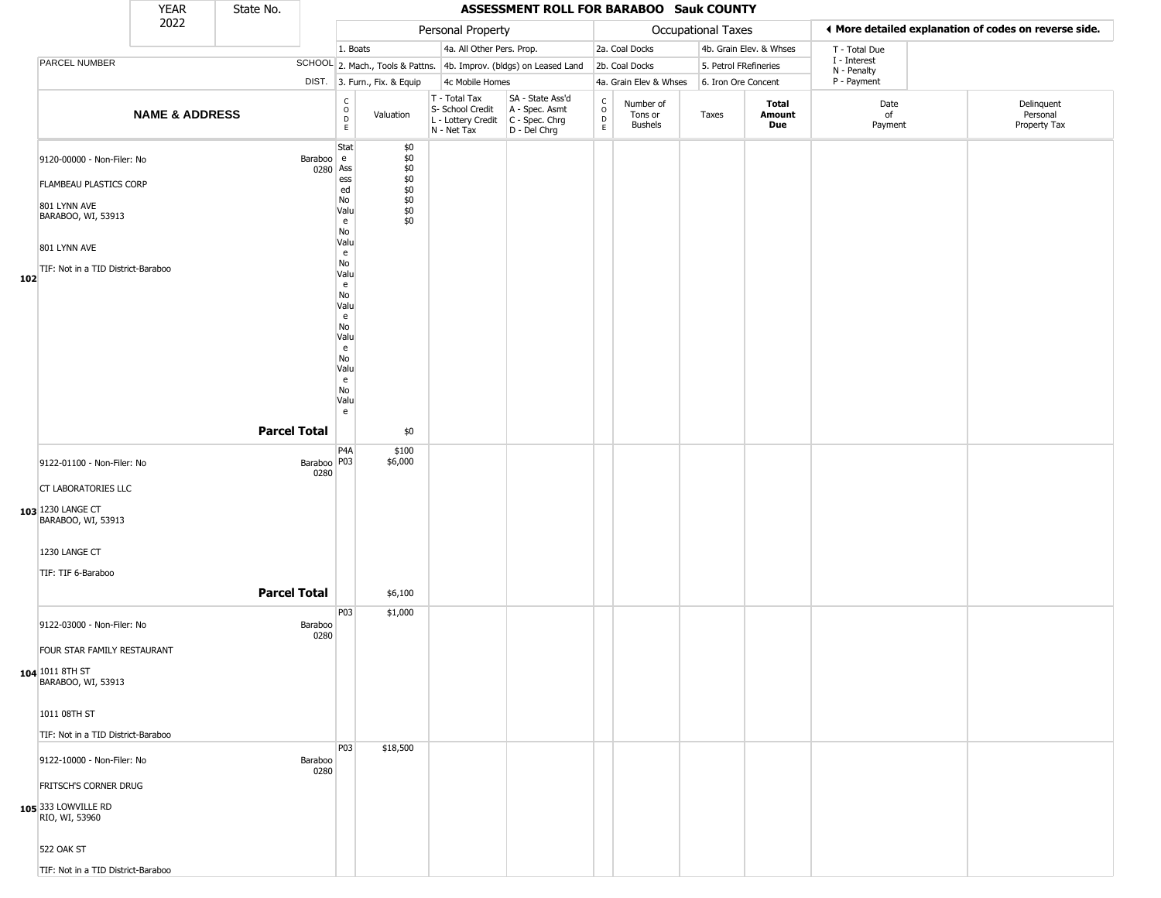|     |                                                                                                                                                         | <b>YEAR</b>               | State No.           |                       |                                                                                                                                           |                                                                  |                                                                        | ASSESSMENT ROLL FOR BARABOO Sauk COUNTY                                |                                                          |                                        |                           |                         |                             |                                                       |
|-----|---------------------------------------------------------------------------------------------------------------------------------------------------------|---------------------------|---------------------|-----------------------|-------------------------------------------------------------------------------------------------------------------------------------------|------------------------------------------------------------------|------------------------------------------------------------------------|------------------------------------------------------------------------|----------------------------------------------------------|----------------------------------------|---------------------------|-------------------------|-----------------------------|-------------------------------------------------------|
|     |                                                                                                                                                         | 2022                      |                     |                       |                                                                                                                                           |                                                                  | Personal Property                                                      |                                                                        |                                                          |                                        | <b>Occupational Taxes</b> |                         |                             | ♦ More detailed explanation of codes on reverse side. |
|     |                                                                                                                                                         |                           |                     |                       | 1. Boats                                                                                                                                  |                                                                  | 4a. All Other Pers. Prop.                                              |                                                                        |                                                          | 2a. Coal Docks                         |                           | 4b. Grain Elev. & Whses | T - Total Due               |                                                       |
|     | PARCEL NUMBER                                                                                                                                           |                           |                     |                       |                                                                                                                                           |                                                                  |                                                                        | SCHOOL 2. Mach., Tools & Pattns. 4b. Improv. (bldgs) on Leased Land    |                                                          | 2b. Coal Docks                         | 5. Petrol FRefineries     |                         | I - Interest<br>N - Penalty |                                                       |
|     |                                                                                                                                                         |                           |                     |                       |                                                                                                                                           | DIST. 3. Furn., Fix. & Equip                                     | 4c Mobile Homes                                                        |                                                                        |                                                          | 4a. Grain Elev & Whses                 | 6. Iron Ore Concent       |                         | P - Payment                 |                                                       |
|     |                                                                                                                                                         | <b>NAME &amp; ADDRESS</b> |                     |                       | $\begin{array}{c} C \\ O \\ D \\ E \end{array}$                                                                                           | Valuation                                                        | T - Total Tax<br>S- School Credit<br>L - Lottery Credit<br>N - Net Tax | SA - State Ass'd<br>A - Spec. Asmt<br>$C - Spec. Chrg$<br>D - Del Chrg | $\begin{smallmatrix} C \\ 0 \\ D \end{smallmatrix}$<br>E | Number of<br>Tons or<br><b>Bushels</b> | Taxes                     | Total<br>Amount<br>Due  | Date<br>of<br>Payment       | Delinquent<br>Personal<br>Property Tax                |
| 102 | 9120-00000 - Non-Filer: No<br><b>FLAMBEAU PLASTICS CORP</b><br>801 LYNN AVE<br>BARABOO, WI, 53913<br>801 LYNN AVE<br>TIF: Not in a TID District-Baraboo |                           |                     | Baraboo e<br>0280 Ass | Stat<br>ess<br>ed<br>No<br>Valu<br>e<br>No<br>Valu<br>e<br>No<br>Valu<br>e<br>No<br>Valu<br>e<br>No<br>Valu<br>e<br>No<br>Valu<br>e<br>No | \$0<br>\$0<br>\$0<br>\$0<br>$$0$<br>$$0$<br>$$0$<br>$$0$<br>$$0$ |                                                                        |                                                                        |                                                          |                                        |                           |                         |                             |                                                       |
|     | 9122-01100 - Non-Filer: No                                                                                                                              |                           | <b>Parcel Total</b> | Baraboo   P03<br>0280 | Valu<br>e<br>P4A                                                                                                                          | \$0<br>\$100<br>\$6,000                                          |                                                                        |                                                                        |                                                          |                                        |                           |                         |                             |                                                       |
|     | CT LABORATORIES LLC<br>103 1230 LANGE CT<br>BARABOO, WI, 53913<br>1230 LANGE CT                                                                         |                           |                     |                       |                                                                                                                                           |                                                                  |                                                                        |                                                                        |                                                          |                                        |                           |                         |                             |                                                       |
|     | TIF: TIF 6-Baraboo                                                                                                                                      |                           |                     |                       |                                                                                                                                           |                                                                  |                                                                        |                                                                        |                                                          |                                        |                           |                         |                             |                                                       |
|     |                                                                                                                                                         |                           | <b>Parcel Total</b> |                       |                                                                                                                                           | \$6,100                                                          |                                                                        |                                                                        |                                                          |                                        |                           |                         |                             |                                                       |
|     | 9122-03000 - Non-Filer: No<br>FOUR STAR FAMILY RESTAURANT<br>104 1011 8TH ST<br>BARABOO, WI, 53913                                                      |                           |                     | Baraboo<br>0280       | P03                                                                                                                                       | \$1,000                                                          |                                                                        |                                                                        |                                                          |                                        |                           |                         |                             |                                                       |
|     | 1011 08TH ST                                                                                                                                            |                           |                     |                       |                                                                                                                                           |                                                                  |                                                                        |                                                                        |                                                          |                                        |                           |                         |                             |                                                       |
|     | TIF: Not in a TID District-Baraboo<br>9122-10000 - Non-Filer: No<br>FRITSCH'S CORNER DRUG<br>105 333 LOWVILLE RD<br>RIO, WI, 53960<br>522 OAK ST        |                           |                     | Baraboo<br>0280       | <b>P03</b>                                                                                                                                | \$18,500                                                         |                                                                        |                                                                        |                                                          |                                        |                           |                         |                             |                                                       |
|     | TIF: Not in a TID District-Baraboo                                                                                                                      |                           |                     |                       |                                                                                                                                           |                                                                  |                                                                        |                                                                        |                                                          |                                        |                           |                         |                             |                                                       |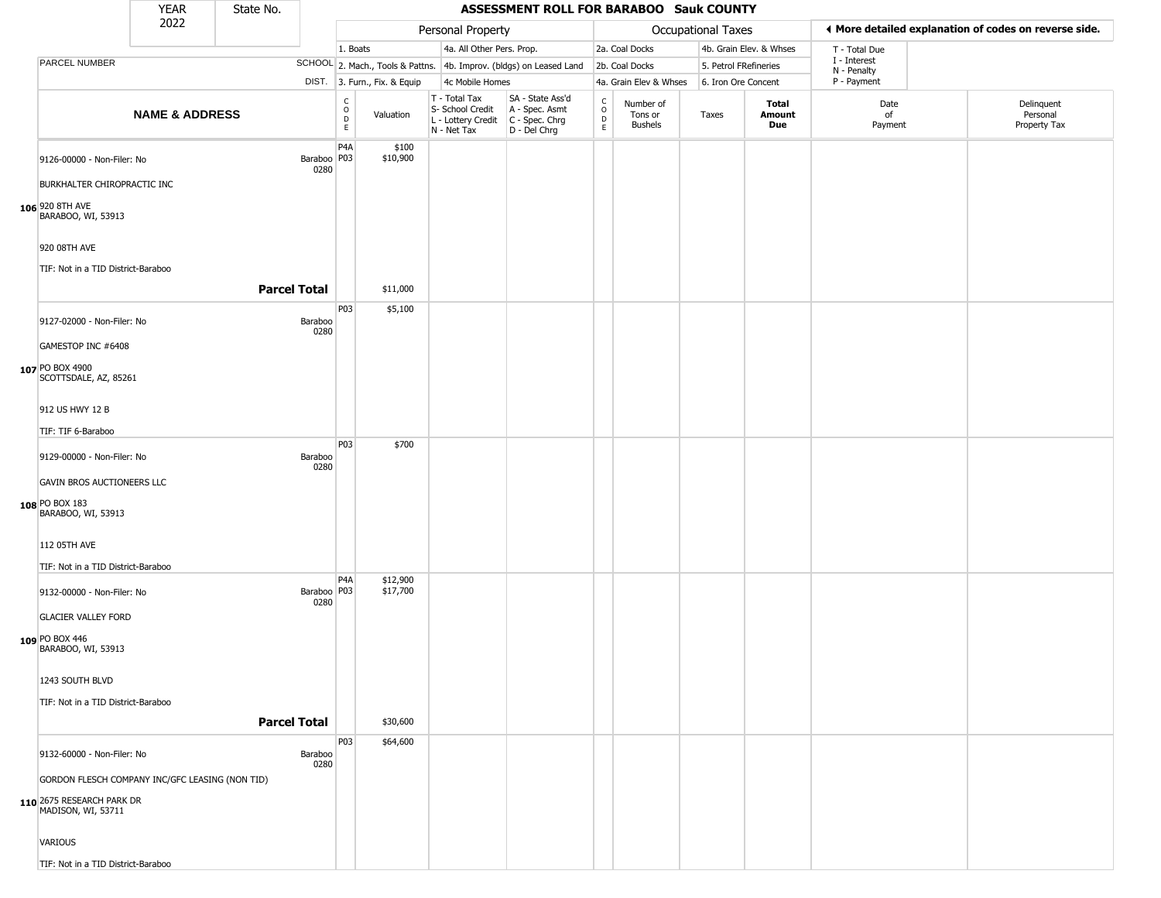|                                                                                                                                                                                   | <b>YEAR</b>               | State No.           |                     |                                                      |                              |                                                                        | ASSESSMENT ROLL FOR BARABOO Sauk COUNTY                              |                                                  |                                        |                           |                               |                             |                                                       |
|-----------------------------------------------------------------------------------------------------------------------------------------------------------------------------------|---------------------------|---------------------|---------------------|------------------------------------------------------|------------------------------|------------------------------------------------------------------------|----------------------------------------------------------------------|--------------------------------------------------|----------------------------------------|---------------------------|-------------------------------|-----------------------------|-------------------------------------------------------|
|                                                                                                                                                                                   | 2022                      |                     |                     |                                                      |                              | Personal Property                                                      |                                                                      |                                                  |                                        | <b>Occupational Taxes</b> |                               |                             | ♦ More detailed explanation of codes on reverse side. |
|                                                                                                                                                                                   |                           |                     |                     | 1. Boats                                             |                              | 4a. All Other Pers. Prop.                                              |                                                                      |                                                  | 2a. Coal Docks                         |                           | 4b. Grain Elev. & Whses       | T - Total Due               |                                                       |
| PARCEL NUMBER                                                                                                                                                                     |                           |                     |                     |                                                      |                              |                                                                        | SCHOOL 2. Mach., Tools & Pattns. 4b. Improv. (bldgs) on Leased Land  |                                                  | 2b. Coal Docks                         | 5. Petrol FRefineries     |                               | I - Interest<br>N - Penalty |                                                       |
|                                                                                                                                                                                   |                           |                     |                     |                                                      | DIST. 3. Furn., Fix. & Equip | 4c Mobile Homes                                                        |                                                                      |                                                  | 4a. Grain Elev & Whses                 | 6. Iron Ore Concent       |                               | P - Payment                 |                                                       |
|                                                                                                                                                                                   | <b>NAME &amp; ADDRESS</b> |                     |                     | $\mathsf C$<br>$\circ$<br>$\mathsf D$<br>$\mathsf E$ | Valuation                    | T - Total Tax<br>S- School Credit<br>L - Lottery Credit<br>N - Net Tax | SA - State Ass'd<br>A - Spec. Asmt<br>C - Spec. Chrg<br>D - Del Chrg | $_{\rm o}^{\rm c}$<br>$\mathsf D$<br>$\mathsf E$ | Number of<br>Tons or<br><b>Bushels</b> | Taxes                     | Total<br>Amount<br><b>Due</b> | Date<br>of<br>Payment       | Delinquent<br>Personal<br>Property Tax                |
| 9126-00000 - Non-Filer: No<br>BURKHALTER CHIROPRACTIC INC<br><b>106</b> 920 8TH AVE<br>BARABOO, WI, 53913                                                                         |                           |                     | Baraboo P03<br>0280 | P4A                                                  | \$100<br>\$10,900            |                                                                        |                                                                      |                                                  |                                        |                           |                               |                             |                                                       |
| 920 08TH AVE<br>TIF: Not in a TID District-Baraboo                                                                                                                                |                           | <b>Parcel Total</b> |                     |                                                      | \$11,000                     |                                                                        |                                                                      |                                                  |                                        |                           |                               |                             |                                                       |
| 9127-02000 - Non-Filer: No<br>GAMESTOP INC #6408<br>107 PO BOX 4900<br>SCOTTSDALE, AZ, 85261                                                                                      |                           |                     | Baraboo<br>0280     | P03                                                  | \$5,100                      |                                                                        |                                                                      |                                                  |                                        |                           |                               |                             |                                                       |
| 912 US HWY 12 B<br>TIF: TIF 6-Baraboo                                                                                                                                             |                           |                     |                     | P03                                                  | \$700                        |                                                                        |                                                                      |                                                  |                                        |                           |                               |                             |                                                       |
| 9129-00000 - Non-Filer: No<br>GAVIN BROS AUCTIONEERS LLC<br>108 PO BOX 183<br>BARABOO, WI, 53913<br>112 05TH AVE<br>TIF: Not in a TID District-Baraboo                            |                           |                     | Baraboo<br>0280     |                                                      |                              |                                                                        |                                                                      |                                                  |                                        |                           |                               |                             |                                                       |
| 9132-00000 - Non-Filer: No<br><b>GLACIER VALLEY FORD</b><br>109 PO BOX 446<br>BARABOO, WI, 53913<br>1243 SOUTH BLVD<br>TIF: Not in a TID District-Baraboo                         |                           |                     | Baraboo P03<br>0280 | P4A                                                  | \$12,900<br>\$17,700         |                                                                        |                                                                      |                                                  |                                        |                           |                               |                             |                                                       |
|                                                                                                                                                                                   |                           | <b>Parcel Total</b> |                     |                                                      | \$30,600                     |                                                                        |                                                                      |                                                  |                                        |                           |                               |                             |                                                       |
| 9132-60000 - Non-Filer: No<br>GORDON FLESCH COMPANY INC/GFC LEASING (NON TID)<br>110 2675 RESEARCH PARK DR<br>MADISON, WI, 53711<br>VARIOUS<br>TIF: Not in a TID District-Baraboo |                           |                     | Baraboo<br>0280     | P03                                                  | \$64,600                     |                                                                        |                                                                      |                                                  |                                        |                           |                               |                             |                                                       |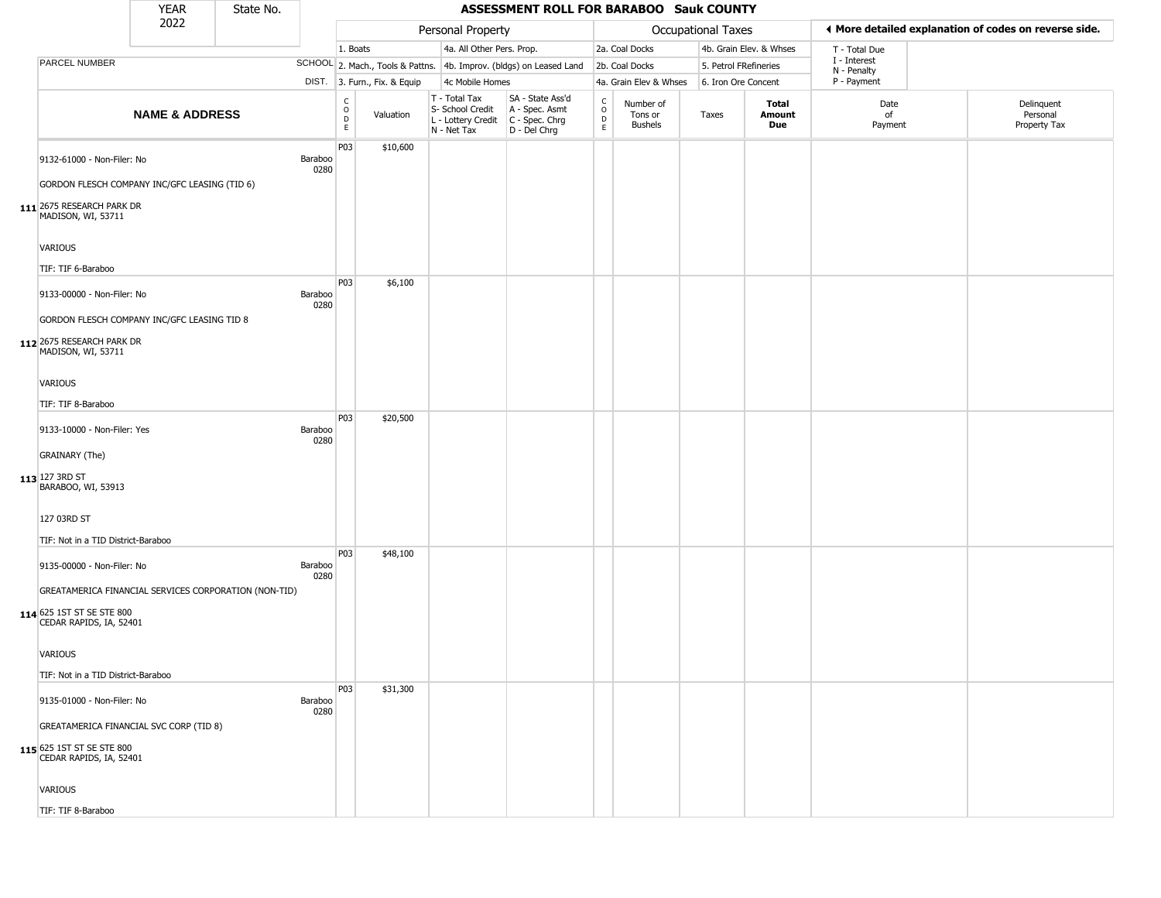|                                                                                                               | <b>YEAR</b>               | State No. |                 |                                                          |                              |                                                                                             | ASSESSMENT ROLL FOR BARABOO Sauk COUNTY                             |                                   |                                        |                       |                         |                             |                                                       |
|---------------------------------------------------------------------------------------------------------------|---------------------------|-----------|-----------------|----------------------------------------------------------|------------------------------|---------------------------------------------------------------------------------------------|---------------------------------------------------------------------|-----------------------------------|----------------------------------------|-----------------------|-------------------------|-----------------------------|-------------------------------------------------------|
|                                                                                                               | 2022                      |           |                 |                                                          |                              | Personal Property                                                                           |                                                                     |                                   |                                        | Occupational Taxes    |                         |                             | ◀ More detailed explanation of codes on reverse side. |
|                                                                                                               |                           |           |                 | 1. Boats                                                 |                              | 4a. All Other Pers. Prop.                                                                   |                                                                     |                                   | 2a. Coal Docks                         |                       | 4b. Grain Elev. & Whses | T - Total Due               |                                                       |
| PARCEL NUMBER                                                                                                 |                           |           |                 |                                                          |                              |                                                                                             | SCHOOL 2. Mach., Tools & Pattns. 4b. Improv. (bldgs) on Leased Land |                                   | 2b. Coal Docks                         | 5. Petrol FRefineries |                         | I - Interest<br>N - Penalty |                                                       |
|                                                                                                               |                           |           |                 |                                                          | DIST. 3. Furn., Fix. & Equip | 4c Mobile Homes                                                                             |                                                                     |                                   | 4a. Grain Elev & Whses                 | 6. Iron Ore Concent   |                         | P - Payment                 |                                                       |
|                                                                                                               | <b>NAME &amp; ADDRESS</b> |           |                 | $\begin{smallmatrix} C \\ O \\ D \end{smallmatrix}$<br>E | Valuation                    | T - Total Tax<br>S- School Credit<br>$ L -$ Lottery Credit $ C -$ Spec. Chrg<br>N - Net Tax | SA - State Ass'd<br>A - Spec. Asmt<br>D - Del Chrg                  | $\frac{c}{0}$<br>$\mathsf D$<br>E | Number of<br>Tons or<br><b>Bushels</b> | Taxes                 | Total<br>Amount<br>Due  | Date<br>of<br>Payment       | Delinquent<br>Personal<br>Property Tax                |
| 9132-61000 - Non-Filer: No<br>GORDON FLESCH COMPANY INC/GFC LEASING (TID 6)                                   |                           |           | Baraboo<br>0280 | P03                                                      | \$10,600                     |                                                                                             |                                                                     |                                   |                                        |                       |                         |                             |                                                       |
| $111$ 2675 RESEARCH PARK DR<br>MADISON, WI, 53711                                                             |                           |           |                 |                                                          |                              |                                                                                             |                                                                     |                                   |                                        |                       |                         |                             |                                                       |
| VARIOUS<br>TIF: TIF 6-Baraboo                                                                                 |                           |           |                 |                                                          |                              |                                                                                             |                                                                     |                                   |                                        |                       |                         |                             |                                                       |
| 9133-00000 - Non-Filer: No                                                                                    |                           |           | Baraboo<br>0280 | P03                                                      | \$6,100                      |                                                                                             |                                                                     |                                   |                                        |                       |                         |                             |                                                       |
| GORDON FLESCH COMPANY INC/GFC LEASING TID 8<br>112 2675 RESEARCH PARK DR<br>MADISON, WI, 53711                |                           |           |                 |                                                          |                              |                                                                                             |                                                                     |                                   |                                        |                       |                         |                             |                                                       |
| VARIOUS<br>TIF: TIF 8-Baraboo                                                                                 |                           |           |                 |                                                          |                              |                                                                                             |                                                                     |                                   |                                        |                       |                         |                             |                                                       |
| 9133-10000 - Non-Filer: Yes                                                                                   |                           |           | Baraboo<br>0280 | P03                                                      | \$20,500                     |                                                                                             |                                                                     |                                   |                                        |                       |                         |                             |                                                       |
| <b>GRAINARY</b> (The)<br>$113$ 127 3RD ST<br>BARABOO, WI, 53913                                               |                           |           |                 |                                                          |                              |                                                                                             |                                                                     |                                   |                                        |                       |                         |                             |                                                       |
| 127 03RD ST<br>TIF: Not in a TID District-Baraboo                                                             |                           |           |                 |                                                          |                              |                                                                                             |                                                                     |                                   |                                        |                       |                         |                             |                                                       |
| 9135-00000 - Non-Filer: No                                                                                    |                           |           | Baraboo<br>0280 | P <sub>0</sub> 3                                         | \$48,100                     |                                                                                             |                                                                     |                                   |                                        |                       |                         |                             |                                                       |
| GREATAMERICA FINANCIAL SERVICES CORPORATION (NON-TID)<br>114 625 1ST ST SE STE 800<br>CEDAR RAPIDS, IA, 52401 |                           |           |                 |                                                          |                              |                                                                                             |                                                                     |                                   |                                        |                       |                         |                             |                                                       |
| VARIOUS                                                                                                       |                           |           |                 |                                                          |                              |                                                                                             |                                                                     |                                   |                                        |                       |                         |                             |                                                       |
| TIF: Not in a TID District-Baraboo                                                                            |                           |           |                 | P03                                                      | \$31,300                     |                                                                                             |                                                                     |                                   |                                        |                       |                         |                             |                                                       |
| 9135-01000 - Non-Filer: No                                                                                    |                           |           | Baraboo<br>0280 |                                                          |                              |                                                                                             |                                                                     |                                   |                                        |                       |                         |                             |                                                       |
| GREATAMERICA FINANCIAL SVC CORP (TID 8)<br>115 625 1ST ST SE STE 800<br>CEDAR RAPIDS, IA, 52401               |                           |           |                 |                                                          |                              |                                                                                             |                                                                     |                                   |                                        |                       |                         |                             |                                                       |
| <b>VARIOUS</b>                                                                                                |                           |           |                 |                                                          |                              |                                                                                             |                                                                     |                                   |                                        |                       |                         |                             |                                                       |
| TIF: TIF 8-Baraboo                                                                                            |                           |           |                 |                                                          |                              |                                                                                             |                                                                     |                                   |                                        |                       |                         |                             |                                                       |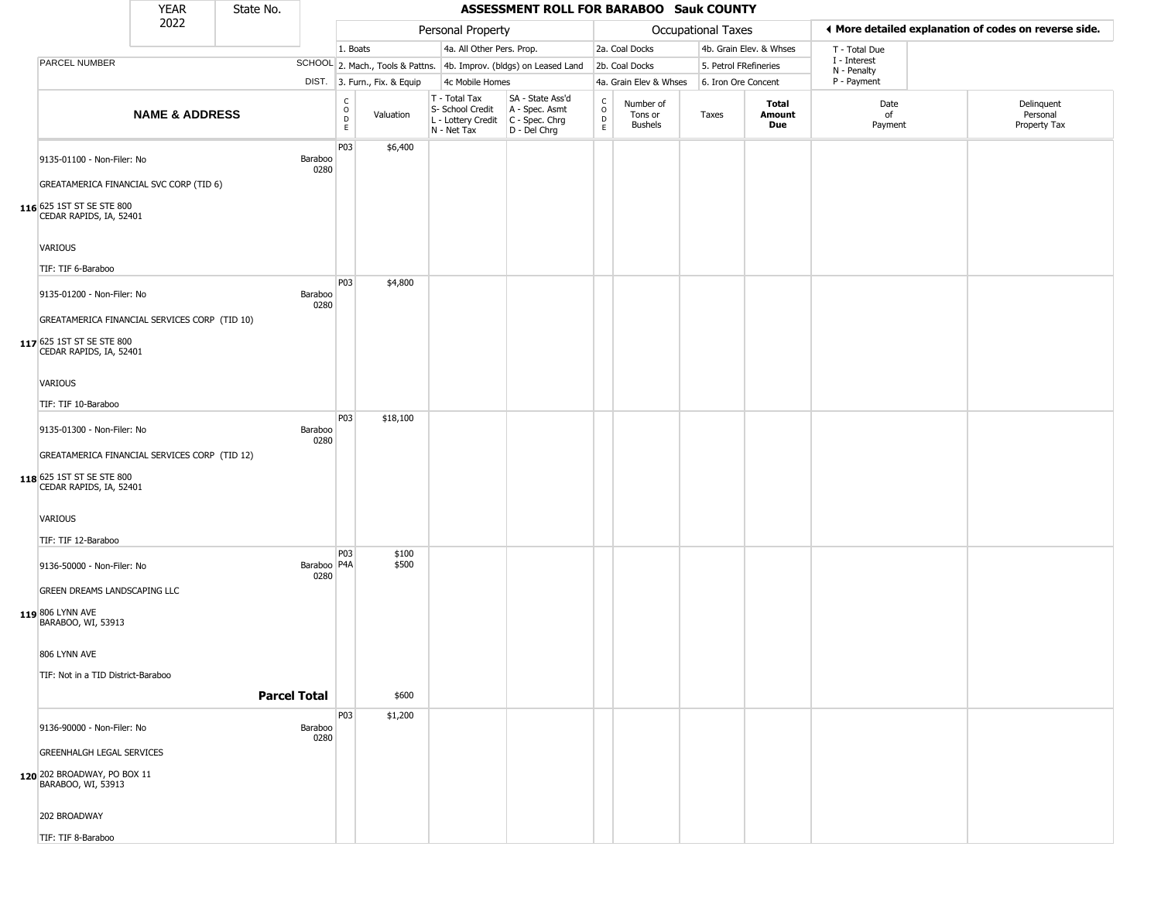|                                                                                                                                     | <b>YEAR</b>               | State No. |                       |                                |                              |                                                                        | ASSESSMENT ROLL FOR BARABOO Sauk COUNTY                                |                                             |                                 |                       |                         |                             |                                                       |  |
|-------------------------------------------------------------------------------------------------------------------------------------|---------------------------|-----------|-----------------------|--------------------------------|------------------------------|------------------------------------------------------------------------|------------------------------------------------------------------------|---------------------------------------------|---------------------------------|-----------------------|-------------------------|-----------------------------|-------------------------------------------------------|--|
|                                                                                                                                     | 2022                      |           |                       |                                |                              | Personal Property                                                      |                                                                        |                                             |                                 | Occupational Taxes    |                         |                             | ◀ More detailed explanation of codes on reverse side. |  |
|                                                                                                                                     |                           |           |                       | 1. Boats                       |                              | 4a. All Other Pers. Prop.                                              |                                                                        |                                             | 2a. Coal Docks                  |                       | 4b. Grain Elev. & Whses | T - Total Due               |                                                       |  |
| PARCEL NUMBER                                                                                                                       |                           |           |                       |                                |                              |                                                                        | SCHOOL 2. Mach., Tools & Pattns. 4b. Improv. (bldgs) on Leased Land    |                                             | 2b. Coal Docks                  | 5. Petrol FRefineries |                         | I - Interest<br>N - Penalty |                                                       |  |
|                                                                                                                                     |                           |           |                       |                                | DIST. 3. Furn., Fix. & Equip | 4c Mobile Homes                                                        |                                                                        |                                             | 4a. Grain Elev & Whses          | 6. Iron Ore Concent   |                         | P - Payment                 |                                                       |  |
|                                                                                                                                     | <b>NAME &amp; ADDRESS</b> |           |                       | $\rm _o^C$<br>D<br>$\mathsf E$ | Valuation                    | T - Total Tax<br>S- School Credit<br>L - Lottery Credit<br>N - Net Tax | SA - State Ass'd<br>A - Spec. Asmt<br>$C - Spec. Chrg$<br>D - Del Chrg | $\frac{C}{O}$<br>$\mathsf D$<br>$\mathsf E$ | Number of<br>Tons or<br>Bushels | Taxes                 | Total<br>Amount<br>Due  | Date<br>of<br>Payment       | Delinquent<br>Personal<br>Property Tax                |  |
| 9135-01100 - Non-Filer: No<br>GREATAMERICA FINANCIAL SVC CORP (TID 6)                                                               |                           |           | Baraboo<br>0280       | P03                            | \$6,400                      |                                                                        |                                                                        |                                             |                                 |                       |                         |                             |                                                       |  |
| 116 625 1ST ST SE STE 800<br>CEDAR RAPIDS, IA, 52401<br><b>VARIOUS</b>                                                              |                           |           |                       |                                |                              |                                                                        |                                                                        |                                             |                                 |                       |                         |                             |                                                       |  |
| TIF: TIF 6-Baraboo                                                                                                                  |                           |           |                       | P <sub>0</sub> 3               | \$4,800                      |                                                                        |                                                                        |                                             |                                 |                       |                         |                             |                                                       |  |
| 9135-01200 - Non-Filer: No<br>GREATAMERICA FINANCIAL SERVICES CORP (TID 10)<br>117 625 1ST ST SE STE 800                            |                           |           | Baraboo<br>0280       |                                |                              |                                                                        |                                                                        |                                             |                                 |                       |                         |                             |                                                       |  |
| CEDAR RAPIDS, IA, 52401<br><b>VARIOUS</b>                                                                                           |                           |           |                       |                                |                              |                                                                        |                                                                        |                                             |                                 |                       |                         |                             |                                                       |  |
| TIF: TIF 10-Baraboo                                                                                                                 |                           |           |                       | P03                            | \$18,100                     |                                                                        |                                                                        |                                             |                                 |                       |                         |                             |                                                       |  |
| 9135-01300 - Non-Filer: No<br>GREATAMERICA FINANCIAL SERVICES CORP (TID 12)<br>118 625 1ST ST SE STE 800<br>CEDAR RAPIDS, IA, 52401 |                           |           | Baraboo<br>0280       |                                |                              |                                                                        |                                                                        |                                             |                                 |                       |                         |                             |                                                       |  |
| VARIOUS                                                                                                                             |                           |           |                       |                                |                              |                                                                        |                                                                        |                                             |                                 |                       |                         |                             |                                                       |  |
| TIF: TIF 12-Baraboo                                                                                                                 |                           |           |                       | P <sub>03</sub>                | \$100                        |                                                                        |                                                                        |                                             |                                 |                       |                         |                             |                                                       |  |
| 9136-50000 - Non-Filer: No<br><b>GREEN DREAMS LANDSCAPING LLC</b>                                                                   |                           |           | Baraboo   P4A<br>0280 |                                | \$500                        |                                                                        |                                                                        |                                             |                                 |                       |                         |                             |                                                       |  |
| 119 806 LYNN AVE<br>BARABOO, WI, 53913                                                                                              |                           |           |                       |                                |                              |                                                                        |                                                                        |                                             |                                 |                       |                         |                             |                                                       |  |
| 806 LYNN AVE                                                                                                                        |                           |           |                       |                                |                              |                                                                        |                                                                        |                                             |                                 |                       |                         |                             |                                                       |  |
| TIF: Not in a TID District-Baraboo                                                                                                  |                           |           | <b>Parcel Total</b>   |                                | \$600                        |                                                                        |                                                                        |                                             |                                 |                       |                         |                             |                                                       |  |
|                                                                                                                                     |                           |           |                       | P03                            | \$1,200                      |                                                                        |                                                                        |                                             |                                 |                       |                         |                             |                                                       |  |
| 9136-90000 - Non-Filer: No<br><b>GREENHALGH LEGAL SERVICES</b><br>120 202 BROADWAY, PO BOX 11                                       |                           |           | Baraboo<br>0280       |                                |                              |                                                                        |                                                                        |                                             |                                 |                       |                         |                             |                                                       |  |
| BARABOO, WI, 53913                                                                                                                  |                           |           |                       |                                |                              |                                                                        |                                                                        |                                             |                                 |                       |                         |                             |                                                       |  |
| 202 BROADWAY<br>TIF: TIF 8-Baraboo                                                                                                  |                           |           |                       |                                |                              |                                                                        |                                                                        |                                             |                                 |                       |                         |                             |                                                       |  |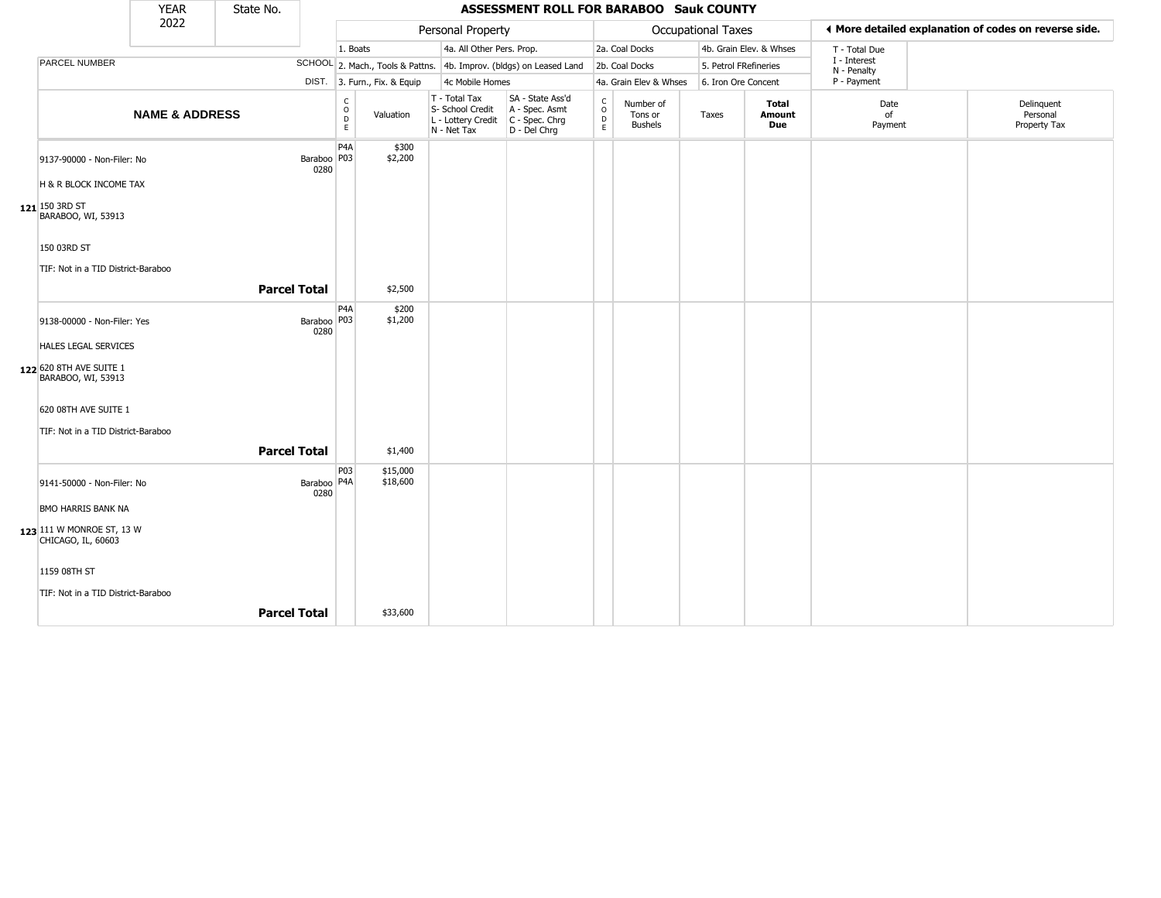|                                                      | <b>YEAR</b>               | State No.           |                       |                                                |                              |                                                                        | <b>ASSESSMENT ROLL FOR BARABOO Sauk COUNTY</b>                       |                                                  |                                        |                           |                               |                             |                                                       |
|------------------------------------------------------|---------------------------|---------------------|-----------------------|------------------------------------------------|------------------------------|------------------------------------------------------------------------|----------------------------------------------------------------------|--------------------------------------------------|----------------------------------------|---------------------------|-------------------------------|-----------------------------|-------------------------------------------------------|
|                                                      | 2022                      |                     |                       |                                                |                              | Personal Property                                                      |                                                                      |                                                  |                                        | <b>Occupational Taxes</b> |                               |                             | ♦ More detailed explanation of codes on reverse side. |
|                                                      |                           |                     |                       | 1. Boats                                       |                              | 4a. All Other Pers. Prop.                                              |                                                                      |                                                  | 2a. Coal Docks                         |                           | 4b. Grain Elev. & Whses       | T - Total Due               |                                                       |
| PARCEL NUMBER                                        |                           |                     |                       |                                                |                              |                                                                        | SCHOOL 2. Mach., Tools & Pattns. 4b. Improv. (bldgs) on Leased Land  |                                                  | 2b. Coal Docks                         | 5. Petrol FRefineries     |                               | I - Interest<br>N - Penalty |                                                       |
|                                                      |                           |                     |                       |                                                | DIST. 3. Furn., Fix. & Equip | 4c Mobile Homes                                                        |                                                                      |                                                  | 4a. Grain Elev & Whses                 | 6. Iron Ore Concent       |                               | P - Payment                 |                                                       |
|                                                      | <b>NAME &amp; ADDRESS</b> |                     |                       | $\begin{matrix} 0 \\ 0 \\ D \end{matrix}$<br>E | Valuation                    | T - Total Tax<br>S- School Credit<br>L - Lottery Credit<br>N - Net Tax | SA - State Ass'd<br>A - Spec. Asmt<br>C - Spec. Chrg<br>D - Del Chrg | $_{\rm o}^{\rm c}$<br>$\mathsf D$<br>$\mathsf E$ | Number of<br>Tons or<br><b>Bushels</b> | Taxes                     | Total<br>Amount<br><b>Due</b> | Date<br>of<br>Payment       | Delinquent<br>Personal<br>Property Tax                |
| 9137-90000 - Non-Filer: No<br>H & R BLOCK INCOME TAX |                           |                     | Baraboo   P03<br>0280 | P <sub>4</sub> A                               | \$300<br>\$2,200             |                                                                        |                                                                      |                                                  |                                        |                           |                               |                             |                                                       |
| $121$ 150 3RD ST<br>BARABOO, WI, 53913               |                           |                     |                       |                                                |                              |                                                                        |                                                                      |                                                  |                                        |                           |                               |                             |                                                       |
| 150 03RD ST                                          |                           |                     |                       |                                                |                              |                                                                        |                                                                      |                                                  |                                        |                           |                               |                             |                                                       |
| TIF: Not in a TID District-Baraboo                   |                           |                     |                       |                                                |                              |                                                                        |                                                                      |                                                  |                                        |                           |                               |                             |                                                       |
|                                                      |                           | <b>Parcel Total</b> |                       |                                                | \$2,500                      |                                                                        |                                                                      |                                                  |                                        |                           |                               |                             |                                                       |
|                                                      |                           |                     |                       | P <sub>4</sub> A                               | \$200                        |                                                                        |                                                                      |                                                  |                                        |                           |                               |                             |                                                       |
| 9138-00000 - Non-Filer: Yes                          |                           |                     | Baraboo   P03<br>0280 |                                                | \$1,200                      |                                                                        |                                                                      |                                                  |                                        |                           |                               |                             |                                                       |
| HALES LEGAL SERVICES                                 |                           |                     |                       |                                                |                              |                                                                        |                                                                      |                                                  |                                        |                           |                               |                             |                                                       |
| 122 620 8TH AVE SUITE 1<br>BARABOO, WI, 53913        |                           |                     |                       |                                                |                              |                                                                        |                                                                      |                                                  |                                        |                           |                               |                             |                                                       |
| 620 08TH AVE SUITE 1                                 |                           |                     |                       |                                                |                              |                                                                        |                                                                      |                                                  |                                        |                           |                               |                             |                                                       |
| TIF: Not in a TID District-Baraboo                   |                           |                     |                       |                                                |                              |                                                                        |                                                                      |                                                  |                                        |                           |                               |                             |                                                       |
|                                                      |                           | <b>Parcel Total</b> |                       |                                                | \$1,400                      |                                                                        |                                                                      |                                                  |                                        |                           |                               |                             |                                                       |
| 9141-50000 - Non-Filer: No                           |                           |                     | Baraboo   P4A<br>0280 | P03                                            | \$15,000<br>\$18,600         |                                                                        |                                                                      |                                                  |                                        |                           |                               |                             |                                                       |
| <b>BMO HARRIS BANK NA</b>                            |                           |                     |                       |                                                |                              |                                                                        |                                                                      |                                                  |                                        |                           |                               |                             |                                                       |
| 123 111 W MONROE ST, 13 W<br>CHICAGO, IL, 60603      |                           |                     |                       |                                                |                              |                                                                        |                                                                      |                                                  |                                        |                           |                               |                             |                                                       |
| 1159 08TH ST                                         |                           |                     |                       |                                                |                              |                                                                        |                                                                      |                                                  |                                        |                           |                               |                             |                                                       |
| TIF: Not in a TID District-Baraboo                   |                           |                     |                       |                                                |                              |                                                                        |                                                                      |                                                  |                                        |                           |                               |                             |                                                       |
|                                                      |                           | <b>Parcel Total</b> |                       |                                                | \$33,600                     |                                                                        |                                                                      |                                                  |                                        |                           |                               |                             |                                                       |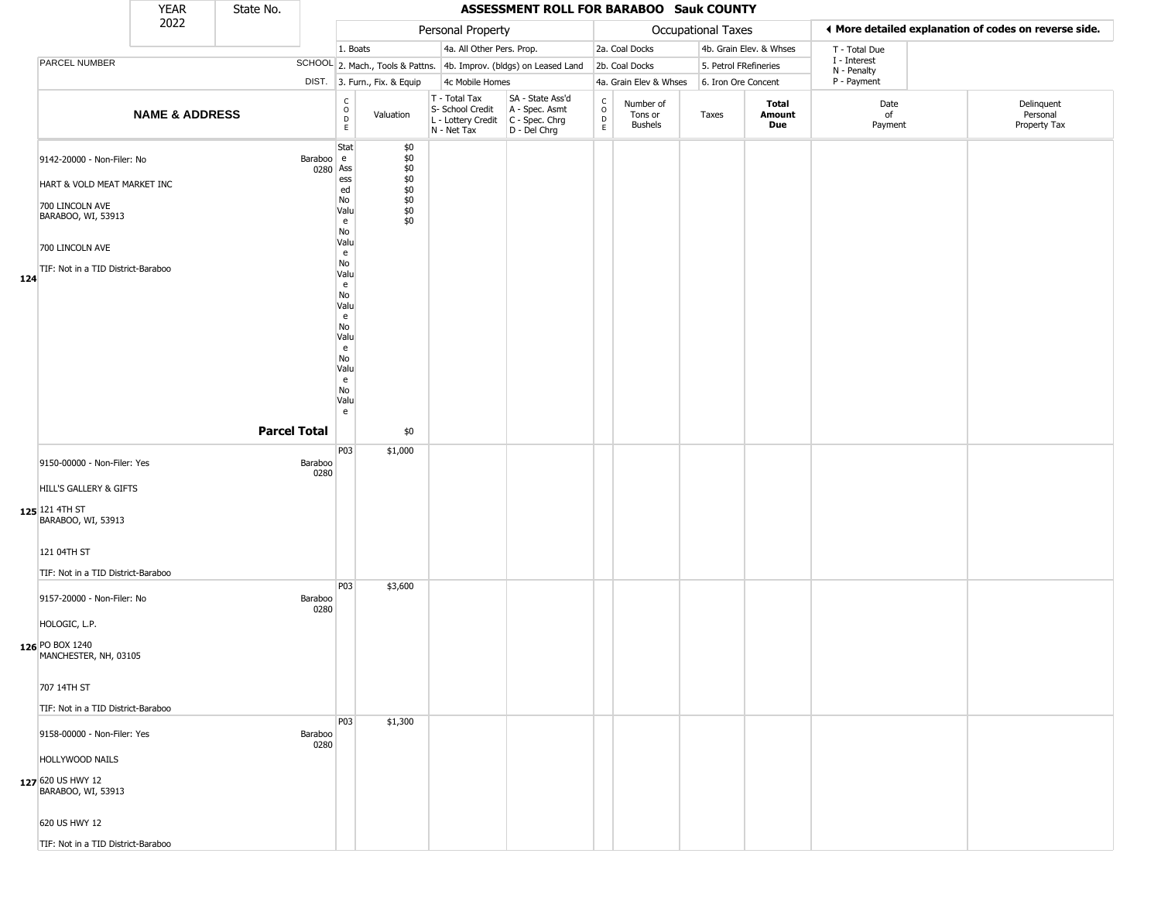|     |                                                                                                            | <b>YEAR</b>               | State No.           |                       |                                                                                             |                                                   |                                                                                         | ASSESSMENT ROLL FOR BARABOO Sauk COUNTY                             |                                   |                                        |                           |                         |                             |                                                       |
|-----|------------------------------------------------------------------------------------------------------------|---------------------------|---------------------|-----------------------|---------------------------------------------------------------------------------------------|---------------------------------------------------|-----------------------------------------------------------------------------------------|---------------------------------------------------------------------|-----------------------------------|----------------------------------------|---------------------------|-------------------------|-----------------------------|-------------------------------------------------------|
|     |                                                                                                            | 2022                      |                     |                       |                                                                                             |                                                   | Personal Property                                                                       |                                                                     |                                   |                                        | <b>Occupational Taxes</b> |                         |                             | I More detailed explanation of codes on reverse side. |
|     |                                                                                                            |                           |                     |                       | 1. Boats                                                                                    |                                                   | 4a. All Other Pers. Prop.                                                               |                                                                     |                                   | 2a. Coal Docks                         |                           | 4b. Grain Elev. & Whses | T - Total Due               |                                                       |
|     | PARCEL NUMBER                                                                                              |                           |                     |                       |                                                                                             |                                                   |                                                                                         | SCHOOL 2. Mach., Tools & Pattns. 4b. Improv. (bldgs) on Leased Land |                                   | 2b. Coal Docks                         |                           | 5. Petrol FRefineries   | I - Interest<br>N - Penalty |                                                       |
|     |                                                                                                            |                           |                     |                       | DIST. 3. Furn., Fix. & Equip                                                                |                                                   | 4c Mobile Homes                                                                         |                                                                     |                                   | 4a. Grain Elev & Whses                 | 6. Iron Ore Concent       |                         | P - Payment                 |                                                       |
|     |                                                                                                            | <b>NAME &amp; ADDRESS</b> |                     |                       | $\delta$<br>Valuation<br>D<br>$\mathsf E$                                                   |                                                   | T - Total Tax<br>S- School Credit<br>L - Lottery Credit   C - Spec. Chrg<br>N - Net Tax | SA - State Ass'd<br>A - Spec. Asmt<br>D - Del Chrg                  | $\rm_{o}^{c}$<br>D<br>$\mathsf E$ | Number of<br>Tons or<br><b>Bushels</b> | Taxes                     | Total<br>Amount<br>Due  | Date<br>of<br>Payment       | Delinquent<br>Personal<br>Property Tax                |
|     | 9142-20000 - Non-Filer: No<br>HART & VOLD MEAT MARKET INC                                                  |                           |                     | Baraboo e<br>0280 Ass | Stat<br>ess<br>ed                                                                           | \$0<br>\$0<br>\$0<br>$$0$<br>$$0$<br>$$0$<br>$$0$ |                                                                                         |                                                                     |                                   |                                        |                           |                         |                             |                                                       |
|     | 700 LINCOLN AVE<br>BARABOO, WI, 53913                                                                      |                           |                     |                       | No<br>Valu<br>e<br>No<br>Valu                                                               | \$0<br>\$0                                        |                                                                                         |                                                                     |                                   |                                        |                           |                         |                             |                                                       |
|     | 700 LINCOLN AVE                                                                                            |                           |                     |                       | e                                                                                           |                                                   |                                                                                         |                                                                     |                                   |                                        |                           |                         |                             |                                                       |
| 124 | TIF: Not in a TID District-Baraboo                                                                         |                           |                     |                       | No<br>Valu<br>e<br>No<br>Valu<br>e<br>No<br>Valu<br>e<br>No<br>Valu<br>e<br>No<br>Valu<br>e |                                                   |                                                                                         |                                                                     |                                   |                                        |                           |                         |                             |                                                       |
|     |                                                                                                            |                           | <b>Parcel Total</b> |                       |                                                                                             | \$0                                               |                                                                                         |                                                                     |                                   |                                        |                           |                         |                             |                                                       |
|     | 9150-00000 - Non-Filer: Yes<br>HILL'S GALLERY & GIFTS<br>125 121 4TH ST<br>BARABOO, WI, 53913              |                           |                     | Baraboo<br>0280       | P03<br>\$1,000                                                                              |                                                   |                                                                                         |                                                                     |                                   |                                        |                           |                         |                             |                                                       |
|     | 121 04TH ST<br>TIF: Not in a TID District-Baraboo                                                          |                           |                     |                       |                                                                                             |                                                   |                                                                                         |                                                                     |                                   |                                        |                           |                         |                             |                                                       |
|     | 9157-20000 - Non-Filer: No<br>HOLOGIC, L.P.<br>126 PO BOX 1240<br>MANCHESTER, NH, 03105                    |                           |                     | Baraboo<br>0280       | P03<br>\$3,600                                                                              |                                                   |                                                                                         |                                                                     |                                   |                                        |                           |                         |                             |                                                       |
|     | 707 14TH ST<br>TIF: Not in a TID District-Baraboo                                                          |                           |                     |                       |                                                                                             |                                                   |                                                                                         |                                                                     |                                   |                                        |                           |                         |                             |                                                       |
|     | 9158-00000 - Non-Filer: Yes<br>HOLLYWOOD NAILS<br>127 620 US HWY 12<br>BARABOO, WI, 53913<br>620 US HWY 12 |                           |                     | Baraboo<br>0280       | P03<br>\$1,300                                                                              |                                                   |                                                                                         |                                                                     |                                   |                                        |                           |                         |                             |                                                       |
|     | TIF: Not in a TID District-Baraboo                                                                         |                           |                     |                       |                                                                                             |                                                   |                                                                                         |                                                                     |                                   |                                        |                           |                         |                             |                                                       |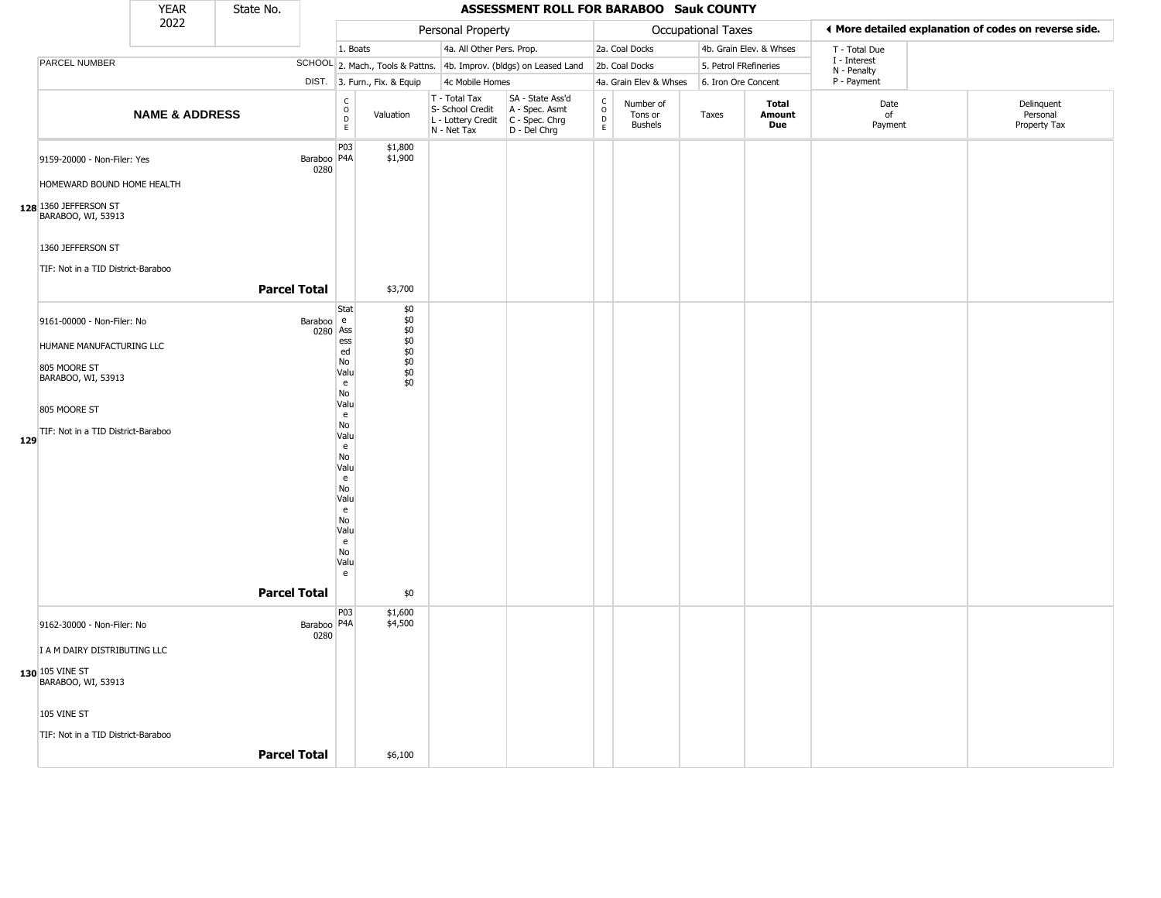|     |                                                           | <b>YEAR</b>               | State No.           |                         |                                                         |                    |                                                                        | ASSESSMENT ROLL FOR BARABOO Sauk COUNTY                              |                             |                                        |                       |                         |                             |                                                       |
|-----|-----------------------------------------------------------|---------------------------|---------------------|-------------------------|---------------------------------------------------------|--------------------|------------------------------------------------------------------------|----------------------------------------------------------------------|-----------------------------|----------------------------------------|-----------------------|-------------------------|-----------------------------|-------------------------------------------------------|
|     |                                                           | 2022                      |                     |                         |                                                         |                    | Personal Property                                                      |                                                                      |                             |                                        | Occupational Taxes    |                         |                             | ♦ More detailed explanation of codes on reverse side. |
|     |                                                           |                           |                     |                         | 1. Boats                                                |                    | 4a. All Other Pers. Prop.                                              |                                                                      |                             | 2a. Coal Docks                         |                       | 4b. Grain Elev. & Whses | T - Total Due               |                                                       |
|     | PARCEL NUMBER                                             |                           |                     |                         |                                                         |                    |                                                                        | SCHOOL 2. Mach., Tools & Pattns. 4b. Improv. (bldgs) on Leased Land  |                             | 2b. Coal Docks                         | 5. Petrol FRefineries |                         | I - Interest<br>N - Penalty |                                                       |
|     |                                                           |                           |                     |                         | DIST. 3. Furn., Fix. & Equip                            |                    | 4c Mobile Homes                                                        |                                                                      |                             | 4a. Grain Elev & Whses                 | 6. Iron Ore Concent   |                         | P - Payment                 |                                                       |
|     |                                                           | <b>NAME &amp; ADDRESS</b> |                     |                         | $\begin{array}{c} C \\ 0 \\ E \end{array}$<br>Valuation |                    | T - Total Tax<br>S- School Credit<br>L - Lottery Credit<br>N - Net Tax | SA - State Ass'd<br>A - Spec. Asmt<br>C - Spec. Chrg<br>D - Del Chrg | $\rm _o^C$<br>$\frac{D}{E}$ | Number of<br>Tons or<br><b>Bushels</b> | Taxes                 | Total<br>Amount<br>Due  | Date<br>of<br>Payment       | Delinquent<br>Personal<br>Property Tax                |
|     | 9159-20000 - Non-Filer: Yes<br>HOMEWARD BOUND HOME HEALTH |                           |                     | Baraboo   P4A  <br>0280 | P03                                                     | \$1,800<br>\$1,900 |                                                                        |                                                                      |                             |                                        |                       |                         |                             |                                                       |
|     | 128 1360 JEFFERSON ST<br>BARABOO, WI, 53913               |                           |                     |                         |                                                         |                    |                                                                        |                                                                      |                             |                                        |                       |                         |                             |                                                       |
|     | 1360 JEFFERSON ST                                         |                           |                     |                         |                                                         |                    |                                                                        |                                                                      |                             |                                        |                       |                         |                             |                                                       |
|     | TIF: Not in a TID District-Baraboo                        |                           | <b>Parcel Total</b> |                         |                                                         | \$3,700            |                                                                        |                                                                      |                             |                                        |                       |                         |                             |                                                       |
|     |                                                           |                           |                     |                         | Stat                                                    | \$0                |                                                                        |                                                                      |                             |                                        |                       |                         |                             |                                                       |
|     | 9161-00000 - Non-Filer: No                                |                           |                     | Baraboo e<br>0280 Ass   |                                                         | \$0<br>$$0$        |                                                                        |                                                                      |                             |                                        |                       |                         |                             |                                                       |
|     | HUMANE MANUFACTURING LLC                                  |                           |                     |                         | ess<br>ed                                               | \$0                |                                                                        |                                                                      |                             |                                        |                       |                         |                             |                                                       |
|     | 805 MOORE ST                                              |                           |                     |                         | No                                                      | $$^{6}_{60}$       |                                                                        |                                                                      |                             |                                        |                       |                         |                             |                                                       |
|     | BARABOO, WI, 53913                                        |                           |                     |                         | Valu<br>e                                               | \$0<br>\$0         |                                                                        |                                                                      |                             |                                        |                       |                         |                             |                                                       |
|     | 805 MOORE ST                                              |                           |                     |                         | No<br>Valu                                              |                    |                                                                        |                                                                      |                             |                                        |                       |                         |                             |                                                       |
|     | TIF: Not in a TID District-Baraboo                        |                           |                     |                         | e<br>No                                                 |                    |                                                                        |                                                                      |                             |                                        |                       |                         |                             |                                                       |
| 129 |                                                           |                           |                     |                         | Valu<br>e                                               |                    |                                                                        |                                                                      |                             |                                        |                       |                         |                             |                                                       |
|     |                                                           |                           |                     |                         | No<br>Valu                                              |                    |                                                                        |                                                                      |                             |                                        |                       |                         |                             |                                                       |
|     |                                                           |                           |                     |                         | e                                                       |                    |                                                                        |                                                                      |                             |                                        |                       |                         |                             |                                                       |
|     |                                                           |                           |                     |                         | No<br>Valu                                              |                    |                                                                        |                                                                      |                             |                                        |                       |                         |                             |                                                       |
|     |                                                           |                           |                     |                         | e<br>No                                                 |                    |                                                                        |                                                                      |                             |                                        |                       |                         |                             |                                                       |
|     |                                                           |                           |                     |                         | Valu                                                    |                    |                                                                        |                                                                      |                             |                                        |                       |                         |                             |                                                       |
|     |                                                           |                           |                     |                         | e<br>No                                                 |                    |                                                                        |                                                                      |                             |                                        |                       |                         |                             |                                                       |
|     |                                                           |                           |                     |                         | Valu                                                    |                    |                                                                        |                                                                      |                             |                                        |                       |                         |                             |                                                       |
|     |                                                           |                           |                     |                         | e                                                       |                    |                                                                        |                                                                      |                             |                                        |                       |                         |                             |                                                       |
|     |                                                           |                           | <b>Parcel Total</b> |                         |                                                         | \$0                |                                                                        |                                                                      |                             |                                        |                       |                         |                             |                                                       |
|     | 9162-30000 - Non-Filer: No                                |                           |                     | Baraboo   P4A<br>0280   | P03                                                     | \$1,600<br>\$4,500 |                                                                        |                                                                      |                             |                                        |                       |                         |                             |                                                       |
|     | I A M DAIRY DISTRIBUTING LLC                              |                           |                     |                         |                                                         |                    |                                                                        |                                                                      |                             |                                        |                       |                         |                             |                                                       |
|     | <b>130 105 VINE ST BARABOO, WI, 53913</b>                 |                           |                     |                         |                                                         |                    |                                                                        |                                                                      |                             |                                        |                       |                         |                             |                                                       |
|     | 105 VINE ST                                               |                           |                     |                         |                                                         |                    |                                                                        |                                                                      |                             |                                        |                       |                         |                             |                                                       |
|     | TIF: Not in a TID District-Baraboo                        |                           |                     |                         |                                                         |                    |                                                                        |                                                                      |                             |                                        |                       |                         |                             |                                                       |
|     |                                                           |                           | <b>Parcel Total</b> |                         |                                                         | \$6,100            |                                                                        |                                                                      |                             |                                        |                       |                         |                             |                                                       |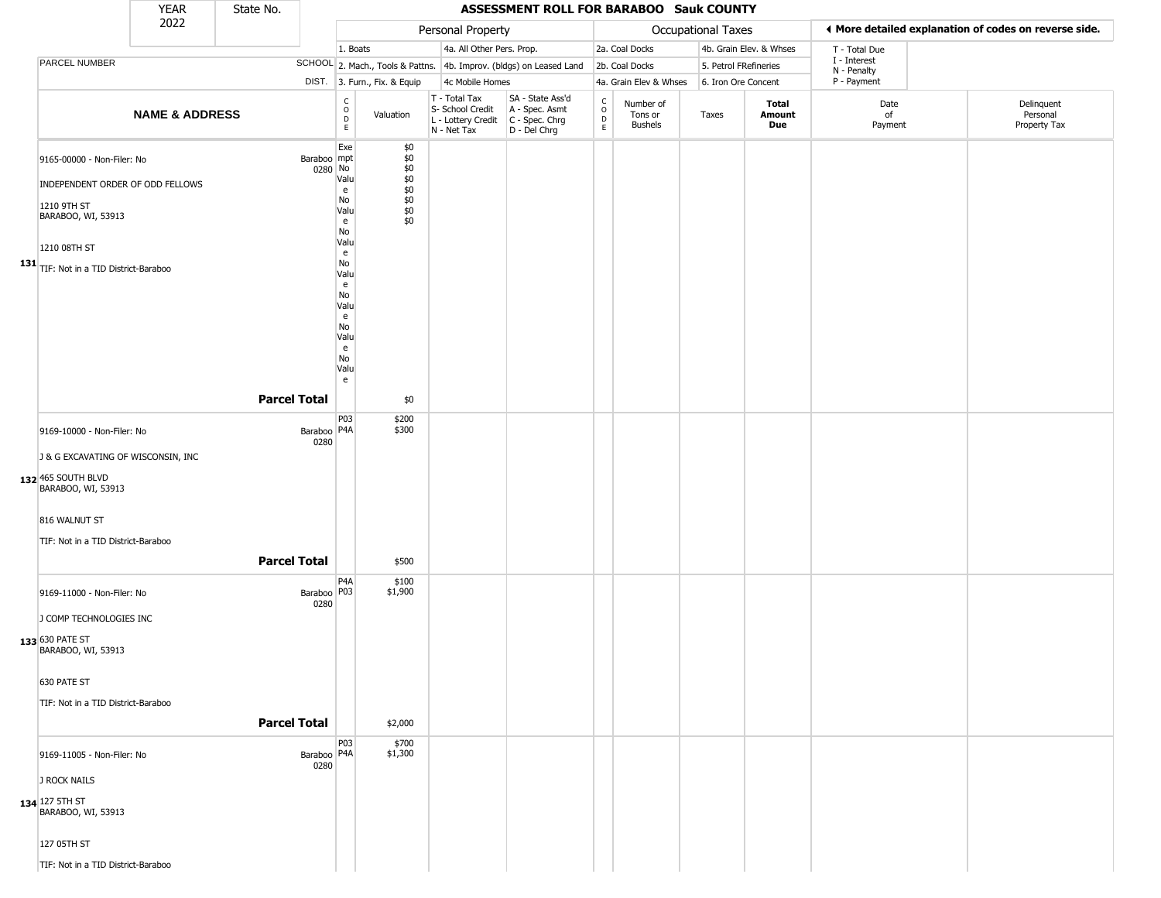|     |                                                                                                                                                                     | <b>YEAR</b>               | State No.           |                        |                                                                                                                                                                                                          |                                                                        | ASSESSMENT ROLL FOR BARABOO Sauk COUNTY                              |                                            |                                        |                           |                         |                             |                                                       |
|-----|---------------------------------------------------------------------------------------------------------------------------------------------------------------------|---------------------------|---------------------|------------------------|----------------------------------------------------------------------------------------------------------------------------------------------------------------------------------------------------------|------------------------------------------------------------------------|----------------------------------------------------------------------|--------------------------------------------|----------------------------------------|---------------------------|-------------------------|-----------------------------|-------------------------------------------------------|
|     |                                                                                                                                                                     | 2022                      |                     |                        |                                                                                                                                                                                                          | Personal Property                                                      |                                                                      |                                            |                                        | <b>Occupational Taxes</b> |                         |                             | ♦ More detailed explanation of codes on reverse side. |
|     |                                                                                                                                                                     |                           |                     |                        | 1. Boats                                                                                                                                                                                                 | 4a. All Other Pers. Prop.                                              |                                                                      |                                            | 2a. Coal Docks                         |                           | 4b. Grain Elev. & Whses | T - Total Due               |                                                       |
|     | PARCEL NUMBER                                                                                                                                                       |                           |                     |                        |                                                                                                                                                                                                          |                                                                        | SCHOOL 2. Mach., Tools & Pattns. 4b. Improv. (bldgs) on Leased Land  |                                            | 2b. Coal Docks                         |                           | 5. Petrol FRefineries   | I - Interest<br>N - Penalty |                                                       |
|     |                                                                                                                                                                     |                           |                     |                        | DIST. 3. Furn., Fix. & Equip                                                                                                                                                                             | 4c Mobile Homes                                                        |                                                                      |                                            | 4a. Grain Elev & Whses                 |                           | 6. Iron Ore Concent     | P - Payment                 |                                                       |
|     |                                                                                                                                                                     | <b>NAME &amp; ADDRESS</b> |                     |                        | $\begin{array}{c} C \\ O \\ D \\ E \end{array}$<br>Valuation                                                                                                                                             | T - Total Tax<br>S- School Credit<br>L - Lottery Credit<br>N - Net Tax | SA - State Ass'd<br>A - Spec. Asmt<br>C - Spec. Chrg<br>D - Del Chrg | $\begin{array}{c} C \\ O \\ E \end{array}$ | Number of<br>Tons or<br><b>Bushels</b> | Taxes                     | Total<br>Amount<br>Due  | Date<br>of<br>Payment       | Delinquent<br>Personal<br>Property Tax                |
| 131 | 9165-00000 - Non-Filer: No<br>INDEPENDENT ORDER OF ODD FELLOWS<br>1210 9TH ST<br>BARABOO, WI, 53913<br>1210 08TH ST<br>TIF: Not in a TID District-Baraboo           |                           |                     | Baraboo mpt<br>0280 No | Exe<br>\$0<br>$$0$<br>$$0$<br>$$0$<br>$$0$<br>$$0$<br>$$0$<br>$$0$<br>Valu<br>e<br>No<br>Valu<br>\$0<br>e<br>No<br>Valu<br>e<br>No<br>Valu<br>e<br>No<br>Valu<br>e<br>No<br>Valu<br>e<br>No<br>Valu<br>e |                                                                        |                                                                      |                                            |                                        |                           |                         |                             |                                                       |
|     |                                                                                                                                                                     |                           | <b>Parcel Total</b> |                        | \$0                                                                                                                                                                                                      |                                                                        |                                                                      |                                            |                                        |                           |                         |                             |                                                       |
|     | 9169-10000 - Non-Filer: No<br>J & G EXCAVATING OF WISCONSIN, INC<br>132 465 SOUTH BLVD<br>BARABOO, WI, 53913<br>816 WALNUT ST<br>TIF: Not in a TID District-Baraboo |                           | <b>Parcel Total</b> | Baraboo   P4A<br>0280  | P03<br>\$200<br>\$300<br>\$500                                                                                                                                                                           |                                                                        |                                                                      |                                            |                                        |                           |                         |                             |                                                       |
|     | 9169-11000 - Non-Filer: No<br>J COMP TECHNOLOGIES INC<br>133 630 PATE ST<br>BARABOO, WI, 53913<br>630 PATE ST<br>TIF: Not in a TID District-Baraboo                 |                           | <b>Parcel Total</b> | Baraboo P03<br>0280    | P4A<br>\$100<br>\$1,900<br>\$2,000                                                                                                                                                                       |                                                                        |                                                                      |                                            |                                        |                           |                         |                             |                                                       |
|     | 9169-11005 - Non-Filer: No<br>J ROCK NAILS<br><b>134</b> 127 5TH ST<br>BARABOO, WI, 53913<br>127 05TH ST<br>TIF: Not in a TID District-Baraboo                      |                           |                     | Baraboo   P4A<br>0280  | P03<br>\$700<br>\$1,300                                                                                                                                                                                  |                                                                        |                                                                      |                                            |                                        |                           |                         |                             |                                                       |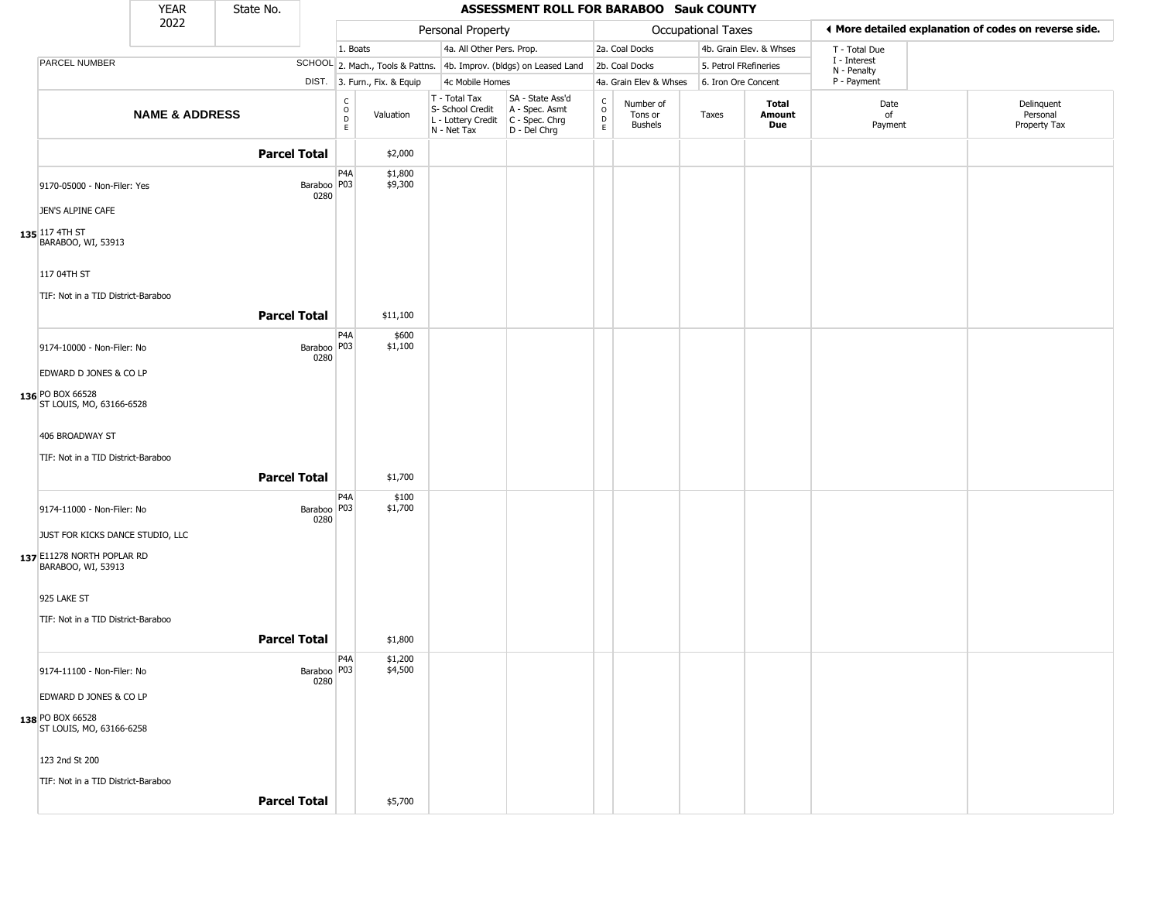|                                                       | <b>YEAR</b>               | State No.           |                       |                                                          |                              |                                                                        | ASSESSMENT ROLL FOR BARABOO Sauk COUNTY                              |                                                          |                                 |                       |                         |                             |                                                       |
|-------------------------------------------------------|---------------------------|---------------------|-----------------------|----------------------------------------------------------|------------------------------|------------------------------------------------------------------------|----------------------------------------------------------------------|----------------------------------------------------------|---------------------------------|-----------------------|-------------------------|-----------------------------|-------------------------------------------------------|
|                                                       | 2022                      |                     |                       |                                                          |                              | Personal Property                                                      |                                                                      |                                                          |                                 | Occupational Taxes    |                         |                             | ◀ More detailed explanation of codes on reverse side. |
|                                                       |                           |                     |                       | 1. Boats                                                 |                              | 4a. All Other Pers. Prop.                                              |                                                                      |                                                          | 2a. Coal Docks                  |                       | 4b. Grain Elev. & Whses | T - Total Due               |                                                       |
| PARCEL NUMBER                                         |                           |                     |                       |                                                          |                              |                                                                        | SCHOOL 2. Mach., Tools & Pattns. 4b. Improv. (bldgs) on Leased Land  |                                                          | 2b. Coal Docks                  | 5. Petrol FRefineries |                         | I - Interest<br>N - Penalty |                                                       |
|                                                       |                           |                     |                       |                                                          | DIST. 3. Furn., Fix. & Equip | 4c Mobile Homes                                                        |                                                                      |                                                          | 4a. Grain Elev & Whses          | 6. Iron Ore Concent   |                         | P - Payment                 |                                                       |
|                                                       | <b>NAME &amp; ADDRESS</b> |                     |                       | $\begin{matrix} 0 \\ 0 \\ D \end{matrix}$<br>$\mathsf E$ | Valuation                    | T - Total Tax<br>S- School Credit<br>L - Lottery Credit<br>N - Net Tax | SA - State Ass'd<br>A - Spec. Asmt<br>C - Spec. Chrg<br>D - Del Chrg | $\begin{matrix} 0 \\ 0 \\ D \end{matrix}$<br>$\mathsf E$ | Number of<br>Tons or<br>Bushels | Taxes                 | Total<br>Amount<br>Due  | Date<br>of<br>Payment       | Delinquent<br>Personal<br>Property Tax                |
|                                                       |                           | <b>Parcel Total</b> |                       |                                                          | \$2,000                      |                                                                        |                                                                      |                                                          |                                 |                       |                         |                             |                                                       |
| 9170-05000 - Non-Filer: Yes<br>JEN'S ALPINE CAFE      |                           |                     | Baraboo   P03<br>0280 | P <sub>4</sub> A                                         | \$1,800<br>\$9,300           |                                                                        |                                                                      |                                                          |                                 |                       |                         |                             |                                                       |
| $135$ 117 4TH ST<br>BARABOO, WI, 53913<br>117 04TH ST |                           |                     |                       |                                                          |                              |                                                                        |                                                                      |                                                          |                                 |                       |                         |                             |                                                       |
| TIF: Not in a TID District-Baraboo                    |                           |                     |                       |                                                          |                              |                                                                        |                                                                      |                                                          |                                 |                       |                         |                             |                                                       |
|                                                       |                           | <b>Parcel Total</b> |                       |                                                          | \$11,100                     |                                                                        |                                                                      |                                                          |                                 |                       |                         |                             |                                                       |
| 9174-10000 - Non-Filer: No                            |                           |                     | Baraboo   P03<br>0280 | P <sub>4</sub> A                                         | \$600<br>\$1,100             |                                                                        |                                                                      |                                                          |                                 |                       |                         |                             |                                                       |
| EDWARD D JONES & CO LP                                |                           |                     |                       |                                                          |                              |                                                                        |                                                                      |                                                          |                                 |                       |                         |                             |                                                       |
| 136 PO BOX 66528<br>ST LOUIS, MO, 63166-6528          |                           |                     |                       |                                                          |                              |                                                                        |                                                                      |                                                          |                                 |                       |                         |                             |                                                       |
| 406 BROADWAY ST                                       |                           |                     |                       |                                                          |                              |                                                                        |                                                                      |                                                          |                                 |                       |                         |                             |                                                       |
| TIF: Not in a TID District-Baraboo                    |                           |                     |                       |                                                          |                              |                                                                        |                                                                      |                                                          |                                 |                       |                         |                             |                                                       |
|                                                       |                           | <b>Parcel Total</b> |                       |                                                          | \$1,700                      |                                                                        |                                                                      |                                                          |                                 |                       |                         |                             |                                                       |
| 9174-11000 - Non-Filer: No                            |                           |                     | Baraboo   P03<br>0280 | P <sub>4</sub> A                                         | \$100<br>\$1,700             |                                                                        |                                                                      |                                                          |                                 |                       |                         |                             |                                                       |
| JUST FOR KICKS DANCE STUDIO, LLC                      |                           |                     |                       |                                                          |                              |                                                                        |                                                                      |                                                          |                                 |                       |                         |                             |                                                       |
| 137 E11278 NORTH POPLAR RD<br>BARABOO, WI, 53913      |                           |                     |                       |                                                          |                              |                                                                        |                                                                      |                                                          |                                 |                       |                         |                             |                                                       |
| 925 LAKE ST                                           |                           |                     |                       |                                                          |                              |                                                                        |                                                                      |                                                          |                                 |                       |                         |                             |                                                       |
| TIF: Not in a TID District-Baraboo                    |                           |                     |                       |                                                          |                              |                                                                        |                                                                      |                                                          |                                 |                       |                         |                             |                                                       |
|                                                       |                           | <b>Parcel Total</b> |                       |                                                          | \$1,800                      |                                                                        |                                                                      |                                                          |                                 |                       |                         |                             |                                                       |
| 9174-11100 - Non-Filer: No                            |                           |                     | Baraboo P03           | P4A                                                      | \$1,200<br>\$4,500           |                                                                        |                                                                      |                                                          |                                 |                       |                         |                             |                                                       |
| EDWARD D JONES & CO LP                                |                           |                     | 0280                  |                                                          |                              |                                                                        |                                                                      |                                                          |                                 |                       |                         |                             |                                                       |
| 138 PO BOX 66528<br>ST LOUIS, MO, 63166-6258          |                           |                     |                       |                                                          |                              |                                                                        |                                                                      |                                                          |                                 |                       |                         |                             |                                                       |
| 123 2nd St 200                                        |                           |                     |                       |                                                          |                              |                                                                        |                                                                      |                                                          |                                 |                       |                         |                             |                                                       |
| TIF: Not in a TID District-Baraboo                    |                           |                     |                       |                                                          |                              |                                                                        |                                                                      |                                                          |                                 |                       |                         |                             |                                                       |
|                                                       |                           | <b>Parcel Total</b> |                       |                                                          | \$5,700                      |                                                                        |                                                                      |                                                          |                                 |                       |                         |                             |                                                       |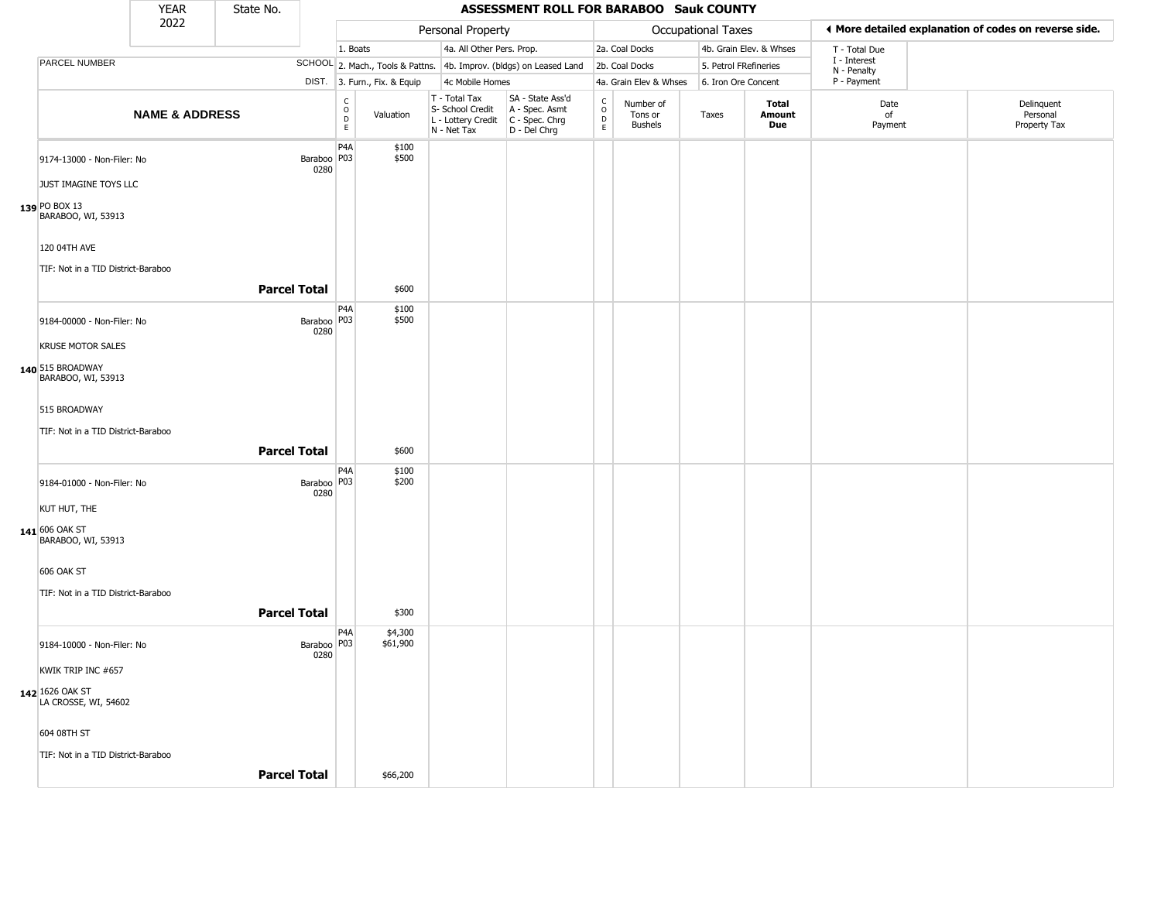|                                                | <b>YEAR</b>               | State No.           |                       |                                                 |                              |                                                                        | ASSESSMENT ROLL FOR BARABOO Sauk COUNTY                              |                                                   |                                 |                       |                         |                             |                                                       |
|------------------------------------------------|---------------------------|---------------------|-----------------------|-------------------------------------------------|------------------------------|------------------------------------------------------------------------|----------------------------------------------------------------------|---------------------------------------------------|---------------------------------|-----------------------|-------------------------|-----------------------------|-------------------------------------------------------|
|                                                | 2022                      |                     |                       |                                                 |                              | Personal Property                                                      |                                                                      |                                                   |                                 | Occupational Taxes    |                         |                             | ♦ More detailed explanation of codes on reverse side. |
|                                                |                           |                     |                       | 1. Boats                                        |                              | 4a. All Other Pers. Prop.                                              |                                                                      |                                                   | 2a. Coal Docks                  |                       | 4b. Grain Elev. & Whses | T - Total Due               |                                                       |
| PARCEL NUMBER                                  |                           |                     |                       |                                                 |                              |                                                                        | SCHOOL 2. Mach., Tools & Pattns. 4b. Improv. (bldgs) on Leased Land  |                                                   | 2b. Coal Docks                  | 5. Petrol FRefineries |                         | I - Interest<br>N - Penalty |                                                       |
|                                                |                           |                     |                       |                                                 | DIST. 3. Furn., Fix. & Equip | 4c Mobile Homes                                                        |                                                                      |                                                   | 4a. Grain Elev & Whses          | 6. Iron Ore Concent   |                         | P - Payment                 |                                                       |
|                                                | <b>NAME &amp; ADDRESS</b> |                     |                       | $\begin{array}{c} C \\ O \\ D \\ E \end{array}$ | Valuation                    | T - Total Tax<br>S- School Credit<br>L - Lottery Credit<br>N - Net Tax | SA - State Ass'd<br>A - Spec. Asmt<br>C - Spec. Chrg<br>D - Del Chrg | c<br>$\begin{array}{c}\n0 \\ D \\ E\n\end{array}$ | Number of<br>Tons or<br>Bushels | Taxes                 | Total<br>Amount<br>Due  | Date<br>of<br>Payment       | Delinquent<br>Personal<br>Property Tax                |
| 9174-13000 - Non-Filer: No                     |                           |                     | Baraboo   P03<br>0280 | P <sub>4</sub> A                                | \$100<br>\$500               |                                                                        |                                                                      |                                                   |                                 |                       |                         |                             |                                                       |
| JUST IMAGINE TOYS LLC                          |                           |                     |                       |                                                 |                              |                                                                        |                                                                      |                                                   |                                 |                       |                         |                             |                                                       |
| 139 PO BOX 13<br>BARABOO, WI, 53913            |                           |                     |                       |                                                 |                              |                                                                        |                                                                      |                                                   |                                 |                       |                         |                             |                                                       |
| 120 04TH AVE                                   |                           |                     |                       |                                                 |                              |                                                                        |                                                                      |                                                   |                                 |                       |                         |                             |                                                       |
| TIF: Not in a TID District-Baraboo             |                           | <b>Parcel Total</b> |                       |                                                 | \$600                        |                                                                        |                                                                      |                                                   |                                 |                       |                         |                             |                                                       |
| 9184-00000 - Non-Filer: No                     |                           |                     | Baraboo   P03<br>0280 | P <sub>4</sub> A                                | \$100<br>\$500               |                                                                        |                                                                      |                                                   |                                 |                       |                         |                             |                                                       |
| <b>KRUSE MOTOR SALES</b>                       |                           |                     |                       |                                                 |                              |                                                                        |                                                                      |                                                   |                                 |                       |                         |                             |                                                       |
| 140 515 BROADWAY<br>BARABOO, WI, 53913         |                           |                     |                       |                                                 |                              |                                                                        |                                                                      |                                                   |                                 |                       |                         |                             |                                                       |
| 515 BROADWAY                                   |                           |                     |                       |                                                 |                              |                                                                        |                                                                      |                                                   |                                 |                       |                         |                             |                                                       |
| TIF: Not in a TID District-Baraboo             |                           | <b>Parcel Total</b> |                       |                                                 | \$600                        |                                                                        |                                                                      |                                                   |                                 |                       |                         |                             |                                                       |
|                                                |                           |                     |                       |                                                 |                              |                                                                        |                                                                      |                                                   |                                 |                       |                         |                             |                                                       |
| 9184-01000 - Non-Filer: No                     |                           |                     | Baraboo   P03<br>0280 | P <sub>4</sub> A                                | \$100<br>\$200               |                                                                        |                                                                      |                                                   |                                 |                       |                         |                             |                                                       |
| KUT HUT, THE                                   |                           |                     |                       |                                                 |                              |                                                                        |                                                                      |                                                   |                                 |                       |                         |                             |                                                       |
| 141 606 OAK ST<br>BARABOO, WI, 53913           |                           |                     |                       |                                                 |                              |                                                                        |                                                                      |                                                   |                                 |                       |                         |                             |                                                       |
| 606 OAK ST                                     |                           |                     |                       |                                                 |                              |                                                                        |                                                                      |                                                   |                                 |                       |                         |                             |                                                       |
| TIF: Not in a TID District-Baraboo             |                           |                     |                       |                                                 |                              |                                                                        |                                                                      |                                                   |                                 |                       |                         |                             |                                                       |
|                                                |                           | <b>Parcel Total</b> |                       |                                                 | \$300                        |                                                                        |                                                                      |                                                   |                                 |                       |                         |                             |                                                       |
| 9184-10000 - Non-Filer: No                     |                           |                     | Baraboo   P03         | P <sub>4</sub> A                                | \$4,300<br>\$61,900          |                                                                        |                                                                      |                                                   |                                 |                       |                         |                             |                                                       |
| KWIK TRIP INC #657                             |                           |                     | 0280                  |                                                 |                              |                                                                        |                                                                      |                                                   |                                 |                       |                         |                             |                                                       |
| <b>142</b> 1626 OAK ST<br>LA CROSSE, WI, 54602 |                           |                     |                       |                                                 |                              |                                                                        |                                                                      |                                                   |                                 |                       |                         |                             |                                                       |
| 604 08TH ST                                    |                           |                     |                       |                                                 |                              |                                                                        |                                                                      |                                                   |                                 |                       |                         |                             |                                                       |
| TIF: Not in a TID District-Baraboo             |                           |                     |                       |                                                 |                              |                                                                        |                                                                      |                                                   |                                 |                       |                         |                             |                                                       |
|                                                |                           | <b>Parcel Total</b> |                       |                                                 | \$66,200                     |                                                                        |                                                                      |                                                   |                                 |                       |                         |                             |                                                       |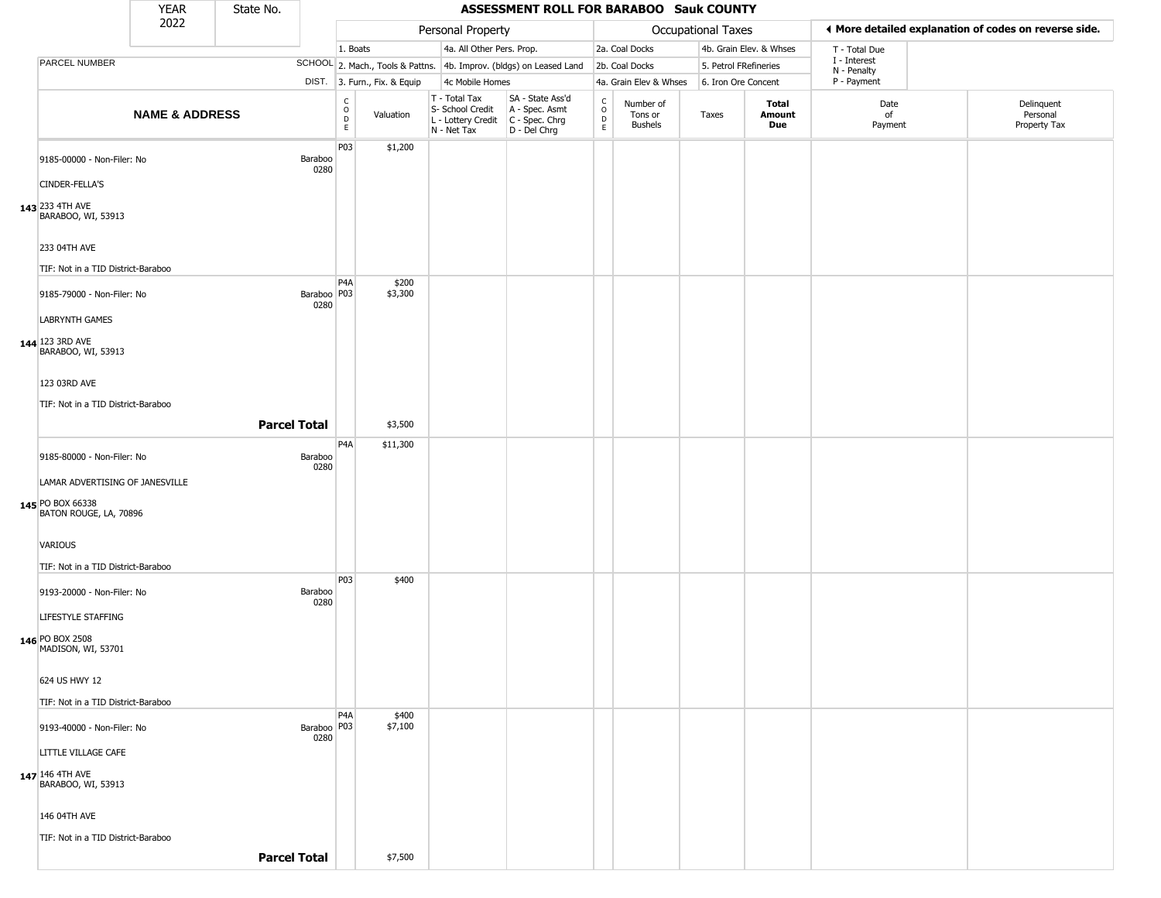| <b>YEAR</b><br>State No.                                                      |                           |                     |                       |                                                 |                  |                                                                        | ASSESSMENT ROLL FOR BARABOO Sauk COUNTY                              |                                                   |                                        |                       |                         |                             |                                                       |
|-------------------------------------------------------------------------------|---------------------------|---------------------|-----------------------|-------------------------------------------------|------------------|------------------------------------------------------------------------|----------------------------------------------------------------------|---------------------------------------------------|----------------------------------------|-----------------------|-------------------------|-----------------------------|-------------------------------------------------------|
|                                                                               | 2022                      |                     |                       |                                                 |                  | Personal Property                                                      |                                                                      |                                                   |                                        | Occupational Taxes    |                         |                             | ♦ More detailed explanation of codes on reverse side. |
|                                                                               |                           |                     |                       | 1. Boats                                        |                  | 4a. All Other Pers. Prop.                                              |                                                                      |                                                   | 2a. Coal Docks                         |                       | 4b. Grain Elev. & Whses | T - Total Due               |                                                       |
| PARCEL NUMBER                                                                 |                           |                     |                       |                                                 |                  |                                                                        | SCHOOL 2. Mach., Tools & Pattns. 4b. Improv. (bldgs) on Leased Land  |                                                   | 2b. Coal Docks                         | 5. Petrol FRefineries |                         | I - Interest<br>N - Penalty |                                                       |
|                                                                               |                           |                     |                       | DIST. 3. Furn., Fix. & Equip                    |                  | 4c Mobile Homes                                                        |                                                                      |                                                   | 4a. Grain Elev & Whses                 | 6. Iron Ore Concent   |                         | P - Payment                 |                                                       |
|                                                                               | <b>NAME &amp; ADDRESS</b> |                     |                       | $\begin{array}{c} C \\ O \\ D \\ E \end{array}$ | Valuation        | T - Total Tax<br>S- School Credit<br>L - Lottery Credit<br>N - Net Tax | SA - State Ass'd<br>A - Spec. Asmt<br>C - Spec. Chrg<br>D - Del Chrg | $\begin{array}{c}\nC \\ O \\ D \\ E\n\end{array}$ | Number of<br>Tons or<br><b>Bushels</b> | Taxes                 | Total<br>Amount<br>Due  | Date<br>of<br>Payment       | Delinquent<br>Personal<br>Property Tax                |
| 9185-00000 - Non-Filer: No<br>CINDER-FELLA'S                                  |                           |                     | Baraboo<br>0280       | P03                                             | \$1,200          |                                                                        |                                                                      |                                                   |                                        |                       |                         |                             |                                                       |
| 143 233 4TH AVE<br>BARABOO, WI, 53913                                         |                           |                     |                       |                                                 |                  |                                                                        |                                                                      |                                                   |                                        |                       |                         |                             |                                                       |
| 233 04TH AVE<br>TIF: Not in a TID District-Baraboo                            |                           |                     |                       |                                                 |                  |                                                                        |                                                                      |                                                   |                                        |                       |                         |                             |                                                       |
| 9185-79000 - Non-Filer: No                                                    |                           |                     | Baraboo   P03<br>0280 | P4A                                             | \$200<br>\$3,300 |                                                                        |                                                                      |                                                   |                                        |                       |                         |                             |                                                       |
| <b>LABRYNTH GAMES</b><br>144 123 3RD AVE<br>BARABOO, WI, 53913                |                           |                     |                       |                                                 |                  |                                                                        |                                                                      |                                                   |                                        |                       |                         |                             |                                                       |
| 123 03RD AVE<br>TIF: Not in a TID District-Baraboo                            |                           |                     |                       |                                                 |                  |                                                                        |                                                                      |                                                   |                                        |                       |                         |                             |                                                       |
|                                                                               |                           | <b>Parcel Total</b> |                       |                                                 | \$3,500          |                                                                        |                                                                      |                                                   |                                        |                       |                         |                             |                                                       |
| 9185-80000 - Non-Filer: No                                                    |                           |                     | Baraboo<br>0280       | P4A                                             | \$11,300         |                                                                        |                                                                      |                                                   |                                        |                       |                         |                             |                                                       |
| LAMAR ADVERTISING OF JANESVILLE<br>145 PO BOX 66338<br>BATON ROUGE, LA, 70896 |                           |                     |                       |                                                 |                  |                                                                        |                                                                      |                                                   |                                        |                       |                         |                             |                                                       |
| <b>VARIOUS</b><br>TIF: Not in a TID District-Baraboo                          |                           |                     |                       |                                                 |                  |                                                                        |                                                                      |                                                   |                                        |                       |                         |                             |                                                       |
| 9193-20000 - Non-Filer: No                                                    |                           |                     | Baraboo               | P <sub>03</sub>                                 | \$400            |                                                                        |                                                                      |                                                   |                                        |                       |                         |                             |                                                       |
| LIFESTYLE STAFFING                                                            |                           |                     | 0280                  |                                                 |                  |                                                                        |                                                                      |                                                   |                                        |                       |                         |                             |                                                       |
| 146 PO BOX 2508<br>MADISON, WI, 53701                                         |                           |                     |                       |                                                 |                  |                                                                        |                                                                      |                                                   |                                        |                       |                         |                             |                                                       |
| 624 US HWY 12                                                                 |                           |                     |                       |                                                 |                  |                                                                        |                                                                      |                                                   |                                        |                       |                         |                             |                                                       |
| TIF: Not in a TID District-Baraboo<br>9193-40000 - Non-Filer: No              |                           |                     | Baraboo   P03         | P <sub>4</sub> A                                | \$400<br>\$7,100 |                                                                        |                                                                      |                                                   |                                        |                       |                         |                             |                                                       |
| LITTLE VILLAGE CAFE                                                           |                           |                     | 0280                  |                                                 |                  |                                                                        |                                                                      |                                                   |                                        |                       |                         |                             |                                                       |
| $147$ 146 4TH AVE<br>BARABOO, WI, 53913                                       |                           |                     |                       |                                                 |                  |                                                                        |                                                                      |                                                   |                                        |                       |                         |                             |                                                       |
| 146 04TH AVE<br>TIF: Not in a TID District-Baraboo                            |                           |                     |                       |                                                 |                  |                                                                        |                                                                      |                                                   |                                        |                       |                         |                             |                                                       |
|                                                                               |                           | <b>Parcel Total</b> |                       |                                                 | \$7,500          |                                                                        |                                                                      |                                                   |                                        |                       |                         |                             |                                                       |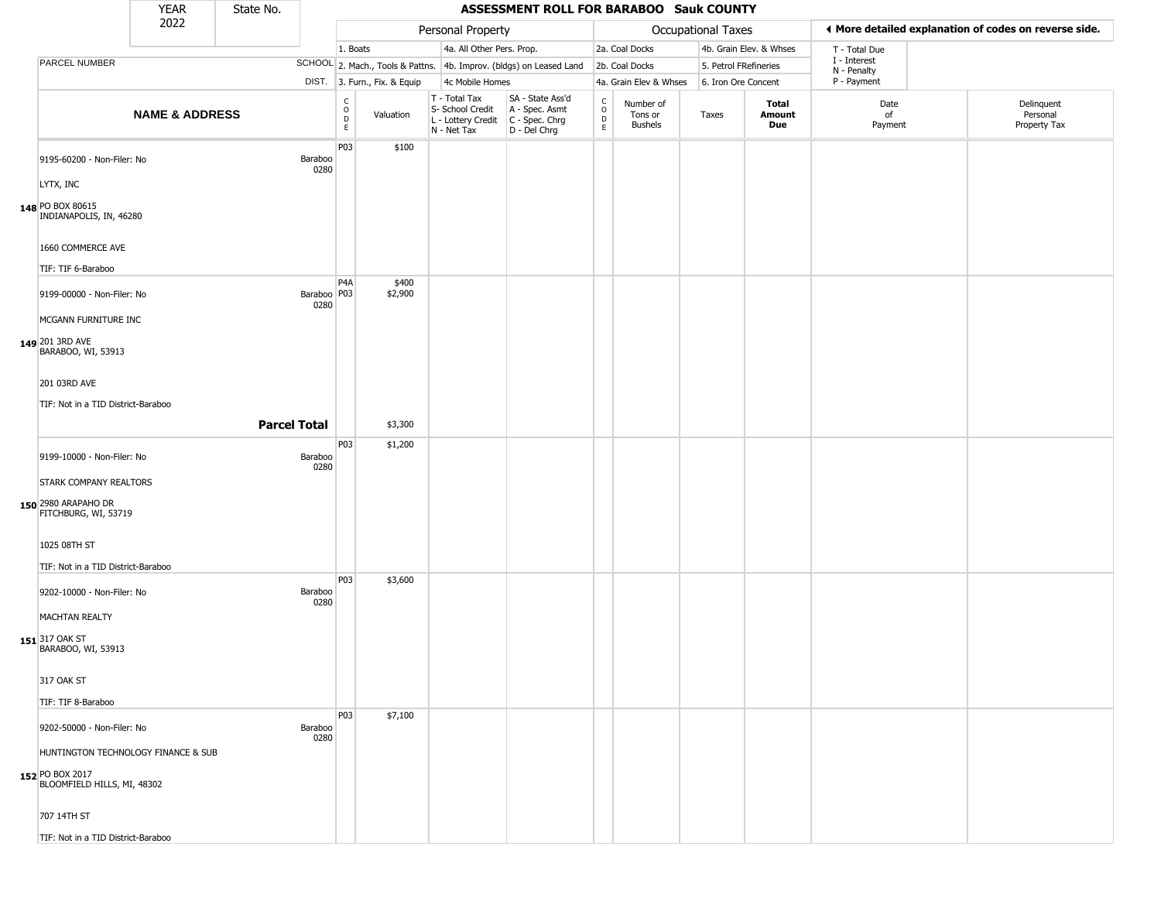|                                                                                       | <b>YEAR</b>               | State No.           |                        |                                                      |                              |                                                                        | ASSESSMENT ROLL FOR BARABOO Sauk COUNTY                              |                                                  |                                        |                           |                         |                             |                                                       |
|---------------------------------------------------------------------------------------|---------------------------|---------------------|------------------------|------------------------------------------------------|------------------------------|------------------------------------------------------------------------|----------------------------------------------------------------------|--------------------------------------------------|----------------------------------------|---------------------------|-------------------------|-----------------------------|-------------------------------------------------------|
|                                                                                       | 2022                      |                     |                        |                                                      |                              | Personal Property                                                      |                                                                      |                                                  |                                        | <b>Occupational Taxes</b> |                         |                             | ♦ More detailed explanation of codes on reverse side. |
|                                                                                       |                           |                     |                        | 1. Boats                                             |                              | 4a. All Other Pers. Prop.                                              |                                                                      |                                                  | 2a. Coal Docks                         |                           | 4b. Grain Elev. & Whses | T - Total Due               |                                                       |
| PARCEL NUMBER                                                                         |                           |                     |                        |                                                      |                              |                                                                        | SCHOOL 2. Mach., Tools & Pattns. 4b. Improv. (bldgs) on Leased Land  |                                                  | 2b. Coal Docks                         | 5. Petrol FRefineries     |                         | I - Interest<br>N - Penalty |                                                       |
|                                                                                       |                           |                     |                        |                                                      | DIST. 3. Furn., Fix. & Equip | 4c Mobile Homes                                                        |                                                                      |                                                  | 4a. Grain Elev & Whses                 | 6. Iron Ore Concent       |                         | P - Payment                 |                                                       |
|                                                                                       | <b>NAME &amp; ADDRESS</b> |                     |                        | $\mathsf C$<br>$\circ$<br>$\mathsf D$<br>$\mathsf E$ | Valuation                    | T - Total Tax<br>S- School Credit<br>L - Lottery Credit<br>N - Net Tax | SA - State Ass'd<br>A - Spec. Asmt<br>C - Spec. Chrg<br>D - Del Chrg | $_{\rm o}^{\rm c}$<br>$\mathsf D$<br>$\mathsf E$ | Number of<br>Tons or<br><b>Bushels</b> | Taxes                     | Total<br>Amount<br>Due  | Date<br>of<br>Payment       | Delinquent<br>Personal<br>Property Tax                |
| 9195-60200 - Non-Filer: No                                                            |                           |                     | <b>Baraboo</b><br>0280 | P03                                                  | \$100                        |                                                                        |                                                                      |                                                  |                                        |                           |                         |                             |                                                       |
| LYTX, INC                                                                             |                           |                     |                        |                                                      |                              |                                                                        |                                                                      |                                                  |                                        |                           |                         |                             |                                                       |
| 148 PO BOX 80615<br>INDIANAPOLIS, IN, 46280                                           |                           |                     |                        |                                                      |                              |                                                                        |                                                                      |                                                  |                                        |                           |                         |                             |                                                       |
| 1660 COMMERCE AVE                                                                     |                           |                     |                        |                                                      |                              |                                                                        |                                                                      |                                                  |                                        |                           |                         |                             |                                                       |
| TIF: TIF 6-Baraboo                                                                    |                           |                     |                        |                                                      |                              |                                                                        |                                                                      |                                                  |                                        |                           |                         |                             |                                                       |
| 9199-00000 - Non-Filer: No<br>MCGANN FURNITURE INC                                    |                           |                     | Baraboo   P03<br>0280  | P <sub>4</sub> A                                     | \$400<br>\$2,900             |                                                                        |                                                                      |                                                  |                                        |                           |                         |                             |                                                       |
| 149 201 3RD AVE<br>BARABOO, WI, 53913                                                 |                           |                     |                        |                                                      |                              |                                                                        |                                                                      |                                                  |                                        |                           |                         |                             |                                                       |
| 201 03RD AVE                                                                          |                           |                     |                        |                                                      |                              |                                                                        |                                                                      |                                                  |                                        |                           |                         |                             |                                                       |
| TIF: Not in a TID District-Baraboo                                                    |                           |                     |                        |                                                      |                              |                                                                        |                                                                      |                                                  |                                        |                           |                         |                             |                                                       |
|                                                                                       |                           | <b>Parcel Total</b> |                        |                                                      | \$3,300                      |                                                                        |                                                                      |                                                  |                                        |                           |                         |                             |                                                       |
|                                                                                       |                           |                     |                        | P03                                                  | \$1,200                      |                                                                        |                                                                      |                                                  |                                        |                           |                         |                             |                                                       |
| 9199-10000 - Non-Filer: No                                                            |                           |                     | Baraboo<br>0280        |                                                      |                              |                                                                        |                                                                      |                                                  |                                        |                           |                         |                             |                                                       |
| <b>STARK COMPANY REALTORS</b>                                                         |                           |                     |                        |                                                      |                              |                                                                        |                                                                      |                                                  |                                        |                           |                         |                             |                                                       |
| 150 2980 ARAPAHO DR<br>FITCHBURG, WI, 53719                                           |                           |                     |                        |                                                      |                              |                                                                        |                                                                      |                                                  |                                        |                           |                         |                             |                                                       |
| 1025 08TH ST                                                                          |                           |                     |                        |                                                      |                              |                                                                        |                                                                      |                                                  |                                        |                           |                         |                             |                                                       |
| TIF: Not in a TID District-Baraboo                                                    |                           |                     |                        |                                                      |                              |                                                                        |                                                                      |                                                  |                                        |                           |                         |                             |                                                       |
| 9202-10000 - Non-Filer: No                                                            |                           |                     | Baraboo<br>0280        | P <sub>03</sub>                                      | \$3,600                      |                                                                        |                                                                      |                                                  |                                        |                           |                         |                             |                                                       |
| <b>MACHTAN REALTY</b>                                                                 |                           |                     |                        |                                                      |                              |                                                                        |                                                                      |                                                  |                                        |                           |                         |                             |                                                       |
| 151 317 OAK ST<br>BARABOO, WI, 53913                                                  |                           |                     |                        |                                                      |                              |                                                                        |                                                                      |                                                  |                                        |                           |                         |                             |                                                       |
| 317 OAK ST                                                                            |                           |                     |                        |                                                      |                              |                                                                        |                                                                      |                                                  |                                        |                           |                         |                             |                                                       |
| TIF: TIF 8-Baraboo                                                                    |                           |                     |                        |                                                      |                              |                                                                        |                                                                      |                                                  |                                        |                           |                         |                             |                                                       |
| 9202-50000 - Non-Filer: No                                                            |                           |                     | Baraboo<br>0280        | P03                                                  | \$7,100                      |                                                                        |                                                                      |                                                  |                                        |                           |                         |                             |                                                       |
| HUNTINGTON TECHNOLOGY FINANCE & SUB<br>152 PO BOX 2017<br>BLOOMFIELD HILLS, MI, 48302 |                           |                     |                        |                                                      |                              |                                                                        |                                                                      |                                                  |                                        |                           |                         |                             |                                                       |
| 707 14TH ST                                                                           |                           |                     |                        |                                                      |                              |                                                                        |                                                                      |                                                  |                                        |                           |                         |                             |                                                       |
| TIF: Not in a TID District-Baraboo                                                    |                           |                     |                        |                                                      |                              |                                                                        |                                                                      |                                                  |                                        |                           |                         |                             |                                                       |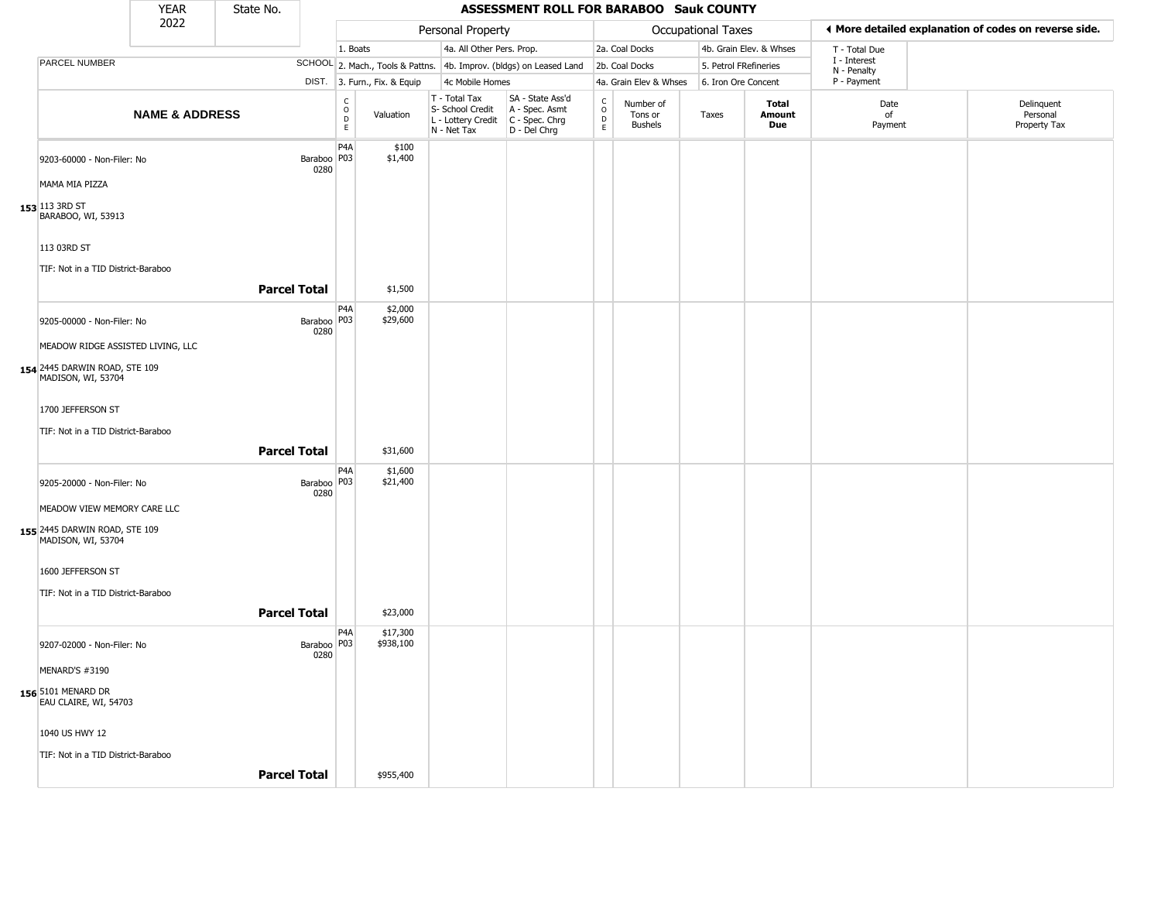| <b>YEAR</b><br>State No.<br>2022                       |                           |                     |                       |                                                 |                              |                                                                        | ASSESSMENT ROLL FOR BARABOO Sauk COUNTY                              |                                                   |                                        |                       |                         |                             |                                                       |
|--------------------------------------------------------|---------------------------|---------------------|-----------------------|-------------------------------------------------|------------------------------|------------------------------------------------------------------------|----------------------------------------------------------------------|---------------------------------------------------|----------------------------------------|-----------------------|-------------------------|-----------------------------|-------------------------------------------------------|
|                                                        |                           |                     |                       |                                                 |                              | Personal Property                                                      |                                                                      |                                                   |                                        | Occupational Taxes    |                         |                             | ♦ More detailed explanation of codes on reverse side. |
|                                                        |                           |                     |                       | 1. Boats                                        |                              | 4a. All Other Pers. Prop.                                              |                                                                      |                                                   | 2a. Coal Docks                         |                       | 4b. Grain Elev. & Whses | T - Total Due               |                                                       |
| PARCEL NUMBER                                          |                           |                     |                       |                                                 |                              |                                                                        | SCHOOL 2. Mach., Tools & Pattns. 4b. Improv. (bldgs) on Leased Land  |                                                   | 2b. Coal Docks                         | 5. Petrol FRefineries |                         | I - Interest<br>N - Penalty |                                                       |
|                                                        |                           |                     |                       |                                                 | DIST. 3. Furn., Fix. & Equip | 4c Mobile Homes                                                        |                                                                      |                                                   | 4a. Grain Elev & Whses                 | 6. Iron Ore Concent   |                         | P - Payment                 |                                                       |
|                                                        | <b>NAME &amp; ADDRESS</b> |                     |                       | $\begin{array}{c} C \\ O \\ D \\ E \end{array}$ | Valuation                    | T - Total Tax<br>S- School Credit<br>L - Lottery Credit<br>N - Net Tax | SA - State Ass'd<br>A - Spec. Asmt<br>C - Spec. Chrg<br>D - Del Chrg | $\begin{array}{c}\nC \\ O \\ D \\ E\n\end{array}$ | Number of<br>Tons or<br><b>Bushels</b> | Taxes                 | Total<br>Amount<br>Due  | Date<br>of<br>Payment       | Delinquent<br>Personal<br>Property Tax                |
| 9203-60000 - Non-Filer: No                             |                           |                     | Baraboo   P03<br>0280 | P <sub>4</sub> A                                | \$100<br>\$1,400             |                                                                        |                                                                      |                                                   |                                        |                       |                         |                             |                                                       |
| MAMA MIA PIZZA<br>153 113 3RD ST<br>BARABOO, WI, 53913 |                           |                     |                       |                                                 |                              |                                                                        |                                                                      |                                                   |                                        |                       |                         |                             |                                                       |
| 113 03RD ST                                            |                           |                     |                       |                                                 |                              |                                                                        |                                                                      |                                                   |                                        |                       |                         |                             |                                                       |
| TIF: Not in a TID District-Baraboo                     |                           | <b>Parcel Total</b> |                       |                                                 | \$1,500                      |                                                                        |                                                                      |                                                   |                                        |                       |                         |                             |                                                       |
| 9205-00000 - Non-Filer: No                             |                           |                     | Baraboo P03<br>0280   | P4A                                             | \$2,000<br>\$29,600          |                                                                        |                                                                      |                                                   |                                        |                       |                         |                             |                                                       |
| MEADOW RIDGE ASSISTED LIVING, LLC                      |                           |                     |                       |                                                 |                              |                                                                        |                                                                      |                                                   |                                        |                       |                         |                             |                                                       |
| 154 2445 DARWIN ROAD, STE 109<br>MADISON, WI, 53704    |                           |                     |                       |                                                 |                              |                                                                        |                                                                      |                                                   |                                        |                       |                         |                             |                                                       |
| 1700 JEFFERSON ST                                      |                           |                     |                       |                                                 |                              |                                                                        |                                                                      |                                                   |                                        |                       |                         |                             |                                                       |
| TIF: Not in a TID District-Baraboo                     |                           | <b>Parcel Total</b> |                       |                                                 | \$31,600                     |                                                                        |                                                                      |                                                   |                                        |                       |                         |                             |                                                       |
| 9205-20000 - Non-Filer: No                             |                           |                     | Baraboo   P03<br>0280 | P <sub>4</sub> A                                | \$1,600<br>\$21,400          |                                                                        |                                                                      |                                                   |                                        |                       |                         |                             |                                                       |
| MEADOW VIEW MEMORY CARE LLC                            |                           |                     |                       |                                                 |                              |                                                                        |                                                                      |                                                   |                                        |                       |                         |                             |                                                       |
| 155 2445 DARWIN ROAD, STE 109<br>MADISON, WI, 53704    |                           |                     |                       |                                                 |                              |                                                                        |                                                                      |                                                   |                                        |                       |                         |                             |                                                       |
| 1600 JEFFERSON ST                                      |                           |                     |                       |                                                 |                              |                                                                        |                                                                      |                                                   |                                        |                       |                         |                             |                                                       |
| TIF: Not in a TID District-Baraboo                     |                           | <b>Parcel Total</b> |                       |                                                 | \$23,000                     |                                                                        |                                                                      |                                                   |                                        |                       |                         |                             |                                                       |
| 9207-02000 - Non-Filer: No                             |                           |                     | Baraboo P03           | P4A                                             | \$17,300<br>\$938,100        |                                                                        |                                                                      |                                                   |                                        |                       |                         |                             |                                                       |
| MENARD'S #3190                                         |                           |                     | 0280                  |                                                 |                              |                                                                        |                                                                      |                                                   |                                        |                       |                         |                             |                                                       |
| <b>156</b> 5101 MENARD DR<br>EAU CLAIRE, WI, 54703     |                           |                     |                       |                                                 |                              |                                                                        |                                                                      |                                                   |                                        |                       |                         |                             |                                                       |
| 1040 US HWY 12                                         |                           |                     |                       |                                                 |                              |                                                                        |                                                                      |                                                   |                                        |                       |                         |                             |                                                       |
| TIF: Not in a TID District-Baraboo                     |                           | <b>Parcel Total</b> |                       |                                                 | \$955,400                    |                                                                        |                                                                      |                                                   |                                        |                       |                         |                             |                                                       |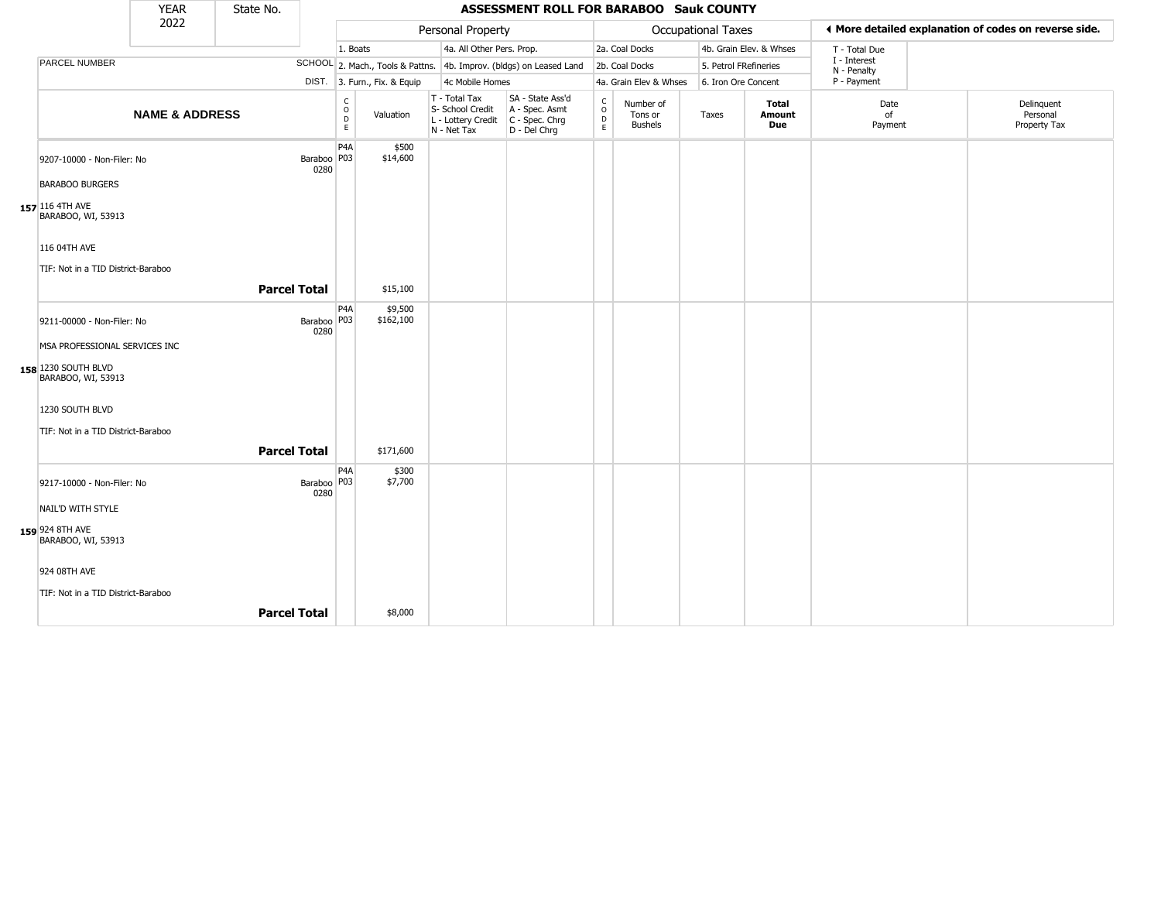|                                                                            | <b>YEAR</b>               | State No.           |                       |                                                |                              |                                                                        | ASSESSMENT ROLL FOR BARABOO Sauk COUNTY                              |                                                                    |                                        |                       |                         |                             |                                                       |
|----------------------------------------------------------------------------|---------------------------|---------------------|-----------------------|------------------------------------------------|------------------------------|------------------------------------------------------------------------|----------------------------------------------------------------------|--------------------------------------------------------------------|----------------------------------------|-----------------------|-------------------------|-----------------------------|-------------------------------------------------------|
|                                                                            | 2022                      |                     |                       |                                                |                              | Personal Property                                                      |                                                                      |                                                                    |                                        | Occupational Taxes    |                         |                             | ♦ More detailed explanation of codes on reverse side. |
|                                                                            |                           |                     |                       | 1. Boats                                       |                              | 4a. All Other Pers. Prop.                                              |                                                                      |                                                                    | 2a. Coal Docks                         |                       | 4b. Grain Elev. & Whses | T - Total Due               |                                                       |
| PARCEL NUMBER                                                              |                           |                     |                       |                                                |                              |                                                                        | SCHOOL 2. Mach., Tools & Pattns. 4b. Improv. (bldgs) on Leased Land  |                                                                    | 2b. Coal Docks                         | 5. Petrol FRefineries |                         | I - Interest<br>N - Penalty |                                                       |
|                                                                            |                           |                     |                       |                                                | DIST. 3. Furn., Fix. & Equip | 4c Mobile Homes                                                        |                                                                      |                                                                    | 4a. Grain Elev & Whses                 | 6. Iron Ore Concent   |                         | P - Payment                 |                                                       |
|                                                                            | <b>NAME &amp; ADDRESS</b> |                     |                       | C<br>$\mathsf O$<br>$\mathsf D$<br>$\mathsf E$ | Valuation                    | T - Total Tax<br>S- School Credit<br>L - Lottery Credit<br>N - Net Tax | SA - State Ass'd<br>A - Spec. Asmt<br>C - Spec. Chrg<br>D - Del Chrg | $\begin{smallmatrix} C \\ 0 \\ D \end{smallmatrix}$<br>$\mathsf E$ | Number of<br>Tons or<br><b>Bushels</b> | Taxes                 | Total<br>Amount<br>Due  | Date<br>of<br>Payment       | Delinquent<br>Personal<br>Property Tax                |
| 9207-10000 - Non-Filer: No                                                 |                           |                     | Baraboo P03<br>0280   | P4A                                            | \$500<br>\$14,600            |                                                                        |                                                                      |                                                                    |                                        |                       |                         |                             |                                                       |
| <b>BARABOO BURGERS</b><br>157 116 4TH AVE<br>BARABOO, WI, 53913            |                           |                     |                       |                                                |                              |                                                                        |                                                                      |                                                                    |                                        |                       |                         |                             |                                                       |
| 116 04TH AVE                                                               |                           |                     |                       |                                                |                              |                                                                        |                                                                      |                                                                    |                                        |                       |                         |                             |                                                       |
| TIF: Not in a TID District-Baraboo                                         |                           | <b>Parcel Total</b> |                       |                                                | \$15,100                     |                                                                        |                                                                      |                                                                    |                                        |                       |                         |                             |                                                       |
| 9211-00000 - Non-Filer: No                                                 |                           |                     | Baraboo   P03<br>0280 | P4A                                            | \$9,500<br>\$162,100         |                                                                        |                                                                      |                                                                    |                                        |                       |                         |                             |                                                       |
| MSA PROFESSIONAL SERVICES INC<br>158 1230 SOUTH BLVD<br>BARABOO, WI, 53913 |                           |                     |                       |                                                |                              |                                                                        |                                                                      |                                                                    |                                        |                       |                         |                             |                                                       |
| 1230 SOUTH BLVD                                                            |                           |                     |                       |                                                |                              |                                                                        |                                                                      |                                                                    |                                        |                       |                         |                             |                                                       |
| TIF: Not in a TID District-Baraboo                                         |                           |                     |                       |                                                |                              |                                                                        |                                                                      |                                                                    |                                        |                       |                         |                             |                                                       |
|                                                                            |                           | <b>Parcel Total</b> |                       |                                                | \$171,600                    |                                                                        |                                                                      |                                                                    |                                        |                       |                         |                             |                                                       |
| 9217-10000 - Non-Filer: No                                                 |                           |                     | Baraboo   P03<br>0280 | P <sub>4</sub> A                               | \$300<br>\$7,700             |                                                                        |                                                                      |                                                                    |                                        |                       |                         |                             |                                                       |
| NAIL'D WITH STYLE                                                          |                           |                     |                       |                                                |                              |                                                                        |                                                                      |                                                                    |                                        |                       |                         |                             |                                                       |
| 159 924 8TH AVE<br>BARABOO, WI, 53913                                      |                           |                     |                       |                                                |                              |                                                                        |                                                                      |                                                                    |                                        |                       |                         |                             |                                                       |
| 924 08TH AVE                                                               |                           |                     |                       |                                                |                              |                                                                        |                                                                      |                                                                    |                                        |                       |                         |                             |                                                       |
| TIF: Not in a TID District-Baraboo                                         |                           |                     |                       |                                                |                              |                                                                        |                                                                      |                                                                    |                                        |                       |                         |                             |                                                       |
|                                                                            |                           | <b>Parcel Total</b> |                       |                                                | \$8,000                      |                                                                        |                                                                      |                                                                    |                                        |                       |                         |                             |                                                       |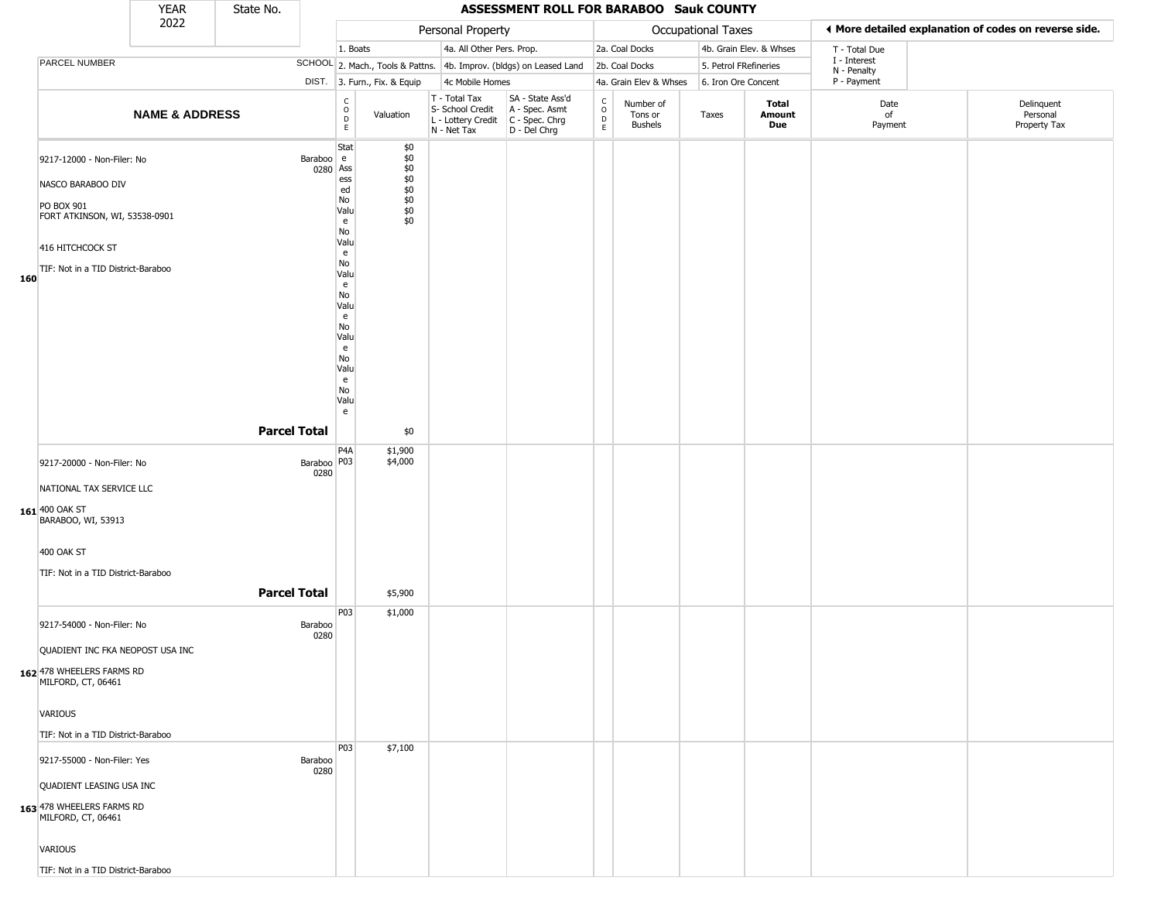|     |                                                                                                                                                          | <b>YEAR</b>               | State No.           |                       |                                                                                                                                                        |                                                                    |                                                                                         | ASSESSMENT ROLL FOR BARABOO Sauk COUNTY                             |                                                 |                                        |                           |                         |                             |                                                       |
|-----|----------------------------------------------------------------------------------------------------------------------------------------------------------|---------------------------|---------------------|-----------------------|--------------------------------------------------------------------------------------------------------------------------------------------------------|--------------------------------------------------------------------|-----------------------------------------------------------------------------------------|---------------------------------------------------------------------|-------------------------------------------------|----------------------------------------|---------------------------|-------------------------|-----------------------------|-------------------------------------------------------|
|     |                                                                                                                                                          | 2022                      |                     |                       |                                                                                                                                                        |                                                                    | Personal Property                                                                       |                                                                     |                                                 |                                        | <b>Occupational Taxes</b> |                         |                             | ♦ More detailed explanation of codes on reverse side. |
|     |                                                                                                                                                          |                           |                     |                       | 1. Boats                                                                                                                                               |                                                                    | 4a. All Other Pers. Prop.                                                               |                                                                     |                                                 | 2a. Coal Docks                         |                           | 4b. Grain Elev. & Whses | T - Total Due               |                                                       |
|     | PARCEL NUMBER                                                                                                                                            |                           |                     |                       |                                                                                                                                                        |                                                                    |                                                                                         | SCHOOL 2. Mach., Tools & Pattns. 4b. Improv. (bldgs) on Leased Land |                                                 | 2b. Coal Docks                         |                           | 5. Petrol FRefineries   | I - Interest<br>N - Penalty |                                                       |
|     |                                                                                                                                                          |                           |                     |                       | DIST. 3. Furn., Fix. & Equip                                                                                                                           |                                                                    | 4c Mobile Homes                                                                         |                                                                     |                                                 | 4a. Grain Elev & Whses                 | 6. Iron Ore Concent       |                         | P - Payment                 |                                                       |
|     |                                                                                                                                                          | <b>NAME &amp; ADDRESS</b> |                     |                       | $\begin{array}{c} C \\ O \\ E \end{array}$<br>Valuation                                                                                                |                                                                    | T - Total Tax<br>S- School Credit<br>L - Lottery Credit   C - Spec. Chrg<br>N - Net Tax | SA - State Ass'd<br>A - Spec. Asmt<br>D - Del Chrg                  | $\begin{array}{c} C \\ O \\ D \\ E \end{array}$ | Number of<br>Tons or<br><b>Bushels</b> | Taxes                     | Total<br>Amount<br>Due  | Date<br>of<br>Payment       | Delinquent<br>Personal<br>Property Tax                |
| 160 | 9217-12000 - Non-Filer: No<br>NASCO BARABOO DIV<br>PO BOX 901<br>FORT ATKINSON, WI, 53538-0901<br>416 HITCHCOCK ST<br>TIF: Not in a TID District-Baraboo |                           |                     | Baraboo e<br>0280 Ass | Stat<br>ess<br>ed<br>No<br>Valu<br>e<br>No<br>Valu<br>e<br>No<br>Valu<br>e<br>No<br>Valu<br>e<br>No<br>Valu<br>e<br>No<br>Valu<br>e<br>No<br>Valu<br>e | \$0<br>$$0$$<br>\$0<br>$$0$<br>$$0$<br>$$0$<br>$$0$<br>$$0$<br>\$0 |                                                                                         |                                                                     |                                                 |                                        |                           |                         |                             |                                                       |
|     |                                                                                                                                                          |                           | <b>Parcel Total</b> |                       |                                                                                                                                                        | \$0                                                                |                                                                                         |                                                                     |                                                 |                                        |                           |                         |                             |                                                       |
|     | 9217-20000 - Non-Filer: No<br>NATIONAL TAX SERVICE LLC<br>161 400 OAK ST<br>BARABOO, WI, 53913<br>400 OAK ST<br>TIF: Not in a TID District-Baraboo       |                           |                     | Baraboo P03<br>0280   | P4A<br>\$1,900<br>\$4,000                                                                                                                              |                                                                    |                                                                                         |                                                                     |                                                 |                                        |                           |                         |                             |                                                       |
|     |                                                                                                                                                          |                           | <b>Parcel Total</b> |                       | \$5,900                                                                                                                                                |                                                                    |                                                                                         |                                                                     |                                                 |                                        |                           |                         |                             |                                                       |
|     | 9217-54000 - Non-Filer: No<br>QUADIENT INC FKA NEOPOST USA INC<br>162 478 WHEELERS FARMS RD<br>MILFORD, CT, 06461                                        |                           |                     | Baraboo<br>0280       | P03<br>\$1,000                                                                                                                                         |                                                                    |                                                                                         |                                                                     |                                                 |                                        |                           |                         |                             |                                                       |
|     | VARIOUS                                                                                                                                                  |                           |                     |                       |                                                                                                                                                        |                                                                    |                                                                                         |                                                                     |                                                 |                                        |                           |                         |                             |                                                       |
|     | TIF: Not in a TID District-Baraboo<br>9217-55000 - Non-Filer: Yes<br>QUADIENT LEASING USA INC<br>163 478 WHEELERS FARMS RD<br>MILFORD, CT, 06461         |                           |                     | Baraboo<br>0280       | P03<br>\$7,100                                                                                                                                         |                                                                    |                                                                                         |                                                                     |                                                 |                                        |                           |                         |                             |                                                       |
|     | VARIOUS<br>TIF: Not in a TID District-Baraboo                                                                                                            |                           |                     |                       |                                                                                                                                                        |                                                                    |                                                                                         |                                                                     |                                                 |                                        |                           |                         |                             |                                                       |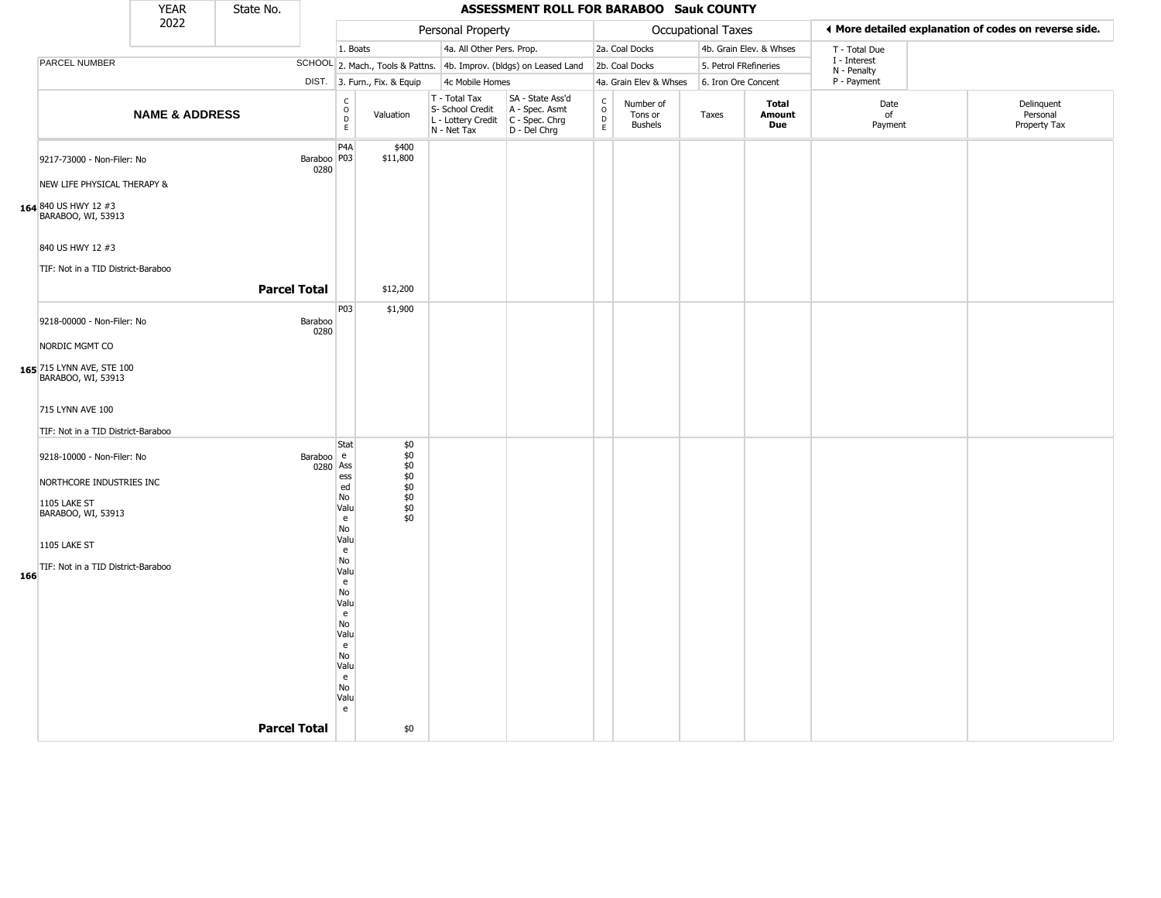|     |                                                                                                      | <b>YEAR</b>               | State No.           |                       |                                                                                                                            |                                                      |                                                                        | ASSESSMENT ROLL FOR BARABOO Sauk COUNTY                                |                                              |                                        |                           |                                      |                             |                                                       |
|-----|------------------------------------------------------------------------------------------------------|---------------------------|---------------------|-----------------------|----------------------------------------------------------------------------------------------------------------------------|------------------------------------------------------|------------------------------------------------------------------------|------------------------------------------------------------------------|----------------------------------------------|----------------------------------------|---------------------------|--------------------------------------|-----------------------------|-------------------------------------------------------|
|     |                                                                                                      | 2022                      |                     |                       |                                                                                                                            |                                                      | Personal Property                                                      |                                                                        |                                              |                                        | <b>Occupational Taxes</b> |                                      |                             | ◀ More detailed explanation of codes on reverse side. |
|     |                                                                                                      |                           |                     |                       | 1. Boats                                                                                                                   |                                                      | 4a. All Other Pers. Prop.                                              |                                                                        |                                              | 2a. Coal Docks                         |                           | 4b. Grain Elev. & Whses              | T - Total Due               |                                                       |
|     | PARCEL NUMBER                                                                                        |                           |                     |                       |                                                                                                                            |                                                      |                                                                        | SCHOOL 2. Mach., Tools & Pattns. 4b. Improv. (bldgs) on Leased Land    |                                              | 2b. Coal Docks                         | 5. Petrol FRefineries     |                                      | I - Interest<br>N - Penalty |                                                       |
|     |                                                                                                      |                           |                     |                       |                                                                                                                            | DIST. 3. Furn., Fix. & Equip                         | 4c Mobile Homes                                                        |                                                                        |                                              | 4a. Grain Elev & Whses                 | 6. Iron Ore Concent       |                                      | P - Payment                 |                                                       |
|     |                                                                                                      | <b>NAME &amp; ADDRESS</b> |                     |                       | $\begin{matrix} 0 \\ 0 \\ D \end{matrix}$<br>$\mathsf E$                                                                   | Valuation                                            | T - Total Tax<br>S- School Credit<br>L - Lottery Credit<br>N - Net Tax | SA - State Ass'd<br>A - Spec. Asmt<br>$C - Spec. Chrg$<br>D - Del Chrg | $\begin{array}{c}\nC \\ O \\ D\n\end{array}$ | Number of<br>Tons or<br><b>Bushels</b> | Taxes                     | <b>Total</b><br>Amount<br><b>Due</b> | Date<br>of<br>Payment       | Delinquent<br>Personal<br>Property Tax                |
|     | 9217-73000 - Non-Filer: No<br>NEW LIFE PHYSICAL THERAPY &                                            |                           |                     | Baraboo   P03<br>0280 | P <sub>4</sub> A                                                                                                           | \$400<br>\$11,800                                    |                                                                        |                                                                        |                                              |                                        |                           |                                      |                             |                                                       |
|     | 164 840 US HWY 12 #3<br>BARABOO, WI, 53913<br>840 US HWY 12 #3<br>TIF: Not in a TID District-Baraboo |                           |                     |                       |                                                                                                                            |                                                      |                                                                        |                                                                        |                                              |                                        |                           |                                      |                             |                                                       |
|     |                                                                                                      |                           | <b>Parcel Total</b> |                       |                                                                                                                            | \$12,200                                             |                                                                        |                                                                        |                                              |                                        |                           |                                      |                             |                                                       |
|     | 9218-00000 - Non-Filer: No<br>NORDIC MGMT CO                                                         |                           |                     | Baraboo<br>0280       | P03                                                                                                                        | \$1,900                                              |                                                                        |                                                                        |                                              |                                        |                           |                                      |                             |                                                       |
|     | 165 715 LYNN AVE, STE 100<br>BARABOO, WI, 53913                                                      |                           |                     |                       |                                                                                                                            |                                                      |                                                                        |                                                                        |                                              |                                        |                           |                                      |                             |                                                       |
|     | 715 LYNN AVE 100                                                                                     |                           |                     |                       |                                                                                                                            |                                                      |                                                                        |                                                                        |                                              |                                        |                           |                                      |                             |                                                       |
|     | TIF: Not in a TID District-Baraboo                                                                   |                           |                     |                       |                                                                                                                            |                                                      |                                                                        |                                                                        |                                              |                                        |                           |                                      |                             |                                                       |
|     | 9218-10000 - Non-Filer: No<br>NORTHCORE INDUSTRIES INC<br>1105 LAKE ST<br>BARABOO, WI, 53913         |                           |                     | Baraboo e<br>0280 Ass | Stat<br>ess<br>ed<br>No<br>Valu<br>e                                                                                       | \$0<br>\$0<br>\$0<br>\$0<br>\$0<br>\$0<br>\$0<br>\$0 |                                                                        |                                                                        |                                              |                                        |                           |                                      |                             |                                                       |
| 166 | 1105 LAKE ST<br>TIF: Not in a TID District-Baraboo                                                   |                           |                     |                       | No<br>Valu<br>e<br>No<br>Valu<br>e<br>N <sub>o</sub><br>Valu<br>e<br>No<br>Valu<br>e<br>No<br>Valu<br>e<br>No<br>Valu<br>e |                                                      |                                                                        |                                                                        |                                              |                                        |                           |                                      |                             |                                                       |
|     |                                                                                                      |                           | <b>Parcel Total</b> |                       |                                                                                                                            | \$0                                                  |                                                                        |                                                                        |                                              |                                        |                           |                                      |                             |                                                       |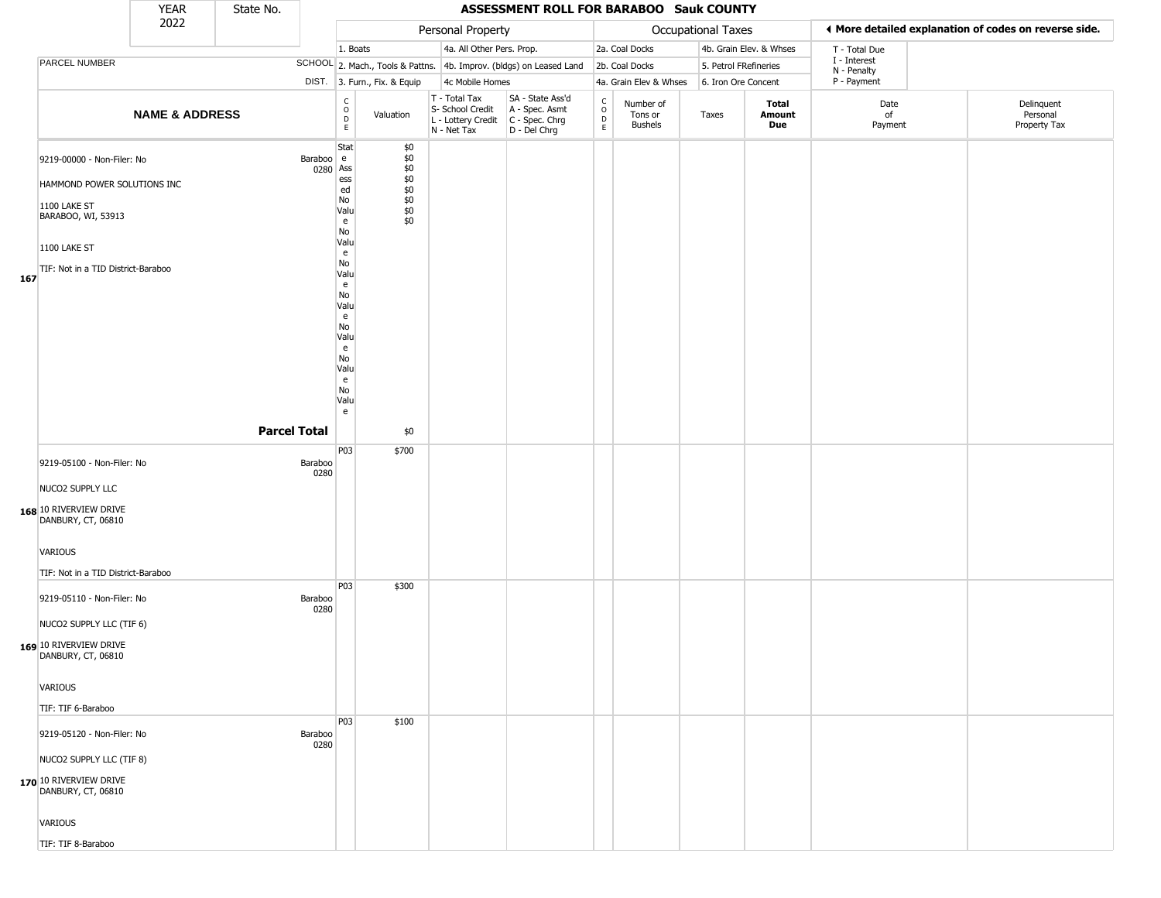|     |                                                                                                                                                                      | <b>YEAR</b>               | State No.           |                   |                                                                                                                                                               |                                                                          |                                                                        | <b>ASSESSMENT ROLL FOR BARABOO Sauk COUNTY</b>                         |                                                |                                 |                       |                         |                             |                                                       |
|-----|----------------------------------------------------------------------------------------------------------------------------------------------------------------------|---------------------------|---------------------|-------------------|---------------------------------------------------------------------------------------------------------------------------------------------------------------|--------------------------------------------------------------------------|------------------------------------------------------------------------|------------------------------------------------------------------------|------------------------------------------------|---------------------------------|-----------------------|-------------------------|-----------------------------|-------------------------------------------------------|
|     |                                                                                                                                                                      | 2022                      |                     |                   |                                                                                                                                                               |                                                                          | Personal Property                                                      |                                                                        |                                                |                                 | Occupational Taxes    |                         |                             | I More detailed explanation of codes on reverse side. |
|     |                                                                                                                                                                      |                           |                     |                   | 1. Boats                                                                                                                                                      |                                                                          | 4a. All Other Pers. Prop.                                              |                                                                        |                                                | 2a. Coal Docks                  |                       | 4b. Grain Elev. & Whses | T - Total Due               |                                                       |
|     | PARCEL NUMBER                                                                                                                                                        |                           |                     |                   |                                                                                                                                                               |                                                                          |                                                                        | SCHOOL 2. Mach., Tools & Pattns. 4b. Improv. (bldgs) on Leased Land    |                                                | 2b. Coal Docks                  | 5. Petrol FRefineries |                         | I - Interest<br>N - Penalty |                                                       |
|     |                                                                                                                                                                      |                           |                     |                   |                                                                                                                                                               | DIST. 3. Furn., Fix. & Equip                                             | 4c Mobile Homes                                                        |                                                                        |                                                | 4a. Grain Elev & Whses          | 6. Iron Ore Concent   |                         | P - Payment                 |                                                       |
|     |                                                                                                                                                                      | <b>NAME &amp; ADDRESS</b> |                     |                   | $\begin{array}{c} C \\ O \\ D \\ E \end{array}$                                                                                                               | Valuation                                                                | T - Total Tax<br>S- School Credit<br>L - Lottery Credit<br>N - Net Tax | SA - State Ass'd<br>A - Spec. Asmt<br>$C - Spec. Chrg$<br>D - Del Chrg | $\begin{matrix} 0 \\ 0 \\ D \end{matrix}$<br>E | Number of<br>Tons or<br>Bushels | Taxes                 | Total<br>Amount<br>Due  | Date<br>of<br>Payment       | Delinquent<br>Personal<br>Property Tax                |
| 167 | 9219-00000 - Non-Filer: No<br>HAMMOND POWER SOLUTIONS INC<br>1100 LAKE ST<br>BARABOO, WI, 53913<br>1100 LAKE ST<br>TIF: Not in a TID District-Baraboo                |                           | <b>Parcel Total</b> | Baraboo e<br>0280 | Stat<br>Ass<br>ess<br>ed<br>No<br>Valu<br>e<br>No<br>Valu<br>e<br>No<br>Valu<br>e<br>No<br>Valu<br>e<br>No<br>Valu<br>e<br>No<br>Valu<br>e<br>No<br>Valu<br>e | \$0<br>\$0<br>$$0$<br>$$0$<br>$$0$<br>$$0$<br>$$0$<br>$$0$<br>\$0<br>\$0 |                                                                        |                                                                        |                                                |                                 |                       |                         |                             |                                                       |
|     | 9219-05100 - Non-Filer: No                                                                                                                                           |                           |                     | Baraboo           | P03                                                                                                                                                           | \$700                                                                    |                                                                        |                                                                        |                                                |                                 |                       |                         |                             |                                                       |
|     | NUCO2 SUPPLY LLC<br>168 10 RIVERVIEW DRIVE<br>DANBURY, CT, 06810<br><b>VARIOUS</b>                                                                                   |                           |                     | 0280              |                                                                                                                                                               |                                                                          |                                                                        |                                                                        |                                                |                                 |                       |                         |                             |                                                       |
|     | TIF: Not in a TID District-Baraboo                                                                                                                                   |                           |                     |                   |                                                                                                                                                               |                                                                          |                                                                        |                                                                        |                                                |                                 |                       |                         |                             |                                                       |
|     | 9219-05110 - Non-Filer: No<br>NUCO2 SUPPLY LLC (TIF 6)<br>169 10 RIVERVIEW DRIVE<br>DANBURY, CT, 06810                                                               |                           |                     | Baraboo<br>0280   | P03                                                                                                                                                           | \$300                                                                    |                                                                        |                                                                        |                                                |                                 |                       |                         |                             |                                                       |
|     | VARIOUS                                                                                                                                                              |                           |                     |                   |                                                                                                                                                               |                                                                          |                                                                        |                                                                        |                                                |                                 |                       |                         |                             |                                                       |
|     | TIF: TIF 6-Baraboo<br>9219-05120 - Non-Filer: No<br>NUCO2 SUPPLY LLC (TIF 8)<br>170 10 RIVERVIEW DRIVE<br>DANBURY, CT, 06810<br><b>VARIOUS</b><br>TIF: TIF 8-Baraboo |                           |                     | Baraboo<br>0280   | P <sub>0</sub> 3                                                                                                                                              | \$100                                                                    |                                                                        |                                                                        |                                                |                                 |                       |                         |                             |                                                       |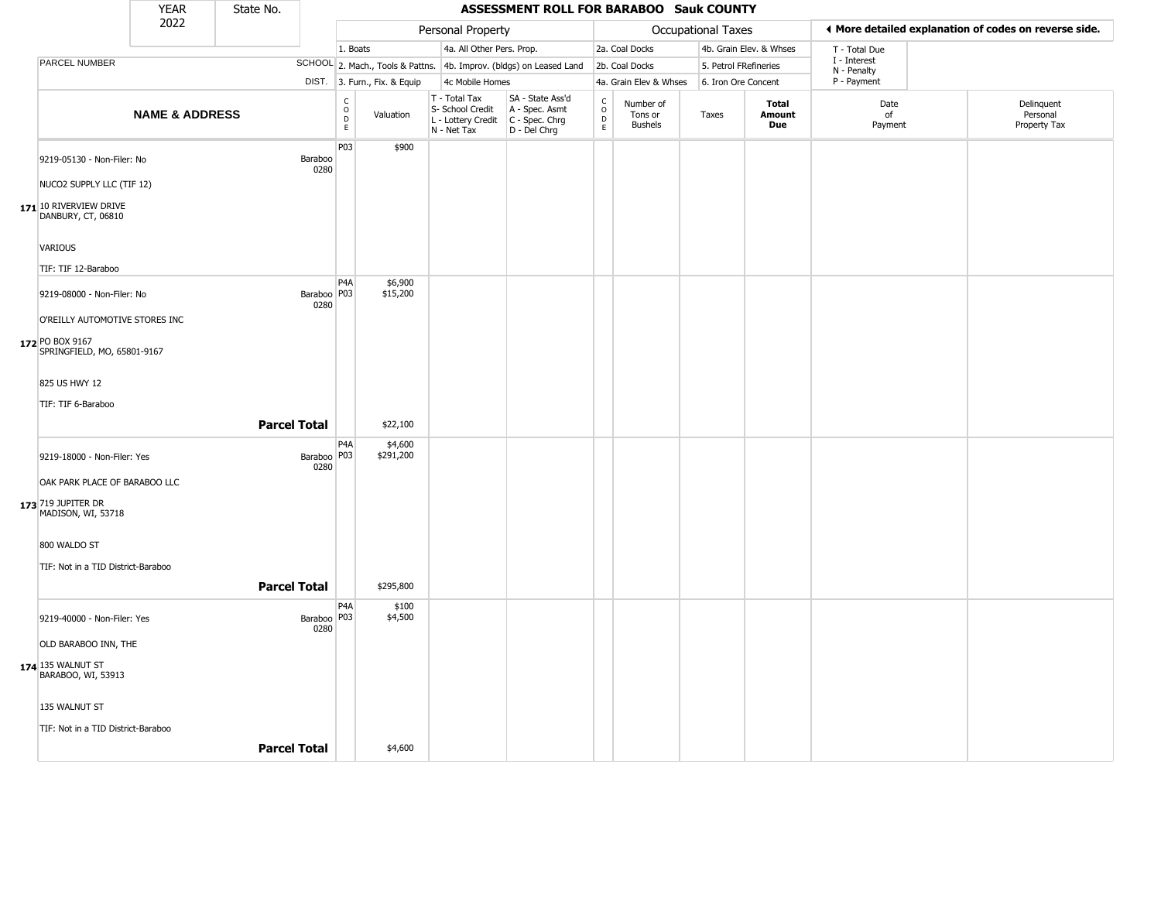|                                                                                                                                 | <b>YEAR</b>               | State No.           |                       |                  |                              |                                                                        | ASSESSMENT ROLL FOR BARABOO Sauk COUNTY                              |                                                 |                                        |                           |                         |                             |                                                       |
|---------------------------------------------------------------------------------------------------------------------------------|---------------------------|---------------------|-----------------------|------------------|------------------------------|------------------------------------------------------------------------|----------------------------------------------------------------------|-------------------------------------------------|----------------------------------------|---------------------------|-------------------------|-----------------------------|-------------------------------------------------------|
|                                                                                                                                 | 2022                      |                     |                       |                  |                              | Personal Property                                                      |                                                                      |                                                 |                                        | <b>Occupational Taxes</b> |                         |                             | ◀ More detailed explanation of codes on reverse side. |
|                                                                                                                                 |                           |                     |                       | 1. Boats         |                              | 4a. All Other Pers. Prop.                                              |                                                                      |                                                 | 2a. Coal Docks                         |                           | 4b. Grain Elev. & Whses | T - Total Due               |                                                       |
| PARCEL NUMBER                                                                                                                   |                           |                     |                       |                  |                              |                                                                        | SCHOOL 2. Mach., Tools & Pattns. 4b. Improv. (bldgs) on Leased Land  |                                                 | 2b. Coal Docks                         | 5. Petrol FRefineries     |                         | I - Interest<br>N - Penalty |                                                       |
|                                                                                                                                 |                           |                     |                       |                  | DIST. 3. Furn., Fix. & Equip | 4c Mobile Homes                                                        |                                                                      |                                                 | 4a. Grain Elev & Whses                 | 6. Iron Ore Concent       |                         | P - Payment                 |                                                       |
|                                                                                                                                 | <b>NAME &amp; ADDRESS</b> |                     |                       | C<br>D<br>D<br>E | Valuation                    | T - Total Tax<br>S- School Credit<br>L - Lottery Credit<br>N - Net Tax | SA - State Ass'd<br>A - Spec. Asmt<br>C - Spec. Chrg<br>D - Del Chrg | $\begin{array}{c} C \\ O \\ D \\ E \end{array}$ | Number of<br>Tons or<br><b>Bushels</b> | Taxes                     | Total<br>Amount<br>Due  | Date<br>of<br>Payment       | Delinquent<br>Personal<br>Property Tax                |
| 9219-05130 - Non-Filer: No<br>NUCO2 SUPPLY LLC (TIF 12)                                                                         |                           |                     | Baraboo<br>0280       | P03              | \$900                        |                                                                        |                                                                      |                                                 |                                        |                           |                         |                             |                                                       |
| 171 10 RIVERVIEW DRIVE<br>DANBURY, CT, 06810<br>VARIOUS<br>TIF: TIF 12-Baraboo                                                  |                           |                     |                       |                  |                              |                                                                        |                                                                      |                                                 |                                        |                           |                         |                             |                                                       |
| 9219-08000 - Non-Filer: No<br>O'REILLY AUTOMOTIVE STORES INC<br>172 PO BOX 9167<br>SPRINGFIELD, MO, 65801-9167<br>825 US HWY 12 |                           |                     | Baraboo   P03<br>0280 | P4A              | \$6,900<br>\$15,200          |                                                                        |                                                                      |                                                 |                                        |                           |                         |                             |                                                       |
| TIF: TIF 6-Baraboo                                                                                                              |                           | <b>Parcel Total</b> |                       | P4A              | \$22,100<br>\$4,600          |                                                                        |                                                                      |                                                 |                                        |                           |                         |                             |                                                       |
| 9219-18000 - Non-Filer: Yes<br>OAK PARK PLACE OF BARABOO LLC<br>173 719 JUPITER DR<br>MADISON, WI, 53718                        |                           |                     | Baraboo   P03<br>0280 |                  | \$291,200                    |                                                                        |                                                                      |                                                 |                                        |                           |                         |                             |                                                       |
| 800 WALDO ST<br>TIF: Not in a TID District-Baraboo                                                                              |                           | <b>Parcel Total</b> |                       |                  | \$295,800                    |                                                                        |                                                                      |                                                 |                                        |                           |                         |                             |                                                       |
| 9219-40000 - Non-Filer: Yes<br>OLD BARABOO INN, THE<br>174 135 WALNUT ST<br>BARABOO, WI, 53913                                  |                           |                     | Baraboo   P03<br>0280 | P <sub>4</sub> A | \$100<br>\$4,500             |                                                                        |                                                                      |                                                 |                                        |                           |                         |                             |                                                       |
| 135 WALNUT ST<br>TIF: Not in a TID District-Baraboo                                                                             |                           | <b>Parcel Total</b> |                       |                  | \$4,600                      |                                                                        |                                                                      |                                                 |                                        |                           |                         |                             |                                                       |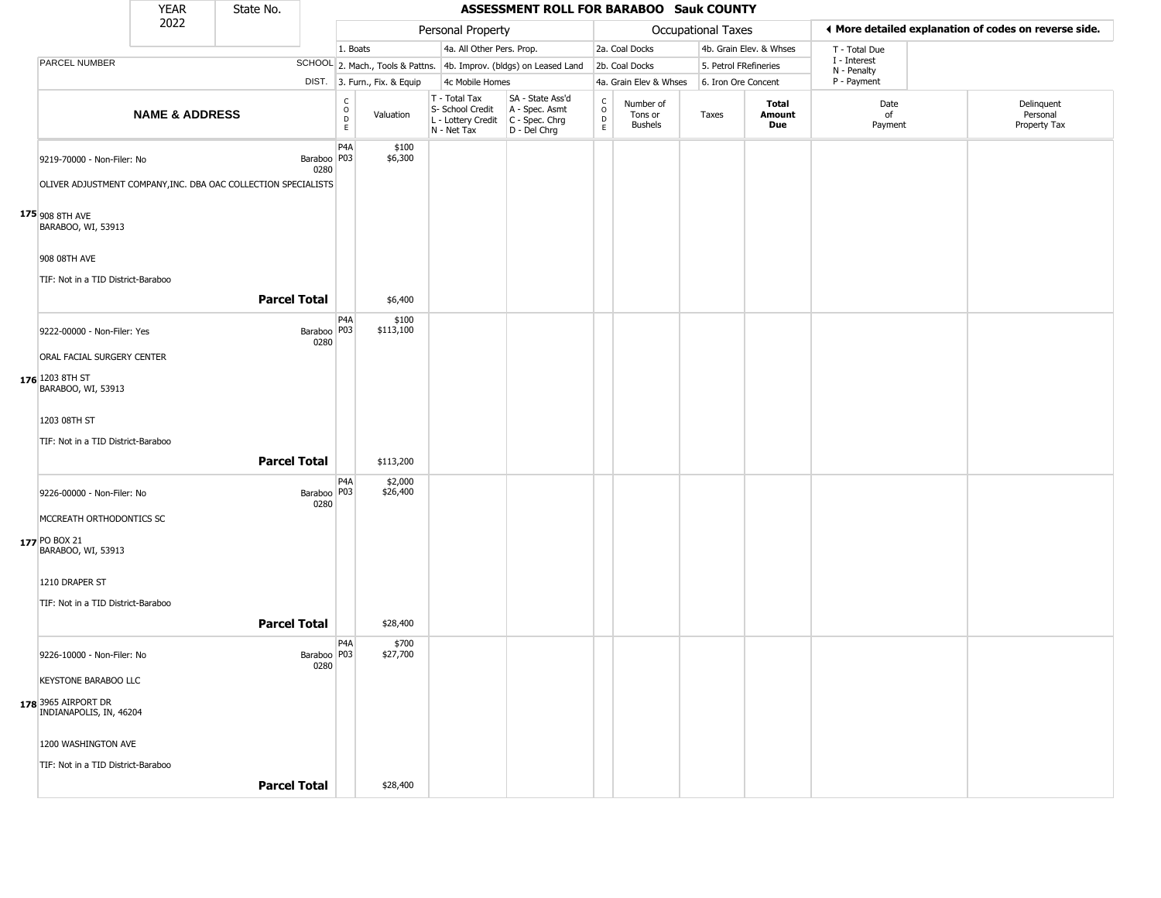|                                                                                              | <b>YEAR</b>               | State No.           |                                |                                                          |                     |                                                                        | ASSESSMENT ROLL FOR BARABOO Sauk COUNTY                              |                                       |                                        |                       |                               |                             |                                                       |
|----------------------------------------------------------------------------------------------|---------------------------|---------------------|--------------------------------|----------------------------------------------------------|---------------------|------------------------------------------------------------------------|----------------------------------------------------------------------|---------------------------------------|----------------------------------------|-----------------------|-------------------------------|-----------------------------|-------------------------------------------------------|
|                                                                                              | 2022                      |                     |                                |                                                          |                     | Personal Property                                                      |                                                                      |                                       |                                        | Occupational Taxes    |                               |                             | ♦ More detailed explanation of codes on reverse side. |
|                                                                                              |                           |                     |                                | 1. Boats                                                 |                     | 4a. All Other Pers. Prop.                                              |                                                                      |                                       | 2a. Coal Docks                         |                       | 4b. Grain Elev. & Whses       | T - Total Due               |                                                       |
| PARCEL NUMBER                                                                                |                           |                     |                                |                                                          |                     |                                                                        | SCHOOL 2. Mach., Tools & Pattns. 4b. Improv. (bldgs) on Leased Land  |                                       | 2b. Coal Docks                         | 5. Petrol FRefineries |                               | I - Interest<br>N - Penalty |                                                       |
|                                                                                              |                           |                     |                                | DIST. 3. Furn., Fix. & Equip                             |                     | 4c Mobile Homes                                                        |                                                                      |                                       | 4a. Grain Elev & Whses                 | 6. Iron Ore Concent   |                               | P - Payment                 |                                                       |
|                                                                                              | <b>NAME &amp; ADDRESS</b> |                     |                                | $\begin{smallmatrix} C \\ O \\ D \end{smallmatrix}$<br>E | Valuation           | T - Total Tax<br>S- School Credit<br>L - Lottery Credit<br>N - Net Tax | SA - State Ass'd<br>A - Spec. Asmt<br>C - Spec. Chrg<br>D - Del Chrg | $\rm_{o}^{\rm c}$<br>$\mathsf D$<br>E | Number of<br>Tons or<br><b>Bushels</b> | Taxes                 | <b>Total</b><br>Amount<br>Due | Date<br>of<br>Payment       | Delinquent<br>Personal<br>Property Tax                |
| 9219-70000 - Non-Filer: No<br>OLIVER ADJUSTMENT COMPANY, INC. DBA OAC COLLECTION SPECIALISTS |                           |                     | Baraboo P03<br>0280            | P <sub>4</sub> A                                         | \$100<br>\$6,300    |                                                                        |                                                                      |                                       |                                        |                       |                               |                             |                                                       |
|                                                                                              |                           |                     |                                |                                                          |                     |                                                                        |                                                                      |                                       |                                        |                       |                               |                             |                                                       |
| $175_{908}$ 8TH AVE<br>BARABOO, WI, 53913                                                    |                           |                     |                                |                                                          |                     |                                                                        |                                                                      |                                       |                                        |                       |                               |                             |                                                       |
| 908 08TH AVE                                                                                 |                           |                     |                                |                                                          |                     |                                                                        |                                                                      |                                       |                                        |                       |                               |                             |                                                       |
| TIF: Not in a TID District-Baraboo                                                           |                           |                     |                                |                                                          |                     |                                                                        |                                                                      |                                       |                                        |                       |                               |                             |                                                       |
|                                                                                              |                           | <b>Parcel Total</b> |                                |                                                          | \$6,400             |                                                                        |                                                                      |                                       |                                        |                       |                               |                             |                                                       |
| 9222-00000 - Non-Filer: Yes                                                                  |                           |                     | Baraboo <sup>P03</sup><br>0280 | P <sub>4</sub> A                                         | \$100<br>\$113,100  |                                                                        |                                                                      |                                       |                                        |                       |                               |                             |                                                       |
| ORAL FACIAL SURGERY CENTER                                                                   |                           |                     |                                |                                                          |                     |                                                                        |                                                                      |                                       |                                        |                       |                               |                             |                                                       |
| 176 1203 8TH ST<br>BARABOO, WI, 53913                                                        |                           |                     |                                |                                                          |                     |                                                                        |                                                                      |                                       |                                        |                       |                               |                             |                                                       |
| 1203 08TH ST                                                                                 |                           |                     |                                |                                                          |                     |                                                                        |                                                                      |                                       |                                        |                       |                               |                             |                                                       |
| TIF: Not in a TID District-Baraboo                                                           |                           | <b>Parcel Total</b> |                                |                                                          | \$113,200           |                                                                        |                                                                      |                                       |                                        |                       |                               |                             |                                                       |
| 9226-00000 - Non-Filer: No                                                                   |                           |                     | Baraboo   P03<br>0280          | P <sub>4</sub> A                                         | \$2,000<br>\$26,400 |                                                                        |                                                                      |                                       |                                        |                       |                               |                             |                                                       |
| MCCREATH ORTHODONTICS SC                                                                     |                           |                     |                                |                                                          |                     |                                                                        |                                                                      |                                       |                                        |                       |                               |                             |                                                       |
| 177 PO BOX 21<br>BARABOO, WI, 53913                                                          |                           |                     |                                |                                                          |                     |                                                                        |                                                                      |                                       |                                        |                       |                               |                             |                                                       |
| 1210 DRAPER ST                                                                               |                           |                     |                                |                                                          |                     |                                                                        |                                                                      |                                       |                                        |                       |                               |                             |                                                       |
| TIF: Not in a TID District-Baraboo                                                           |                           |                     |                                |                                                          |                     |                                                                        |                                                                      |                                       |                                        |                       |                               |                             |                                                       |
|                                                                                              |                           |                     |                                |                                                          |                     |                                                                        |                                                                      |                                       |                                        |                       |                               |                             |                                                       |
|                                                                                              |                           | <b>Parcel Total</b> |                                |                                                          | \$28,400            |                                                                        |                                                                      |                                       |                                        |                       |                               |                             |                                                       |
| 9226-10000 - Non-Filer: No                                                                   |                           |                     | Baraboo P03<br>0280            | P4A                                                      | \$700<br>\$27,700   |                                                                        |                                                                      |                                       |                                        |                       |                               |                             |                                                       |
| <b>KEYSTONE BARABOO LLC</b>                                                                  |                           |                     |                                |                                                          |                     |                                                                        |                                                                      |                                       |                                        |                       |                               |                             |                                                       |
| 178 3965 AIRPORT DR<br>INDIANAPOLIS, IN, 46204                                               |                           |                     |                                |                                                          |                     |                                                                        |                                                                      |                                       |                                        |                       |                               |                             |                                                       |
| 1200 WASHINGTON AVE                                                                          |                           |                     |                                |                                                          |                     |                                                                        |                                                                      |                                       |                                        |                       |                               |                             |                                                       |
| TIF: Not in a TID District-Baraboo                                                           |                           |                     |                                |                                                          |                     |                                                                        |                                                                      |                                       |                                        |                       |                               |                             |                                                       |
|                                                                                              |                           | <b>Parcel Total</b> |                                |                                                          | \$28,400            |                                                                        |                                                                      |                                       |                                        |                       |                               |                             |                                                       |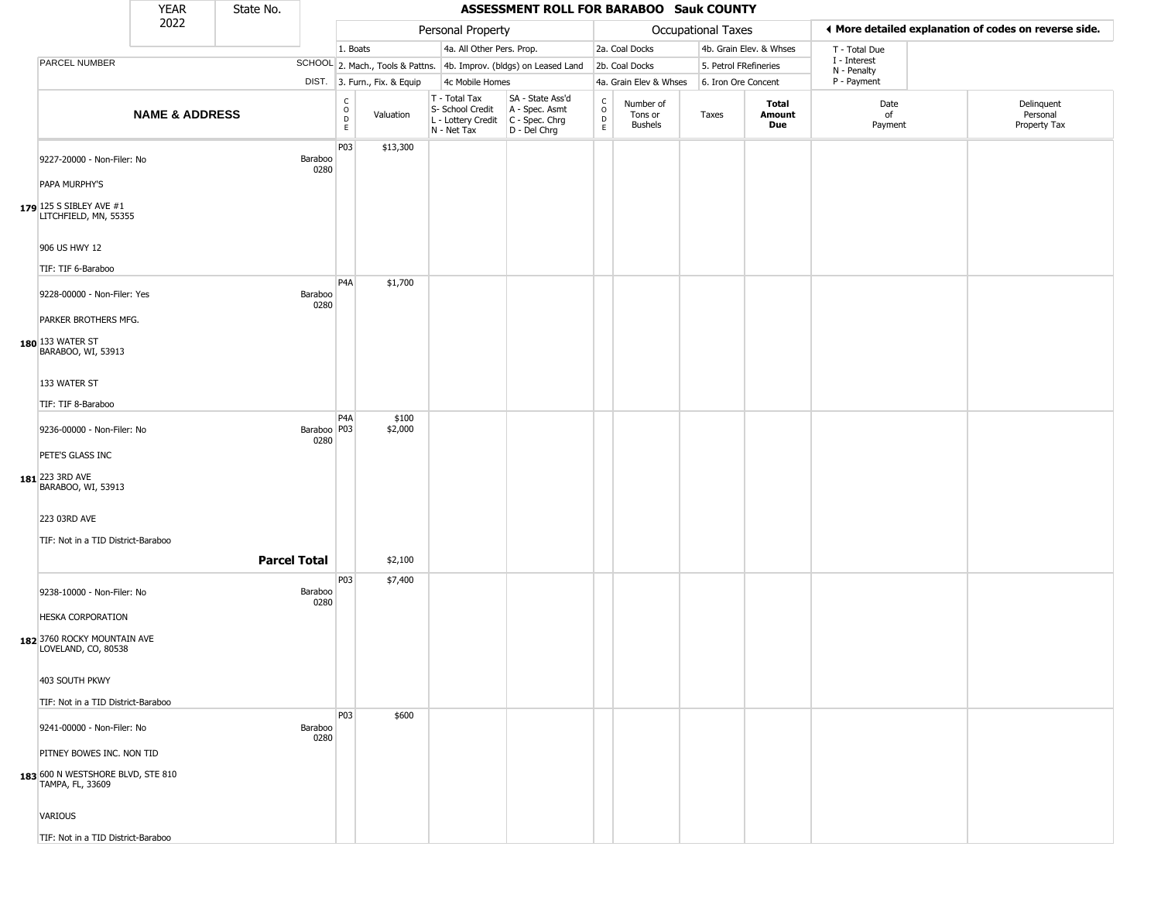|                                                       | <b>YEAR</b>               | State No.           |                        |                                                       |                              |                                                                        | <b>ASSESSMENT ROLL FOR BARABOO Sauk COUNTY</b>                       |                                            |                                        |                       |                         |                             |                                                       |
|-------------------------------------------------------|---------------------------|---------------------|------------------------|-------------------------------------------------------|------------------------------|------------------------------------------------------------------------|----------------------------------------------------------------------|--------------------------------------------|----------------------------------------|-----------------------|-------------------------|-----------------------------|-------------------------------------------------------|
|                                                       | 2022                      |                     |                        |                                                       |                              | Personal Property                                                      |                                                                      |                                            |                                        | Occupational Taxes    |                         |                             | ♦ More detailed explanation of codes on reverse side. |
|                                                       |                           |                     |                        | 1. Boats                                              |                              | 4a. All Other Pers. Prop.                                              |                                                                      |                                            | 2a. Coal Docks                         |                       | 4b. Grain Elev. & Whses | T - Total Due               |                                                       |
| PARCEL NUMBER                                         |                           |                     |                        |                                                       |                              |                                                                        | SCHOOL 2. Mach., Tools & Pattns. 4b. Improv. (bldgs) on Leased Land  |                                            | 2b. Coal Docks                         | 5. Petrol FRefineries |                         | I - Interest<br>N - Penalty |                                                       |
|                                                       |                           |                     |                        |                                                       | DIST. 3. Furn., Fix. & Equip | 4c Mobile Homes                                                        |                                                                      |                                            | 4a. Grain Elev & Whses                 | 6. Iron Ore Concent   |                         | P - Payment                 |                                                       |
|                                                       | <b>NAME &amp; ADDRESS</b> |                     |                        | $\mathsf{C}$<br>$\circ$<br>$\mathsf D$<br>$\mathsf E$ | Valuation                    | T - Total Tax<br>S- School Credit<br>L - Lottery Credit<br>N - Net Tax | SA - State Ass'd<br>A - Spec. Asmt<br>C - Spec. Chrg<br>D - Del Chrg | $\frac{c}{0}$<br>$\mathsf{D}_{\mathsf{E}}$ | Number of<br>Tons or<br><b>Bushels</b> | Taxes                 | Total<br>Amount<br>Due  | Date<br>of<br>Payment       | Delinquent<br>Personal<br>Property Tax                |
| 9227-20000 - Non-Filer: No                            |                           |                     | <b>Baraboo</b><br>0280 | P03                                                   | \$13,300                     |                                                                        |                                                                      |                                            |                                        |                       |                         |                             |                                                       |
| PAPA MURPHY'S                                         |                           |                     |                        |                                                       |                              |                                                                        |                                                                      |                                            |                                        |                       |                         |                             |                                                       |
| 179 125 S SIBLEY AVE #1<br>LITCHFIELD, MN, 55355      |                           |                     |                        |                                                       |                              |                                                                        |                                                                      |                                            |                                        |                       |                         |                             |                                                       |
| 906 US HWY 12                                         |                           |                     |                        |                                                       |                              |                                                                        |                                                                      |                                            |                                        |                       |                         |                             |                                                       |
| TIF: TIF 6-Baraboo                                    |                           |                     |                        | P <sub>4</sub> A                                      | \$1,700                      |                                                                        |                                                                      |                                            |                                        |                       |                         |                             |                                                       |
| 9228-00000 - Non-Filer: Yes<br>PARKER BROTHERS MFG.   |                           |                     | Baraboo<br>0280        |                                                       |                              |                                                                        |                                                                      |                                            |                                        |                       |                         |                             |                                                       |
| 180 133 WATER ST<br>BARABOO, WI, 53913                |                           |                     |                        |                                                       |                              |                                                                        |                                                                      |                                            |                                        |                       |                         |                             |                                                       |
| 133 WATER ST                                          |                           |                     |                        |                                                       |                              |                                                                        |                                                                      |                                            |                                        |                       |                         |                             |                                                       |
| TIF: TIF 8-Baraboo                                    |                           |                     |                        |                                                       |                              |                                                                        |                                                                      |                                            |                                        |                       |                         |                             |                                                       |
| 9236-00000 - Non-Filer: No                            |                           |                     | Baraboo P03<br>0280    | P <sub>4</sub> A                                      | \$100<br>\$2,000             |                                                                        |                                                                      |                                            |                                        |                       |                         |                             |                                                       |
| PETE'S GLASS INC<br>181 223 3RD AVE                   |                           |                     |                        |                                                       |                              |                                                                        |                                                                      |                                            |                                        |                       |                         |                             |                                                       |
| BARABOO, WI, 53913                                    |                           |                     |                        |                                                       |                              |                                                                        |                                                                      |                                            |                                        |                       |                         |                             |                                                       |
| 223 03RD AVE                                          |                           |                     |                        |                                                       |                              |                                                                        |                                                                      |                                            |                                        |                       |                         |                             |                                                       |
| TIF: Not in a TID District-Baraboo                    |                           |                     |                        |                                                       |                              |                                                                        |                                                                      |                                            |                                        |                       |                         |                             |                                                       |
|                                                       |                           | <b>Parcel Total</b> |                        |                                                       | \$2,100                      |                                                                        |                                                                      |                                            |                                        |                       |                         |                             |                                                       |
| 9238-10000 - Non-Filer: No                            |                           |                     | <b>Baraboo</b><br>0280 | P03                                                   | \$7,400                      |                                                                        |                                                                      |                                            |                                        |                       |                         |                             |                                                       |
| <b>HESKA CORPORATION</b>                              |                           |                     |                        |                                                       |                              |                                                                        |                                                                      |                                            |                                        |                       |                         |                             |                                                       |
| 182 3760 ROCKY MOUNTAIN AVE<br>LOVELAND, CO, 80538    |                           |                     |                        |                                                       |                              |                                                                        |                                                                      |                                            |                                        |                       |                         |                             |                                                       |
| 403 SOUTH PKWY                                        |                           |                     |                        |                                                       |                              |                                                                        |                                                                      |                                            |                                        |                       |                         |                             |                                                       |
| TIF: Not in a TID District-Baraboo                    |                           |                     |                        |                                                       |                              |                                                                        |                                                                      |                                            |                                        |                       |                         |                             |                                                       |
| 9241-00000 - Non-Filer: No                            |                           |                     | <b>Baraboo</b><br>0280 | <b>P03</b>                                            | \$600                        |                                                                        |                                                                      |                                            |                                        |                       |                         |                             |                                                       |
| PITNEY BOWES INC. NON TID                             |                           |                     |                        |                                                       |                              |                                                                        |                                                                      |                                            |                                        |                       |                         |                             |                                                       |
| 183 600 N WESTSHORE BLVD, STE 810<br>TAMPA, FL, 33609 |                           |                     |                        |                                                       |                              |                                                                        |                                                                      |                                            |                                        |                       |                         |                             |                                                       |
| <b>VARIOUS</b>                                        |                           |                     |                        |                                                       |                              |                                                                        |                                                                      |                                            |                                        |                       |                         |                             |                                                       |
| TIF: Not in a TID District-Baraboo                    |                           |                     |                        |                                                       |                              |                                                                        |                                                                      |                                            |                                        |                       |                         |                             |                                                       |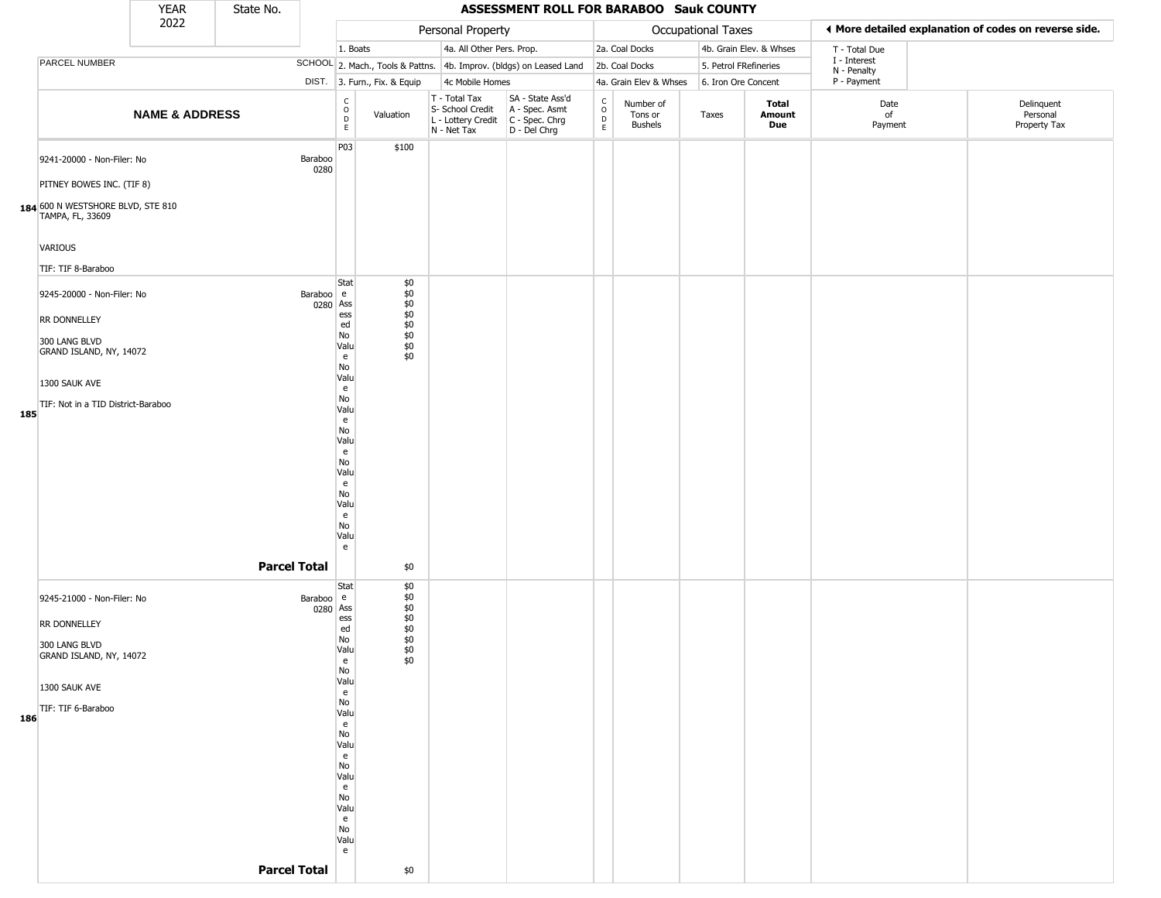|     |                                                                                                                                                                     | <b>YEAR</b>               | State No. |                                              |                                                                                                                                                                                                                                              |                                                                  |                                                                        | ASSESSMENT ROLL FOR BARABOO Sauk COUNTY                              |                                                 |                                        |                       |                         |                             |                                                       |
|-----|---------------------------------------------------------------------------------------------------------------------------------------------------------------------|---------------------------|-----------|----------------------------------------------|----------------------------------------------------------------------------------------------------------------------------------------------------------------------------------------------------------------------------------------------|------------------------------------------------------------------|------------------------------------------------------------------------|----------------------------------------------------------------------|-------------------------------------------------|----------------------------------------|-----------------------|-------------------------|-----------------------------|-------------------------------------------------------|
|     |                                                                                                                                                                     | 2022                      |           |                                              |                                                                                                                                                                                                                                              |                                                                  | Personal Property                                                      |                                                                      |                                                 |                                        | Occupational Taxes    |                         |                             | ♦ More detailed explanation of codes on reverse side. |
|     |                                                                                                                                                                     |                           |           |                                              | 1. Boats                                                                                                                                                                                                                                     |                                                                  | 4a. All Other Pers. Prop.                                              |                                                                      |                                                 | 2a. Coal Docks                         |                       | 4b. Grain Elev. & Whses | T - Total Due               |                                                       |
|     | PARCEL NUMBER                                                                                                                                                       |                           |           |                                              |                                                                                                                                                                                                                                              |                                                                  |                                                                        | SCHOOL 2. Mach., Tools & Pattns. 4b. Improv. (bldgs) on Leased Land  |                                                 | 2b. Coal Docks                         | 5. Petrol FRefineries |                         | I - Interest<br>N - Penalty |                                                       |
|     |                                                                                                                                                                     |                           |           |                                              |                                                                                                                                                                                                                                              | DIST. 3. Furn., Fix. & Equip                                     | 4c Mobile Homes                                                        |                                                                      |                                                 | 4a. Grain Elev & Whses                 | 6. Iron Ore Concent   |                         | P - Payment                 |                                                       |
|     |                                                                                                                                                                     | <b>NAME &amp; ADDRESS</b> |           |                                              | $\rm\frac{C}{O}$<br>$\mathsf{D}$<br>$\mathsf E$                                                                                                                                                                                              | Valuation                                                        | T - Total Tax<br>S- School Credit<br>L - Lottery Credit<br>N - Net Tax | SA - State Ass'd<br>A - Spec. Asmt<br>C - Spec. Chrg<br>D - Del Chrg | $_{\rm o}^{\rm c}$<br>$\mathsf{D}_{\mathsf{E}}$ | Number of<br>Tons or<br><b>Bushels</b> | Taxes                 | Total<br>Amount<br>Due  | Date<br>of<br>Payment       | Delinquent<br>Personal<br>Property Tax                |
|     | 9241-20000 - Non-Filer: No<br>PITNEY BOWES INC. (TIF 8)<br>184 600 N WESTSHORE BLVD, STE 810<br>TAMPA, FL, 33609<br>VARIOUS                                         |                           |           | Baraboo<br>0280                              | P03                                                                                                                                                                                                                                          | \$100                                                            |                                                                        |                                                                      |                                                 |                                        |                       |                         |                             |                                                       |
| 185 | TIF: TIF 8-Baraboo<br>9245-20000 - Non-Filer: No<br>RR DONNELLEY<br>300 LANG BLVD<br>GRAND ISLAND, NY, 14072<br>1300 SAUK AVE<br>TIF: Not in a TID District-Baraboo |                           |           | Baraboo e<br>0280 Ass<br><b>Parcel Total</b> | Stat<br>ess<br>ed<br>No<br>Valu<br>e<br>No<br>Valu<br>e<br>No<br>Valu<br>e<br>No<br>Valu<br>e<br>No<br>Valu<br>e<br>No<br>Valu<br>e<br>No<br>Valu<br>e                                                                                       | \$0<br>\$0<br>\$0<br>$$0$<br>$$0$<br>\$0<br>$$0$<br>\$0<br>\$0   |                                                                        |                                                                      |                                                 |                                        |                       |                         |                             |                                                       |
| 186 | 9245-21000 - Non-Filer: No<br><b>RR DONNELLEY</b><br>300 LANG BLVD<br>GRAND ISLAND, NY, 14072<br>1300 SAUK AVE<br>TIF: TIF 6-Baraboo                                |                           |           | Baraboo e<br>0280 Ass<br><b>Parcel Total</b> | Stat<br>ess<br>ed<br>No<br>Valu<br>e<br>$\mathsf{No}$<br>Valu<br>$\mathbf{e}$<br>No<br>Valu<br>$\mathsf{e}% _{t}\left( t\right)$<br>No<br>Valu<br>e<br>No<br>Valu<br>e<br>No<br>Valu<br>$\mathsf{e}% _{0}\left( t\right)$<br>No<br>Valu<br>e | \$0<br>\$0<br>\$0<br>$$0$<br>$$0$<br>$$0$<br>\$0<br>$\$0$<br>\$0 |                                                                        |                                                                      |                                                 |                                        |                       |                         |                             |                                                       |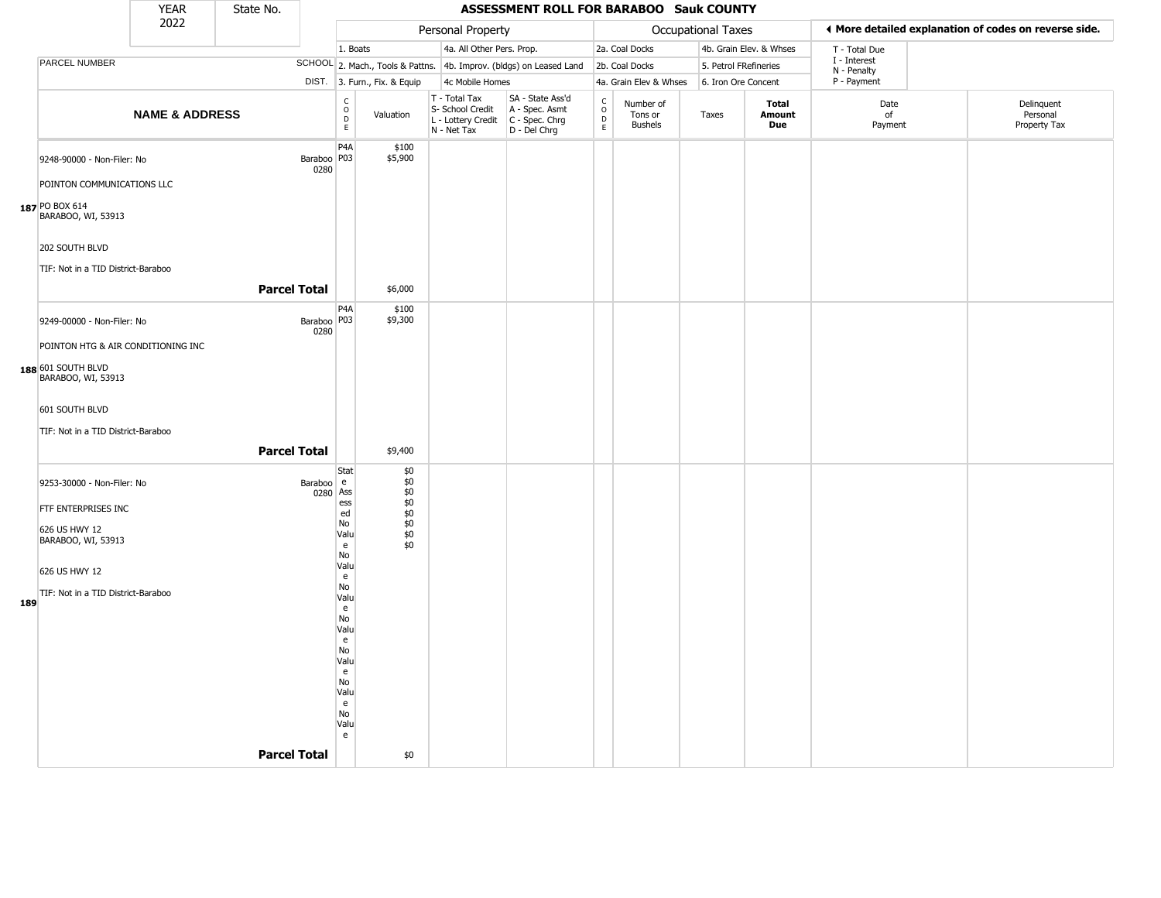|     |                                                                                              | YEAR                      | State No.           |                       |                                                 |                                                      |                                                                        | <b>ASSESSMENT ROLL FOR BARABOO Sauk COUNTY</b>                       |                                             |                                        |                       |                         |                             |                                                       |
|-----|----------------------------------------------------------------------------------------------|---------------------------|---------------------|-----------------------|-------------------------------------------------|------------------------------------------------------|------------------------------------------------------------------------|----------------------------------------------------------------------|---------------------------------------------|----------------------------------------|-----------------------|-------------------------|-----------------------------|-------------------------------------------------------|
|     |                                                                                              | 2022                      |                     |                       |                                                 |                                                      | Personal Property                                                      |                                                                      |                                             |                                        | Occupational Taxes    |                         |                             | ♦ More detailed explanation of codes on reverse side. |
|     |                                                                                              |                           |                     |                       | 1. Boats                                        |                                                      | 4a. All Other Pers. Prop.                                              |                                                                      |                                             | 2a. Coal Docks                         |                       | 4b. Grain Elev. & Whses | T - Total Due               |                                                       |
|     | PARCEL NUMBER                                                                                |                           |                     |                       |                                                 |                                                      |                                                                        | SCHOOL 2. Mach., Tools & Pattns. 4b. Improv. (bldgs) on Leased Land  |                                             | 2b. Coal Docks                         | 5. Petrol FRefineries |                         | I - Interest<br>N - Penalty |                                                       |
|     |                                                                                              |                           |                     |                       |                                                 | DIST. 3. Furn., Fix. & Equip                         | 4c Mobile Homes                                                        |                                                                      |                                             | 4a. Grain Elev & Whses                 | 6. Iron Ore Concent   |                         | P - Payment                 |                                                       |
|     |                                                                                              | <b>NAME &amp; ADDRESS</b> |                     |                       | $\frac{c}{0}$<br>D<br>E                         | Valuation                                            | T - Total Tax<br>S- School Credit<br>L - Lottery Credit<br>N - Net Tax | SA - State Ass'd<br>A - Spec. Asmt<br>C - Spec. Chrg<br>D - Del Chrg | $\frac{c}{0}$<br>$\mathsf D$<br>$\mathsf E$ | Number of<br>Tons or<br><b>Bushels</b> | Taxes                 | Total<br>Amount<br>Due  | Date<br>of<br>Payment       | Delinquent<br>Personal<br>Property Tax                |
|     | 9248-90000 - Non-Filer: No<br>POINTON COMMUNICATIONS LLC                                     |                           |                     | Baraboo   P03<br>0280 | P <sub>4</sub> A                                | \$100<br>\$5,900                                     |                                                                        |                                                                      |                                             |                                        |                       |                         |                             |                                                       |
|     | 187 PO BOX 614<br>BARABOO, WI, 53913<br>202 SOUTH BLVD<br>TIF: Not in a TID District-Baraboo |                           |                     |                       |                                                 |                                                      |                                                                        |                                                                      |                                             |                                        |                       |                         |                             |                                                       |
|     |                                                                                              |                           | <b>Parcel Total</b> |                       |                                                 | \$6,000                                              |                                                                        |                                                                      |                                             |                                        |                       |                         |                             |                                                       |
|     | 9249-00000 - Non-Filer: No                                                                   |                           |                     | Baraboo   P03<br>0280 | P <sub>4</sub> A                                | \$100<br>\$9,300                                     |                                                                        |                                                                      |                                             |                                        |                       |                         |                             |                                                       |
|     | POINTON HTG & AIR CONDITIONING INC                                                           |                           |                     |                       |                                                 |                                                      |                                                                        |                                                                      |                                             |                                        |                       |                         |                             |                                                       |
|     | 188 601 SOUTH BLVD<br>BARABOO, WI, 53913                                                     |                           |                     |                       |                                                 |                                                      |                                                                        |                                                                      |                                             |                                        |                       |                         |                             |                                                       |
|     | 601 SOUTH BLVD                                                                               |                           |                     |                       |                                                 |                                                      |                                                                        |                                                                      |                                             |                                        |                       |                         |                             |                                                       |
|     | TIF: Not in a TID District-Baraboo                                                           |                           |                     |                       |                                                 |                                                      |                                                                        |                                                                      |                                             |                                        |                       |                         |                             |                                                       |
|     |                                                                                              |                           | <b>Parcel Total</b> |                       |                                                 | \$9,400                                              |                                                                        |                                                                      |                                             |                                        |                       |                         |                             |                                                       |
|     | 9253-30000 - Non-Filer: No<br>FTF ENTERPRISES INC<br>626 US HWY 12<br>BARABOO, WI, 53913     |                           |                     | Baraboo e<br>0280 Ass | Stat<br>ess<br>ed<br>No<br>Valu<br>e            | \$0<br>\$0<br>\$0<br>\$0<br>\$0<br>\$0<br>\$0<br>\$0 |                                                                        |                                                                      |                                             |                                        |                       |                         |                             |                                                       |
|     | 626 US HWY 12                                                                                |                           |                     |                       | No<br>Valu<br>e<br>No                           |                                                      |                                                                        |                                                                      |                                             |                                        |                       |                         |                             |                                                       |
| 189 | TIF: Not in a TID District-Baraboo                                                           |                           |                     |                       | Valu<br>e<br>No                                 |                                                      |                                                                        |                                                                      |                                             |                                        |                       |                         |                             |                                                       |
|     |                                                                                              |                           |                     |                       | Valu<br>e<br>No<br>Valu<br>e<br>No<br>Valu<br>e |                                                      |                                                                        |                                                                      |                                             |                                        |                       |                         |                             |                                                       |
|     |                                                                                              |                           | <b>Parcel Total</b> |                       | No<br>Valu<br>e                                 | \$0                                                  |                                                                        |                                                                      |                                             |                                        |                       |                         |                             |                                                       |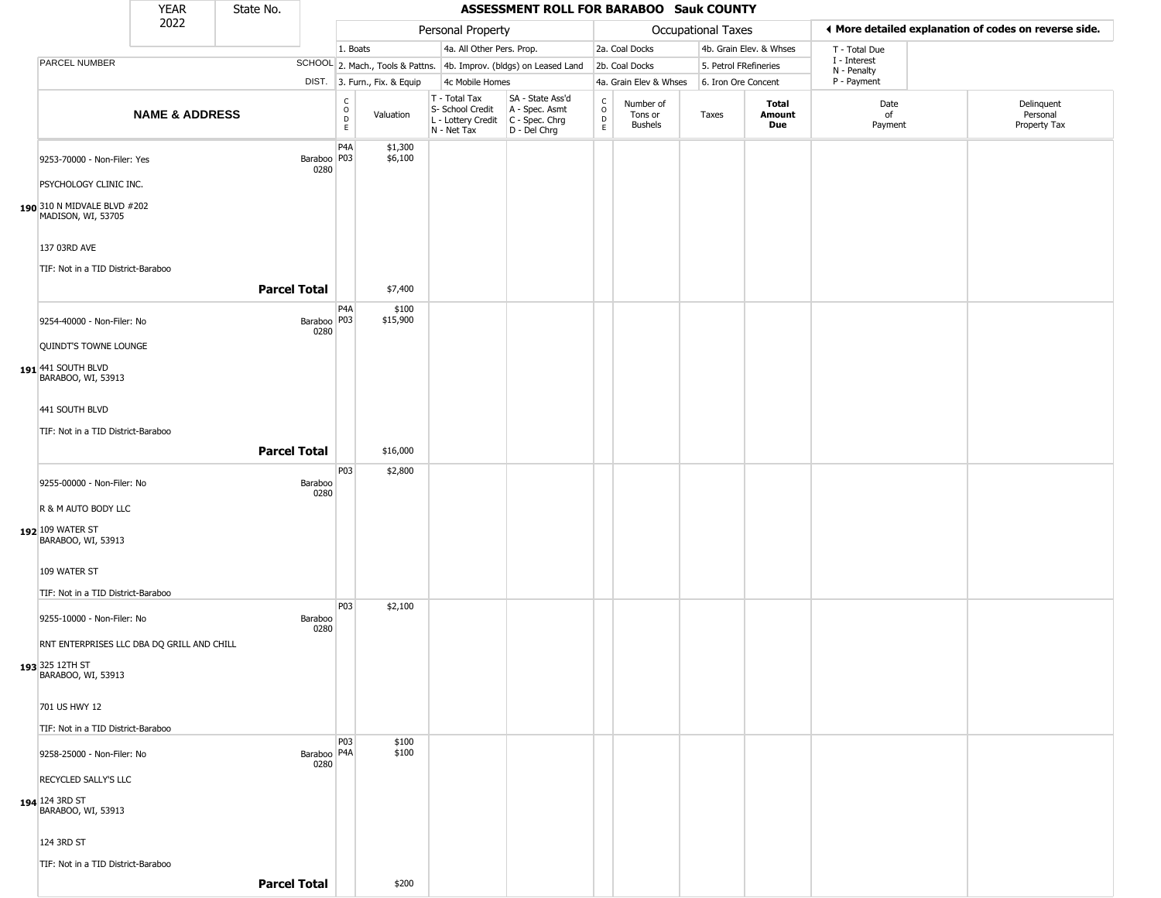|                                                       | <b>YEAR</b>               | State No.           |                         |                                            |                              |                                                                                         | ASSESSMENT ROLL FOR BARABOO Sauk COUNTY                             |                                                 |                                        |                           |                         |                             |                                                       |
|-------------------------------------------------------|---------------------------|---------------------|-------------------------|--------------------------------------------|------------------------------|-----------------------------------------------------------------------------------------|---------------------------------------------------------------------|-------------------------------------------------|----------------------------------------|---------------------------|-------------------------|-----------------------------|-------------------------------------------------------|
|                                                       | 2022                      |                     |                         |                                            |                              | Personal Property                                                                       |                                                                     |                                                 |                                        | <b>Occupational Taxes</b> |                         |                             | ◀ More detailed explanation of codes on reverse side. |
|                                                       |                           |                     |                         | 1. Boats                                   |                              | 4a. All Other Pers. Prop.                                                               |                                                                     |                                                 | 2a. Coal Docks                         |                           | 4b. Grain Elev. & Whses | T - Total Due               |                                                       |
| PARCEL NUMBER                                         |                           |                     |                         |                                            |                              |                                                                                         | SCHOOL 2. Mach., Tools & Pattns. 4b. Improv. (bldgs) on Leased Land |                                                 | 2b. Coal Docks                         | 5. Petrol FRefineries     |                         | I - Interest<br>N - Penalty |                                                       |
|                                                       |                           |                     |                         |                                            | DIST. 3. Furn., Fix. & Equip | 4c Mobile Homes                                                                         |                                                                     |                                                 | 4a. Grain Elev & Whses                 | 6. Iron Ore Concent       |                         | P - Payment                 |                                                       |
|                                                       | <b>NAME &amp; ADDRESS</b> |                     |                         | $\overline{C}$<br>$\circ$<br>$\frac{D}{E}$ | Valuation                    | T - Total Tax<br>S- School Credit<br>L - Lottery Credit   C - Spec. Chrg<br>N - Net Tax | SA - State Ass'd<br>A - Spec. Asmt<br>D - Del Chrg                  | $\begin{array}{c} C \\ O \\ D \\ E \end{array}$ | Number of<br>Tons or<br><b>Bushels</b> | Taxes                     | Total<br>Amount<br>Due  | Date<br>of<br>Payment       | Delinquent<br>Personal<br>Property Tax                |
| 9253-70000 - Non-Filer: Yes                           |                           |                     | Baraboo   P03  <br>0280 | P <sub>4</sub> A                           | \$1,300<br>\$6,100           |                                                                                         |                                                                     |                                                 |                                        |                           |                         |                             |                                                       |
| PSYCHOLOGY CLINIC INC.                                |                           |                     |                         |                                            |                              |                                                                                         |                                                                     |                                                 |                                        |                           |                         |                             |                                                       |
| 190 310 N MIDVALE BLVD #202<br>MADISON, WI, 53705     |                           |                     |                         |                                            |                              |                                                                                         |                                                                     |                                                 |                                        |                           |                         |                             |                                                       |
| 137 03RD AVE<br>TIF: Not in a TID District-Baraboo    |                           |                     |                         |                                            |                              |                                                                                         |                                                                     |                                                 |                                        |                           |                         |                             |                                                       |
|                                                       |                           | <b>Parcel Total</b> |                         |                                            | \$7,400                      |                                                                                         |                                                                     |                                                 |                                        |                           |                         |                             |                                                       |
| 9254-40000 - Non-Filer: No                            |                           |                     | Baraboo   P03  <br>0280 | P4A                                        | \$100<br>\$15,900            |                                                                                         |                                                                     |                                                 |                                        |                           |                         |                             |                                                       |
| QUINDT'S TOWNE LOUNGE                                 |                           |                     |                         |                                            |                              |                                                                                         |                                                                     |                                                 |                                        |                           |                         |                             |                                                       |
| $191$ <sup>441</sup> SOUTH BLVD<br>BARABOO, WI, 53913 |                           |                     |                         |                                            |                              |                                                                                         |                                                                     |                                                 |                                        |                           |                         |                             |                                                       |
| 441 SOUTH BLVD                                        |                           |                     |                         |                                            |                              |                                                                                         |                                                                     |                                                 |                                        |                           |                         |                             |                                                       |
| TIF: Not in a TID District-Baraboo                    |                           |                     |                         |                                            |                              |                                                                                         |                                                                     |                                                 |                                        |                           |                         |                             |                                                       |
|                                                       |                           | <b>Parcel Total</b> |                         |                                            | \$16,000                     |                                                                                         |                                                                     |                                                 |                                        |                           |                         |                             |                                                       |
| 9255-00000 - Non-Filer: No                            |                           |                     | Baraboo<br>0280         | P03                                        | \$2,800                      |                                                                                         |                                                                     |                                                 |                                        |                           |                         |                             |                                                       |
| R & M AUTO BODY LLC                                   |                           |                     |                         |                                            |                              |                                                                                         |                                                                     |                                                 |                                        |                           |                         |                             |                                                       |
| 192 109 WATER ST<br>BARABOO, WI, 53913                |                           |                     |                         |                                            |                              |                                                                                         |                                                                     |                                                 |                                        |                           |                         |                             |                                                       |
| 109 WATER ST                                          |                           |                     |                         |                                            |                              |                                                                                         |                                                                     |                                                 |                                        |                           |                         |                             |                                                       |
| TIF: Not in a TID District-Baraboo                    |                           |                     |                         |                                            |                              |                                                                                         |                                                                     |                                                 |                                        |                           |                         |                             |                                                       |
| 9255-10000 - Non-Filer: No                            |                           |                     | Baraboo<br>0280         | P03                                        | \$2,100                      |                                                                                         |                                                                     |                                                 |                                        |                           |                         |                             |                                                       |
| RNT ENTERPRISES LLC DBA DQ GRILL AND CHILL            |                           |                     |                         |                                            |                              |                                                                                         |                                                                     |                                                 |                                        |                           |                         |                             |                                                       |
| 193 325 12TH ST<br>BARABOO, WI, 53913                 |                           |                     |                         |                                            |                              |                                                                                         |                                                                     |                                                 |                                        |                           |                         |                             |                                                       |
| 701 US HWY 12                                         |                           |                     |                         |                                            |                              |                                                                                         |                                                                     |                                                 |                                        |                           |                         |                             |                                                       |
| TIF: Not in a TID District-Baraboo                    |                           |                     |                         |                                            |                              |                                                                                         |                                                                     |                                                 |                                        |                           |                         |                             |                                                       |
| 9258-25000 - Non-Filer: No                            |                           |                     | Baraboo   P4A<br>0280   | P <sub>03</sub>                            | \$100<br>\$100               |                                                                                         |                                                                     |                                                 |                                        |                           |                         |                             |                                                       |
| RECYCLED SALLY'S LLC                                  |                           |                     |                         |                                            |                              |                                                                                         |                                                                     |                                                 |                                        |                           |                         |                             |                                                       |
| 194 124 3RD ST<br>BARABOO, WI, 53913                  |                           |                     |                         |                                            |                              |                                                                                         |                                                                     |                                                 |                                        |                           |                         |                             |                                                       |
| 124 3RD ST                                            |                           |                     |                         |                                            |                              |                                                                                         |                                                                     |                                                 |                                        |                           |                         |                             |                                                       |
| TIF: Not in a TID District-Baraboo                    |                           |                     |                         |                                            |                              |                                                                                         |                                                                     |                                                 |                                        |                           |                         |                             |                                                       |
|                                                       |                           | <b>Parcel Total</b> |                         |                                            | \$200                        |                                                                                         |                                                                     |                                                 |                                        |                           |                         |                             |                                                       |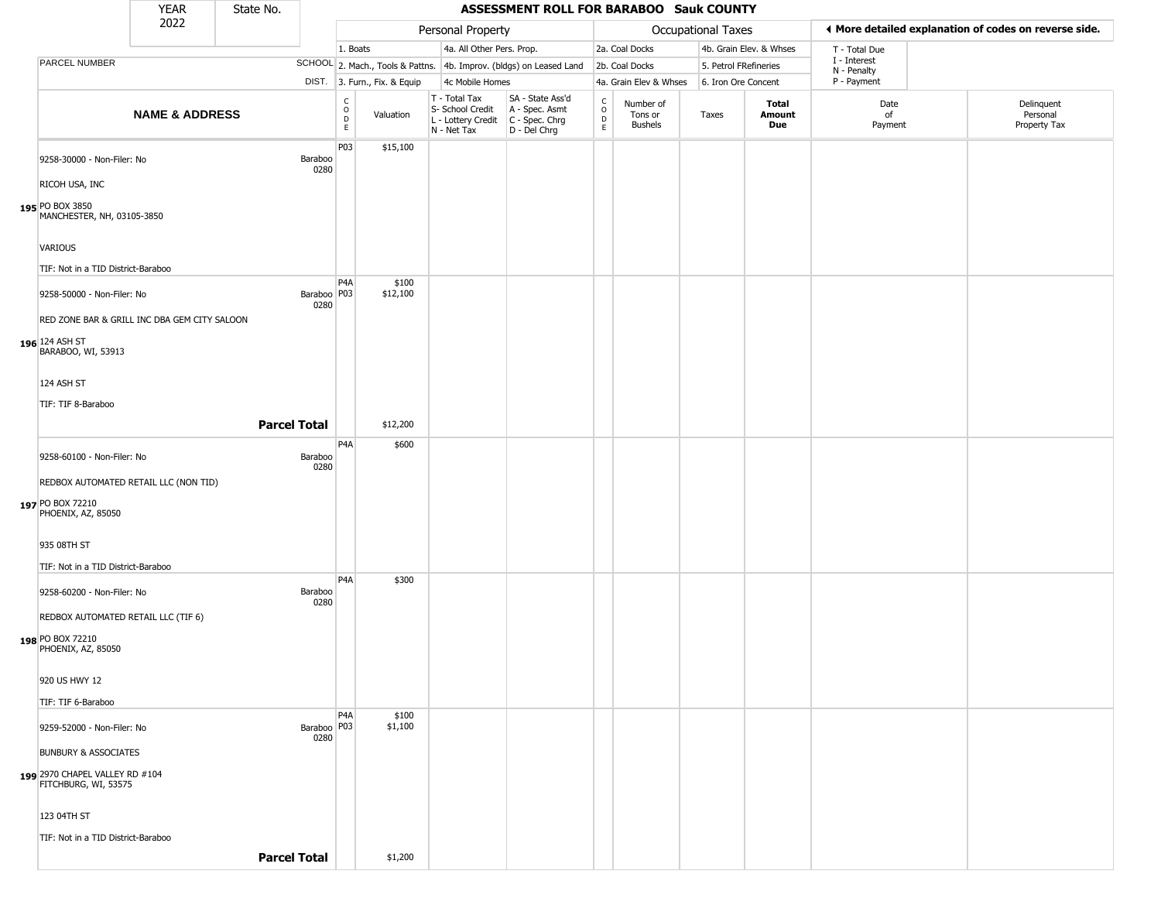|                                                                                    | <b>YEAR</b>               | State No.           |                       |                                                                  |                                  |                                                                        | ASSESSMENT ROLL FOR BARABOO Sauk COUNTY                                |                                            |                                 |                       |                         |                             |                                                       |
|------------------------------------------------------------------------------------|---------------------------|---------------------|-----------------------|------------------------------------------------------------------|----------------------------------|------------------------------------------------------------------------|------------------------------------------------------------------------|--------------------------------------------|---------------------------------|-----------------------|-------------------------|-----------------------------|-------------------------------------------------------|
|                                                                                    | 2022                      |                     |                       |                                                                  |                                  | Personal Property                                                      |                                                                        |                                            |                                 | Occupational Taxes    |                         |                             | ♦ More detailed explanation of codes on reverse side. |
|                                                                                    |                           |                     |                       | 1. Boats                                                         |                                  | 4a. All Other Pers. Prop.                                              |                                                                        |                                            | 2a. Coal Docks                  |                       | 4b. Grain Elev. & Whses | T - Total Due               |                                                       |
| PARCEL NUMBER                                                                      |                           |                     |                       |                                                                  | SCHOOL 2. Mach., Tools & Pattns. |                                                                        | 4b. Improv. (bldgs) on Leased Land                                     |                                            | 2b. Coal Docks                  | 5. Petrol FRefineries |                         | I - Interest<br>N - Penalty |                                                       |
|                                                                                    |                           |                     |                       |                                                                  | DIST. 3. Furn., Fix. & Equip     | 4c Mobile Homes                                                        |                                                                        |                                            | 4a. Grain Elev & Whses          | 6. Iron Ore Concent   |                         | P - Payment                 |                                                       |
|                                                                                    | <b>NAME &amp; ADDRESS</b> |                     |                       | $\begin{smallmatrix} C\\ O\\ D \end{smallmatrix}$<br>$\mathsf E$ | Valuation                        | T - Total Tax<br>S- School Credit<br>L - Lottery Credit<br>N - Net Tax | SA - State Ass'd<br>A - Spec. Asmt<br>$C - Spec. Chrg$<br>D - Del Chrg | $\begin{array}{c} C \\ 0 \\ E \end{array}$ | Number of<br>Tons or<br>Bushels | Taxes                 | Total<br>Amount<br>Due  | Date<br>of<br>Payment       | Delinquent<br>Personal<br>Property Tax                |
| 9258-30000 - Non-Filer: No<br>RICOH USA, INC<br>195 PO BOX 3850                    |                           |                     | Baraboo<br>0280       | P03                                                              | \$15,100                         |                                                                        |                                                                        |                                            |                                 |                       |                         |                             |                                                       |
| MANCHESTER, NH, 03105-3850<br><b>VARIOUS</b><br>TIF: Not in a TID District-Baraboo |                           |                     |                       |                                                                  |                                  |                                                                        |                                                                        |                                            |                                 |                       |                         |                             |                                                       |
|                                                                                    |                           |                     |                       | P <sub>4</sub> A                                                 | \$100                            |                                                                        |                                                                        |                                            |                                 |                       |                         |                             |                                                       |
| 9258-50000 - Non-Filer: No                                                         |                           |                     | Baraboo   P03<br>0280 |                                                                  | \$12,100                         |                                                                        |                                                                        |                                            |                                 |                       |                         |                             |                                                       |
| RED ZONE BAR & GRILL INC DBA GEM CITY SALOON                                       |                           |                     |                       |                                                                  |                                  |                                                                        |                                                                        |                                            |                                 |                       |                         |                             |                                                       |
| 196 124 ASH ST<br>BARABOO, WI, 53913                                               |                           |                     |                       |                                                                  |                                  |                                                                        |                                                                        |                                            |                                 |                       |                         |                             |                                                       |
| 124 ASH ST                                                                         |                           |                     |                       |                                                                  |                                  |                                                                        |                                                                        |                                            |                                 |                       |                         |                             |                                                       |
| TIF: TIF 8-Baraboo                                                                 |                           |                     |                       |                                                                  |                                  |                                                                        |                                                                        |                                            |                                 |                       |                         |                             |                                                       |
|                                                                                    |                           | <b>Parcel Total</b> |                       |                                                                  | \$12,200                         |                                                                        |                                                                        |                                            |                                 |                       |                         |                             |                                                       |
|                                                                                    |                           |                     |                       |                                                                  |                                  |                                                                        |                                                                        |                                            |                                 |                       |                         |                             |                                                       |
| 9258-60100 - Non-Filer: No                                                         |                           |                     | Baraboo<br>0280       | P <sub>4</sub> A                                                 | \$600                            |                                                                        |                                                                        |                                            |                                 |                       |                         |                             |                                                       |
| REDBOX AUTOMATED RETAIL LLC (NON TID)                                              |                           |                     |                       |                                                                  |                                  |                                                                        |                                                                        |                                            |                                 |                       |                         |                             |                                                       |
| 197 PO BOX 72210<br>PHOENIX, AZ, 85050                                             |                           |                     |                       |                                                                  |                                  |                                                                        |                                                                        |                                            |                                 |                       |                         |                             |                                                       |
| 935 08TH ST                                                                        |                           |                     |                       |                                                                  |                                  |                                                                        |                                                                        |                                            |                                 |                       |                         |                             |                                                       |
| TIF: Not in a TID District-Baraboo                                                 |                           |                     |                       |                                                                  |                                  |                                                                        |                                                                        |                                            |                                 |                       |                         |                             |                                                       |
| 9258-60200 - Non-Filer: No<br>REDBOX AUTOMATED RETAIL LLC (TIF 6)                  |                           |                     | Baraboo<br>0280       | P <sub>4</sub> A                                                 | \$300                            |                                                                        |                                                                        |                                            |                                 |                       |                         |                             |                                                       |
| 198 PO BOX 72210<br>PHOENIX, AZ, 85050                                             |                           |                     |                       |                                                                  |                                  |                                                                        |                                                                        |                                            |                                 |                       |                         |                             |                                                       |
| 920 US HWY 12<br>TIF: TIF 6-Baraboo                                                |                           |                     |                       |                                                                  |                                  |                                                                        |                                                                        |                                            |                                 |                       |                         |                             |                                                       |
| 9259-52000 - Non-Filer: No                                                         |                           |                     | Baraboo   P03<br>0280 | P <sub>4</sub> A                                                 | \$100<br>\$1,100                 |                                                                        |                                                                        |                                            |                                 |                       |                         |                             |                                                       |
| <b>BUNBURY &amp; ASSOCIATES</b>                                                    |                           |                     |                       |                                                                  |                                  |                                                                        |                                                                        |                                            |                                 |                       |                         |                             |                                                       |
| 199 2970 CHAPEL VALLEY RD #104<br>FITCHBURG, WI, 53575                             |                           |                     |                       |                                                                  |                                  |                                                                        |                                                                        |                                            |                                 |                       |                         |                             |                                                       |
| 123 04TH ST                                                                        |                           |                     |                       |                                                                  |                                  |                                                                        |                                                                        |                                            |                                 |                       |                         |                             |                                                       |
| TIF: Not in a TID District-Baraboo                                                 |                           | <b>Parcel Total</b> |                       |                                                                  | \$1,200                          |                                                                        |                                                                        |                                            |                                 |                       |                         |                             |                                                       |
|                                                                                    |                           |                     |                       |                                                                  |                                  |                                                                        |                                                                        |                                            |                                 |                       |                         |                             |                                                       |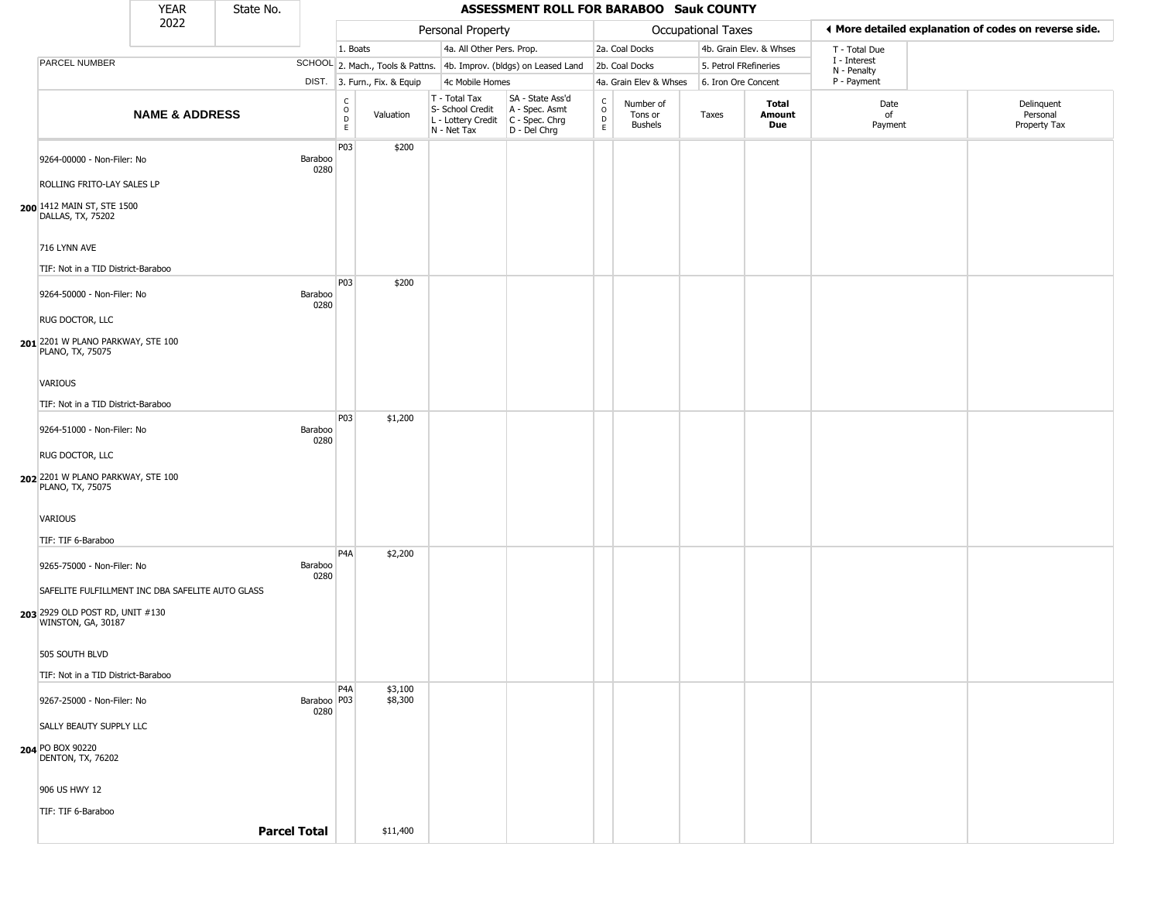|                                                       | <b>YEAR</b>               | State No.           |                                |                                             |                              |                                                                        | ASSESSMENT ROLL FOR BARABOO Sauk COUNTY                              |                                                 |                                        |                       |                         |                             |                                                       |
|-------------------------------------------------------|---------------------------|---------------------|--------------------------------|---------------------------------------------|------------------------------|------------------------------------------------------------------------|----------------------------------------------------------------------|-------------------------------------------------|----------------------------------------|-----------------------|-------------------------|-----------------------------|-------------------------------------------------------|
|                                                       | 2022                      |                     |                                |                                             |                              | Personal Property                                                      |                                                                      |                                                 |                                        | Occupational Taxes    |                         |                             | ◀ More detailed explanation of codes on reverse side. |
|                                                       |                           |                     |                                | 1. Boats                                    |                              | 4a. All Other Pers. Prop.                                              |                                                                      |                                                 | 2a. Coal Docks                         |                       | 4b. Grain Elev. & Whses | T - Total Due               |                                                       |
| PARCEL NUMBER                                         |                           |                     |                                |                                             |                              |                                                                        | SCHOOL 2. Mach., Tools & Pattns. 4b. Improv. (bldgs) on Leased Land  |                                                 | 2b. Coal Docks                         | 5. Petrol FRefineries |                         | I - Interest<br>N - Penalty |                                                       |
|                                                       |                           |                     |                                |                                             | DIST. 3. Furn., Fix. & Equip | 4c Mobile Homes                                                        |                                                                      |                                                 | 4a. Grain Elev & Whses                 | 6. Iron Ore Concent   |                         | P - Payment                 |                                                       |
|                                                       | <b>NAME &amp; ADDRESS</b> |                     |                                | $\mathsf{C}$<br>$\circ$<br>D<br>$\mathsf E$ | Valuation                    | T - Total Tax<br>S- School Credit<br>L - Lottery Credit<br>N - Net Tax | SA - State Ass'd<br>A - Spec. Asmt<br>C - Spec. Chrg<br>D - Del Chrg | $\begin{array}{c} C \\ O \\ D \\ E \end{array}$ | Number of<br>Tons or<br><b>Bushels</b> | Taxes                 | Total<br>Amount<br>Due  | Date<br>of<br>Payment       | Delinquent<br>Personal<br>Property Tax                |
| 9264-00000 - Non-Filer: No                            |                           |                     | Baraboo<br>0280                | P03                                         | \$200                        |                                                                        |                                                                      |                                                 |                                        |                       |                         |                             |                                                       |
| ROLLING FRITO-LAY SALES LP                            |                           |                     |                                |                                             |                              |                                                                        |                                                                      |                                                 |                                        |                       |                         |                             |                                                       |
| 200 1412 MAIN ST, STE 1500<br>DALLAS, TX, 75202       |                           |                     |                                |                                             |                              |                                                                        |                                                                      |                                                 |                                        |                       |                         |                             |                                                       |
| 716 LYNN AVE                                          |                           |                     |                                |                                             |                              |                                                                        |                                                                      |                                                 |                                        |                       |                         |                             |                                                       |
| TIF: Not in a TID District-Baraboo                    |                           |                     |                                |                                             |                              |                                                                        |                                                                      |                                                 |                                        |                       |                         |                             |                                                       |
| 9264-50000 - Non-Filer: No                            |                           |                     | Baraboo<br>0280                | P03                                         | \$200                        |                                                                        |                                                                      |                                                 |                                        |                       |                         |                             |                                                       |
| RUG DOCTOR, LLC                                       |                           |                     |                                |                                             |                              |                                                                        |                                                                      |                                                 |                                        |                       |                         |                             |                                                       |
| 201 2201 W PLANO PARKWAY, STE 100<br>PLANO, TX, 75075 |                           |                     |                                |                                             |                              |                                                                        |                                                                      |                                                 |                                        |                       |                         |                             |                                                       |
| VARIOUS                                               |                           |                     |                                |                                             |                              |                                                                        |                                                                      |                                                 |                                        |                       |                         |                             |                                                       |
| TIF: Not in a TID District-Baraboo                    |                           |                     |                                |                                             |                              |                                                                        |                                                                      |                                                 |                                        |                       |                         |                             |                                                       |
| 9264-51000 - Non-Filer: No                            |                           |                     | Baraboo<br>0280                | P03                                         | \$1,200                      |                                                                        |                                                                      |                                                 |                                        |                       |                         |                             |                                                       |
| RUG DOCTOR, LLC                                       |                           |                     |                                |                                             |                              |                                                                        |                                                                      |                                                 |                                        |                       |                         |                             |                                                       |
| 202 2201 W PLANO PARKWAY, STE 100<br>PLANO, TX, 75075 |                           |                     |                                |                                             |                              |                                                                        |                                                                      |                                                 |                                        |                       |                         |                             |                                                       |
| VARIOUS                                               |                           |                     |                                |                                             |                              |                                                                        |                                                                      |                                                 |                                        |                       |                         |                             |                                                       |
| TIF: TIF 6-Baraboo                                    |                           |                     |                                |                                             |                              |                                                                        |                                                                      |                                                 |                                        |                       |                         |                             |                                                       |
| 9265-75000 - Non-Filer: No                            |                           |                     | Baraboo<br>0280                | P4A                                         | \$2,200                      |                                                                        |                                                                      |                                                 |                                        |                       |                         |                             |                                                       |
| SAFELITE FULFILLMENT INC DBA SAFELITE AUTO GLASS      |                           |                     |                                |                                             |                              |                                                                        |                                                                      |                                                 |                                        |                       |                         |                             |                                                       |
| 203 2929 OLD POST RD, UNIT #130<br>WINSTON, GA, 30187 |                           |                     |                                |                                             |                              |                                                                        |                                                                      |                                                 |                                        |                       |                         |                             |                                                       |
| 505 SOUTH BLVD                                        |                           |                     |                                |                                             |                              |                                                                        |                                                                      |                                                 |                                        |                       |                         |                             |                                                       |
| TIF: Not in a TID District-Baraboo                    |                           |                     |                                |                                             |                              |                                                                        |                                                                      |                                                 |                                        |                       |                         |                             |                                                       |
| 9267-25000 - Non-Filer: No                            |                           |                     | Baraboo <sup>D03</sup><br>0280 | P4A                                         | \$3,100<br>\$8,300           |                                                                        |                                                                      |                                                 |                                        |                       |                         |                             |                                                       |
| SALLY BEAUTY SUPPLY LLC                               |                           |                     |                                |                                             |                              |                                                                        |                                                                      |                                                 |                                        |                       |                         |                             |                                                       |
| <b>204 PO BOX 90220</b><br>DENTON, TX, 76202          |                           |                     |                                |                                             |                              |                                                                        |                                                                      |                                                 |                                        |                       |                         |                             |                                                       |
| 906 US HWY 12                                         |                           |                     |                                |                                             |                              |                                                                        |                                                                      |                                                 |                                        |                       |                         |                             |                                                       |
| TIF: TIF 6-Baraboo                                    |                           |                     |                                |                                             |                              |                                                                        |                                                                      |                                                 |                                        |                       |                         |                             |                                                       |
|                                                       |                           | <b>Parcel Total</b> |                                |                                             | \$11,400                     |                                                                        |                                                                      |                                                 |                                        |                       |                         |                             |                                                       |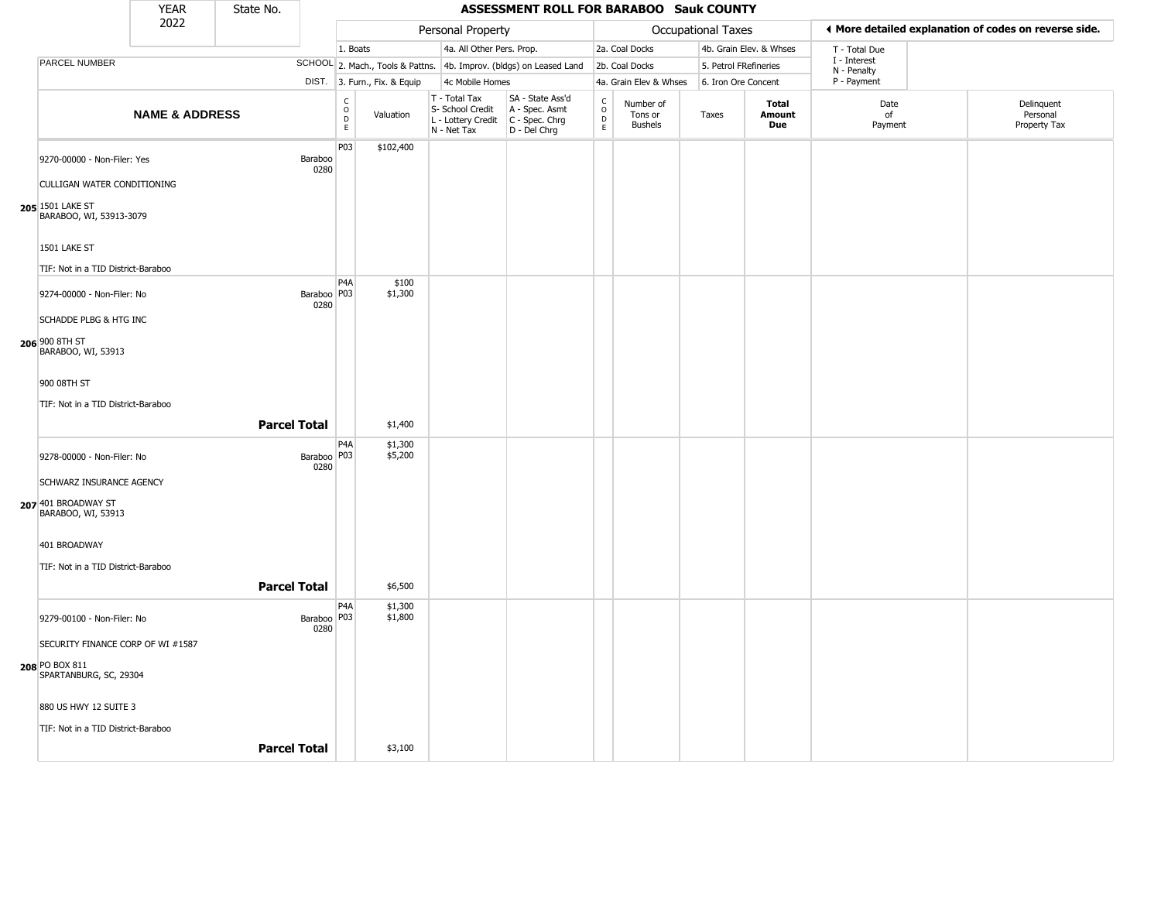|                                                                                                     | <b>YEAR</b>               | State No.           |                       |                                                 |                              |                                                                        | ASSESSMENT ROLL FOR BARABOO Sauk COUNTY                                |                                                                  |                                        |                           |                               |                             |                                                       |
|-----------------------------------------------------------------------------------------------------|---------------------------|---------------------|-----------------------|-------------------------------------------------|------------------------------|------------------------------------------------------------------------|------------------------------------------------------------------------|------------------------------------------------------------------|----------------------------------------|---------------------------|-------------------------------|-----------------------------|-------------------------------------------------------|
|                                                                                                     | 2022                      |                     |                       |                                                 |                              | Personal Property                                                      |                                                                        |                                                                  |                                        | <b>Occupational Taxes</b> |                               |                             | ◀ More detailed explanation of codes on reverse side. |
|                                                                                                     |                           |                     |                       | 1. Boats                                        |                              | 4a. All Other Pers. Prop.                                              |                                                                        |                                                                  | 2a. Coal Docks                         |                           | 4b. Grain Elev. & Whses       | T - Total Due               |                                                       |
| PARCEL NUMBER                                                                                       |                           |                     |                       |                                                 |                              |                                                                        | SCHOOL 2. Mach., Tools & Pattns. 4b. Improv. (bldgs) on Leased Land    |                                                                  | 2b. Coal Docks                         | 5. Petrol FRefineries     |                               | I - Interest<br>N - Penalty |                                                       |
|                                                                                                     |                           |                     |                       |                                                 | DIST. 3. Furn., Fix. & Equip | 4c Mobile Homes                                                        |                                                                        |                                                                  | 4a. Grain Elev & Whses                 | 6. Iron Ore Concent       |                               | P - Payment                 |                                                       |
|                                                                                                     | <b>NAME &amp; ADDRESS</b> |                     |                       | $\begin{array}{c} C \\ O \\ D \\ E \end{array}$ | Valuation                    | T - Total Tax<br>S- School Credit<br>L - Lottery Credit<br>N - Net Tax | SA - State Ass'd<br>A - Spec. Asmt<br>$C - Spec. Chrg$<br>D - Del Chrg | $\begin{smallmatrix} C \\ 0 \\ D \end{smallmatrix}$<br>$\bar{E}$ | Number of<br>Tons or<br><b>Bushels</b> | Taxes                     | <b>Total</b><br>Amount<br>Due | Date<br>of<br>Payment       | Delinquent<br>Personal<br>Property Tax                |
| 9270-00000 - Non-Filer: Yes<br>CULLIGAN WATER CONDITIONING                                          |                           |                     | Baraboo<br>0280       | P03                                             | \$102,400                    |                                                                        |                                                                        |                                                                  |                                        |                           |                               |                             |                                                       |
| 205 1501 LAKE ST<br>BARABOO, WI, 53913-3079<br>1501 LAKE ST<br>TIF: Not in a TID District-Baraboo   |                           |                     |                       |                                                 |                              |                                                                        |                                                                        |                                                                  |                                        |                           |                               |                             |                                                       |
| 9274-00000 - Non-Filer: No<br>SCHADDE PLBG & HTG INC                                                |                           |                     | Baraboo   P03<br>0280 | P <sub>4</sub> A                                | \$100<br>\$1,300             |                                                                        |                                                                        |                                                                  |                                        |                           |                               |                             |                                                       |
| 206 900 8TH ST<br>BARABOO, WI, 53913<br>900 08TH ST<br>TIF: Not in a TID District-Baraboo           |                           |                     |                       |                                                 |                              |                                                                        |                                                                        |                                                                  |                                        |                           |                               |                             |                                                       |
|                                                                                                     |                           | <b>Parcel Total</b> |                       |                                                 | \$1,400                      |                                                                        |                                                                        |                                                                  |                                        |                           |                               |                             |                                                       |
| 9278-00000 - Non-Filer: No<br>SCHWARZ INSURANCE AGENCY<br>207 401 BROADWAY ST<br>BARABOO, WI, 53913 |                           |                     | Baraboo   P03<br>0280 | P <sub>4</sub> A                                | \$1,300<br>\$5,200           |                                                                        |                                                                        |                                                                  |                                        |                           |                               |                             |                                                       |
| 401 BROADWAY<br>TIF: Not in a TID District-Baraboo                                                  |                           | <b>Parcel Total</b> |                       |                                                 | \$6,500                      |                                                                        |                                                                        |                                                                  |                                        |                           |                               |                             |                                                       |
| 9279-00100 - Non-Filer: No                                                                          |                           |                     | Baraboo   P03<br>0280 | P <sub>4</sub> A                                | \$1,300<br>\$1,800           |                                                                        |                                                                        |                                                                  |                                        |                           |                               |                             |                                                       |
| SECURITY FINANCE CORP OF WI #1587<br>208 PO BOX 811<br>SPARTANBURG, SC, 29304                       |                           |                     |                       |                                                 |                              |                                                                        |                                                                        |                                                                  |                                        |                           |                               |                             |                                                       |
| 880 US HWY 12 SUITE 3<br>TIF: Not in a TID District-Baraboo                                         |                           |                     |                       |                                                 |                              |                                                                        |                                                                        |                                                                  |                                        |                           |                               |                             |                                                       |
|                                                                                                     |                           | <b>Parcel Total</b> |                       |                                                 | \$3,100                      |                                                                        |                                                                        |                                                                  |                                        |                           |                               |                             |                                                       |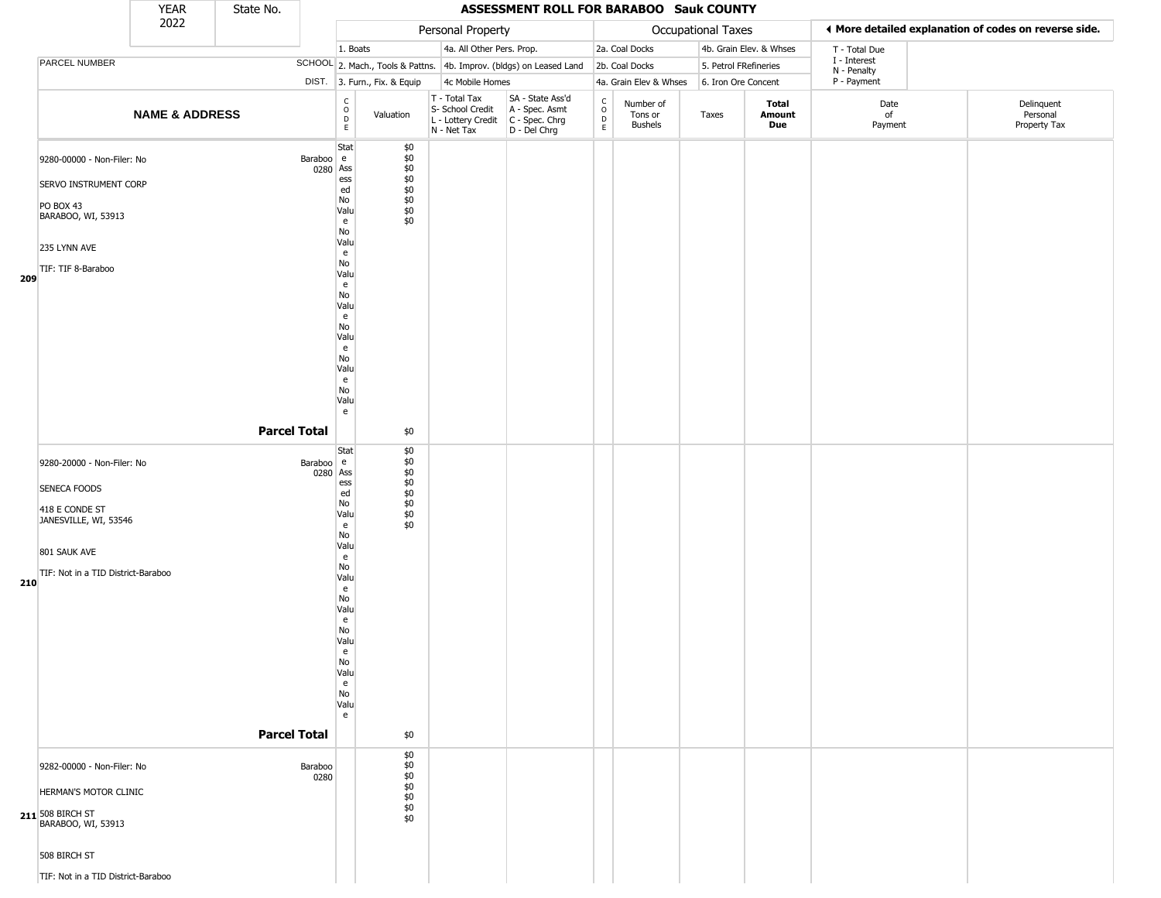|                                                                                                                                                     | <b>YEAR</b>               | State No.           |                                                                                                                                                                                 |                                                                     |                                                                        | ASSESSMENT ROLL FOR BARABOO Sauk COUNTY                                |                                                 |                                 |                       |                         |                            |                                                       |
|-----------------------------------------------------------------------------------------------------------------------------------------------------|---------------------------|---------------------|---------------------------------------------------------------------------------------------------------------------------------------------------------------------------------|---------------------------------------------------------------------|------------------------------------------------------------------------|------------------------------------------------------------------------|-------------------------------------------------|---------------------------------|-----------------------|-------------------------|----------------------------|-------------------------------------------------------|
|                                                                                                                                                     | 2022                      |                     |                                                                                                                                                                                 |                                                                     | Personal Property                                                      |                                                                        |                                                 |                                 | Occupational Taxes    |                         |                            | ♦ More detailed explanation of codes on reverse side. |
|                                                                                                                                                     |                           |                     |                                                                                                                                                                                 | 1. Boats                                                            | 4a. All Other Pers. Prop.                                              |                                                                        |                                                 | 2a. Coal Docks                  |                       | 4b. Grain Elev. & Whses | T - Total Due              |                                                       |
| PARCEL NUMBER                                                                                                                                       |                           |                     |                                                                                                                                                                                 | SCHOOL 2. Mach., Tools & Pattns. 4b. Improv. (bldgs) on Leased Land |                                                                        |                                                                        |                                                 | 2b. Coal Docks                  | 5. Petrol FRefineries |                         | I - Interest               |                                                       |
|                                                                                                                                                     |                           |                     |                                                                                                                                                                                 | DIST. 3. Furn., Fix. & Equip                                        | 4c Mobile Homes                                                        |                                                                        |                                                 | 4a. Grain Elev & Whses          | 6. Iron Ore Concent   |                         | N - Penalty<br>P - Payment |                                                       |
|                                                                                                                                                     | <b>NAME &amp; ADDRESS</b> |                     | $\begin{array}{c} C \\ O \\ D \\ E \end{array}$                                                                                                                                 | Valuation                                                           | T - Total Tax<br>S- School Credit<br>L - Lottery Credit<br>N - Net Tax | SA - State Ass'd<br>A - Spec. Asmt<br>$C - Spec. Chrg$<br>D - Del Chrg | $\begin{array}{c} C \\ O \\ D \\ E \end{array}$ | Number of<br>Tons or<br>Bushels | Taxes                 | Total<br>Amount<br>Due  | Date<br>of<br>Payment      | Delinquent<br>Personal<br>Property Tax                |
| 9280-00000 - Non-Filer: No<br>SERVO INSTRUMENT CORP<br><b>PO BOX 43</b><br>BARABOO, WI, 53913<br>235 LYNN AVE<br>TIF: TIF 8-Baraboo<br>209          |                           |                     | Stat<br>Baraboo e<br>0280 Ass<br>ess<br>ed<br>No<br>Valu<br>e<br>No<br>Valu<br>e<br>No<br>Valu<br>e<br>No<br>Valu<br>e<br>No<br>Valu<br>e<br>No<br>Valu<br>e<br>No<br>Valu<br>e | \$0<br>\$0<br>$$0$<br>$$0$<br>$$0$<br>$$0$<br>$$0$<br>\$0<br>\$0    |                                                                        |                                                                        |                                                 |                                 |                       |                         |                            |                                                       |
|                                                                                                                                                     |                           | <b>Parcel Total</b> | Stat                                                                                                                                                                            | \$0<br>\$0                                                          |                                                                        |                                                                        |                                                 |                                 |                       |                         |                            |                                                       |
| 9280-20000 - Non-Filer: No<br>SENECA FOODS<br>418 E CONDE ST<br>JANESVILLE, WI, 53546<br>801 SAUK AVE<br>TIF: Not in a TID District-Baraboo<br>210  |                           | <b>Parcel Total</b> | Baraboo e<br>0280 Ass<br>ess<br>ed<br>No<br>Valu<br>e<br>No<br>Valu<br>e<br>No<br>Valu<br>e<br>No<br>Valu<br>e<br>No<br>Valu<br>e<br>No<br>Valu<br>e<br>No<br>Valu<br>e         | \$0<br>\$0<br>$$0$$<br>$$0$$<br>$$0$$<br>\$0<br>\$0<br>\$0          |                                                                        |                                                                        |                                                 |                                 |                       |                         |                            |                                                       |
| 9282-00000 - Non-Filer: No<br>HERMAN'S MOTOR CLINIC<br>211 508 BIRCH ST<br>BARABOO, WI, 53913<br>508 BIRCH ST<br>TIF: Not in a TID District-Baraboo |                           |                     | Baraboo<br>0280                                                                                                                                                                 | \$0<br>\$0<br>\$0<br>\$0<br>\$0<br>\$0<br>\$0                       |                                                                        |                                                                        |                                                 |                                 |                       |                         |                            |                                                       |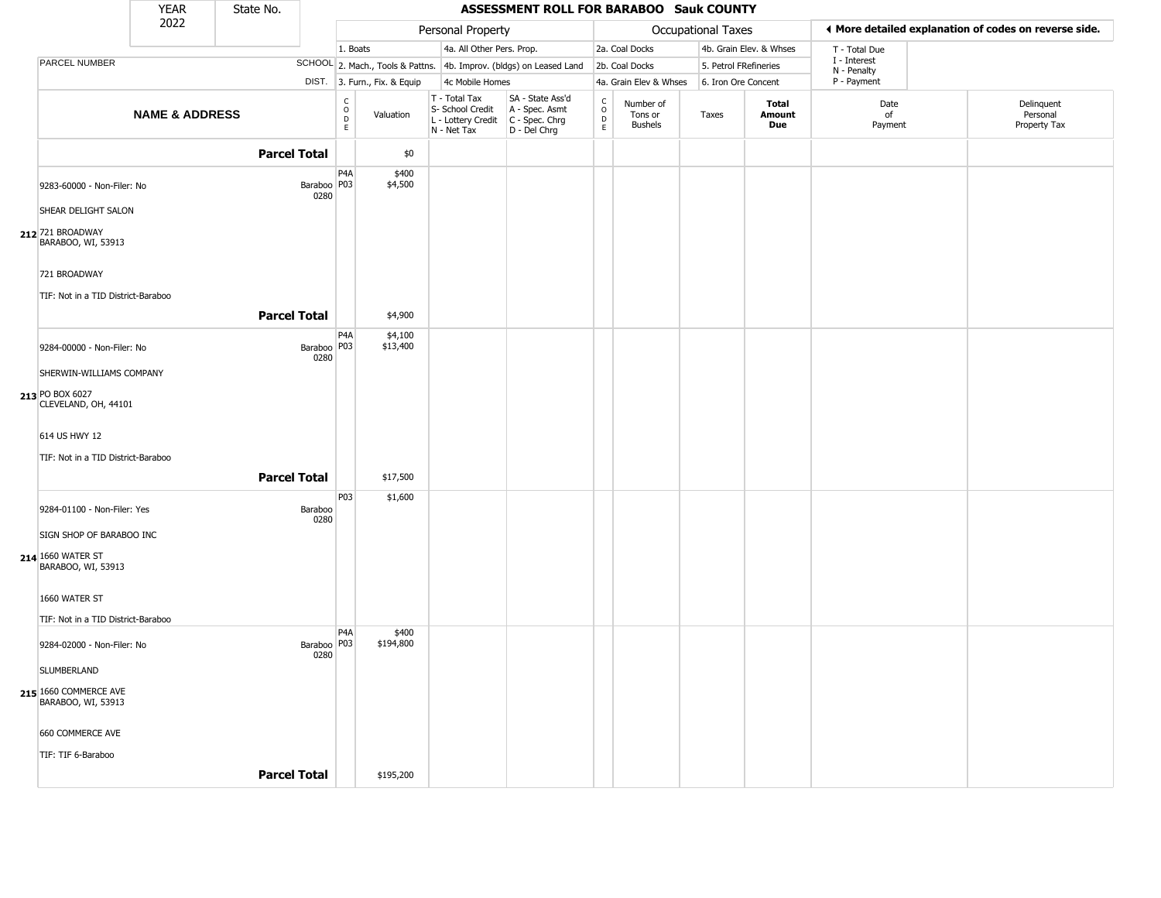|                                                                     | <b>YEAR</b>               | State No.           |                       |                                                          |                              |                                                                        | ASSESSMENT ROLL FOR BARABOO Sauk COUNTY                              |                                             |                                        |                       |                         |                             |                                                       |
|---------------------------------------------------------------------|---------------------------|---------------------|-----------------------|----------------------------------------------------------|------------------------------|------------------------------------------------------------------------|----------------------------------------------------------------------|---------------------------------------------|----------------------------------------|-----------------------|-------------------------|-----------------------------|-------------------------------------------------------|
|                                                                     | 2022                      |                     |                       |                                                          |                              | Personal Property                                                      |                                                                      |                                             |                                        | Occupational Taxes    |                         |                             | ♦ More detailed explanation of codes on reverse side. |
|                                                                     |                           |                     |                       | 1. Boats                                                 |                              | 4a. All Other Pers. Prop.                                              |                                                                      |                                             | 2a. Coal Docks                         |                       | 4b. Grain Elev. & Whses | T - Total Due               |                                                       |
| <b>PARCEL NUMBER</b>                                                |                           |                     |                       |                                                          |                              |                                                                        | SCHOOL 2. Mach., Tools & Pattns. 4b. Improv. (bldgs) on Leased Land  |                                             | 2b. Coal Docks                         | 5. Petrol FRefineries |                         | I - Interest<br>N - Penalty |                                                       |
|                                                                     |                           |                     |                       |                                                          | DIST. 3. Furn., Fix. & Equip | 4c Mobile Homes                                                        |                                                                      |                                             | 4a. Grain Elev & Whses                 | 6. Iron Ore Concent   |                         | P - Payment                 |                                                       |
|                                                                     | <b>NAME &amp; ADDRESS</b> |                     |                       | $\begin{matrix} 0 \\ 0 \\ D \end{matrix}$<br>$\mathsf E$ | Valuation                    | T - Total Tax<br>S- School Credit<br>L - Lottery Credit<br>N - Net Tax | SA - State Ass'd<br>A - Spec. Asmt<br>C - Spec. Chrg<br>D - Del Chrg | $\frac{c}{0}$<br>$\mathsf D$<br>$\mathsf E$ | Number of<br>Tons or<br><b>Bushels</b> | Taxes                 | Total<br>Amount<br>Due  | Date<br>of<br>Payment       | Delinquent<br>Personal<br>Property Tax                |
|                                                                     |                           | <b>Parcel Total</b> |                       |                                                          | \$0                          |                                                                        |                                                                      |                                             |                                        |                       |                         |                             |                                                       |
| 9283-60000 - Non-Filer: No                                          |                           |                     | Baraboo   P03<br>0280 | P <sub>4</sub> A                                         | \$400<br>\$4,500             |                                                                        |                                                                      |                                             |                                        |                       |                         |                             |                                                       |
| SHEAR DELIGHT SALON                                                 |                           |                     |                       |                                                          |                              |                                                                        |                                                                      |                                             |                                        |                       |                         |                             |                                                       |
| 212 721 BROADWAY<br>BARABOO, WI, 53913                              |                           |                     |                       |                                                          |                              |                                                                        |                                                                      |                                             |                                        |                       |                         |                             |                                                       |
| 721 BROADWAY                                                        |                           |                     |                       |                                                          |                              |                                                                        |                                                                      |                                             |                                        |                       |                         |                             |                                                       |
| TIF: Not in a TID District-Baraboo                                  |                           |                     |                       |                                                          |                              |                                                                        |                                                                      |                                             |                                        |                       |                         |                             |                                                       |
|                                                                     |                           | <b>Parcel Total</b> |                       |                                                          | \$4,900                      |                                                                        |                                                                      |                                             |                                        |                       |                         |                             |                                                       |
| 9284-00000 - Non-Filer: No                                          |                           |                     | Baraboo   P03<br>0280 | P <sub>4</sub> A                                         | \$4,100<br>\$13,400          |                                                                        |                                                                      |                                             |                                        |                       |                         |                             |                                                       |
| SHERWIN-WILLIAMS COMPANY                                            |                           |                     |                       |                                                          |                              |                                                                        |                                                                      |                                             |                                        |                       |                         |                             |                                                       |
| 213 PO BOX 6027<br>CLEVELAND, OH, 44101                             |                           |                     |                       |                                                          |                              |                                                                        |                                                                      |                                             |                                        |                       |                         |                             |                                                       |
| 614 US HWY 12<br>TIF: Not in a TID District-Baraboo                 |                           |                     |                       |                                                          |                              |                                                                        |                                                                      |                                             |                                        |                       |                         |                             |                                                       |
|                                                                     |                           | <b>Parcel Total</b> |                       |                                                          | \$17,500                     |                                                                        |                                                                      |                                             |                                        |                       |                         |                             |                                                       |
| 9284-01100 - Non-Filer: Yes                                         |                           |                     | Baraboo<br>0280       | P03                                                      | \$1,600                      |                                                                        |                                                                      |                                             |                                        |                       |                         |                             |                                                       |
| SIGN SHOP OF BARABOO INC<br>214 1660 WATER ST<br>BARABOO, WI, 53913 |                           |                     |                       |                                                          |                              |                                                                        |                                                                      |                                             |                                        |                       |                         |                             |                                                       |
| 1660 WATER ST                                                       |                           |                     |                       |                                                          |                              |                                                                        |                                                                      |                                             |                                        |                       |                         |                             |                                                       |
| TIF: Not in a TID District-Baraboo                                  |                           |                     |                       |                                                          |                              |                                                                        |                                                                      |                                             |                                        |                       |                         |                             |                                                       |
| 9284-02000 - Non-Filer: No                                          |                           |                     | Baraboo   P03<br>0280 | P4A                                                      | \$400<br>\$194,800           |                                                                        |                                                                      |                                             |                                        |                       |                         |                             |                                                       |
| SLUMBERLAND                                                         |                           |                     |                       |                                                          |                              |                                                                        |                                                                      |                                             |                                        |                       |                         |                             |                                                       |
| 215 1660 COMMERCE AVE<br>BARABOO, WI, 53913                         |                           |                     |                       |                                                          |                              |                                                                        |                                                                      |                                             |                                        |                       |                         |                             |                                                       |
| 660 COMMERCE AVE                                                    |                           |                     |                       |                                                          |                              |                                                                        |                                                                      |                                             |                                        |                       |                         |                             |                                                       |
| TIF: TIF 6-Baraboo                                                  |                           |                     |                       |                                                          |                              |                                                                        |                                                                      |                                             |                                        |                       |                         |                             |                                                       |
|                                                                     |                           | <b>Parcel Total</b> |                       |                                                          | \$195,200                    |                                                                        |                                                                      |                                             |                                        |                       |                         |                             |                                                       |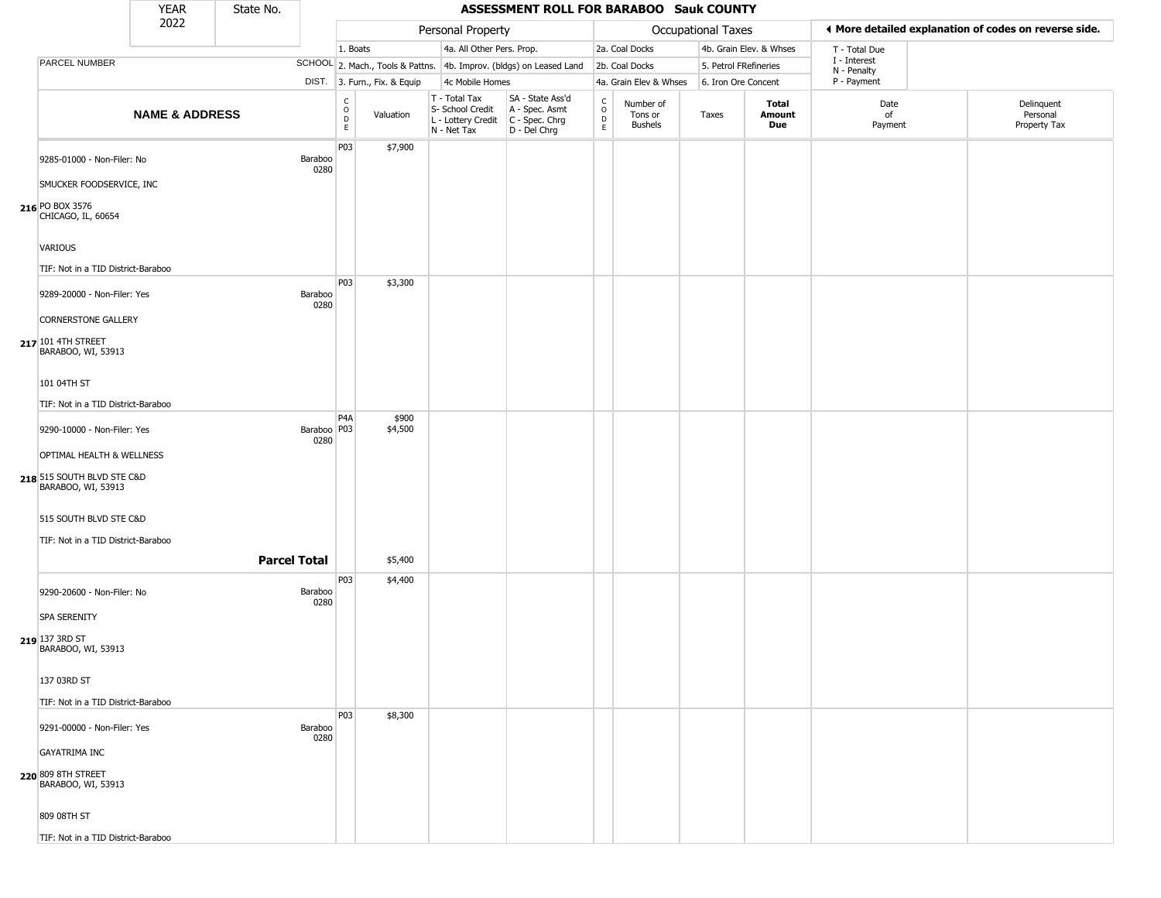|                                                  | <b>YEAR</b>               | State No. |                       |                                   |                              |                                                                        | <b>ASSESSMENT ROLL FOR BARABOO Sauk COUNTY</b>                       |                                             |                                        |                       |                         |                             |                                                       |
|--------------------------------------------------|---------------------------|-----------|-----------------------|-----------------------------------|------------------------------|------------------------------------------------------------------------|----------------------------------------------------------------------|---------------------------------------------|----------------------------------------|-----------------------|-------------------------|-----------------------------|-------------------------------------------------------|
|                                                  | 2022                      |           |                       |                                   |                              | Personal Property                                                      |                                                                      |                                             |                                        | Occupational Taxes    |                         |                             | ♦ More detailed explanation of codes on reverse side. |
|                                                  |                           |           |                       | 1. Boats                          |                              | 4a. All Other Pers. Prop.                                              |                                                                      |                                             | 2a. Coal Docks                         |                       | 4b. Grain Elev. & Whses | T - Total Due               |                                                       |
| PARCEL NUMBER                                    |                           |           |                       |                                   |                              |                                                                        | SCHOOL 2. Mach., Tools & Pattns. 4b. Improv. (bldgs) on Leased Land  |                                             | 2b. Coal Docks                         | 5. Petrol FRefineries |                         | I - Interest<br>N - Penalty |                                                       |
|                                                  |                           |           |                       |                                   | DIST. 3. Furn., Fix. & Equip | 4c Mobile Homes                                                        |                                                                      |                                             | 4a. Grain Elev & Whses                 | 6. Iron Ore Concent   |                         | P - Payment                 |                                                       |
|                                                  | <b>NAME &amp; ADDRESS</b> |           |                       | C<br>$\circ$<br>$\mathsf{D}$<br>E | Valuation                    | T - Total Tax<br>S- School Credit<br>L - Lottery Credit<br>N - Net Tax | SA - State Ass'd<br>A - Spec. Asmt<br>C - Spec. Chrg<br>D - Del Chrg | $\frac{c}{0}$<br>$\mathsf D$<br>$\mathsf E$ | Number of<br>Tons or<br><b>Bushels</b> | Taxes                 | Total<br>Amount<br>Due  | Date<br>of<br>Payment       | Delinquent<br>Personal<br>Property Tax                |
| 9285-01000 - Non-Filer: No                       |                           |           | Baraboo<br>0280       | P03                               | \$7,900                      |                                                                        |                                                                      |                                             |                                        |                       |                         |                             |                                                       |
| SMUCKER FOODSERVICE, INC                         |                           |           |                       |                                   |                              |                                                                        |                                                                      |                                             |                                        |                       |                         |                             |                                                       |
| 216 PO BOX 3576<br>CHICAGO, IL, 60654            |                           |           |                       |                                   |                              |                                                                        |                                                                      |                                             |                                        |                       |                         |                             |                                                       |
| VARIOUS                                          |                           |           |                       |                                   |                              |                                                                        |                                                                      |                                             |                                        |                       |                         |                             |                                                       |
| TIF: Not in a TID District-Baraboo               |                           |           |                       |                                   |                              |                                                                        |                                                                      |                                             |                                        |                       |                         |                             |                                                       |
| 9289-20000 - Non-Filer: Yes                      |                           |           | Baraboo<br>0280       | P03                               | \$3,300                      |                                                                        |                                                                      |                                             |                                        |                       |                         |                             |                                                       |
| <b>CORNERSTONE GALLERY</b>                       |                           |           |                       |                                   |                              |                                                                        |                                                                      |                                             |                                        |                       |                         |                             |                                                       |
| 217 101 4TH STREET<br>BARABOO, WI, 53913         |                           |           |                       |                                   |                              |                                                                        |                                                                      |                                             |                                        |                       |                         |                             |                                                       |
| 101 04TH ST                                      |                           |           |                       |                                   |                              |                                                                        |                                                                      |                                             |                                        |                       |                         |                             |                                                       |
| TIF: Not in a TID District-Baraboo               |                           |           |                       |                                   |                              |                                                                        |                                                                      |                                             |                                        |                       |                         |                             |                                                       |
| 9290-10000 - Non-Filer: Yes                      |                           |           | Baraboo   P03<br>0280 | P4A                               | \$900<br>\$4,500             |                                                                        |                                                                      |                                             |                                        |                       |                         |                             |                                                       |
| OPTIMAL HEALTH & WELLNESS                        |                           |           |                       |                                   |                              |                                                                        |                                                                      |                                             |                                        |                       |                         |                             |                                                       |
| 218 515 SOUTH BLVD STE C&D<br>BARABOO, WI, 53913 |                           |           |                       |                                   |                              |                                                                        |                                                                      |                                             |                                        |                       |                         |                             |                                                       |
| 515 SOUTH BLVD STE C&D                           |                           |           |                       |                                   |                              |                                                                        |                                                                      |                                             |                                        |                       |                         |                             |                                                       |
| TIF: Not in a TID District-Baraboo               |                           |           |                       |                                   |                              |                                                                        |                                                                      |                                             |                                        |                       |                         |                             |                                                       |
|                                                  |                           |           | <b>Parcel Total</b>   |                                   | \$5,400                      |                                                                        |                                                                      |                                             |                                        |                       |                         |                             |                                                       |
| 9290-20600 - Non-Filer: No                       |                           |           | Baraboo<br>0280       | P <sub>0</sub> 3                  | \$4,400                      |                                                                        |                                                                      |                                             |                                        |                       |                         |                             |                                                       |
| <b>SPA SERENITY</b>                              |                           |           |                       |                                   |                              |                                                                        |                                                                      |                                             |                                        |                       |                         |                             |                                                       |
| 219 137 3RD ST<br>BARABOO, WI, 53913             |                           |           |                       |                                   |                              |                                                                        |                                                                      |                                             |                                        |                       |                         |                             |                                                       |
| 137 03RD ST                                      |                           |           |                       |                                   |                              |                                                                        |                                                                      |                                             |                                        |                       |                         |                             |                                                       |
| TIF: Not in a TID District-Baraboo               |                           |           |                       |                                   |                              |                                                                        |                                                                      |                                             |                                        |                       |                         |                             |                                                       |
| 9291-00000 - Non-Filer: Yes                      |                           |           | Baraboo<br>0280       | P03                               | \$8,300                      |                                                                        |                                                                      |                                             |                                        |                       |                         |                             |                                                       |
| <b>GAYATRIMA INC</b>                             |                           |           |                       |                                   |                              |                                                                        |                                                                      |                                             |                                        |                       |                         |                             |                                                       |
| 220 809 8TH STREET<br>BARABOO, WI, 53913         |                           |           |                       |                                   |                              |                                                                        |                                                                      |                                             |                                        |                       |                         |                             |                                                       |
| 809 08TH ST                                      |                           |           |                       |                                   |                              |                                                                        |                                                                      |                                             |                                        |                       |                         |                             |                                                       |
| TIF: Not in a TID District-Baraboo               |                           |           |                       |                                   |                              |                                                                        |                                                                      |                                             |                                        |                       |                         |                             |                                                       |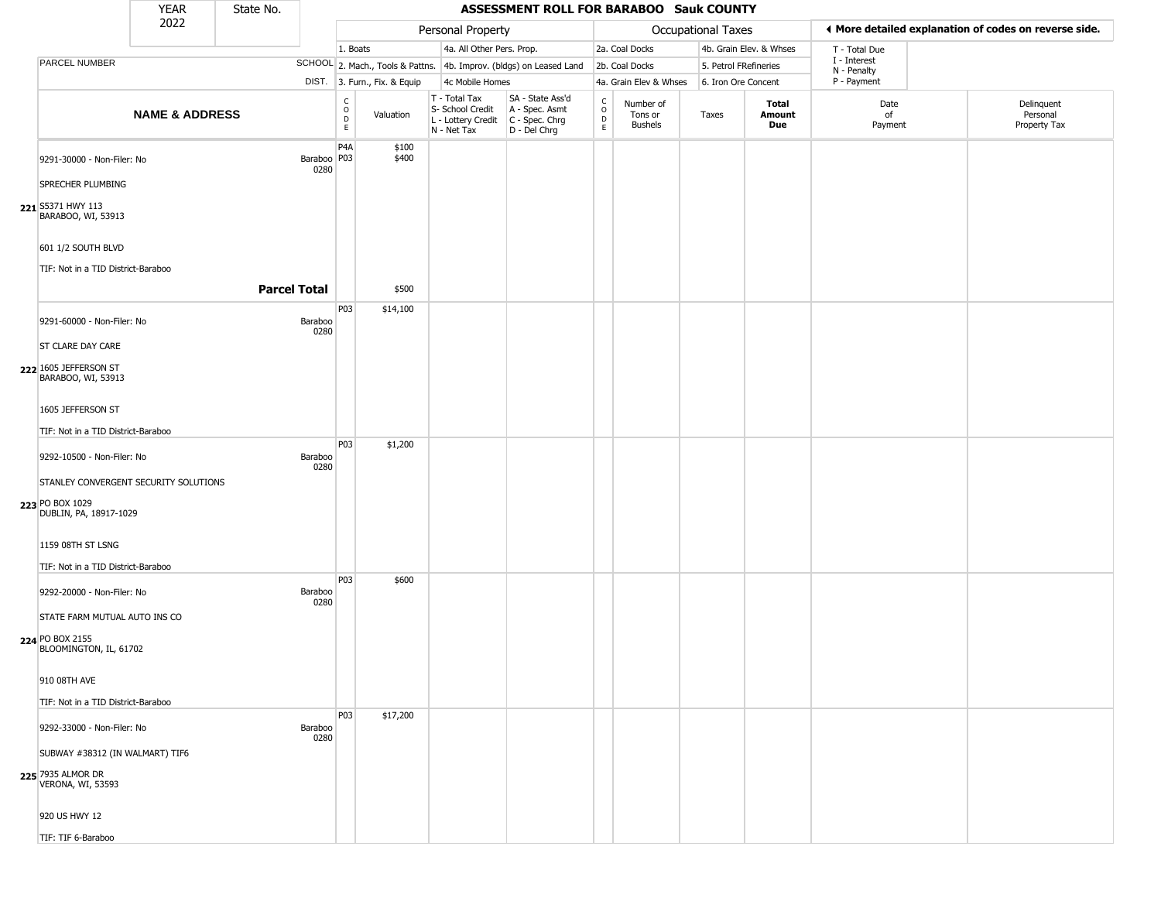|                                               | <b>YEAR</b>               | State No.           |                       |                         |                              |                                                                        | ASSESSMENT ROLL FOR BARABOO Sauk COUNTY                              |                                |                                        |                       |                               |                             |                                                       |
|-----------------------------------------------|---------------------------|---------------------|-----------------------|-------------------------|------------------------------|------------------------------------------------------------------------|----------------------------------------------------------------------|--------------------------------|----------------------------------------|-----------------------|-------------------------------|-----------------------------|-------------------------------------------------------|
|                                               | 2022                      |                     |                       |                         |                              | Personal Property                                                      |                                                                      |                                |                                        | Occupational Taxes    |                               |                             | ♦ More detailed explanation of codes on reverse side. |
|                                               |                           |                     |                       | 1. Boats                |                              | 4a. All Other Pers. Prop.                                              |                                                                      |                                | 2a. Coal Docks                         |                       | 4b. Grain Elev. & Whses       | T - Total Due               |                                                       |
| PARCEL NUMBER                                 |                           |                     |                       |                         |                              |                                                                        | SCHOOL 2. Mach., Tools & Pattns. 4b. Improv. (bldgs) on Leased Land  |                                | 2b. Coal Docks                         | 5. Petrol FRefineries |                               | I - Interest<br>N - Penalty |                                                       |
|                                               |                           |                     |                       |                         | DIST. 3. Furn., Fix. & Equip | 4c Mobile Homes                                                        |                                                                      |                                | 4a. Grain Elev & Whses                 | 6. Iron Ore Concent   |                               | P - Payment                 |                                                       |
|                                               | <b>NAME &amp; ADDRESS</b> |                     |                       | $\frac{c}{0}$<br>D<br>E | Valuation                    | T - Total Tax<br>S- School Credit<br>L - Lottery Credit<br>N - Net Tax | SA - State Ass'd<br>A - Spec. Asmt<br>C - Spec. Chrg<br>D - Del Chrg | $\rm _o^c$<br>D<br>$\mathsf E$ | Number of<br>Tons or<br><b>Bushels</b> | Taxes                 | <b>Total</b><br>Amount<br>Due | Date<br>of<br>Payment       | Delinquent<br>Personal<br>Property Tax                |
| 9291-30000 - Non-Filer: No                    |                           |                     | Baraboo   P03<br>0280 | P <sub>4</sub> A        | \$100<br>\$400               |                                                                        |                                                                      |                                |                                        |                       |                               |                             |                                                       |
| SPRECHER PLUMBING                             |                           |                     |                       |                         |                              |                                                                        |                                                                      |                                |                                        |                       |                               |                             |                                                       |
| 221 S5371 HWY 113<br>BARABOO, WI, 53913       |                           |                     |                       |                         |                              |                                                                        |                                                                      |                                |                                        |                       |                               |                             |                                                       |
| 601 1/2 SOUTH BLVD                            |                           |                     |                       |                         |                              |                                                                        |                                                                      |                                |                                        |                       |                               |                             |                                                       |
| TIF: Not in a TID District-Baraboo            |                           |                     |                       |                         |                              |                                                                        |                                                                      |                                |                                        |                       |                               |                             |                                                       |
|                                               |                           | <b>Parcel Total</b> |                       |                         | \$500                        |                                                                        |                                                                      |                                |                                        |                       |                               |                             |                                                       |
| 9291-60000 - Non-Filer: No                    |                           |                     | Baraboo<br>0280       | P03                     | \$14,100                     |                                                                        |                                                                      |                                |                                        |                       |                               |                             |                                                       |
| <b>ST CLARE DAY CARE</b>                      |                           |                     |                       |                         |                              |                                                                        |                                                                      |                                |                                        |                       |                               |                             |                                                       |
| 222 1605 JEFFERSON ST<br>BARABOO, WI, 53913   |                           |                     |                       |                         |                              |                                                                        |                                                                      |                                |                                        |                       |                               |                             |                                                       |
| 1605 JEFFERSON ST                             |                           |                     |                       |                         |                              |                                                                        |                                                                      |                                |                                        |                       |                               |                             |                                                       |
| TIF: Not in a TID District-Baraboo            |                           |                     |                       |                         |                              |                                                                        |                                                                      |                                |                                        |                       |                               |                             |                                                       |
| 9292-10500 - Non-Filer: No                    |                           |                     | Baraboo<br>0280       | P03                     | \$1,200                      |                                                                        |                                                                      |                                |                                        |                       |                               |                             |                                                       |
| STANLEY CONVERGENT SECURITY SOLUTIONS         |                           |                     |                       |                         |                              |                                                                        |                                                                      |                                |                                        |                       |                               |                             |                                                       |
| 223 PO BOX 1029<br>DUBLIN, PA, 18917-1029     |                           |                     |                       |                         |                              |                                                                        |                                                                      |                                |                                        |                       |                               |                             |                                                       |
| 1159 08TH ST LSNG                             |                           |                     |                       |                         |                              |                                                                        |                                                                      |                                |                                        |                       |                               |                             |                                                       |
| TIF: Not in a TID District-Baraboo            |                           |                     |                       |                         |                              |                                                                        |                                                                      |                                |                                        |                       |                               |                             |                                                       |
| 9292-20000 - Non-Filer: No                    |                           |                     | Baraboo<br>0280       | P03                     | \$600                        |                                                                        |                                                                      |                                |                                        |                       |                               |                             |                                                       |
| STATE FARM MUTUAL AUTO INS CO                 |                           |                     |                       |                         |                              |                                                                        |                                                                      |                                |                                        |                       |                               |                             |                                                       |
| 224 PO BOX 2155<br>BLOOMINGTON, IL, 61702     |                           |                     |                       |                         |                              |                                                                        |                                                                      |                                |                                        |                       |                               |                             |                                                       |
| 910 08TH AVE                                  |                           |                     |                       |                         |                              |                                                                        |                                                                      |                                |                                        |                       |                               |                             |                                                       |
| TIF: Not in a TID District-Baraboo            |                           |                     |                       |                         |                              |                                                                        |                                                                      |                                |                                        |                       |                               |                             |                                                       |
| 9292-33000 - Non-Filer: No                    |                           |                     | Baraboo<br>0280       | P03                     | \$17,200                     |                                                                        |                                                                      |                                |                                        |                       |                               |                             |                                                       |
| SUBWAY #38312 (IN WALMART) TIF6               |                           |                     |                       |                         |                              |                                                                        |                                                                      |                                |                                        |                       |                               |                             |                                                       |
| 225 7935 ALMOR DR<br><b>VERONA, WI, 53593</b> |                           |                     |                       |                         |                              |                                                                        |                                                                      |                                |                                        |                       |                               |                             |                                                       |
| 920 US HWY 12                                 |                           |                     |                       |                         |                              |                                                                        |                                                                      |                                |                                        |                       |                               |                             |                                                       |
| TIF: TIF 6-Baraboo                            |                           |                     |                       |                         |                              |                                                                        |                                                                      |                                |                                        |                       |                               |                             |                                                       |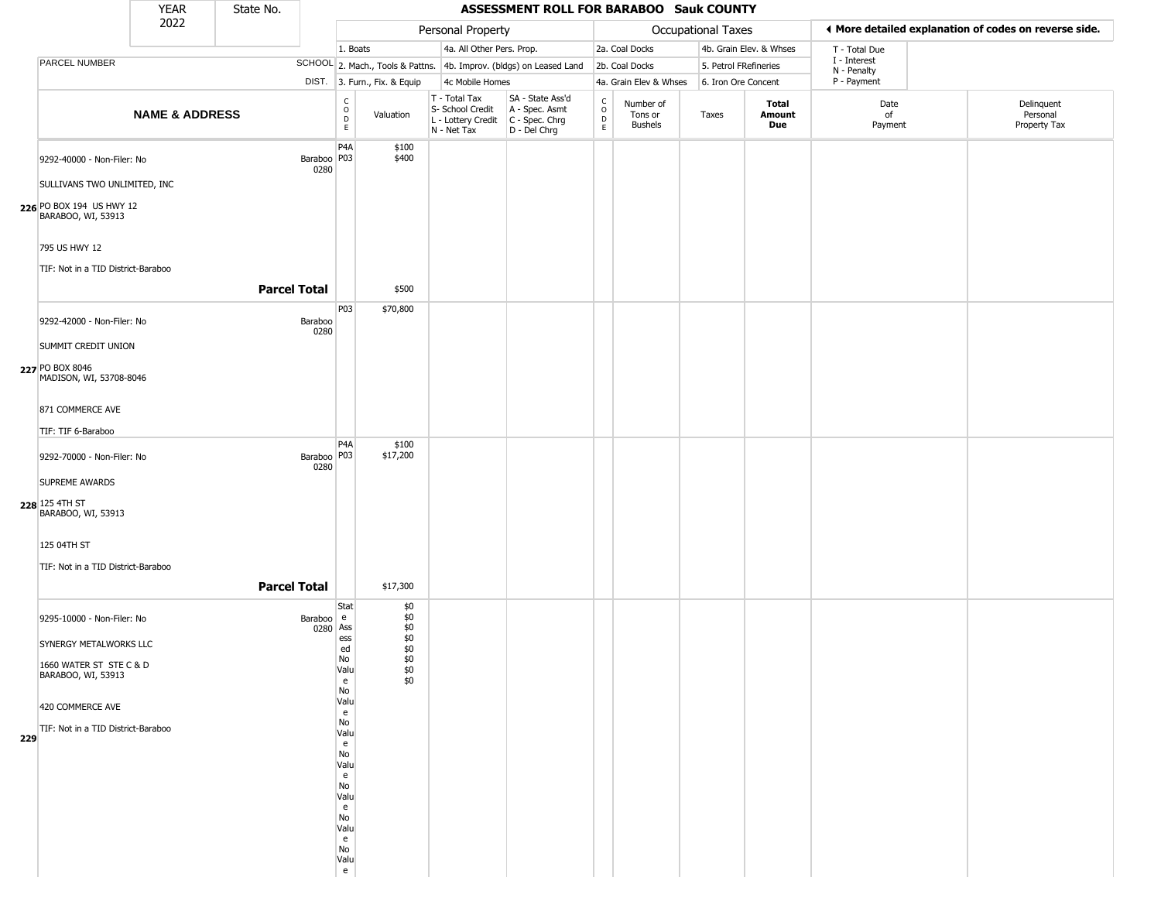|     |                                                            | <b>YEAR</b>               | State No.           |                       |                         |                              |                                                                        | ASSESSMENT ROLL FOR BARABOO Sauk COUNTY                              |                                            |                                        |                           |                         |                             |                                                       |
|-----|------------------------------------------------------------|---------------------------|---------------------|-----------------------|-------------------------|------------------------------|------------------------------------------------------------------------|----------------------------------------------------------------------|--------------------------------------------|----------------------------------------|---------------------------|-------------------------|-----------------------------|-------------------------------------------------------|
|     |                                                            | 2022                      |                     |                       |                         |                              | Personal Property                                                      |                                                                      |                                            |                                        | <b>Occupational Taxes</b> |                         |                             | ◀ More detailed explanation of codes on reverse side. |
|     |                                                            |                           |                     |                       | 1. Boats                |                              | 4a. All Other Pers. Prop.                                              |                                                                      |                                            | 2a. Coal Docks                         |                           | 4b. Grain Elev. & Whses | T - Total Due               |                                                       |
|     | PARCEL NUMBER                                              |                           |                     |                       |                         |                              |                                                                        | SCHOOL 2. Mach., Tools & Pattns. 4b. Improv. (bldgs) on Leased Land  |                                            | 2b. Coal Docks                         | 5. Petrol FRefineries     |                         | I - Interest<br>N - Penalty |                                                       |
|     |                                                            |                           |                     |                       |                         | DIST. 3. Furn., Fix. & Equip | 4c Mobile Homes                                                        |                                                                      |                                            | 4a. Grain Elev & Whses                 | 6. Iron Ore Concent       |                         | P - Payment                 |                                                       |
|     |                                                            | <b>NAME &amp; ADDRESS</b> |                     |                       | $\frac{c}{0}$<br>D<br>E | Valuation                    | T - Total Tax<br>S- School Credit<br>L - Lottery Credit<br>N - Net Tax | SA - State Ass'd<br>A - Spec. Asmt<br>C - Spec. Chrg<br>D - Del Chrg | C<br>$\circ$<br>$\mathsf D$<br>$\mathsf E$ | Number of<br>Tons or<br><b>Bushels</b> | Taxes                     | Total<br>Amount<br>Due  | Date<br>of<br>Payment       | Delinquent<br>Personal<br>Property Tax                |
|     | 9292-40000 - Non-Filer: No<br>SULLIVANS TWO UNLIMITED, INC |                           |                     | Baraboo   P03<br>0280 | P <sub>4</sub> A        | \$100<br>\$400               |                                                                        |                                                                      |                                            |                                        |                           |                         |                             |                                                       |
|     | 226 PO BOX 194 US HWY 12<br>BARABOO, WI, 53913             |                           |                     |                       |                         |                              |                                                                        |                                                                      |                                            |                                        |                           |                         |                             |                                                       |
|     | 795 US HWY 12                                              |                           |                     |                       |                         |                              |                                                                        |                                                                      |                                            |                                        |                           |                         |                             |                                                       |
|     | TIF: Not in a TID District-Baraboo                         |                           |                     |                       |                         |                              |                                                                        |                                                                      |                                            |                                        |                           |                         |                             |                                                       |
|     |                                                            |                           | <b>Parcel Total</b> |                       |                         | \$500                        |                                                                        |                                                                      |                                            |                                        |                           |                         |                             |                                                       |
|     | 9292-42000 - Non-Filer: No                                 |                           |                     | Baraboo<br>0280       | P03                     | \$70,800                     |                                                                        |                                                                      |                                            |                                        |                           |                         |                             |                                                       |
|     | SUMMIT CREDIT UNION                                        |                           |                     |                       |                         |                              |                                                                        |                                                                      |                                            |                                        |                           |                         |                             |                                                       |
|     | 227 PO BOX 8046<br>MADISON, WI, 53708-8046                 |                           |                     |                       |                         |                              |                                                                        |                                                                      |                                            |                                        |                           |                         |                             |                                                       |
|     | 871 COMMERCE AVE                                           |                           |                     |                       |                         |                              |                                                                        |                                                                      |                                            |                                        |                           |                         |                             |                                                       |
|     | TIF: TIF 6-Baraboo                                         |                           |                     |                       |                         |                              |                                                                        |                                                                      |                                            |                                        |                           |                         |                             |                                                       |
|     | 9292-70000 - Non-Filer: No                                 |                           |                     | Baraboo   P03<br>0280 | P <sub>4</sub> A        | \$100<br>\$17,200            |                                                                        |                                                                      |                                            |                                        |                           |                         |                             |                                                       |
|     | SUPREME AWARDS<br>228 125 4TH ST<br>BARABOO, WI, 53913     |                           |                     |                       |                         |                              |                                                                        |                                                                      |                                            |                                        |                           |                         |                             |                                                       |
|     | 125 04TH ST                                                |                           |                     |                       |                         |                              |                                                                        |                                                                      |                                            |                                        |                           |                         |                             |                                                       |
|     | TIF: Not in a TID District-Baraboo                         |                           |                     |                       |                         |                              |                                                                        |                                                                      |                                            |                                        |                           |                         |                             |                                                       |
|     |                                                            |                           | <b>Parcel Total</b> |                       |                         | \$17,300                     |                                                                        |                                                                      |                                            |                                        |                           |                         |                             |                                                       |
|     | 9295-10000 - Non-Filer: No                                 |                           |                     | Baraboo e<br>0280 Ass | Stat<br>ess             | \$0<br>\$0<br>\$0<br>\$0     |                                                                        |                                                                      |                                            |                                        |                           |                         |                             |                                                       |
|     | SYNERGY METALWORKS LLC                                     |                           |                     |                       | ed                      | \$0                          |                                                                        |                                                                      |                                            |                                        |                           |                         |                             |                                                       |
|     | 1660 WATER ST STE C & D<br>BARABOO, WI, 53913              |                           |                     |                       | No<br>Valu<br>e<br>No   | \$0<br>\$0<br>\$0            |                                                                        |                                                                      |                                            |                                        |                           |                         |                             |                                                       |
|     | 420 COMMERCE AVE                                           |                           |                     |                       | Valu<br>e               |                              |                                                                        |                                                                      |                                            |                                        |                           |                         |                             |                                                       |
|     | TIF: Not in a TID District-Baraboo                         |                           |                     |                       | No<br>Valu              |                              |                                                                        |                                                                      |                                            |                                        |                           |                         |                             |                                                       |
| 229 |                                                            |                           |                     |                       | e                       |                              |                                                                        |                                                                      |                                            |                                        |                           |                         |                             |                                                       |
|     |                                                            |                           |                     |                       | No<br>Valu              |                              |                                                                        |                                                                      |                                            |                                        |                           |                         |                             |                                                       |
|     |                                                            |                           |                     |                       | e<br>No                 |                              |                                                                        |                                                                      |                                            |                                        |                           |                         |                             |                                                       |
|     |                                                            |                           |                     |                       | Valu                    |                              |                                                                        |                                                                      |                                            |                                        |                           |                         |                             |                                                       |
|     |                                                            |                           |                     |                       | e<br>No                 |                              |                                                                        |                                                                      |                                            |                                        |                           |                         |                             |                                                       |
|     |                                                            |                           |                     |                       | Valu<br>e               |                              |                                                                        |                                                                      |                                            |                                        |                           |                         |                             |                                                       |
|     |                                                            |                           |                     |                       | No<br>Valu              |                              |                                                                        |                                                                      |                                            |                                        |                           |                         |                             |                                                       |
|     |                                                            |                           |                     |                       | e                       |                              |                                                                        |                                                                      |                                            |                                        |                           |                         |                             |                                                       |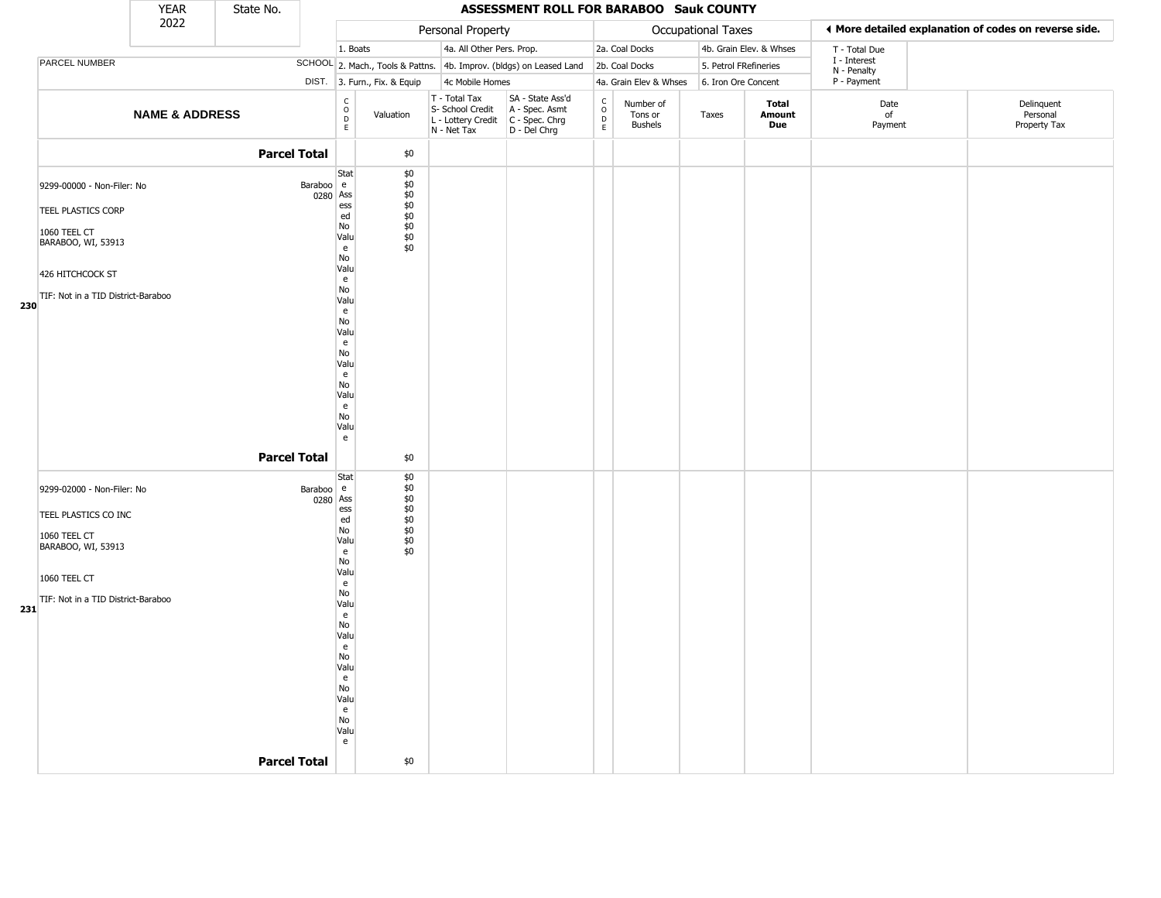|     |                                                    | <b>YEAR</b>               | State No.           |                       |                                                             |                                                               |                                                                          | ASSESSMENT ROLL FOR BARABOO Sauk COUNTY                              |                                                                    |                                 |                       |                         |                             |                                                       |
|-----|----------------------------------------------------|---------------------------|---------------------|-----------------------|-------------------------------------------------------------|---------------------------------------------------------------|--------------------------------------------------------------------------|----------------------------------------------------------------------|--------------------------------------------------------------------|---------------------------------|-----------------------|-------------------------|-----------------------------|-------------------------------------------------------|
|     |                                                    | 2022                      |                     |                       |                                                             |                                                               | Personal Property                                                        |                                                                      |                                                                    |                                 | Occupational Taxes    |                         |                             | ◀ More detailed explanation of codes on reverse side. |
|     |                                                    |                           |                     |                       | 1. Boats                                                    |                                                               | 4a. All Other Pers. Prop.                                                |                                                                      |                                                                    | 2a. Coal Docks                  |                       | 4b. Grain Elev. & Whses | T - Total Due               |                                                       |
|     | PARCEL NUMBER                                      |                           |                     |                       |                                                             |                                                               |                                                                          | SCHOOL 2. Mach., Tools & Pattns. 4b. Improv. (bldgs) on Leased Land  |                                                                    | 2b. Coal Docks                  | 5. Petrol FRefineries |                         | I - Interest<br>N - Penalty |                                                       |
|     |                                                    |                           |                     |                       | DIST. 3. Furn., Fix. & Equip                                |                                                               | 4c Mobile Homes                                                          |                                                                      |                                                                    | 4a. Grain Elev & Whses          | 6. Iron Ore Concent   |                         | P - Payment                 |                                                       |
|     |                                                    | <b>NAME &amp; ADDRESS</b> |                     |                       | $\begin{matrix} 0 \\ 0 \\ D \end{matrix}$<br>Valuation<br>E |                                                               | $T - Total Tax$<br>S- School Credit<br>L - Lottery Credit<br>N - Net Tax | SA - State Ass'd<br>A - Spec. Asmt<br>C - Spec. Chrg<br>D - Del Chrg | $\begin{smallmatrix} C \\ 0 \\ D \end{smallmatrix}$<br>$\mathsf E$ | Number of<br>Tons or<br>Bushels | Taxes                 | Total<br>Amount<br>Due  | Date<br>of<br>Payment       | Delinquent<br>Personal<br>Property Tax                |
|     |                                                    |                           | <b>Parcel Total</b> |                       | \$0                                                         |                                                               |                                                                          |                                                                      |                                                                    |                                 |                       |                         |                             |                                                       |
|     | 9299-00000 - Non-Filer: No                         |                           |                     | Baraboo e<br>0280 Ass | Stat<br>ess                                                 | \$0<br>\$0<br>$$^{40}_{40}$<br>$$^{40}_{40}$<br>$$^{40}_{40}$ |                                                                          |                                                                      |                                                                    |                                 |                       |                         |                             |                                                       |
|     | <b>TEEL PLASTICS CORP</b>                          |                           |                     |                       | ed<br>No                                                    |                                                               |                                                                          |                                                                      |                                                                    |                                 |                       |                         |                             |                                                       |
|     | 1060 TEEL CT<br>BARABOO, WI, 53913                 |                           |                     |                       | Valu<br>e<br>No                                             | \$0                                                           |                                                                          |                                                                      |                                                                    |                                 |                       |                         |                             |                                                       |
|     | 426 HITCHCOCK ST                                   |                           |                     |                       | Valu<br>e                                                   |                                                               |                                                                          |                                                                      |                                                                    |                                 |                       |                         |                             |                                                       |
| 230 | TIF: Not in a TID District-Baraboo                 |                           |                     |                       | No<br>Valu<br>e                                             |                                                               |                                                                          |                                                                      |                                                                    |                                 |                       |                         |                             |                                                       |
|     |                                                    |                           |                     |                       | No<br>Valu<br>e                                             |                                                               |                                                                          |                                                                      |                                                                    |                                 |                       |                         |                             |                                                       |
|     |                                                    |                           |                     |                       | No<br>Valu<br>e                                             |                                                               |                                                                          |                                                                      |                                                                    |                                 |                       |                         |                             |                                                       |
|     |                                                    |                           |                     |                       | No<br>Valu<br>e<br>No                                       |                                                               |                                                                          |                                                                      |                                                                    |                                 |                       |                         |                             |                                                       |
|     |                                                    |                           |                     |                       | Valu<br>e                                                   |                                                               |                                                                          |                                                                      |                                                                    |                                 |                       |                         |                             |                                                       |
|     |                                                    |                           | <b>Parcel Total</b> |                       |                                                             | \$0                                                           |                                                                          |                                                                      |                                                                    |                                 |                       |                         |                             |                                                       |
|     | 9299-02000 - Non-Filer: No<br>TEEL PLASTICS CO INC |                           |                     | Baraboo e<br>0280 Ass | Stat<br>ess<br>ed                                           | \$0<br>\$0<br>$$0\,$<br>$$0$<br>$$0$                          |                                                                          |                                                                      |                                                                    |                                 |                       |                         |                             |                                                       |
|     | 1060 TEEL CT<br>BARABOO, WI, 53913                 |                           |                     |                       | No<br>Valu                                                  | $$0$<br>$$0$<br>\$0                                           |                                                                          |                                                                      |                                                                    |                                 |                       |                         |                             |                                                       |
|     | 1060 TEEL CT                                       |                           |                     |                       | e<br>No<br>Valu<br>e                                        |                                                               |                                                                          |                                                                      |                                                                    |                                 |                       |                         |                             |                                                       |
|     | TIF: Not in a TID District-Baraboo                 |                           |                     |                       | No<br>Valu                                                  |                                                               |                                                                          |                                                                      |                                                                    |                                 |                       |                         |                             |                                                       |
| 231 |                                                    |                           |                     |                       | e                                                           |                                                               |                                                                          |                                                                      |                                                                    |                                 |                       |                         |                             |                                                       |
|     |                                                    |                           |                     |                       | No<br>Valu                                                  |                                                               |                                                                          |                                                                      |                                                                    |                                 |                       |                         |                             |                                                       |
|     |                                                    |                           |                     |                       | e                                                           |                                                               |                                                                          |                                                                      |                                                                    |                                 |                       |                         |                             |                                                       |
|     |                                                    |                           |                     |                       | No<br>Valu                                                  |                                                               |                                                                          |                                                                      |                                                                    |                                 |                       |                         |                             |                                                       |
|     |                                                    |                           |                     |                       | e<br>No                                                     |                                                               |                                                                          |                                                                      |                                                                    |                                 |                       |                         |                             |                                                       |
|     |                                                    |                           |                     |                       | Valu                                                        |                                                               |                                                                          |                                                                      |                                                                    |                                 |                       |                         |                             |                                                       |
|     |                                                    |                           |                     |                       | $\mathsf{e}% _{0}\left( t\right)$<br>No                     |                                                               |                                                                          |                                                                      |                                                                    |                                 |                       |                         |                             |                                                       |
|     |                                                    |                           |                     |                       | Valu<br>e                                                   |                                                               |                                                                          |                                                                      |                                                                    |                                 |                       |                         |                             |                                                       |
|     |                                                    |                           | <b>Parcel Total</b> |                       |                                                             | \$0                                                           |                                                                          |                                                                      |                                                                    |                                 |                       |                         |                             |                                                       |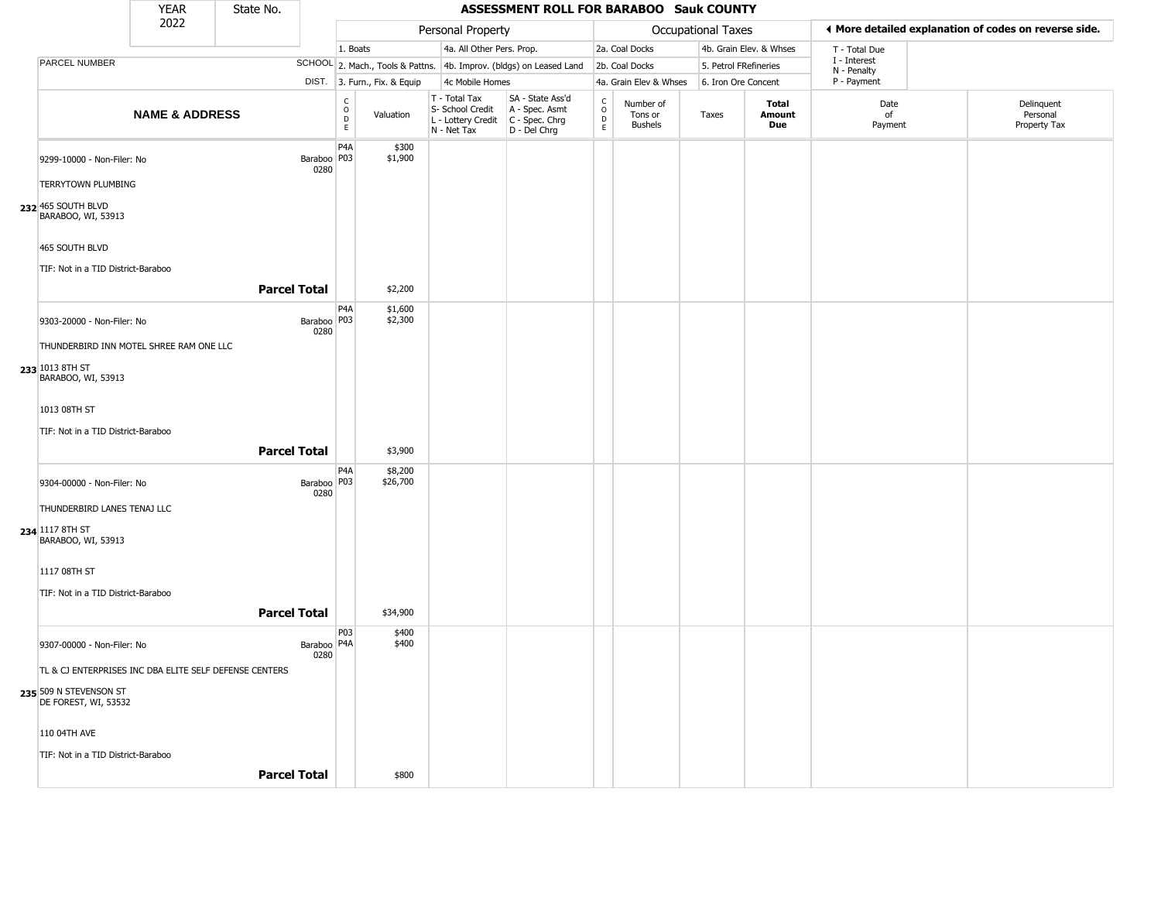| <b>YEAR</b><br>State No.<br>2022                                                            |                           |                     |                       |                                                  |                              |                                                                        | ASSESSMENT ROLL FOR BARABOO Sauk COUNTY                              |                                                           |                                        |                       |                         |                             |                                                       |
|---------------------------------------------------------------------------------------------|---------------------------|---------------------|-----------------------|--------------------------------------------------|------------------------------|------------------------------------------------------------------------|----------------------------------------------------------------------|-----------------------------------------------------------|----------------------------------------|-----------------------|-------------------------|-----------------------------|-------------------------------------------------------|
|                                                                                             |                           |                     |                       |                                                  |                              | Personal Property                                                      |                                                                      |                                                           |                                        | Occupational Taxes    |                         |                             | ◀ More detailed explanation of codes on reverse side. |
|                                                                                             |                           |                     |                       | 1. Boats                                         |                              | 4a. All Other Pers. Prop.                                              |                                                                      |                                                           | 2a. Coal Docks                         |                       | 4b. Grain Elev. & Whses | T - Total Due               |                                                       |
| PARCEL NUMBER                                                                               |                           |                     |                       |                                                  |                              |                                                                        | SCHOOL 2. Mach., Tools & Pattns. 4b. Improv. (bldgs) on Leased Land  |                                                           | 2b. Coal Docks                         | 5. Petrol FRefineries |                         | I - Interest<br>N - Penalty |                                                       |
|                                                                                             |                           |                     |                       |                                                  | DIST. 3. Furn., Fix. & Equip | 4c Mobile Homes                                                        |                                                                      |                                                           | 4a. Grain Elev & Whses                 | 6. Iron Ore Concent   |                         | P - Payment                 |                                                       |
|                                                                                             | <b>NAME &amp; ADDRESS</b> |                     |                       | $_{\rm o}^{\rm c}$<br>$\mathsf D$<br>$\mathsf E$ | Valuation                    | T - Total Tax<br>S- School Credit<br>L - Lottery Credit<br>N - Net Tax | SA - State Ass'd<br>A - Spec. Asmt<br>C - Spec. Chrg<br>D - Del Chrg | $_{\rm o}^{\rm c}$<br>$\mathrel{\mathsf{D}}_{\mathsf{E}}$ | Number of<br>Tons or<br><b>Bushels</b> | Taxes                 | Total<br>Amount<br>Due  | Date<br>of<br>Payment       | Delinquent<br>Personal<br>Property Tax                |
| 9299-10000 - Non-Filer: No<br><b>TERRYTOWN PLUMBING</b><br>232 465 SOUTH BLVD               |                           |                     | Baraboo   P03<br>0280 | P4A                                              | \$300<br>\$1,900             |                                                                        |                                                                      |                                                           |                                        |                       |                         |                             |                                                       |
| BARABOO, WI, 53913<br>465 SOUTH BLVD<br>TIF: Not in a TID District-Baraboo                  |                           | <b>Parcel Total</b> |                       |                                                  | \$2,200                      |                                                                        |                                                                      |                                                           |                                        |                       |                         |                             |                                                       |
| 9303-20000 - Non-Filer: No<br>THUNDERBIRD INN MOTEL SHREE RAM ONE LLC                       |                           |                     | Baraboo   P03<br>0280 | P4A                                              | \$1,600<br>\$2,300           |                                                                        |                                                                      |                                                           |                                        |                       |                         |                             |                                                       |
| 233 1013 8TH ST<br>BARABOO, WI, 53913                                                       |                           |                     |                       |                                                  |                              |                                                                        |                                                                      |                                                           |                                        |                       |                         |                             |                                                       |
| 1013 08TH ST<br>TIF: Not in a TID District-Baraboo                                          |                           | <b>Parcel Total</b> |                       |                                                  | \$3,900                      |                                                                        |                                                                      |                                                           |                                        |                       |                         |                             |                                                       |
| 9304-00000 - Non-Filer: No<br>THUNDERBIRD LANES TENAJ LLC                                   |                           |                     | Baraboo   P03<br>0280 | P <sub>4</sub> A                                 | \$8,200<br>\$26,700          |                                                                        |                                                                      |                                                           |                                        |                       |                         |                             |                                                       |
| 234 1117 8TH ST<br>BARABOO, WI, 53913<br>1117 08TH ST<br>TIF: Not in a TID District-Baraboo |                           |                     |                       |                                                  |                              |                                                                        |                                                                      |                                                           |                                        |                       |                         |                             |                                                       |
|                                                                                             |                           | <b>Parcel Total</b> |                       |                                                  | \$34,900                     |                                                                        |                                                                      |                                                           |                                        |                       |                         |                             |                                                       |
| 9307-00000 - Non-Filer: No<br>TL & CJ ENTERPRISES INC DBA ELITE SELF DEFENSE CENTERS        |                           |                     | Baraboo   P4A<br>0280 | P03                                              | \$400<br>\$400               |                                                                        |                                                                      |                                                           |                                        |                       |                         |                             |                                                       |
| 235 509 N STEVENSON ST<br>DE FOREST, WI, 53532                                              |                           |                     |                       |                                                  |                              |                                                                        |                                                                      |                                                           |                                        |                       |                         |                             |                                                       |
| 110 04TH AVE<br>TIF: Not in a TID District-Baraboo                                          |                           |                     |                       |                                                  |                              |                                                                        |                                                                      |                                                           |                                        |                       |                         |                             |                                                       |
|                                                                                             |                           | <b>Parcel Total</b> |                       |                                                  | \$800                        |                                                                        |                                                                      |                                                           |                                        |                       |                         |                             |                                                       |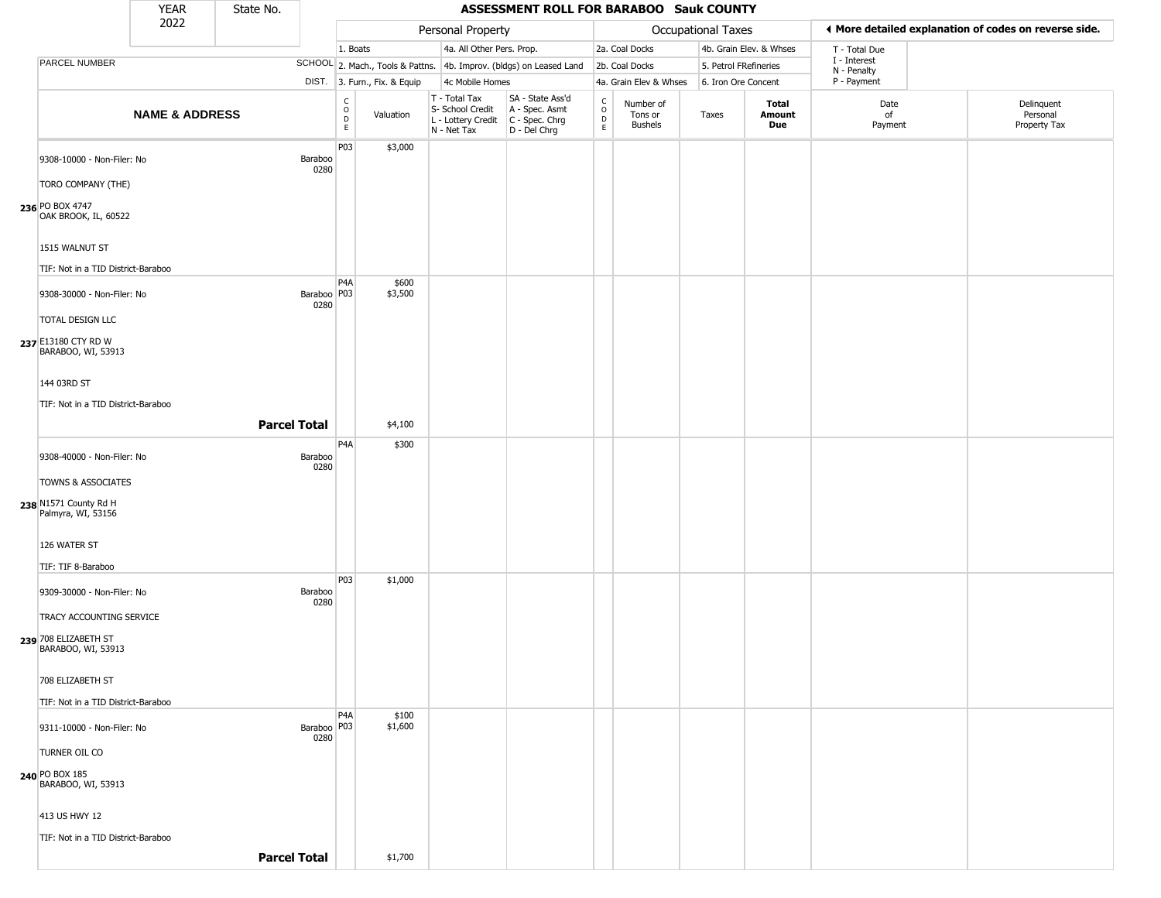|                                                                              | <b>YEAR</b>               | State No.           |                       |                                                          |                              |                                                                        | ASSESSMENT ROLL FOR BARABOO Sauk COUNTY                                |                                                   |                                        |                       |                         |                             |                                                       |
|------------------------------------------------------------------------------|---------------------------|---------------------|-----------------------|----------------------------------------------------------|------------------------------|------------------------------------------------------------------------|------------------------------------------------------------------------|---------------------------------------------------|----------------------------------------|-----------------------|-------------------------|-----------------------------|-------------------------------------------------------|
|                                                                              | 2022                      |                     |                       |                                                          |                              | Personal Property                                                      |                                                                        |                                                   |                                        | Occupational Taxes    |                         |                             | ♦ More detailed explanation of codes on reverse side. |
|                                                                              |                           |                     |                       | 1. Boats                                                 |                              | 4a. All Other Pers. Prop.                                              |                                                                        |                                                   | 2a. Coal Docks                         |                       | 4b. Grain Elev. & Whses | T - Total Due               |                                                       |
| PARCEL NUMBER                                                                |                           |                     |                       |                                                          |                              |                                                                        | SCHOOL 2. Mach., Tools & Pattns. 4b. Improv. (bldgs) on Leased Land    |                                                   | 2b. Coal Docks                         | 5. Petrol FRefineries |                         | I - Interest<br>N - Penalty |                                                       |
|                                                                              |                           |                     |                       |                                                          | DIST. 3. Furn., Fix. & Equip | 4c Mobile Homes                                                        |                                                                        |                                                   | 4a. Grain Elev & Whses                 | 6. Iron Ore Concent   |                         | P - Payment                 |                                                       |
|                                                                              | <b>NAME &amp; ADDRESS</b> |                     |                       | $\begin{matrix} 0 \\ 0 \\ D \end{matrix}$<br>$\mathsf E$ | Valuation                    | T - Total Tax<br>S- School Credit<br>L - Lottery Credit<br>N - Net Tax | SA - State Ass'd<br>A - Spec. Asmt<br>$C - Spec. Chrg$<br>D - Del Chrg | $\begin{array}{c}\nC \\ O \\ D \\ E\n\end{array}$ | Number of<br>Tons or<br><b>Bushels</b> | Taxes                 | Total<br>Amount<br>Due  | Date<br>of<br>Payment       | Delinquent<br>Personal<br>Property Tax                |
| 9308-10000 - Non-Filer: No<br>TORO COMPANY (THE)                             |                           |                     | Baraboo<br>0280       | P03                                                      | \$3,000                      |                                                                        |                                                                        |                                                   |                                        |                       |                         |                             |                                                       |
| 236 PO BOX 4747<br>OAK BROOK, IL, 60522                                      |                           |                     |                       |                                                          |                              |                                                                        |                                                                        |                                                   |                                        |                       |                         |                             |                                                       |
| 1515 WALNUT ST<br>TIF: Not in a TID District-Baraboo                         |                           |                     |                       |                                                          |                              |                                                                        |                                                                        |                                                   |                                        |                       |                         |                             |                                                       |
| 9308-30000 - Non-Filer: No                                                   |                           |                     | Baraboo   P03<br>0280 | P <sub>4</sub> A                                         | \$600<br>\$3,500             |                                                                        |                                                                        |                                                   |                                        |                       |                         |                             |                                                       |
| TOTAL DESIGN LLC<br>237 E13180 CTY RD W<br>BARABOO, WI, 53913                |                           |                     |                       |                                                          |                              |                                                                        |                                                                        |                                                   |                                        |                       |                         |                             |                                                       |
| 144 03RD ST<br>TIF: Not in a TID District-Baraboo                            |                           |                     |                       |                                                          |                              |                                                                        |                                                                        |                                                   |                                        |                       |                         |                             |                                                       |
|                                                                              |                           | <b>Parcel Total</b> |                       |                                                          | \$4,100                      |                                                                        |                                                                        |                                                   |                                        |                       |                         |                             |                                                       |
| 9308-40000 - Non-Filer: No                                                   |                           |                     | Baraboo<br>0280       | P4A                                                      | \$300                        |                                                                        |                                                                        |                                                   |                                        |                       |                         |                             |                                                       |
| <b>TOWNS &amp; ASSOCIATES</b><br>238 N1571 County Rd H<br>Palmyra, WI, 53156 |                           |                     |                       |                                                          |                              |                                                                        |                                                                        |                                                   |                                        |                       |                         |                             |                                                       |
| 126 WATER ST<br>TIF: TIF 8-Baraboo                                           |                           |                     |                       |                                                          |                              |                                                                        |                                                                        |                                                   |                                        |                       |                         |                             |                                                       |
| 9309-30000 - Non-Filer: No                                                   |                           |                     | Baraboo<br>0280       | P <sub>0</sub> 3                                         | \$1,000                      |                                                                        |                                                                        |                                                   |                                        |                       |                         |                             |                                                       |
| TRACY ACCOUNTING SERVICE<br>239 708 ELIZABETH ST<br>BARABOO, WI, 53913       |                           |                     |                       |                                                          |                              |                                                                        |                                                                        |                                                   |                                        |                       |                         |                             |                                                       |
| 708 ELIZABETH ST<br>TIF: Not in a TID District-Baraboo                       |                           |                     |                       |                                                          |                              |                                                                        |                                                                        |                                                   |                                        |                       |                         |                             |                                                       |
| 9311-10000 - Non-Filer: No                                                   |                           |                     | Baraboo   P03<br>0280 | P <sub>4</sub> A                                         | \$100<br>\$1,600             |                                                                        |                                                                        |                                                   |                                        |                       |                         |                             |                                                       |
| TURNER OIL CO<br>240 PO BOX 185                                              |                           |                     |                       |                                                          |                              |                                                                        |                                                                        |                                                   |                                        |                       |                         |                             |                                                       |
| BARABOO, WI, 53913                                                           |                           |                     |                       |                                                          |                              |                                                                        |                                                                        |                                                   |                                        |                       |                         |                             |                                                       |
| 413 US HWY 12<br>TIF: Not in a TID District-Baraboo                          |                           |                     |                       |                                                          |                              |                                                                        |                                                                        |                                                   |                                        |                       |                         |                             |                                                       |
|                                                                              |                           | <b>Parcel Total</b> |                       |                                                          | \$1,700                      |                                                                        |                                                                        |                                                   |                                        |                       |                         |                             |                                                       |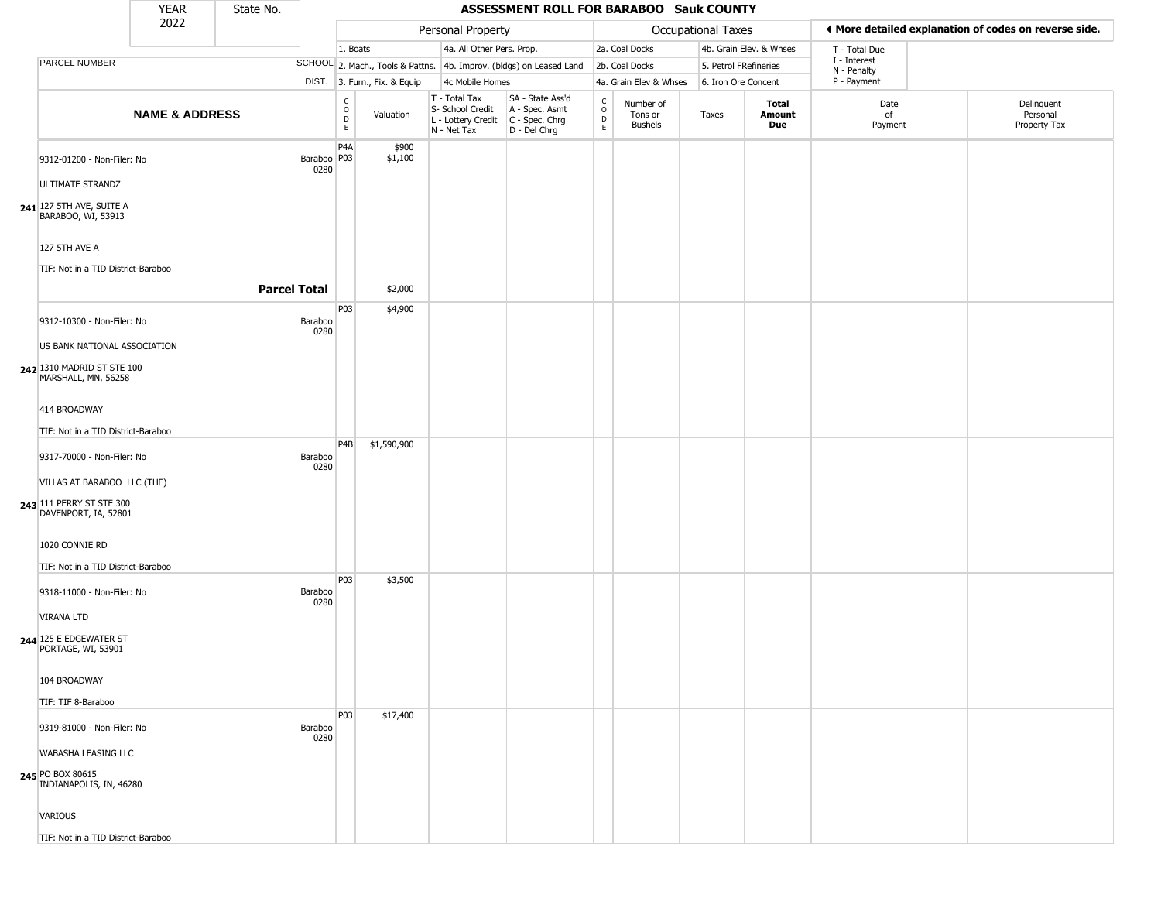| I More detailed explanation of codes on reverse side.<br>Occupational Taxes<br>Personal Property<br>4a. All Other Pers. Prop.<br>4b. Grain Elev. & Whses<br>1. Boats<br>2a. Coal Docks<br>T - Total Due<br>I - Interest<br>PARCEL NUMBER<br>SCHOOL 2. Mach., Tools & Pattns. 4b. Improv. (bldgs) on Leased Land<br>5. Petrol FRefineries<br>2b. Coal Docks<br>N - Penalty<br>P - Payment<br>DIST. 3. Furn., Fix. & Equip<br>4c Mobile Homes<br>4a. Grain Elev & Whses<br>6. Iron Ore Concent<br>SA - State Ass'd<br>$T - Total Tax$<br>$\begin{smallmatrix} C \\ O \\ D \end{smallmatrix}$<br>$\frac{c}{0}$<br>Number of<br><b>Total</b><br>Date<br>Delinquent<br>A - Spec. Asmt<br>S- School Credit<br><b>NAME &amp; ADDRESS</b><br>Personal<br>Valuation<br>Amount<br>of<br>Tons or<br>Taxes<br>D<br>L - Lottery Credit<br>C - Spec. Chrg<br>Due<br>Payment<br>Property Tax<br><b>Bushels</b><br>E<br>$\mathsf E$<br>N - Net Tax<br>D - Del Chrg<br>P <sub>4</sub> A<br>\$900<br>Baraboo   P03<br>\$1,100<br>9312-01200 - Non-Filer: No<br>0280<br><b>ULTIMATE STRANDZ</b><br>$241$ <sup>127</sup> 5TH AVE, SUITE A<br>BARABOO, WI, 53913<br>127 5TH AVE A<br>TIF: Not in a TID District-Baraboo<br><b>Parcel Total</b><br>\$2,000<br>P03<br>\$4,900<br>9312-10300 - Non-Filer: No<br>Baraboo<br>0280<br>US BANK NATIONAL ASSOCIATION<br>242 1310 MADRID ST STE 100<br>MARSHALL, MN, 56258<br>414 BROADWAY<br>TIF: Not in a TID District-Baraboo<br>P <sub>4</sub> B<br>\$1,590,900<br>9317-70000 - Non-Filer: No<br>Baraboo<br>0280<br>VILLAS AT BARABOO LLC (THE)<br>243 111 PERRY ST STE 300<br>DAVENPORT, IA, 52801<br>1020 CONNIE RD<br>TIF: Not in a TID District-Baraboo<br>P03<br>\$3,500<br>9318-11000 - Non-Filer: No<br>Baraboo<br>0280<br>VIRANA LTD<br>244 125 E EDGEWATER ST<br>PORTAGE, WI, 53901<br>104 BROADWAY |                    | <b>YEAR</b> | State No. |  | ASSESSMENT ROLL FOR BARABOO Sauk COUNTY |  |  |  |  |
|------------------------------------------------------------------------------------------------------------------------------------------------------------------------------------------------------------------------------------------------------------------------------------------------------------------------------------------------------------------------------------------------------------------------------------------------------------------------------------------------------------------------------------------------------------------------------------------------------------------------------------------------------------------------------------------------------------------------------------------------------------------------------------------------------------------------------------------------------------------------------------------------------------------------------------------------------------------------------------------------------------------------------------------------------------------------------------------------------------------------------------------------------------------------------------------------------------------------------------------------------------------------------------------------------------------------------------------------------------------------------------------------------------------------------------------------------------------------------------------------------------------------------------------------------------------------------------------------------------------------------------------------------------------------------------------------------------------------------------------------------------------------------------------------------------------------------------|--------------------|-------------|-----------|--|-----------------------------------------|--|--|--|--|
|                                                                                                                                                                                                                                                                                                                                                                                                                                                                                                                                                                                                                                                                                                                                                                                                                                                                                                                                                                                                                                                                                                                                                                                                                                                                                                                                                                                                                                                                                                                                                                                                                                                                                                                                                                                                                                    |                    | 2022        |           |  |                                         |  |  |  |  |
|                                                                                                                                                                                                                                                                                                                                                                                                                                                                                                                                                                                                                                                                                                                                                                                                                                                                                                                                                                                                                                                                                                                                                                                                                                                                                                                                                                                                                                                                                                                                                                                                                                                                                                                                                                                                                                    |                    |             |           |  |                                         |  |  |  |  |
|                                                                                                                                                                                                                                                                                                                                                                                                                                                                                                                                                                                                                                                                                                                                                                                                                                                                                                                                                                                                                                                                                                                                                                                                                                                                                                                                                                                                                                                                                                                                                                                                                                                                                                                                                                                                                                    |                    |             |           |  |                                         |  |  |  |  |
|                                                                                                                                                                                                                                                                                                                                                                                                                                                                                                                                                                                                                                                                                                                                                                                                                                                                                                                                                                                                                                                                                                                                                                                                                                                                                                                                                                                                                                                                                                                                                                                                                                                                                                                                                                                                                                    |                    |             |           |  |                                         |  |  |  |  |
|                                                                                                                                                                                                                                                                                                                                                                                                                                                                                                                                                                                                                                                                                                                                                                                                                                                                                                                                                                                                                                                                                                                                                                                                                                                                                                                                                                                                                                                                                                                                                                                                                                                                                                                                                                                                                                    |                    |             |           |  |                                         |  |  |  |  |
|                                                                                                                                                                                                                                                                                                                                                                                                                                                                                                                                                                                                                                                                                                                                                                                                                                                                                                                                                                                                                                                                                                                                                                                                                                                                                                                                                                                                                                                                                                                                                                                                                                                                                                                                                                                                                                    |                    |             |           |  |                                         |  |  |  |  |
|                                                                                                                                                                                                                                                                                                                                                                                                                                                                                                                                                                                                                                                                                                                                                                                                                                                                                                                                                                                                                                                                                                                                                                                                                                                                                                                                                                                                                                                                                                                                                                                                                                                                                                                                                                                                                                    |                    |             |           |  |                                         |  |  |  |  |
|                                                                                                                                                                                                                                                                                                                                                                                                                                                                                                                                                                                                                                                                                                                                                                                                                                                                                                                                                                                                                                                                                                                                                                                                                                                                                                                                                                                                                                                                                                                                                                                                                                                                                                                                                                                                                                    |                    |             |           |  |                                         |  |  |  |  |
|                                                                                                                                                                                                                                                                                                                                                                                                                                                                                                                                                                                                                                                                                                                                                                                                                                                                                                                                                                                                                                                                                                                                                                                                                                                                                                                                                                                                                                                                                                                                                                                                                                                                                                                                                                                                                                    |                    |             |           |  |                                         |  |  |  |  |
|                                                                                                                                                                                                                                                                                                                                                                                                                                                                                                                                                                                                                                                                                                                                                                                                                                                                                                                                                                                                                                                                                                                                                                                                                                                                                                                                                                                                                                                                                                                                                                                                                                                                                                                                                                                                                                    |                    |             |           |  |                                         |  |  |  |  |
|                                                                                                                                                                                                                                                                                                                                                                                                                                                                                                                                                                                                                                                                                                                                                                                                                                                                                                                                                                                                                                                                                                                                                                                                                                                                                                                                                                                                                                                                                                                                                                                                                                                                                                                                                                                                                                    |                    |             |           |  |                                         |  |  |  |  |
|                                                                                                                                                                                                                                                                                                                                                                                                                                                                                                                                                                                                                                                                                                                                                                                                                                                                                                                                                                                                                                                                                                                                                                                                                                                                                                                                                                                                                                                                                                                                                                                                                                                                                                                                                                                                                                    |                    |             |           |  |                                         |  |  |  |  |
|                                                                                                                                                                                                                                                                                                                                                                                                                                                                                                                                                                                                                                                                                                                                                                                                                                                                                                                                                                                                                                                                                                                                                                                                                                                                                                                                                                                                                                                                                                                                                                                                                                                                                                                                                                                                                                    |                    |             |           |  |                                         |  |  |  |  |
|                                                                                                                                                                                                                                                                                                                                                                                                                                                                                                                                                                                                                                                                                                                                                                                                                                                                                                                                                                                                                                                                                                                                                                                                                                                                                                                                                                                                                                                                                                                                                                                                                                                                                                                                                                                                                                    |                    |             |           |  |                                         |  |  |  |  |
|                                                                                                                                                                                                                                                                                                                                                                                                                                                                                                                                                                                                                                                                                                                                                                                                                                                                                                                                                                                                                                                                                                                                                                                                                                                                                                                                                                                                                                                                                                                                                                                                                                                                                                                                                                                                                                    |                    |             |           |  |                                         |  |  |  |  |
|                                                                                                                                                                                                                                                                                                                                                                                                                                                                                                                                                                                                                                                                                                                                                                                                                                                                                                                                                                                                                                                                                                                                                                                                                                                                                                                                                                                                                                                                                                                                                                                                                                                                                                                                                                                                                                    |                    |             |           |  |                                         |  |  |  |  |
|                                                                                                                                                                                                                                                                                                                                                                                                                                                                                                                                                                                                                                                                                                                                                                                                                                                                                                                                                                                                                                                                                                                                                                                                                                                                                                                                                                                                                                                                                                                                                                                                                                                                                                                                                                                                                                    |                    |             |           |  |                                         |  |  |  |  |
|                                                                                                                                                                                                                                                                                                                                                                                                                                                                                                                                                                                                                                                                                                                                                                                                                                                                                                                                                                                                                                                                                                                                                                                                                                                                                                                                                                                                                                                                                                                                                                                                                                                                                                                                                                                                                                    |                    |             |           |  |                                         |  |  |  |  |
|                                                                                                                                                                                                                                                                                                                                                                                                                                                                                                                                                                                                                                                                                                                                                                                                                                                                                                                                                                                                                                                                                                                                                                                                                                                                                                                                                                                                                                                                                                                                                                                                                                                                                                                                                                                                                                    |                    |             |           |  |                                         |  |  |  |  |
|                                                                                                                                                                                                                                                                                                                                                                                                                                                                                                                                                                                                                                                                                                                                                                                                                                                                                                                                                                                                                                                                                                                                                                                                                                                                                                                                                                                                                                                                                                                                                                                                                                                                                                                                                                                                                                    |                    |             |           |  |                                         |  |  |  |  |
| P03<br>\$17,400                                                                                                                                                                                                                                                                                                                                                                                                                                                                                                                                                                                                                                                                                                                                                                                                                                                                                                                                                                                                                                                                                                                                                                                                                                                                                                                                                                                                                                                                                                                                                                                                                                                                                                                                                                                                                    | TIF: TIF 8-Baraboo |             |           |  |                                         |  |  |  |  |
| 9319-81000 - Non-Filer: No<br>Baraboo<br>0280                                                                                                                                                                                                                                                                                                                                                                                                                                                                                                                                                                                                                                                                                                                                                                                                                                                                                                                                                                                                                                                                                                                                                                                                                                                                                                                                                                                                                                                                                                                                                                                                                                                                                                                                                                                      |                    |             |           |  |                                         |  |  |  |  |
| WABASHA LEASING LLC<br>245 PO BOX 80615<br>INDIANAPOLIS, IN, 46280                                                                                                                                                                                                                                                                                                                                                                                                                                                                                                                                                                                                                                                                                                                                                                                                                                                                                                                                                                                                                                                                                                                                                                                                                                                                                                                                                                                                                                                                                                                                                                                                                                                                                                                                                                 |                    |             |           |  |                                         |  |  |  |  |
| VARIOUS<br>TIF: Not in a TID District-Baraboo                                                                                                                                                                                                                                                                                                                                                                                                                                                                                                                                                                                                                                                                                                                                                                                                                                                                                                                                                                                                                                                                                                                                                                                                                                                                                                                                                                                                                                                                                                                                                                                                                                                                                                                                                                                      |                    |             |           |  |                                         |  |  |  |  |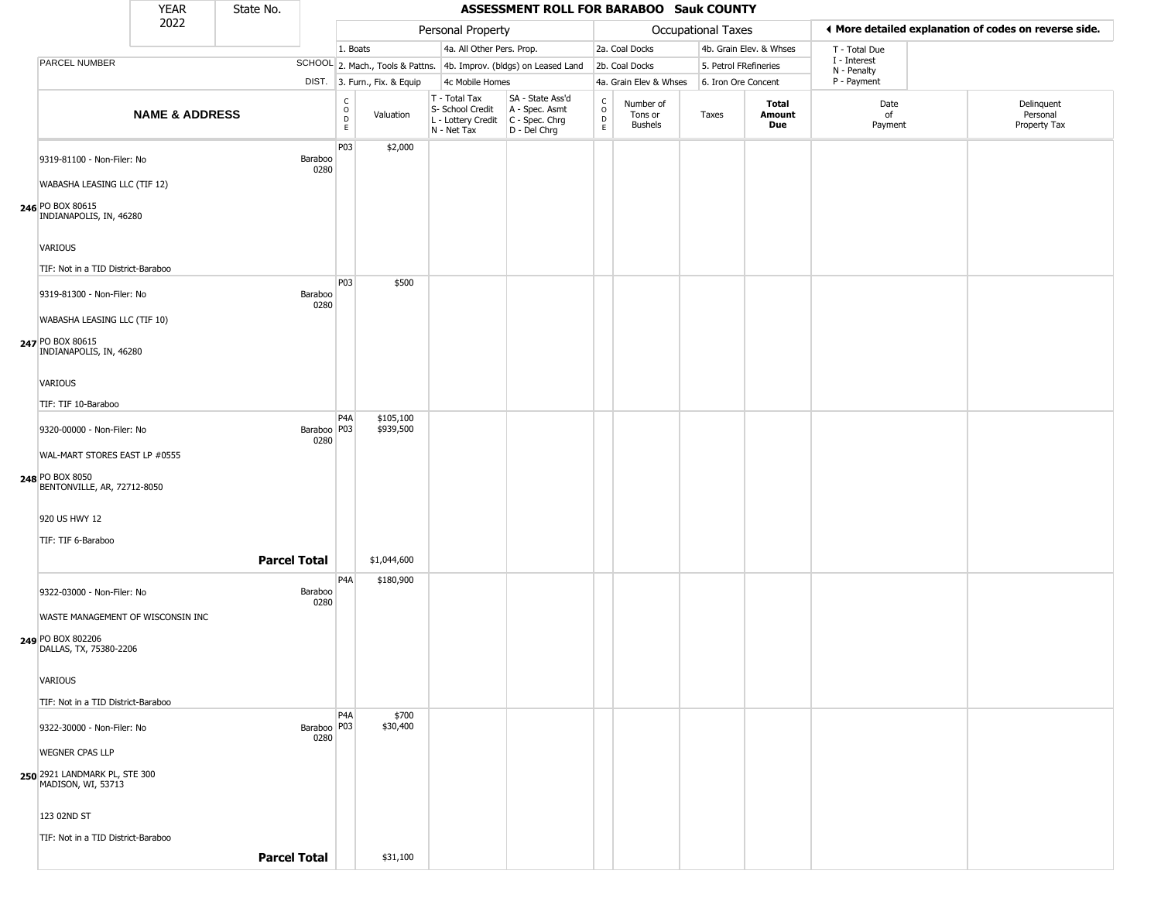|                                                                                                                | <b>YEAR</b>               | State No.           |                       |                                              |                              |                                                                        | ASSESSMENT ROLL FOR BARABOO Sauk COUNTY                              |                                                 |                                        |                       |                               |                             |                                                       |
|----------------------------------------------------------------------------------------------------------------|---------------------------|---------------------|-----------------------|----------------------------------------------|------------------------------|------------------------------------------------------------------------|----------------------------------------------------------------------|-------------------------------------------------|----------------------------------------|-----------------------|-------------------------------|-----------------------------|-------------------------------------------------------|
|                                                                                                                | 2022                      |                     |                       |                                              |                              | Personal Property                                                      |                                                                      |                                                 |                                        | Occupational Taxes    |                               |                             | ♦ More detailed explanation of codes on reverse side. |
|                                                                                                                |                           |                     |                       | 1. Boats                                     |                              | 4a. All Other Pers. Prop.                                              |                                                                      |                                                 | 2a. Coal Docks                         |                       | 4b. Grain Elev. & Whses       | T - Total Due               |                                                       |
| PARCEL NUMBER                                                                                                  |                           |                     |                       |                                              |                              |                                                                        | SCHOOL 2. Mach., Tools & Pattns. 4b. Improv. (bldgs) on Leased Land  |                                                 | 2b. Coal Docks                         | 5. Petrol FRefineries |                               | I - Interest<br>N - Penalty |                                                       |
|                                                                                                                |                           |                     |                       |                                              | DIST. 3. Furn., Fix. & Equip | 4c Mobile Homes                                                        |                                                                      |                                                 | 4a. Grain Elev & Whses                 | 6. Iron Ore Concent   |                               | P - Payment                 |                                                       |
|                                                                                                                | <b>NAME &amp; ADDRESS</b> |                     |                       | $\begin{array}{c}\nC \\ O \\ D\n\end{array}$ | Valuation                    | T - Total Tax<br>S- School Credit<br>L - Lottery Credit<br>N - Net Tax | SA - State Ass'd<br>A - Spec. Asmt<br>C - Spec. Chrg<br>D - Del Chrg | $\begin{array}{c} C \\ C \\ D \\ E \end{array}$ | Number of<br>Tons or<br><b>Bushels</b> | Taxes                 | <b>Total</b><br>Amount<br>Due | Date<br>of<br>Payment       | Delinquent<br>Personal<br>Property Tax                |
| 9319-81100 - Non-Filer: No<br>WABASHA LEASING LLC (TIF 12)<br>246 PO BOX 80615                                 |                           |                     | Baraboo<br>0280       | P03                                          | \$2,000                      |                                                                        |                                                                      |                                                 |                                        |                       |                               |                             |                                                       |
| INDIANAPOLIS, IN, 46280<br>VARIOUS<br>TIF: Not in a TID District-Baraboo                                       |                           |                     |                       |                                              |                              |                                                                        |                                                                      |                                                 |                                        |                       |                               |                             |                                                       |
| 9319-81300 - Non-Filer: No<br>WABASHA LEASING LLC (TIF 10)<br>247 PO BOX 80615                                 |                           |                     | Baraboo<br>0280       | P03                                          | \$500                        |                                                                        |                                                                      |                                                 |                                        |                       |                               |                             |                                                       |
| INDIANAPOLIS, IN, 46280<br>VARIOUS<br>TIF: TIF 10-Baraboo                                                      |                           |                     |                       |                                              |                              |                                                                        |                                                                      |                                                 |                                        |                       |                               |                             |                                                       |
| 9320-00000 - Non-Filer: No<br>WAL-MART STORES EAST LP #0555<br>248 PO BOX 8050<br>BENTONVILLE, AR, 72712-8050  |                           |                     | Baraboo   P03<br>0280 | P <sub>4</sub> A                             | \$105,100<br>\$939,500       |                                                                        |                                                                      |                                                 |                                        |                       |                               |                             |                                                       |
| 920 US HWY 12<br>TIF: TIF 6-Baraboo                                                                            |                           | <b>Parcel Total</b> |                       |                                              | \$1,044,600                  |                                                                        |                                                                      |                                                 |                                        |                       |                               |                             |                                                       |
| 9322-03000 - Non-Filer: No<br>WASTE MANAGEMENT OF WISCONSIN INC<br>249 PO BOX 802206<br>DALLAS, TX, 75380-2206 |                           |                     | Baraboo<br>0280       | P4A                                          | \$180,900                    |                                                                        |                                                                      |                                                 |                                        |                       |                               |                             |                                                       |
| VARIOUS<br>TIF: Not in a TID District-Baraboo                                                                  |                           |                     |                       | P4A                                          | \$700                        |                                                                        |                                                                      |                                                 |                                        |                       |                               |                             |                                                       |
| 9322-30000 - Non-Filer: No<br><b>WEGNER CPAS LLP</b><br>250 2921 LANDMARK PL, STE 300<br>MADISON, WI, 53713    |                           |                     | Baraboo   P03<br>0280 |                                              | \$30,400                     |                                                                        |                                                                      |                                                 |                                        |                       |                               |                             |                                                       |
| 123 02ND ST<br>TIF: Not in a TID District-Baraboo                                                              |                           | <b>Parcel Total</b> |                       |                                              | \$31,100                     |                                                                        |                                                                      |                                                 |                                        |                       |                               |                             |                                                       |
|                                                                                                                |                           |                     |                       |                                              |                              |                                                                        |                                                                      |                                                 |                                        |                       |                               |                             |                                                       |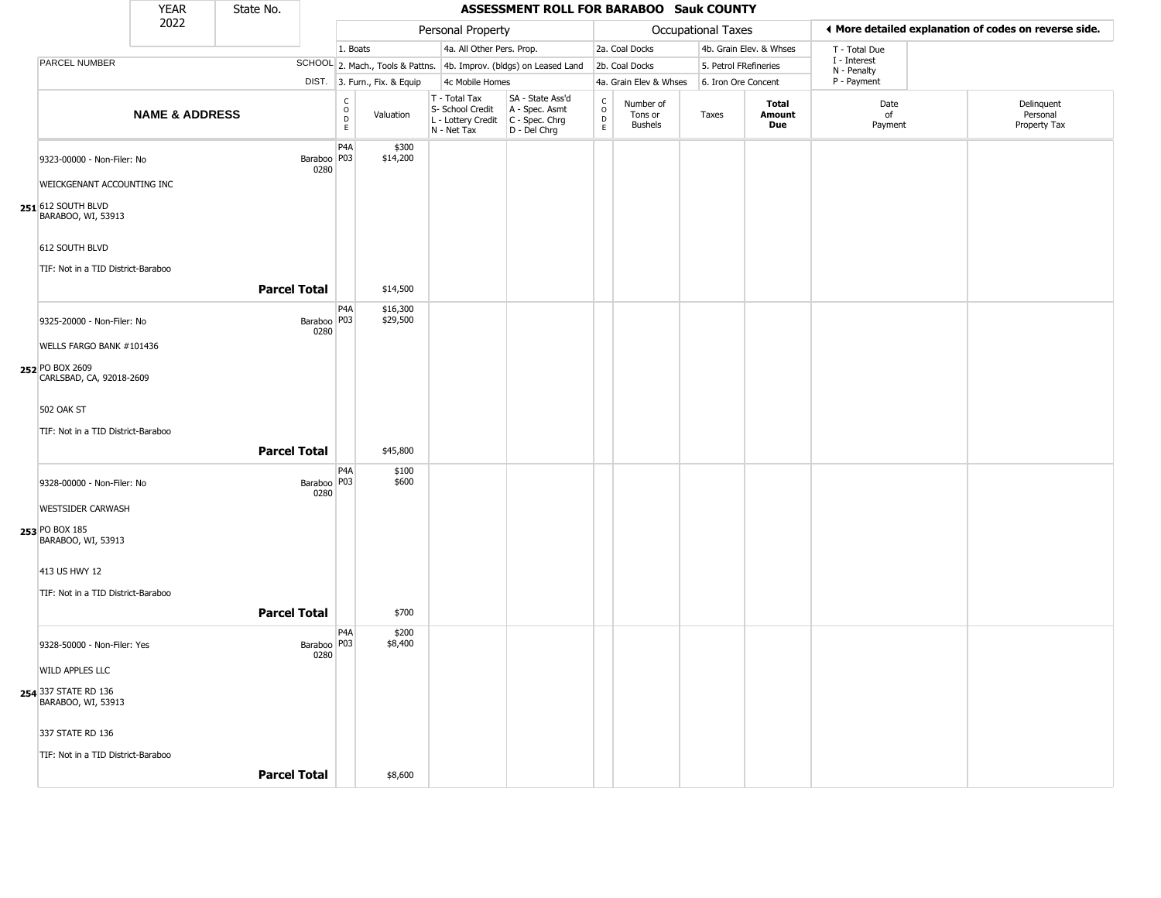|                                                          | <b>YEAR</b>               | State No.           |                                 |                                                  |                                                  | ASSESSMENT ROLL FOR BARABOO Sauk COUNTY                                                 |                                             |                                        |                       |                         |                             |                                                       |
|----------------------------------------------------------|---------------------------|---------------------|---------------------------------|--------------------------------------------------|--------------------------------------------------|-----------------------------------------------------------------------------------------|---------------------------------------------|----------------------------------------|-----------------------|-------------------------|-----------------------------|-------------------------------------------------------|
|                                                          | 2022                      |                     |                                 |                                                  | Personal Property                                |                                                                                         |                                             |                                        | Occupational Taxes    |                         |                             | ◀ More detailed explanation of codes on reverse side. |
|                                                          |                           |                     |                                 | 1. Boats                                         | 4a. All Other Pers. Prop.                        |                                                                                         |                                             | 2a. Coal Docks                         |                       | 4b. Grain Elev. & Whses | T - Total Due               |                                                       |
| <b>PARCEL NUMBER</b>                                     |                           |                     |                                 |                                                  |                                                  | SCHOOL 2. Mach., Tools & Pattns. 4b. Improv. (bldgs) on Leased Land                     |                                             | 2b. Coal Docks                         | 5. Petrol FRefineries |                         | I - Interest<br>N - Penalty |                                                       |
|                                                          |                           |                     | DIST.                           | 3. Furn., Fix. & Equip                           | 4c Mobile Homes                                  |                                                                                         |                                             | 4a. Grain Elev & Whses                 | 6. Iron Ore Concent   |                         | P - Payment                 |                                                       |
|                                                          | <b>NAME &amp; ADDRESS</b> |                     |                                 | $_{\rm o}^{\rm c}$<br>Valuation<br>$\frac{D}{E}$ | T - Total Tax<br>S- School Credit<br>N - Net Tax | SA - State Ass'd<br>A - Spec. Asmt<br>L - Lottery Credit C - Spec. Chrg<br>D - Del Chrg | $\mathsf{C}$<br>$\circ$<br>D<br>$\mathsf E$ | Number of<br>Tons or<br><b>Bushels</b> | Taxes                 | Total<br>Amount<br>Due  | Date<br>of<br>Payment       | Delinquent<br>Personal<br>Property Tax                |
| 9323-00000 - Non-Filer: No<br>WEICKGENANT ACCOUNTING INC |                           |                     | Baraboo <sup> P03</sup><br>0280 | P <sub>4</sub> A<br>\$300<br>\$14,200            |                                                  |                                                                                         |                                             |                                        |                       |                         |                             |                                                       |
| 251 612 SOUTH BLVD<br>BARABOO, WI, 53913                 |                           |                     |                                 |                                                  |                                                  |                                                                                         |                                             |                                        |                       |                         |                             |                                                       |
| 612 SOUTH BLVD                                           |                           |                     |                                 |                                                  |                                                  |                                                                                         |                                             |                                        |                       |                         |                             |                                                       |
| TIF: Not in a TID District-Baraboo                       |                           | <b>Parcel Total</b> |                                 | \$14,500                                         |                                                  |                                                                                         |                                             |                                        |                       |                         |                             |                                                       |
| 9325-20000 - Non-Filer: No                               |                           |                     | Baraboo P03                     | P <sub>4</sub> A<br>\$16,300<br>\$29,500         |                                                  |                                                                                         |                                             |                                        |                       |                         |                             |                                                       |
| WELLS FARGO BANK #101436                                 |                           |                     | 0280                            |                                                  |                                                  |                                                                                         |                                             |                                        |                       |                         |                             |                                                       |
| 252 PO BOX 2609<br>CARLSBAD, CA, 92018-2609              |                           |                     |                                 |                                                  |                                                  |                                                                                         |                                             |                                        |                       |                         |                             |                                                       |
| <b>502 OAK ST</b>                                        |                           |                     |                                 |                                                  |                                                  |                                                                                         |                                             |                                        |                       |                         |                             |                                                       |
| TIF: Not in a TID District-Baraboo                       |                           | <b>Parcel Total</b> |                                 | \$45,800                                         |                                                  |                                                                                         |                                             |                                        |                       |                         |                             |                                                       |
| 9328-00000 - Non-Filer: No                               |                           |                     | Baraboo   P03                   | P4A<br>\$100<br>\$600                            |                                                  |                                                                                         |                                             |                                        |                       |                         |                             |                                                       |
| <b>WESTSIDER CARWASH</b>                                 |                           |                     | 0280                            |                                                  |                                                  |                                                                                         |                                             |                                        |                       |                         |                             |                                                       |
| 253 PO BOX 185<br>BARABOO, WI, 53913                     |                           |                     |                                 |                                                  |                                                  |                                                                                         |                                             |                                        |                       |                         |                             |                                                       |
| 413 US HWY 12<br>TIF: Not in a TID District-Baraboo      |                           |                     |                                 |                                                  |                                                  |                                                                                         |                                             |                                        |                       |                         |                             |                                                       |
|                                                          |                           | <b>Parcel Total</b> |                                 | \$700                                            |                                                  |                                                                                         |                                             |                                        |                       |                         |                             |                                                       |
| 9328-50000 - Non-Filer: Yes                              |                           |                     | Baraboo P03<br>0280             | P4A<br>\$200<br>\$8,400                          |                                                  |                                                                                         |                                             |                                        |                       |                         |                             |                                                       |
| WILD APPLES LLC                                          |                           |                     |                                 |                                                  |                                                  |                                                                                         |                                             |                                        |                       |                         |                             |                                                       |
| 254 337 STATE RD 136<br>BARABOO, WI, 53913               |                           |                     |                                 |                                                  |                                                  |                                                                                         |                                             |                                        |                       |                         |                             |                                                       |
| 337 STATE RD 136                                         |                           |                     |                                 |                                                  |                                                  |                                                                                         |                                             |                                        |                       |                         |                             |                                                       |
| TIF: Not in a TID District-Baraboo                       |                           | <b>Parcel Total</b> |                                 | \$8,600                                          |                                                  |                                                                                         |                                             |                                        |                       |                         |                             |                                                       |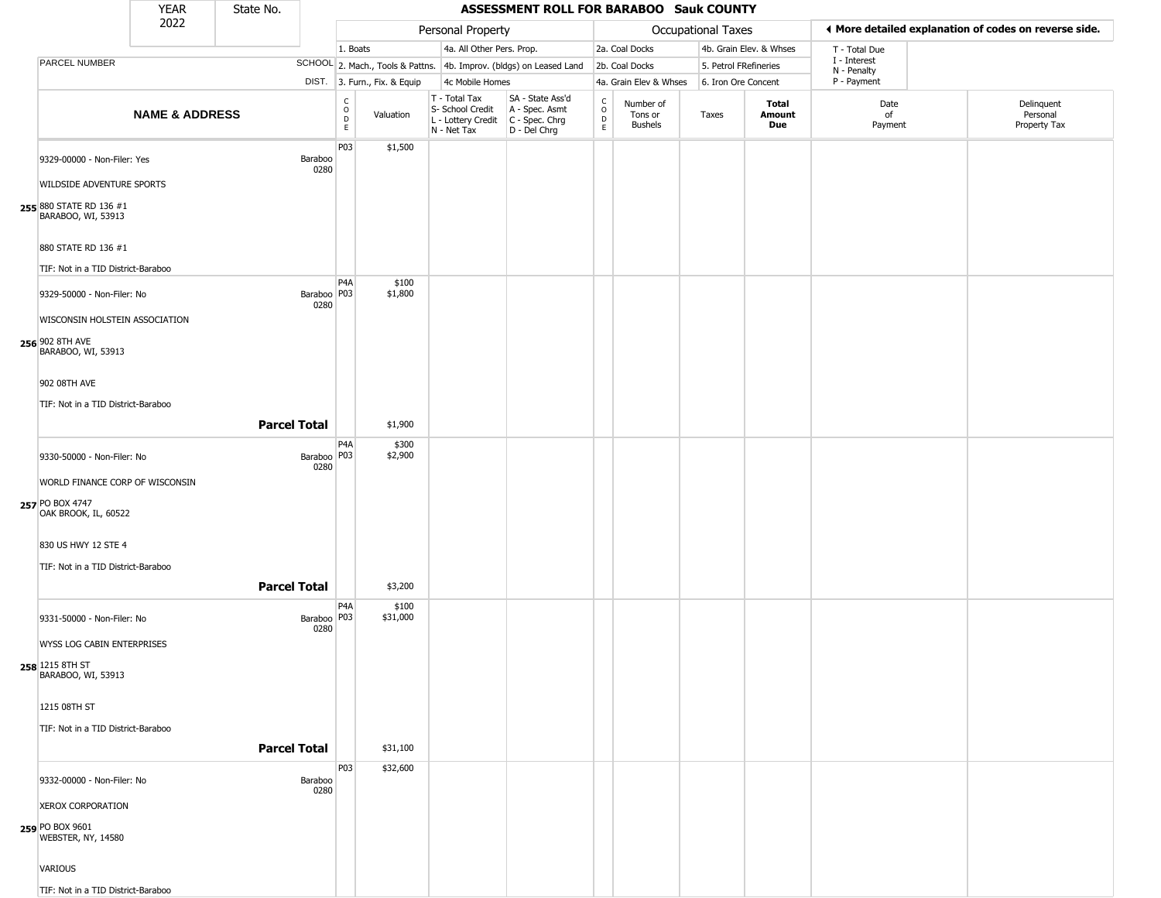|                                                                         | <b>YEAR</b>               | State No.           |                                           |                              |                                                                                       | <b>ASSESSMENT ROLL FOR BARABOO Sauk COUNTY</b>                      |                                            |                                        |                    |                         |                             |                                                       |
|-------------------------------------------------------------------------|---------------------------|---------------------|-------------------------------------------|------------------------------|---------------------------------------------------------------------------------------|---------------------------------------------------------------------|--------------------------------------------|----------------------------------------|--------------------|-------------------------|-----------------------------|-------------------------------------------------------|
|                                                                         | 2022                      |                     |                                           |                              | Personal Property                                                                     |                                                                     |                                            |                                        | Occupational Taxes |                         |                             | ◀ More detailed explanation of codes on reverse side. |
|                                                                         |                           |                     |                                           | 1. Boats                     | 4a. All Other Pers. Prop.                                                             |                                                                     |                                            | 2a. Coal Docks                         |                    | 4b. Grain Elev. & Whses | T - Total Due               |                                                       |
| PARCEL NUMBER                                                           |                           |                     |                                           |                              |                                                                                       | SCHOOL 2. Mach., Tools & Pattns. 4b. Improv. (bldgs) on Leased Land |                                            | 2b. Coal Docks                         |                    | 5. Petrol FRefineries   | I - Interest<br>N - Penalty |                                                       |
|                                                                         |                           |                     |                                           | DIST. 3. Furn., Fix. & Equip | 4c Mobile Homes                                                                       |                                                                     |                                            | 4a. Grain Elev & Whses                 |                    | 6. Iron Ore Concent     | P - Payment                 |                                                       |
|                                                                         | <b>NAME &amp; ADDRESS</b> |                     | C<br>$\circ$<br>D<br>E                    | Valuation                    | T - Total Tax<br>S- School Credit<br>L - Lottery Credit C - Spec. Chrg<br>N - Net Tax | SA - State Ass'd<br>A - Spec. Asmt<br>D - Del Chrg                  | $\begin{array}{c} C \\ O \\ E \end{array}$ | Number of<br>Tons or<br><b>Bushels</b> | Taxes              | Total<br>Amount<br>Due  | Date<br>of<br>Payment       | Delinquent<br>Personal<br>Property Tax                |
| 9329-00000 - Non-Filer: Yes                                             |                           | Baraboo             | P03<br>0280                               | \$1,500                      |                                                                                       |                                                                     |                                            |                                        |                    |                         |                             |                                                       |
| <b>WILDSIDE ADVENTURE SPORTS</b>                                        |                           |                     |                                           |                              |                                                                                       |                                                                     |                                            |                                        |                    |                         |                             |                                                       |
| 255 880 STATE RD 136 #1<br>BARABOO, WI, 53913                           |                           |                     |                                           |                              |                                                                                       |                                                                     |                                            |                                        |                    |                         |                             |                                                       |
| 880 STATE RD 136 #1<br>TIF: Not in a TID District-Baraboo               |                           |                     |                                           |                              |                                                                                       |                                                                     |                                            |                                        |                    |                         |                             |                                                       |
| 9329-50000 - Non-Filer: No                                              |                           |                     | P <sub>4</sub> A<br>Baraboo   P03<br>0280 | \$100<br>\$1,800             |                                                                                       |                                                                     |                                            |                                        |                    |                         |                             |                                                       |
| WISCONSIN HOLSTEIN ASSOCIATION<br>256 902 8TH AVE<br>BARABOO, WI, 53913 |                           |                     |                                           |                              |                                                                                       |                                                                     |                                            |                                        |                    |                         |                             |                                                       |
| 902 08TH AVE                                                            |                           |                     |                                           |                              |                                                                                       |                                                                     |                                            |                                        |                    |                         |                             |                                                       |
| TIF: Not in a TID District-Baraboo                                      |                           | <b>Parcel Total</b> |                                           | \$1,900                      |                                                                                       |                                                                     |                                            |                                        |                    |                         |                             |                                                       |
| 9330-50000 - Non-Filer: No                                              |                           |                     | P4A<br>Baraboo   P03                      | \$300<br>\$2,900             |                                                                                       |                                                                     |                                            |                                        |                    |                         |                             |                                                       |
| WORLD FINANCE CORP OF WISCONSIN                                         |                           |                     | 0280                                      |                              |                                                                                       |                                                                     |                                            |                                        |                    |                         |                             |                                                       |
| 257 PO BOX 4747<br>OAK BROOK, IL, 60522                                 |                           |                     |                                           |                              |                                                                                       |                                                                     |                                            |                                        |                    |                         |                             |                                                       |
| 830 US HWY 12 STE 4                                                     |                           |                     |                                           |                              |                                                                                       |                                                                     |                                            |                                        |                    |                         |                             |                                                       |
| TIF: Not in a TID District-Baraboo                                      |                           | <b>Parcel Total</b> |                                           | \$3,200                      |                                                                                       |                                                                     |                                            |                                        |                    |                         |                             |                                                       |
| 9331-50000 - Non-Filer: No                                              |                           |                     | P <sub>4</sub> A<br>Baraboo   P03<br>0280 | \$100<br>\$31,000            |                                                                                       |                                                                     |                                            |                                        |                    |                         |                             |                                                       |
| WYSS LOG CABIN ENTERPRISES                                              |                           |                     |                                           |                              |                                                                                       |                                                                     |                                            |                                        |                    |                         |                             |                                                       |
| 258 1215 8TH ST<br>BARABOO, WI, 53913                                   |                           |                     |                                           |                              |                                                                                       |                                                                     |                                            |                                        |                    |                         |                             |                                                       |
| 1215 08TH ST                                                            |                           |                     |                                           |                              |                                                                                       |                                                                     |                                            |                                        |                    |                         |                             |                                                       |
| TIF: Not in a TID District-Baraboo                                      |                           | <b>Parcel Total</b> |                                           | \$31,100                     |                                                                                       |                                                                     |                                            |                                        |                    |                         |                             |                                                       |
|                                                                         |                           |                     | P03                                       | \$32,600                     |                                                                                       |                                                                     |                                            |                                        |                    |                         |                             |                                                       |
| 9332-00000 - Non-Filer: No                                              |                           | Baraboo             | 0280                                      |                              |                                                                                       |                                                                     |                                            |                                        |                    |                         |                             |                                                       |
| <b>XEROX CORPORATION</b><br>259 PO BOX 9601<br>WEBSTER, NY, 14580       |                           |                     |                                           |                              |                                                                                       |                                                                     |                                            |                                        |                    |                         |                             |                                                       |
| VARIOUS                                                                 |                           |                     |                                           |                              |                                                                                       |                                                                     |                                            |                                        |                    |                         |                             |                                                       |
| TIF: Not in a TID District-Baraboo                                      |                           |                     |                                           |                              |                                                                                       |                                                                     |                                            |                                        |                    |                         |                             |                                                       |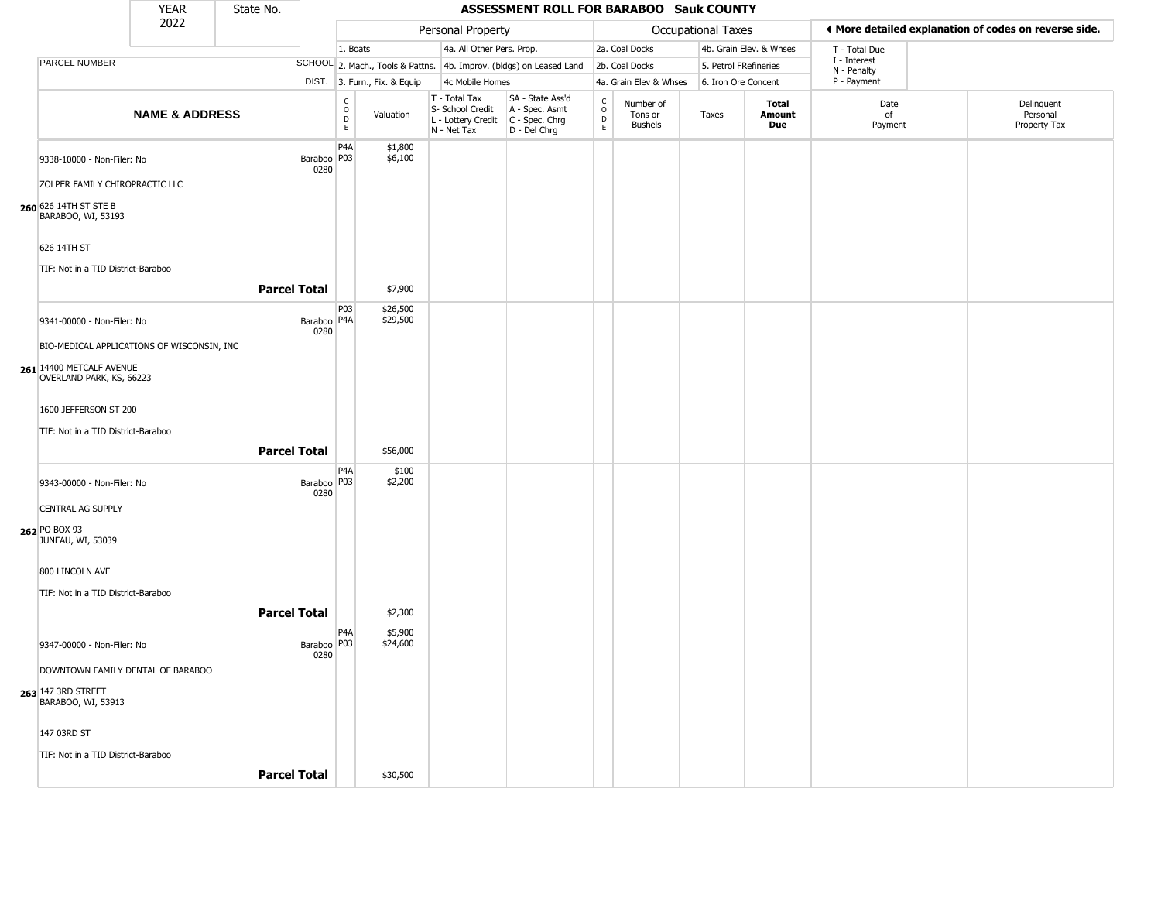|                                                                | <b>YEAR</b>               | State No.           |                       |                                                          |                              |                                                                        | ASSESSMENT ROLL FOR BARABOO Sauk COUNTY                              |                                              |                                        |                       |                         |                             |                                                       |
|----------------------------------------------------------------|---------------------------|---------------------|-----------------------|----------------------------------------------------------|------------------------------|------------------------------------------------------------------------|----------------------------------------------------------------------|----------------------------------------------|----------------------------------------|-----------------------|-------------------------|-----------------------------|-------------------------------------------------------|
|                                                                | 2022                      |                     |                       |                                                          |                              | Personal Property                                                      |                                                                      |                                              |                                        | Occupational Taxes    |                         |                             | ♦ More detailed explanation of codes on reverse side. |
|                                                                |                           |                     |                       | 1. Boats                                                 |                              | 4a. All Other Pers. Prop.                                              |                                                                      |                                              | 2a. Coal Docks                         |                       | 4b. Grain Elev. & Whses | T - Total Due               |                                                       |
| PARCEL NUMBER                                                  |                           |                     |                       |                                                          |                              |                                                                        | SCHOOL 2. Mach., Tools & Pattns. 4b. Improv. (bldgs) on Leased Land  |                                              | 2b. Coal Docks                         | 5. Petrol FRefineries |                         | I - Interest<br>N - Penalty |                                                       |
|                                                                |                           |                     |                       |                                                          | DIST. 3. Furn., Fix. & Equip | 4c Mobile Homes                                                        |                                                                      |                                              | 4a. Grain Elev & Whses                 | 6. Iron Ore Concent   |                         | P - Payment                 |                                                       |
|                                                                | <b>NAME &amp; ADDRESS</b> |                     |                       | $\begin{matrix} 0 \\ 0 \\ D \end{matrix}$<br>$\mathsf E$ | Valuation                    | T - Total Tax<br>S- School Credit<br>L - Lottery Credit<br>N - Net Tax | SA - State Ass'd<br>A - Spec. Asmt<br>C - Spec. Chrg<br>D - Del Chrg | $\frac{c}{0}$<br>$\mathsf{D}$<br>$\mathsf E$ | Number of<br>Tons or<br><b>Bushels</b> | Taxes                 | Total<br>Amount<br>Due  | Date<br>of<br>Payment       | Delinquent<br>Personal<br>Property Tax                |
| 9338-10000 - Non-Filer: No<br>ZOLPER FAMILY CHIROPRACTIC LLC   |                           |                     | Baraboo   P03<br>0280 | P <sub>4</sub> A                                         | \$1,800<br>\$6,100           |                                                                        |                                                                      |                                              |                                        |                       |                         |                             |                                                       |
| 260 626 14TH ST STE B<br>BARABOO, WI, 53193                    |                           |                     |                       |                                                          |                              |                                                                        |                                                                      |                                              |                                        |                       |                         |                             |                                                       |
| 626 14TH ST                                                    |                           |                     |                       |                                                          |                              |                                                                        |                                                                      |                                              |                                        |                       |                         |                             |                                                       |
| TIF: Not in a TID District-Baraboo                             |                           |                     |                       |                                                          |                              |                                                                        |                                                                      |                                              |                                        |                       |                         |                             |                                                       |
|                                                                |                           | <b>Parcel Total</b> |                       |                                                          | \$7,900                      |                                                                        |                                                                      |                                              |                                        |                       |                         |                             |                                                       |
| 9341-00000 - Non-Filer: No                                     |                           |                     | Baraboo   P4A<br>0280 | P <sub>0</sub> 3                                         | \$26,500<br>\$29,500         |                                                                        |                                                                      |                                              |                                        |                       |                         |                             |                                                       |
| BIO-MEDICAL APPLICATIONS OF WISCONSIN, INC                     |                           |                     |                       |                                                          |                              |                                                                        |                                                                      |                                              |                                        |                       |                         |                             |                                                       |
| 261 14400 METCALF AVENUE<br>OVERLAND PARK, KS, 66223           |                           |                     |                       |                                                          |                              |                                                                        |                                                                      |                                              |                                        |                       |                         |                             |                                                       |
| 1600 JEFFERSON ST 200                                          |                           |                     |                       |                                                          |                              |                                                                        |                                                                      |                                              |                                        |                       |                         |                             |                                                       |
| TIF: Not in a TID District-Baraboo                             |                           |                     |                       |                                                          |                              |                                                                        |                                                                      |                                              |                                        |                       |                         |                             |                                                       |
|                                                                |                           | <b>Parcel Total</b> |                       |                                                          | \$56,000                     |                                                                        |                                                                      |                                              |                                        |                       |                         |                             |                                                       |
| 9343-00000 - Non-Filer: No                                     |                           |                     | Baraboo   P03<br>0280 | P <sub>4</sub> A                                         | \$100<br>\$2,200             |                                                                        |                                                                      |                                              |                                        |                       |                         |                             |                                                       |
| <b>CENTRAL AG SUPPLY</b><br>262 PO BOX 93<br>JUNEAU, WI, 53039 |                           |                     |                       |                                                          |                              |                                                                        |                                                                      |                                              |                                        |                       |                         |                             |                                                       |
| 800 LINCOLN AVE<br>TIF: Not in a TID District-Baraboo          |                           |                     |                       |                                                          |                              |                                                                        |                                                                      |                                              |                                        |                       |                         |                             |                                                       |
|                                                                |                           | <b>Parcel Total</b> |                       |                                                          | \$2,300                      |                                                                        |                                                                      |                                              |                                        |                       |                         |                             |                                                       |
| 9347-00000 - Non-Filer: No                                     |                           |                     | Baraboo   P03<br>0280 | P <sub>4</sub> A                                         | \$5,900<br>\$24,600          |                                                                        |                                                                      |                                              |                                        |                       |                         |                             |                                                       |
| DOWNTOWN FAMILY DENTAL OF BARABOO                              |                           |                     |                       |                                                          |                              |                                                                        |                                                                      |                                              |                                        |                       |                         |                             |                                                       |
| <b>263 147 3RD STREET BARABOO, WI, 53913</b>                   |                           |                     |                       |                                                          |                              |                                                                        |                                                                      |                                              |                                        |                       |                         |                             |                                                       |
| 147 03RD ST                                                    |                           |                     |                       |                                                          |                              |                                                                        |                                                                      |                                              |                                        |                       |                         |                             |                                                       |
| TIF: Not in a TID District-Baraboo                             |                           |                     |                       |                                                          |                              |                                                                        |                                                                      |                                              |                                        |                       |                         |                             |                                                       |
|                                                                |                           | <b>Parcel Total</b> |                       |                                                          | \$30,500                     |                                                                        |                                                                      |                                              |                                        |                       |                         |                             |                                                       |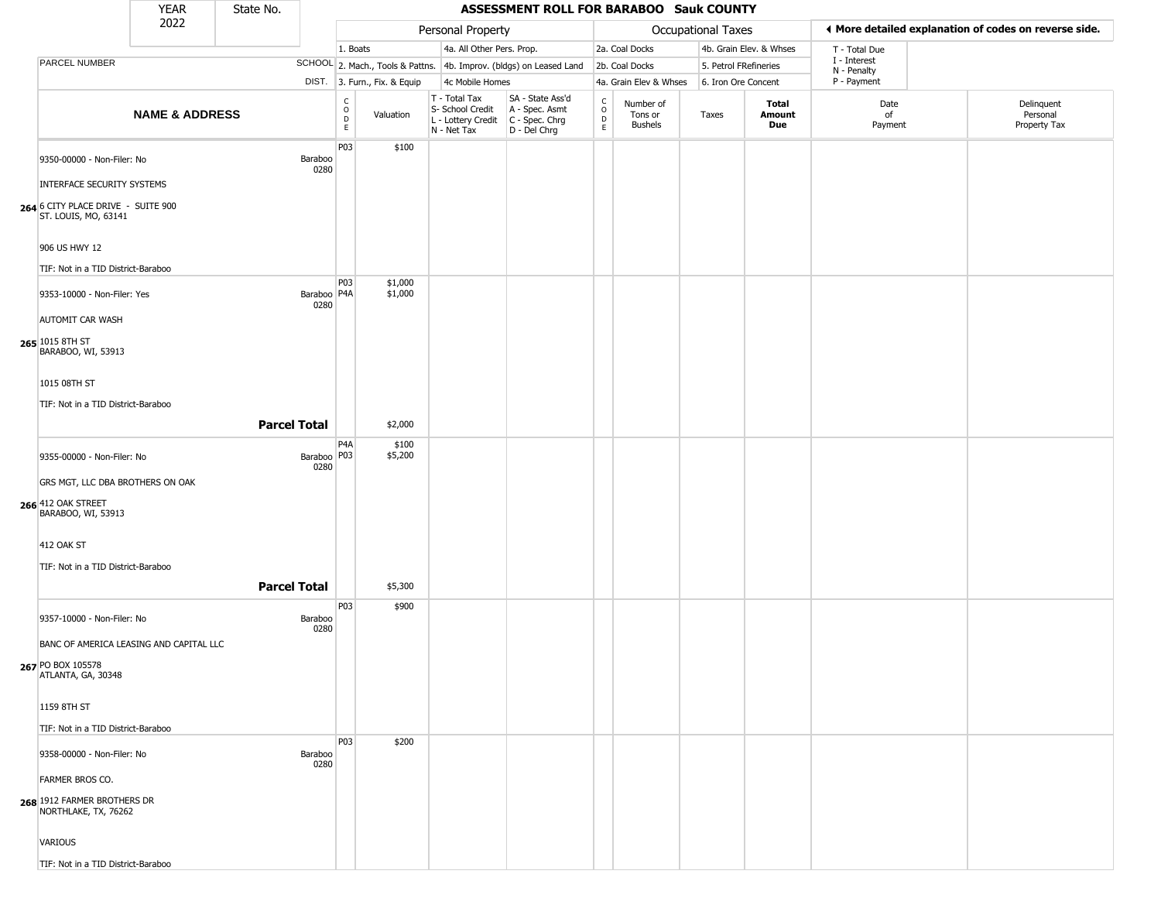|                                                            | <b>YEAR</b>               | State No.           |                         |                                  |                              |                                                                        | ASSESSMENT ROLL FOR BARABOO Sauk COUNTY                              |                                  |                                        |                    |                         |                             |                                                       |
|------------------------------------------------------------|---------------------------|---------------------|-------------------------|----------------------------------|------------------------------|------------------------------------------------------------------------|----------------------------------------------------------------------|----------------------------------|----------------------------------------|--------------------|-------------------------|-----------------------------|-------------------------------------------------------|
|                                                            | 2022                      |                     |                         |                                  |                              | Personal Property                                                      |                                                                      |                                  |                                        | Occupational Taxes |                         |                             | ◀ More detailed explanation of codes on reverse side. |
|                                                            |                           |                     |                         | 1. Boats                         |                              | 4a. All Other Pers. Prop.                                              |                                                                      |                                  | 2a. Coal Docks                         |                    | 4b. Grain Elev. & Whses | T - Total Due               |                                                       |
| PARCEL NUMBER                                              |                           |                     |                         |                                  |                              |                                                                        | SCHOOL 2. Mach., Tools & Pattns. 4b. Improv. (bldgs) on Leased Land  |                                  | 2b. Coal Docks                         |                    | 5. Petrol FRefineries   | I - Interest<br>N - Penalty |                                                       |
|                                                            |                           |                     |                         |                                  | DIST. 3. Furn., Fix. & Equip | 4c Mobile Homes                                                        |                                                                      |                                  | 4a. Grain Elev & Whses                 |                    | 6. Iron Ore Concent     | P - Payment                 |                                                       |
|                                                            | <b>NAME &amp; ADDRESS</b> |                     |                         | C<br>$\circ$<br>$\mathsf D$<br>E | Valuation                    | T - Total Tax<br>S- School Credit<br>L - Lottery Credit<br>N - Net Tax | SA - State Ass'd<br>A - Spec. Asmt<br>C - Spec. Chrg<br>D - Del Chrg | C<br>$\circ$<br>D<br>$\mathsf E$ | Number of<br>Tons or<br><b>Bushels</b> | Taxes              | Total<br>Amount<br>Due  | Date<br>of<br>Payment       | Delinquent<br>Personal<br>Property Tax                |
| 9350-00000 - Non-Filer: No<br>INTERFACE SECURITY SYSTEMS   |                           |                     | Baraboo<br>0280         | P03                              | \$100                        |                                                                        |                                                                      |                                  |                                        |                    |                         |                             |                                                       |
| 264 6 CITY PLACE DRIVE - SUITE 900<br>ST. LOUIS, MO, 63141 |                           |                     |                         |                                  |                              |                                                                        |                                                                      |                                  |                                        |                    |                         |                             |                                                       |
| 906 US HWY 12                                              |                           |                     |                         |                                  |                              |                                                                        |                                                                      |                                  |                                        |                    |                         |                             |                                                       |
| TIF: Not in a TID District-Baraboo                         |                           |                     |                         | P03                              | \$1,000                      |                                                                        |                                                                      |                                  |                                        |                    |                         |                             |                                                       |
| 9353-10000 - Non-Filer: Yes                                |                           |                     | Baraboo   P4A  <br>0280 |                                  | \$1,000                      |                                                                        |                                                                      |                                  |                                        |                    |                         |                             |                                                       |
| AUTOMIT CAR WASH<br>265 1015 8TH ST<br>BARABOO, WI, 53913  |                           |                     |                         |                                  |                              |                                                                        |                                                                      |                                  |                                        |                    |                         |                             |                                                       |
| 1015 08TH ST                                               |                           |                     |                         |                                  |                              |                                                                        |                                                                      |                                  |                                        |                    |                         |                             |                                                       |
| TIF: Not in a TID District-Baraboo                         |                           |                     |                         |                                  |                              |                                                                        |                                                                      |                                  |                                        |                    |                         |                             |                                                       |
|                                                            |                           | <b>Parcel Total</b> |                         |                                  | \$2,000                      |                                                                        |                                                                      |                                  |                                        |                    |                         |                             |                                                       |
| 9355-00000 - Non-Filer: No                                 |                           |                     | Baraboo   P03  <br>0280 | P <sub>4</sub> A                 | \$100<br>\$5,200             |                                                                        |                                                                      |                                  |                                        |                    |                         |                             |                                                       |
| GRS MGT, LLC DBA BROTHERS ON OAK                           |                           |                     |                         |                                  |                              |                                                                        |                                                                      |                                  |                                        |                    |                         |                             |                                                       |
| 266 412 OAK STREET<br>BARABOO, WI, 53913                   |                           |                     |                         |                                  |                              |                                                                        |                                                                      |                                  |                                        |                    |                         |                             |                                                       |
| <b>412 OAK ST</b>                                          |                           |                     |                         |                                  |                              |                                                                        |                                                                      |                                  |                                        |                    |                         |                             |                                                       |
| TIF: Not in a TID District-Baraboo                         |                           |                     |                         |                                  |                              |                                                                        |                                                                      |                                  |                                        |                    |                         |                             |                                                       |
|                                                            |                           | <b>Parcel Total</b> |                         |                                  | \$5,300                      |                                                                        |                                                                      |                                  |                                        |                    |                         |                             |                                                       |
| 9357-10000 - Non-Filer: No                                 |                           |                     | Baraboo<br>0280         | P03                              | \$900                        |                                                                        |                                                                      |                                  |                                        |                    |                         |                             |                                                       |
| BANC OF AMERICA LEASING AND CAPITAL LLC                    |                           |                     |                         |                                  |                              |                                                                        |                                                                      |                                  |                                        |                    |                         |                             |                                                       |
| <b>267</b> PO BOX 105578<br>ATLANTA, GA, 30348             |                           |                     |                         |                                  |                              |                                                                        |                                                                      |                                  |                                        |                    |                         |                             |                                                       |
| 1159 8TH ST                                                |                           |                     |                         |                                  |                              |                                                                        |                                                                      |                                  |                                        |                    |                         |                             |                                                       |
| TIF: Not in a TID District-Baraboo                         |                           |                     |                         |                                  |                              |                                                                        |                                                                      |                                  |                                        |                    |                         |                             |                                                       |
| 9358-00000 - Non-Filer: No                                 |                           |                     | Baraboo<br>0280         | <b>P03</b>                       | \$200                        |                                                                        |                                                                      |                                  |                                        |                    |                         |                             |                                                       |
| FARMER BROS CO.                                            |                           |                     |                         |                                  |                              |                                                                        |                                                                      |                                  |                                        |                    |                         |                             |                                                       |
| 268 1912 FARMER BROTHERS DR<br>NORTHLAKE, TX, 76262        |                           |                     |                         |                                  |                              |                                                                        |                                                                      |                                  |                                        |                    |                         |                             |                                                       |
| VARIOUS                                                    |                           |                     |                         |                                  |                              |                                                                        |                                                                      |                                  |                                        |                    |                         |                             |                                                       |
| TIF: Not in a TID District-Baraboo                         |                           |                     |                         |                                  |                              |                                                                        |                                                                      |                                  |                                        |                    |                         |                             |                                                       |

TIF: Not in a TID District-Baraboo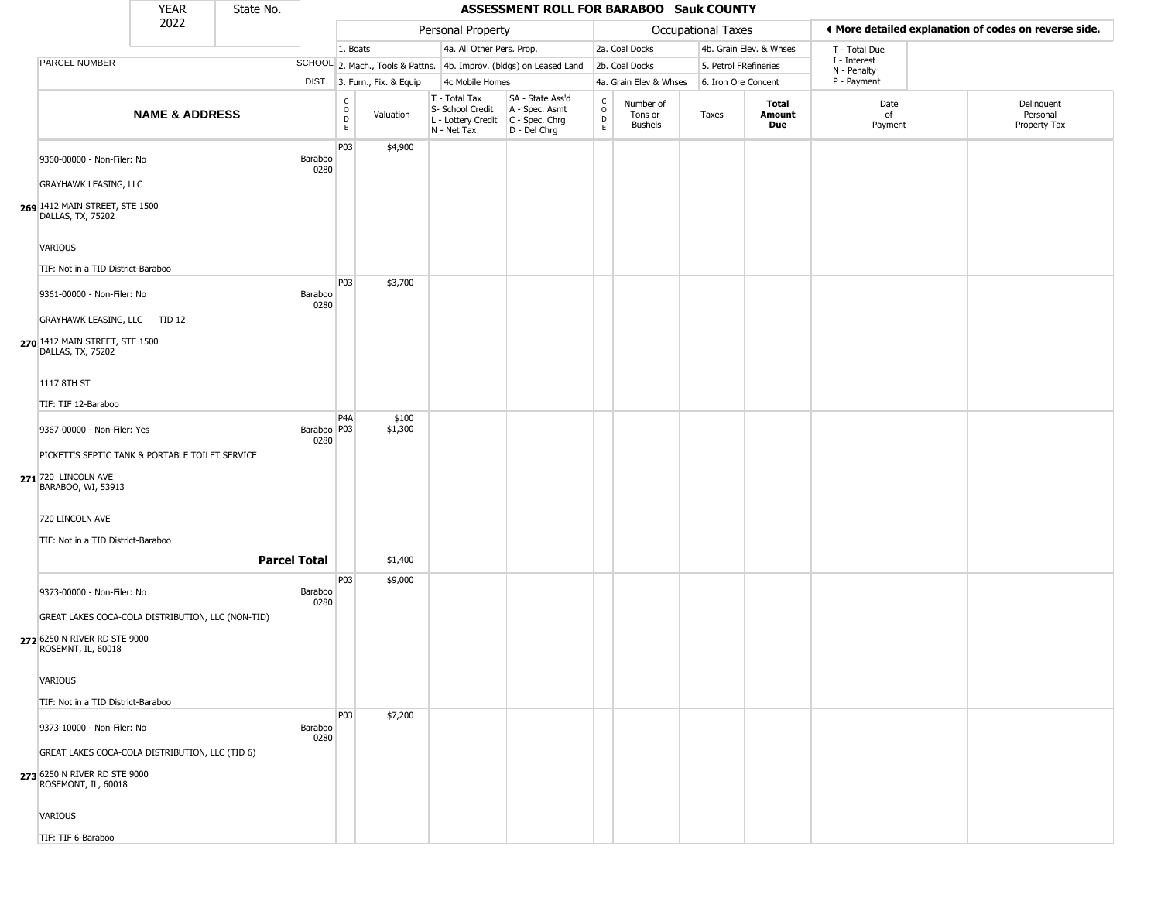|                                                     | <b>YEAR</b>               | State No.           |                       |                  |                              |                                                                        | ASSESSMENT ROLL FOR BARABOO Sauk COUNTY                              |                                   |                                 |                       |                         |                             |                                                       |
|-----------------------------------------------------|---------------------------|---------------------|-----------------------|------------------|------------------------------|------------------------------------------------------------------------|----------------------------------------------------------------------|-----------------------------------|---------------------------------|-----------------------|-------------------------|-----------------------------|-------------------------------------------------------|
|                                                     | 2022                      |                     |                       |                  |                              | Personal Property                                                      |                                                                      |                                   |                                 | Occupational Taxes    |                         |                             | ♦ More detailed explanation of codes on reverse side. |
|                                                     |                           |                     |                       | 1. Boats         |                              | 4a. All Other Pers. Prop.                                              |                                                                      |                                   | 2a. Coal Docks                  |                       | 4b. Grain Elev. & Whses | T - Total Due               |                                                       |
| <b>PARCEL NUMBER</b>                                |                           |                     |                       |                  |                              |                                                                        | SCHOOL 2. Mach., Tools & Pattns. 4b. Improv. (bldgs) on Leased Land  |                                   | 2b. Coal Docks                  | 5. Petrol FRefineries |                         | I - Interest<br>N - Penalty |                                                       |
|                                                     |                           |                     |                       |                  | DIST. 3. Furn., Fix. & Equip | 4c Mobile Homes                                                        |                                                                      |                                   | 4a. Grain Elev & Whses          | 6. Iron Ore Concent   |                         | P - Payment                 |                                                       |
|                                                     | <b>NAME &amp; ADDRESS</b> |                     |                       | C<br>0<br>D<br>E | Valuation                    | T - Total Tax<br>S- School Credit<br>L - Lottery Credit<br>N - Net Tax | SA - State Ass'd<br>A - Spec. Asmt<br>C - Spec. Chrg<br>D - Del Chrg | $\mathsf{C}$<br>$\circ$<br>D<br>E | Number of<br>Tons or<br>Bushels | Taxes                 | Total<br>Amount<br>Due  | Date<br>of<br>Payment       | Delinquent<br>Personal<br>Property Tax                |
| 9360-00000 - Non-Filer: No                          |                           |                     | Baraboo<br>0280       | P03              | \$4,900                      |                                                                        |                                                                      |                                   |                                 |                       |                         |                             |                                                       |
| <b>GRAYHAWK LEASING, LLC</b>                        |                           |                     |                       |                  |                              |                                                                        |                                                                      |                                   |                                 |                       |                         |                             |                                                       |
| 269 1412 MAIN STREET, STE 1500<br>DALLAS, TX, 75202 |                           |                     |                       |                  |                              |                                                                        |                                                                      |                                   |                                 |                       |                         |                             |                                                       |
| <b>VARIOUS</b>                                      |                           |                     |                       |                  |                              |                                                                        |                                                                      |                                   |                                 |                       |                         |                             |                                                       |
| TIF: Not in a TID District-Baraboo                  |                           |                     |                       |                  |                              |                                                                        |                                                                      |                                   |                                 |                       |                         |                             |                                                       |
| 9361-00000 - Non-Filer: No                          |                           |                     | Baraboo<br>0280       | P03              | \$3,700                      |                                                                        |                                                                      |                                   |                                 |                       |                         |                             |                                                       |
| GRAYHAWK LEASING, LLC TID 12                        |                           |                     |                       |                  |                              |                                                                        |                                                                      |                                   |                                 |                       |                         |                             |                                                       |
| 270 1412 MAIN STREET, STE 1500<br>DALLAS, TX, 75202 |                           |                     |                       |                  |                              |                                                                        |                                                                      |                                   |                                 |                       |                         |                             |                                                       |
| 1117 8TH ST                                         |                           |                     |                       |                  |                              |                                                                        |                                                                      |                                   |                                 |                       |                         |                             |                                                       |
| TIF: TIF 12-Baraboo                                 |                           |                     |                       |                  |                              |                                                                        |                                                                      |                                   |                                 |                       |                         |                             |                                                       |
| 9367-00000 - Non-Filer: Yes                         |                           |                     | Baraboo   P03<br>0280 | P <sub>4</sub> A | \$100<br>\$1,300             |                                                                        |                                                                      |                                   |                                 |                       |                         |                             |                                                       |
| PICKETT'S SEPTIC TANK & PORTABLE TOILET SERVICE     |                           |                     |                       |                  |                              |                                                                        |                                                                      |                                   |                                 |                       |                         |                             |                                                       |
| 271 720 LINCOLN AVE<br>BARABOO, WI, 53913           |                           |                     |                       |                  |                              |                                                                        |                                                                      |                                   |                                 |                       |                         |                             |                                                       |
| 720 LINCOLN AVE                                     |                           |                     |                       |                  |                              |                                                                        |                                                                      |                                   |                                 |                       |                         |                             |                                                       |
| TIF: Not in a TID District-Baraboo                  |                           |                     |                       |                  |                              |                                                                        |                                                                      |                                   |                                 |                       |                         |                             |                                                       |
|                                                     |                           | <b>Parcel Total</b> |                       |                  | \$1,400                      |                                                                        |                                                                      |                                   |                                 |                       |                         |                             |                                                       |
| 9373-00000 - Non-Filer: No                          |                           |                     |                       | P03              | \$9,000                      |                                                                        |                                                                      |                                   |                                 |                       |                         |                             |                                                       |
|                                                     |                           |                     | Baraboo<br>0280       |                  |                              |                                                                        |                                                                      |                                   |                                 |                       |                         |                             |                                                       |
| GREAT LAKES COCA-COLA DISTRIBUTION, LLC (NON-TID)   |                           |                     |                       |                  |                              |                                                                        |                                                                      |                                   |                                 |                       |                         |                             |                                                       |
| 272 6250 N RIVER RD STE 9000<br>ROSEMNT, IL, 60018  |                           |                     |                       |                  |                              |                                                                        |                                                                      |                                   |                                 |                       |                         |                             |                                                       |
| <b>VARIOUS</b>                                      |                           |                     |                       |                  |                              |                                                                        |                                                                      |                                   |                                 |                       |                         |                             |                                                       |
| TIF: Not in a TID District-Baraboo                  |                           |                     |                       |                  |                              |                                                                        |                                                                      |                                   |                                 |                       |                         |                             |                                                       |
| 9373-10000 - Non-Filer: No                          |                           |                     | Baraboo               | P03              | \$7,200                      |                                                                        |                                                                      |                                   |                                 |                       |                         |                             |                                                       |
| GREAT LAKES COCA-COLA DISTRIBUTION, LLC (TID 6)     |                           |                     | 0280                  |                  |                              |                                                                        |                                                                      |                                   |                                 |                       |                         |                             |                                                       |
| 273 6250 N RIVER RD STE 9000<br>ROSEMONT, IL, 60018 |                           |                     |                       |                  |                              |                                                                        |                                                                      |                                   |                                 |                       |                         |                             |                                                       |
| VARIOUS                                             |                           |                     |                       |                  |                              |                                                                        |                                                                      |                                   |                                 |                       |                         |                             |                                                       |
| TIF: TIF 6-Baraboo                                  |                           |                     |                       |                  |                              |                                                                        |                                                                      |                                   |                                 |                       |                         |                             |                                                       |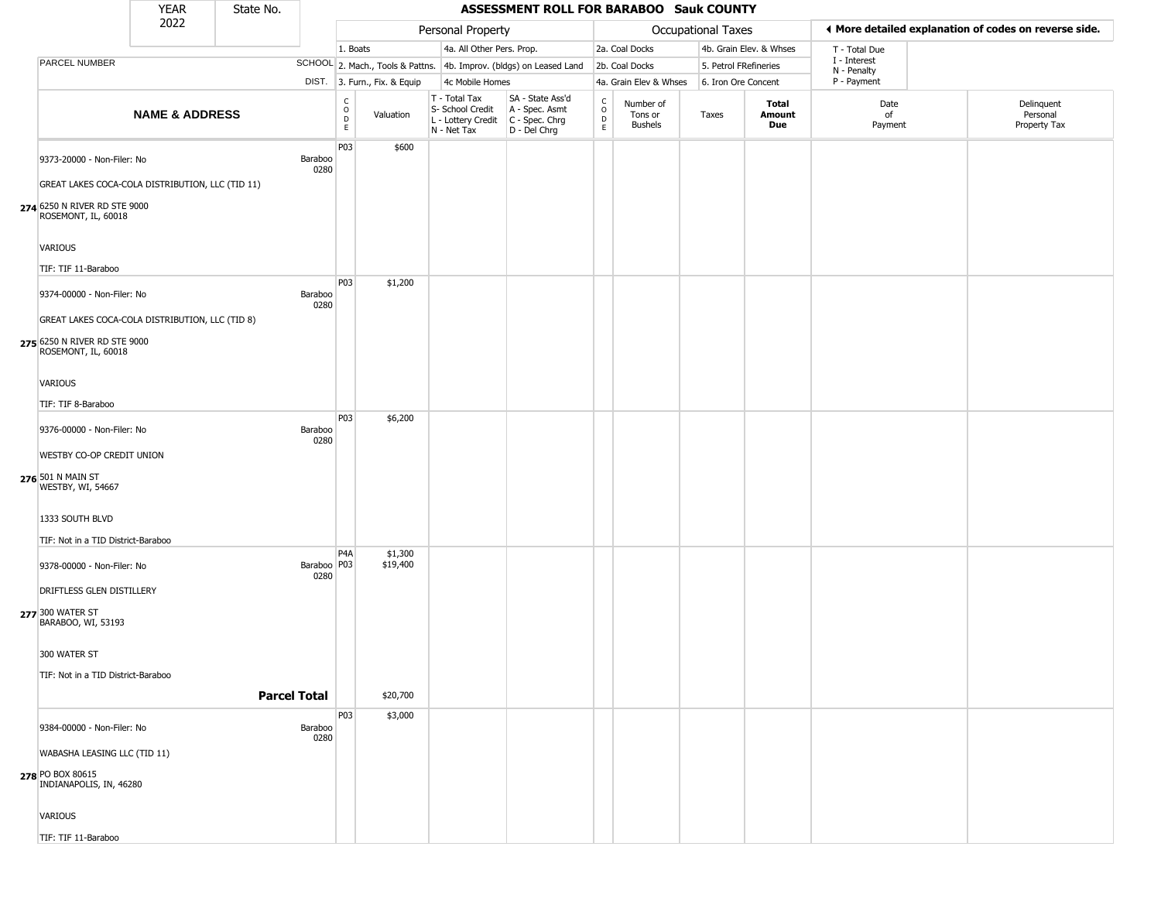|                                                                                | <b>YEAR</b>               | State No.           |                       |                                                   |                              |                                                                        | ASSESSMENT ROLL FOR BARABOO Sauk COUNTY                              |                                                 |                                        |                       |                         |                             |                                                       |
|--------------------------------------------------------------------------------|---------------------------|---------------------|-----------------------|---------------------------------------------------|------------------------------|------------------------------------------------------------------------|----------------------------------------------------------------------|-------------------------------------------------|----------------------------------------|-----------------------|-------------------------|-----------------------------|-------------------------------------------------------|
|                                                                                | 2022                      |                     |                       |                                                   |                              | Personal Property                                                      |                                                                      |                                                 |                                        | Occupational Taxes    |                         |                             | ◀ More detailed explanation of codes on reverse side. |
|                                                                                |                           |                     |                       | 1. Boats                                          |                              | 4a. All Other Pers. Prop.                                              |                                                                      |                                                 | 2a. Coal Docks                         |                       | 4b. Grain Elev. & Whses | T - Total Due               |                                                       |
| PARCEL NUMBER                                                                  |                           |                     |                       |                                                   |                              |                                                                        | SCHOOL 2. Mach., Tools & Pattns. 4b. Improv. (bldgs) on Leased Land  |                                                 | 2b. Coal Docks                         | 5. Petrol FRefineries |                         | I - Interest<br>N - Penalty |                                                       |
|                                                                                |                           |                     |                       |                                                   | DIST. 3. Furn., Fix. & Equip | 4c Mobile Homes                                                        |                                                                      |                                                 | 4a. Grain Elev & Whses                 | 6. Iron Ore Concent   |                         | P - Payment                 |                                                       |
|                                                                                | <b>NAME &amp; ADDRESS</b> |                     |                       | C<br>$\begin{array}{c}\n0 \\ D \\ E\n\end{array}$ | Valuation                    | T - Total Tax<br>S- School Credit<br>L - Lottery Credit<br>N - Net Tax | SA - State Ass'd<br>A - Spec. Asmt<br>C - Spec. Chrg<br>D - Del Chrg | $\begin{array}{c} C \\ O \\ D \\ E \end{array}$ | Number of<br>Tons or<br><b>Bushels</b> | Taxes                 | Total<br>Amount<br>Due  | Date<br>of<br>Payment       | Delinquent<br>Personal<br>Property Tax                |
| 9373-20000 - Non-Filer: No<br>GREAT LAKES COCA-COLA DISTRIBUTION, LLC (TID 11) |                           |                     | Baraboo<br>0280       | P03                                               | \$600                        |                                                                        |                                                                      |                                                 |                                        |                       |                         |                             |                                                       |
| 274 6250 N RIVER RD STE 9000<br>ROSEMONT, IL, 60018                            |                           |                     |                       |                                                   |                              |                                                                        |                                                                      |                                                 |                                        |                       |                         |                             |                                                       |
| VARIOUS                                                                        |                           |                     |                       |                                                   |                              |                                                                        |                                                                      |                                                 |                                        |                       |                         |                             |                                                       |
| TIF: TIF 11-Baraboo                                                            |                           |                     |                       |                                                   |                              |                                                                        |                                                                      |                                                 |                                        |                       |                         |                             |                                                       |
| 9374-00000 - Non-Filer: No                                                     |                           |                     | Baraboo<br>0280       | P03                                               | \$1,200                      |                                                                        |                                                                      |                                                 |                                        |                       |                         |                             |                                                       |
| GREAT LAKES COCA-COLA DISTRIBUTION, LLC (TID 8)                                |                           |                     |                       |                                                   |                              |                                                                        |                                                                      |                                                 |                                        |                       |                         |                             |                                                       |
| 275 6250 N RIVER RD STE 9000<br>ROSEMONT, IL, 60018                            |                           |                     |                       |                                                   |                              |                                                                        |                                                                      |                                                 |                                        |                       |                         |                             |                                                       |
| VARIOUS                                                                        |                           |                     |                       |                                                   |                              |                                                                        |                                                                      |                                                 |                                        |                       |                         |                             |                                                       |
| TIF: TIF 8-Baraboo                                                             |                           |                     |                       |                                                   |                              |                                                                        |                                                                      |                                                 |                                        |                       |                         |                             |                                                       |
| 9376-00000 - Non-Filer: No                                                     |                           |                     | Baraboo<br>0280       | P03                                               | \$6,200                      |                                                                        |                                                                      |                                                 |                                        |                       |                         |                             |                                                       |
| WESTBY CO-OP CREDIT UNION                                                      |                           |                     |                       |                                                   |                              |                                                                        |                                                                      |                                                 |                                        |                       |                         |                             |                                                       |
| 276 501 N MAIN ST<br>WESTBY, WI, 54667                                         |                           |                     |                       |                                                   |                              |                                                                        |                                                                      |                                                 |                                        |                       |                         |                             |                                                       |
| 1333 SOUTH BLVD                                                                |                           |                     |                       |                                                   |                              |                                                                        |                                                                      |                                                 |                                        |                       |                         |                             |                                                       |
| TIF: Not in a TID District-Baraboo                                             |                           |                     |                       |                                                   |                              |                                                                        |                                                                      |                                                 |                                        |                       |                         |                             |                                                       |
| 9378-00000 - Non-Filer: No                                                     |                           |                     | Baraboo   P03<br>0280 | P <sub>4</sub> A                                  | \$1,300<br>\$19,400          |                                                                        |                                                                      |                                                 |                                        |                       |                         |                             |                                                       |
| DRIFTLESS GLEN DISTILLERY                                                      |                           |                     |                       |                                                   |                              |                                                                        |                                                                      |                                                 |                                        |                       |                         |                             |                                                       |
| 277 300 WATER ST<br>BARABOO, WI, 53193                                         |                           |                     |                       |                                                   |                              |                                                                        |                                                                      |                                                 |                                        |                       |                         |                             |                                                       |
| 300 WATER ST                                                                   |                           |                     |                       |                                                   |                              |                                                                        |                                                                      |                                                 |                                        |                       |                         |                             |                                                       |
| TIF: Not in a TID District-Baraboo                                             |                           |                     |                       |                                                   |                              |                                                                        |                                                                      |                                                 |                                        |                       |                         |                             |                                                       |
|                                                                                |                           | <b>Parcel Total</b> |                       |                                                   | \$20,700                     |                                                                        |                                                                      |                                                 |                                        |                       |                         |                             |                                                       |
| 9384-00000 - Non-Filer: No                                                     |                           |                     | Baraboo<br>0280       | P03                                               | \$3,000                      |                                                                        |                                                                      |                                                 |                                        |                       |                         |                             |                                                       |
| WABASHA LEASING LLC (TID 11)                                                   |                           |                     |                       |                                                   |                              |                                                                        |                                                                      |                                                 |                                        |                       |                         |                             |                                                       |
| 278 PO BOX 80615<br>INDIANAPOLIS, IN, 46280                                    |                           |                     |                       |                                                   |                              |                                                                        |                                                                      |                                                 |                                        |                       |                         |                             |                                                       |
| VARIOUS                                                                        |                           |                     |                       |                                                   |                              |                                                                        |                                                                      |                                                 |                                        |                       |                         |                             |                                                       |
| TIF: TIF 11-Baraboo                                                            |                           |                     |                       |                                                   |                              |                                                                        |                                                                      |                                                 |                                        |                       |                         |                             |                                                       |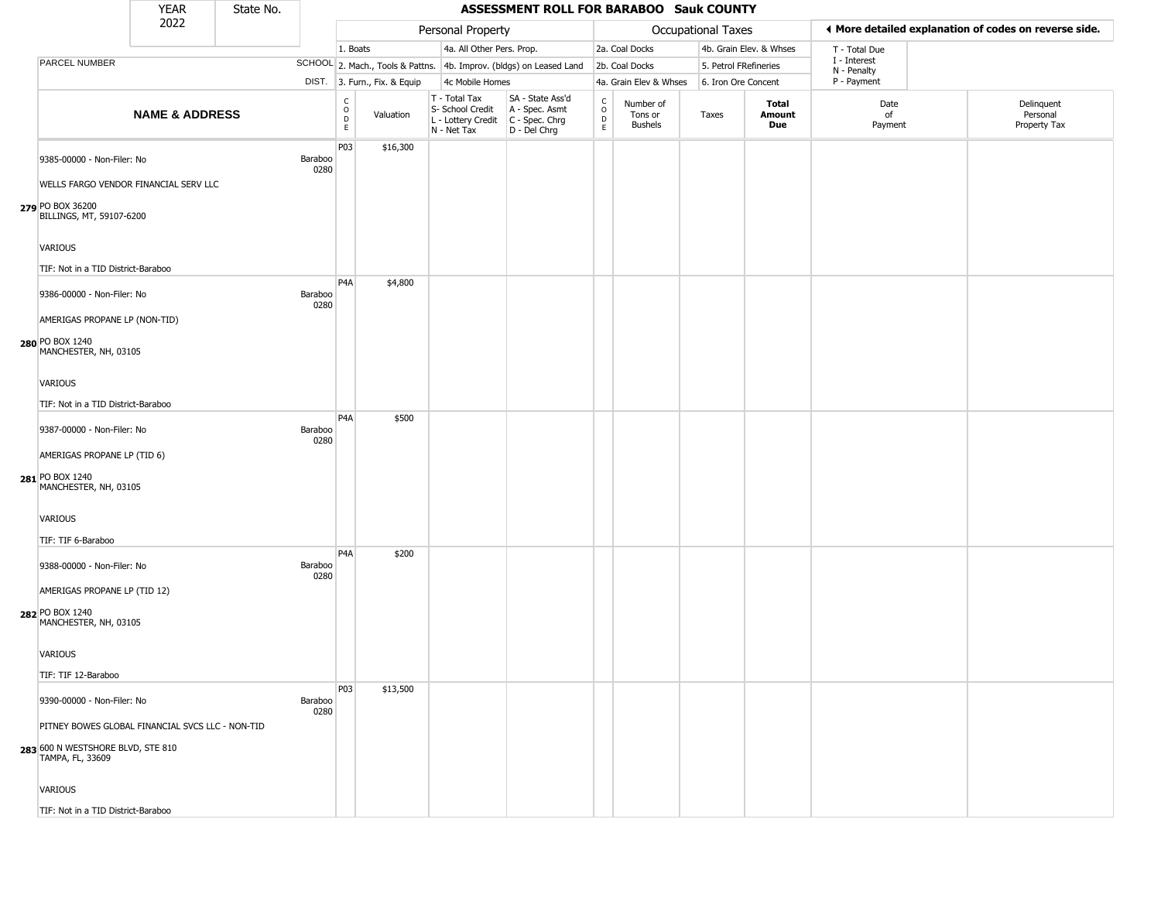|                                                                           | <b>YEAR</b>               | State No. |                 |                                          |                              |                                                                        | ASSESSMENT ROLL FOR BARABOO Sauk COUNTY                              |                  |                                        |                       |                         |                             |                                                       |
|---------------------------------------------------------------------------|---------------------------|-----------|-----------------|------------------------------------------|------------------------------|------------------------------------------------------------------------|----------------------------------------------------------------------|------------------|----------------------------------------|-----------------------|-------------------------|-----------------------------|-------------------------------------------------------|
|                                                                           | 2022                      |           |                 |                                          |                              | Personal Property                                                      |                                                                      |                  |                                        | Occupational Taxes    |                         |                             | ◀ More detailed explanation of codes on reverse side. |
|                                                                           |                           |           |                 | 1. Boats                                 |                              | 4a. All Other Pers. Prop.                                              |                                                                      |                  | 2a. Coal Docks                         |                       | 4b. Grain Elev. & Whses | T - Total Due               |                                                       |
| <b>PARCEL NUMBER</b>                                                      |                           |           |                 |                                          |                              |                                                                        | SCHOOL 2. Mach., Tools & Pattns. 4b. Improv. (bldgs) on Leased Land  |                  | 2b. Coal Docks                         | 5. Petrol FRefineries |                         | I - Interest<br>N - Penalty |                                                       |
|                                                                           |                           |           |                 |                                          | DIST. 3. Furn., Fix. & Equip | 4c Mobile Homes                                                        |                                                                      |                  | 4a. Grain Elev & Whses                 | 6. Iron Ore Concent   |                         | P - Payment                 |                                                       |
|                                                                           | <b>NAME &amp; ADDRESS</b> |           |                 | $\rm _o^C$<br>$\mathsf D$<br>$\mathsf E$ | Valuation                    | T - Total Tax<br>S- School Credit<br>L - Lottery Credit<br>N - Net Tax | SA - State Ass'd<br>A - Spec. Asmt<br>C - Spec. Chrg<br>D - Del Chrg | C<br>D<br>D<br>E | Number of<br>Tons or<br><b>Bushels</b> | Taxes                 | Total<br>Amount<br>Due  | Date<br>of<br>Payment       | Delinquent<br>Personal<br>Property Tax                |
| 9385-00000 - Non-Filer: No<br>WELLS FARGO VENDOR FINANCIAL SERV LLC       |                           |           | Baraboo<br>0280 | P <sub>0</sub> 3                         | \$16,300                     |                                                                        |                                                                      |                  |                                        |                       |                         |                             |                                                       |
| 279 PO BOX 36200<br>BILLINGS, MT, 59107-6200                              |                           |           |                 |                                          |                              |                                                                        |                                                                      |                  |                                        |                       |                         |                             |                                                       |
| VARIOUS<br>TIF: Not in a TID District-Baraboo                             |                           |           |                 |                                          |                              |                                                                        |                                                                      |                  |                                        |                       |                         |                             |                                                       |
| 9386-00000 - Non-Filer: No                                                |                           |           | Baraboo<br>0280 | P <sub>4</sub> A                         | \$4,800                      |                                                                        |                                                                      |                  |                                        |                       |                         |                             |                                                       |
| AMERIGAS PROPANE LP (NON-TID)<br>280 PO BOX 1240<br>MANCHESTER, NH, 03105 |                           |           |                 |                                          |                              |                                                                        |                                                                      |                  |                                        |                       |                         |                             |                                                       |
| VARIOUS<br>TIF: Not in a TID District-Baraboo                             |                           |           |                 |                                          |                              |                                                                        |                                                                      |                  |                                        |                       |                         |                             |                                                       |
| 9387-00000 - Non-Filer: No                                                |                           |           | Baraboo<br>0280 | P <sub>4</sub> A                         | \$500                        |                                                                        |                                                                      |                  |                                        |                       |                         |                             |                                                       |
| AMERIGAS PROPANE LP (TID 6)<br>281 PO BOX 1240<br>MANCHESTER, NH, 03105   |                           |           |                 |                                          |                              |                                                                        |                                                                      |                  |                                        |                       |                         |                             |                                                       |
| VARIOUS<br>TIF: TIF 6-Baraboo                                             |                           |           |                 |                                          |                              |                                                                        |                                                                      |                  |                                        |                       |                         |                             |                                                       |
| 9388-00000 - Non-Filer: No                                                |                           |           | Baraboo<br>0280 | P <sub>4</sub> A                         | \$200                        |                                                                        |                                                                      |                  |                                        |                       |                         |                             |                                                       |
| AMERIGAS PROPANE LP (TID 12)<br>282 PO BOX 1240<br>MANCHESTER, NH, 03105  |                           |           |                 |                                          |                              |                                                                        |                                                                      |                  |                                        |                       |                         |                             |                                                       |
| VARIOUS                                                                   |                           |           |                 |                                          |                              |                                                                        |                                                                      |                  |                                        |                       |                         |                             |                                                       |
| TIF: TIF 12-Baraboo<br>9390-00000 - Non-Filer: No                         |                           |           | Baraboo         | P03                                      | \$13,500                     |                                                                        |                                                                      |                  |                                        |                       |                         |                             |                                                       |
| PITNEY BOWES GLOBAL FINANCIAL SVCS LLC - NON-TID                          |                           |           | 0280            |                                          |                              |                                                                        |                                                                      |                  |                                        |                       |                         |                             |                                                       |
| 283 600 N WESTSHORE BLVD, STE 810<br>TAMPA, FL, 33609                     |                           |           |                 |                                          |                              |                                                                        |                                                                      |                  |                                        |                       |                         |                             |                                                       |
| <b>VARIOUS</b>                                                            |                           |           |                 |                                          |                              |                                                                        |                                                                      |                  |                                        |                       |                         |                             |                                                       |
| TIF: Not in a TID District-Baraboo                                        |                           |           |                 |                                          |                              |                                                                        |                                                                      |                  |                                        |                       |                         |                             |                                                       |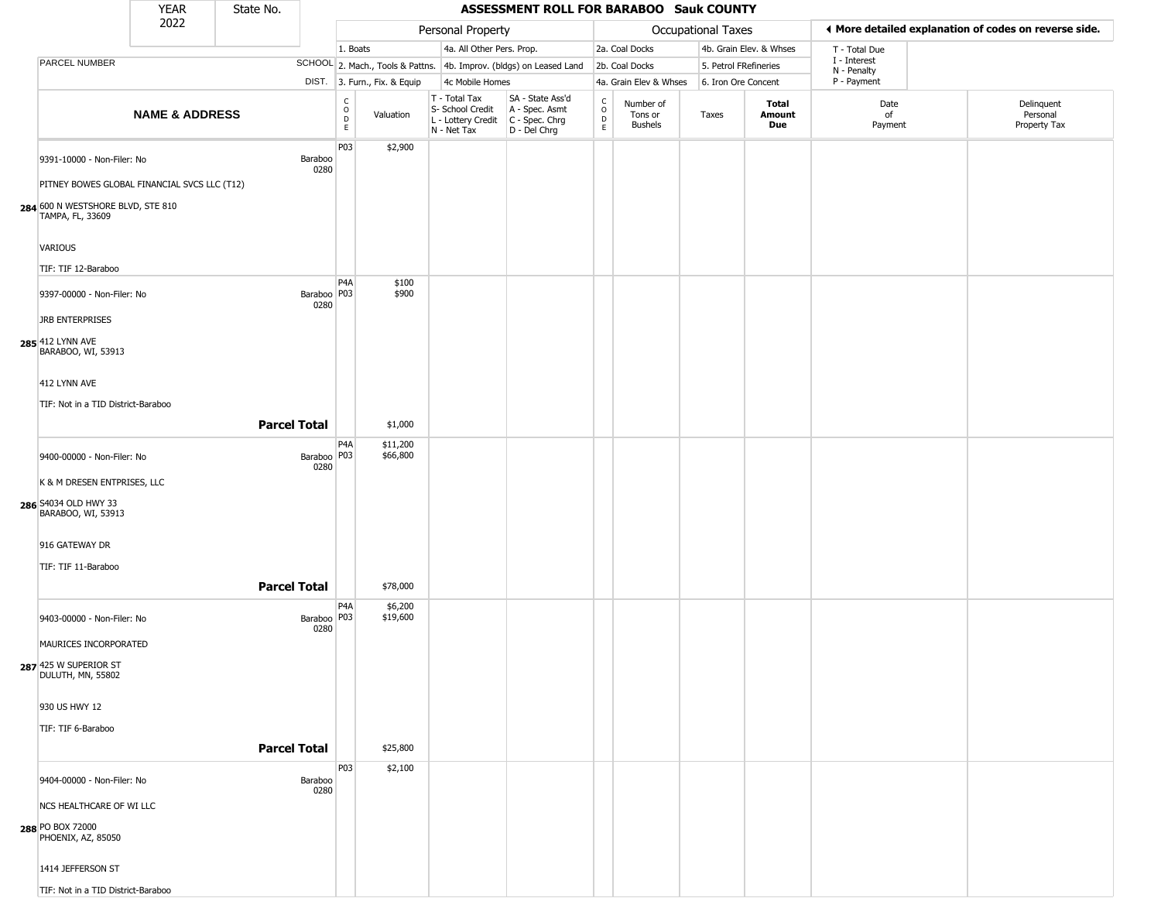|                                                                  | <b>YEAR</b>               | State No.             |                                   |                              |                                                                        | ASSESSMENT ROLL FOR BARABOO Sauk COUNTY                              |                                            |                                        |                       |                         |                             |                                                       |
|------------------------------------------------------------------|---------------------------|-----------------------|-----------------------------------|------------------------------|------------------------------------------------------------------------|----------------------------------------------------------------------|--------------------------------------------|----------------------------------------|-----------------------|-------------------------|-----------------------------|-------------------------------------------------------|
|                                                                  | 2022                      |                       |                                   |                              | Personal Property                                                      |                                                                      |                                            |                                        | Occupational Taxes    |                         |                             | ◀ More detailed explanation of codes on reverse side. |
|                                                                  |                           |                       | 1. Boats                          |                              | 4a. All Other Pers. Prop.                                              |                                                                      |                                            | 2a. Coal Docks                         |                       | 4b. Grain Elev. & Whses | T - Total Due               |                                                       |
| PARCEL NUMBER                                                    |                           |                       |                                   |                              |                                                                        | SCHOOL 2. Mach., Tools & Pattns. 4b. Improv. (bldgs) on Leased Land  |                                            | 2b. Coal Docks                         | 5. Petrol FRefineries |                         | I - Interest<br>N - Penalty |                                                       |
|                                                                  |                           |                       |                                   | DIST. 3. Furn., Fix. & Equip | 4c Mobile Homes                                                        |                                                                      |                                            | 4a. Grain Elev & Whses                 | 6. Iron Ore Concent   |                         | P - Payment                 |                                                       |
|                                                                  | <b>NAME &amp; ADDRESS</b> |                       | C<br>$\circ$<br>$\mathsf{D}$<br>E | Valuation                    | T - Total Tax<br>S- School Credit<br>L - Lottery Credit<br>N - Net Tax | SA - State Ass'd<br>A - Spec. Asmt<br>C - Spec. Chrg<br>D - Del Chrg | $\begin{array}{c} C \\ 0 \\ E \end{array}$ | Number of<br>Tons or<br><b>Bushels</b> | Taxes                 | Total<br>Amount<br>Due  | Date<br>of<br>Payment       | Delinquent<br>Personal<br>Property Tax                |
| 9391-10000 - Non-Filer: No                                       |                           | Baraboo<br>0280       | P03                               | \$2,900                      |                                                                        |                                                                      |                                            |                                        |                       |                         |                             |                                                       |
| PITNEY BOWES GLOBAL FINANCIAL SVCS LLC (T12)                     |                           |                       |                                   |                              |                                                                        |                                                                      |                                            |                                        |                       |                         |                             |                                                       |
| 284 600 N WESTSHORE BLVD, STE 810<br>TAMPA, FL, 33609            |                           |                       |                                   |                              |                                                                        |                                                                      |                                            |                                        |                       |                         |                             |                                                       |
| VARIOUS                                                          |                           |                       |                                   |                              |                                                                        |                                                                      |                                            |                                        |                       |                         |                             |                                                       |
| TIF: TIF 12-Baraboo                                              |                           |                       |                                   |                              |                                                                        |                                                                      |                                            |                                        |                       |                         |                             |                                                       |
| 9397-00000 - Non-Filer: No                                       |                           | Baraboo   P03<br>0280 | P4A                               | \$100<br>\$900               |                                                                        |                                                                      |                                            |                                        |                       |                         |                             |                                                       |
| <b>JRB ENTERPRISES</b><br>285 412 LYNN AVE<br>BARABOO, WI, 53913 |                           |                       |                                   |                              |                                                                        |                                                                      |                                            |                                        |                       |                         |                             |                                                       |
| 412 LYNN AVE                                                     |                           |                       |                                   |                              |                                                                        |                                                                      |                                            |                                        |                       |                         |                             |                                                       |
| TIF: Not in a TID District-Baraboo                               |                           |                       |                                   |                              |                                                                        |                                                                      |                                            |                                        |                       |                         |                             |                                                       |
|                                                                  |                           | <b>Parcel Total</b>   |                                   | \$1,000                      |                                                                        |                                                                      |                                            |                                        |                       |                         |                             |                                                       |
|                                                                  |                           |                       | P4A                               | \$11,200                     |                                                                        |                                                                      |                                            |                                        |                       |                         |                             |                                                       |
| 9400-00000 - Non-Filer: No                                       |                           | Baraboo P03<br>0280   |                                   | \$66,800                     |                                                                        |                                                                      |                                            |                                        |                       |                         |                             |                                                       |
| K & M DRESEN ENTPRISES, LLC                                      |                           |                       |                                   |                              |                                                                        |                                                                      |                                            |                                        |                       |                         |                             |                                                       |
| 286 S4034 OLD HWY 33<br>BARABOO, WI, 53913                       |                           |                       |                                   |                              |                                                                        |                                                                      |                                            |                                        |                       |                         |                             |                                                       |
| 916 GATEWAY DR                                                   |                           |                       |                                   |                              |                                                                        |                                                                      |                                            |                                        |                       |                         |                             |                                                       |
| TIF: TIF 11-Baraboo                                              |                           |                       |                                   |                              |                                                                        |                                                                      |                                            |                                        |                       |                         |                             |                                                       |
|                                                                  |                           | <b>Parcel Total</b>   |                                   | \$78,000                     |                                                                        |                                                                      |                                            |                                        |                       |                         |                             |                                                       |
| 9403-00000 - Non-Filer: No                                       |                           | Baraboo P03<br>0280   | P4A                               | \$6,200<br>\$19,600          |                                                                        |                                                                      |                                            |                                        |                       |                         |                             |                                                       |
| MAURICES INCORPORATED                                            |                           |                       |                                   |                              |                                                                        |                                                                      |                                            |                                        |                       |                         |                             |                                                       |
| 287 425 W SUPERIOR ST<br>DULUTH, MN, 55802                       |                           |                       |                                   |                              |                                                                        |                                                                      |                                            |                                        |                       |                         |                             |                                                       |
| 930 US HWY 12                                                    |                           |                       |                                   |                              |                                                                        |                                                                      |                                            |                                        |                       |                         |                             |                                                       |
| TIF: TIF 6-Baraboo                                               |                           |                       |                                   |                              |                                                                        |                                                                      |                                            |                                        |                       |                         |                             |                                                       |
|                                                                  |                           | <b>Parcel Total</b>   |                                   | \$25,800                     |                                                                        |                                                                      |                                            |                                        |                       |                         |                             |                                                       |
|                                                                  |                           |                       | P03                               | \$2,100                      |                                                                        |                                                                      |                                            |                                        |                       |                         |                             |                                                       |
| 9404-00000 - Non-Filer: No                                       |                           | Baraboo<br>0280       |                                   |                              |                                                                        |                                                                      |                                            |                                        |                       |                         |                             |                                                       |
| NCS HEALTHCARE OF WI LLC                                         |                           |                       |                                   |                              |                                                                        |                                                                      |                                            |                                        |                       |                         |                             |                                                       |
| 288 PO BOX 72000<br>PHOENIX, AZ, 85050                           |                           |                       |                                   |                              |                                                                        |                                                                      |                                            |                                        |                       |                         |                             |                                                       |
| 1414 JEFFERSON ST                                                |                           |                       |                                   |                              |                                                                        |                                                                      |                                            |                                        |                       |                         |                             |                                                       |
| TIF: Not in a TID District-Baraboo                               |                           |                       |                                   |                              |                                                                        |                                                                      |                                            |                                        |                       |                         |                             |                                                       |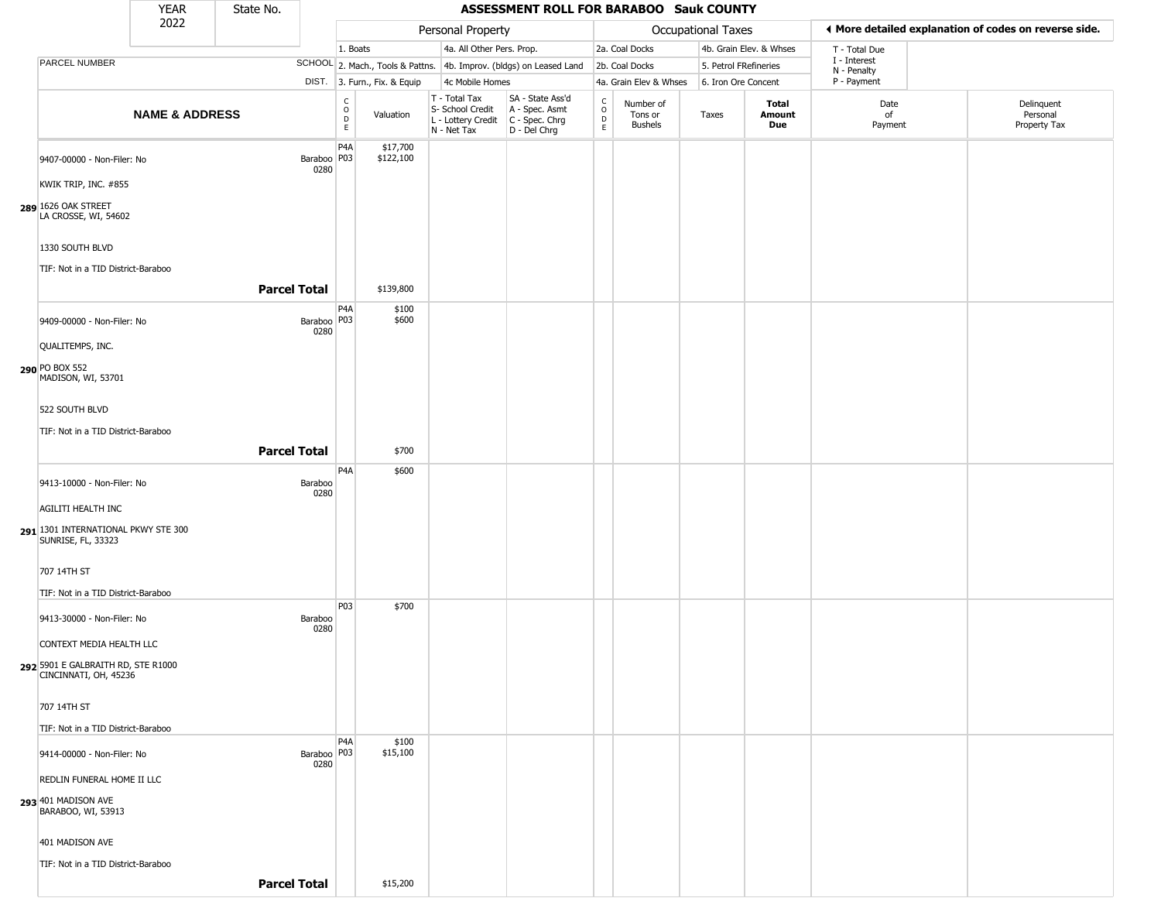|                                                                     | <b>YEAR</b>               | State No.           |                         |                        |                              |                                                                                           | ASSESSMENT ROLL FOR BARABOO Sauk COUNTY                             |                                    |                                        |                           |                         |                             |                                                       |
|---------------------------------------------------------------------|---------------------------|---------------------|-------------------------|------------------------|------------------------------|-------------------------------------------------------------------------------------------|---------------------------------------------------------------------|------------------------------------|----------------------------------------|---------------------------|-------------------------|-----------------------------|-------------------------------------------------------|
|                                                                     | 2022                      |                     |                         |                        |                              | Personal Property                                                                         |                                                                     |                                    |                                        | <b>Occupational Taxes</b> |                         |                             | ♦ More detailed explanation of codes on reverse side. |
|                                                                     |                           |                     |                         | 1. Boats               |                              | 4a. All Other Pers. Prop.                                                                 |                                                                     |                                    | 2a. Coal Docks                         |                           | 4b. Grain Elev. & Whses | T - Total Due               |                                                       |
| PARCEL NUMBER                                                       |                           |                     |                         |                        |                              |                                                                                           | SCHOOL 2. Mach., Tools & Pattns. 4b. Improv. (bldgs) on Leased Land |                                    | 2b. Coal Docks                         | 5. Petrol FRefineries     |                         | I - Interest<br>N - Penalty |                                                       |
|                                                                     |                           |                     |                         |                        | DIST. 3. Furn., Fix. & Equip | 4c Mobile Homes                                                                           |                                                                     |                                    | 4a. Grain Elev & Whses                 | 6. Iron Ore Concent       |                         | P - Payment                 |                                                       |
|                                                                     | <b>NAME &amp; ADDRESS</b> |                     |                         | C<br>$\circ$<br>D<br>E | Valuation                    | T - Total Tax<br>S- School Credit<br>L - Lottery Credit   C - Spec. Chrg<br>$N - Net Tax$ | SA - State Ass'd<br>A - Spec. Asmt<br>D - Del Chrg                  | $\frac{c}{0}$<br>$\mathsf{D}$<br>E | Number of<br>Tons or<br><b>Bushels</b> | Taxes                     | Total<br>Amount<br>Due  | Date<br>of<br>Payment       | Delinquent<br>Personal<br>Property Tax                |
| 9407-00000 - Non-Filer: No                                          |                           |                     | Baraboo   P03  <br>0280 | P <sub>4</sub> A       | \$17,700<br>\$122,100        |                                                                                           |                                                                     |                                    |                                        |                           |                         |                             |                                                       |
| KWIK TRIP, INC. #855<br>289 1626 OAK STREET<br>LA CROSSE, WI, 54602 |                           |                     |                         |                        |                              |                                                                                           |                                                                     |                                    |                                        |                           |                         |                             |                                                       |
| 1330 SOUTH BLVD<br>TIF: Not in a TID District-Baraboo               |                           |                     |                         |                        |                              |                                                                                           |                                                                     |                                    |                                        |                           |                         |                             |                                                       |
|                                                                     |                           | <b>Parcel Total</b> |                         |                        | \$139,800                    |                                                                                           |                                                                     |                                    |                                        |                           |                         |                             |                                                       |
| 9409-00000 - Non-Filer: No                                          |                           |                     | Baraboo   P03  <br>0280 | P <sub>4</sub> A       | \$100<br>\$600               |                                                                                           |                                                                     |                                    |                                        |                           |                         |                             |                                                       |
| QUALITEMPS, INC.                                                    |                           |                     |                         |                        |                              |                                                                                           |                                                                     |                                    |                                        |                           |                         |                             |                                                       |
| 290 PO BOX 552<br>MADISON, WI, 53701                                |                           |                     |                         |                        |                              |                                                                                           |                                                                     |                                    |                                        |                           |                         |                             |                                                       |
| 522 SOUTH BLVD                                                      |                           |                     |                         |                        |                              |                                                                                           |                                                                     |                                    |                                        |                           |                         |                             |                                                       |
| TIF: Not in a TID District-Baraboo                                  |                           |                     |                         |                        |                              |                                                                                           |                                                                     |                                    |                                        |                           |                         |                             |                                                       |
|                                                                     |                           | <b>Parcel Total</b> |                         |                        | \$700                        |                                                                                           |                                                                     |                                    |                                        |                           |                         |                             |                                                       |
| 9413-10000 - Non-Filer: No                                          |                           |                     | Baraboo<br>0280         | P <sub>4</sub> A       | \$600                        |                                                                                           |                                                                     |                                    |                                        |                           |                         |                             |                                                       |
| AGILITI HEALTH INC                                                  |                           |                     |                         |                        |                              |                                                                                           |                                                                     |                                    |                                        |                           |                         |                             |                                                       |
| 291 1301 INTERNATIONAL PKWY STE 300<br>SUNRISE, FL, 33323           |                           |                     |                         |                        |                              |                                                                                           |                                                                     |                                    |                                        |                           |                         |                             |                                                       |
| 707 14TH ST                                                         |                           |                     |                         |                        |                              |                                                                                           |                                                                     |                                    |                                        |                           |                         |                             |                                                       |
| TIF: Not in a TID District-Baraboo                                  |                           |                     |                         |                        |                              |                                                                                           |                                                                     |                                    |                                        |                           |                         |                             |                                                       |
| 9413-30000 - Non-Filer: No                                          |                           |                     | Baraboo<br>0280         | P03                    | \$700                        |                                                                                           |                                                                     |                                    |                                        |                           |                         |                             |                                                       |
| CONTEXT MEDIA HEALTH LLC                                            |                           |                     |                         |                        |                              |                                                                                           |                                                                     |                                    |                                        |                           |                         |                             |                                                       |
| 292 5901 E GALBRAITH RD, STE R1000<br>CINCINNATI, OH, 45236         |                           |                     |                         |                        |                              |                                                                                           |                                                                     |                                    |                                        |                           |                         |                             |                                                       |
| 707 14TH ST                                                         |                           |                     |                         |                        |                              |                                                                                           |                                                                     |                                    |                                        |                           |                         |                             |                                                       |
| TIF: Not in a TID District-Baraboo                                  |                           |                     |                         |                        |                              |                                                                                           |                                                                     |                                    |                                        |                           |                         |                             |                                                       |
| 9414-00000 - Non-Filer: No                                          |                           |                     | Baraboo   P03  <br>0280 | P <sub>4</sub> A       | \$100<br>\$15,100            |                                                                                           |                                                                     |                                    |                                        |                           |                         |                             |                                                       |
| REDLIN FUNERAL HOME II LLC                                          |                           |                     |                         |                        |                              |                                                                                           |                                                                     |                                    |                                        |                           |                         |                             |                                                       |
| 293 401 MADISON AVE<br>BARABOO, WI, 53913                           |                           |                     |                         |                        |                              |                                                                                           |                                                                     |                                    |                                        |                           |                         |                             |                                                       |
| 401 MADISON AVE                                                     |                           |                     |                         |                        |                              |                                                                                           |                                                                     |                                    |                                        |                           |                         |                             |                                                       |
| TIF: Not in a TID District-Baraboo                                  |                           |                     |                         |                        |                              |                                                                                           |                                                                     |                                    |                                        |                           |                         |                             |                                                       |
|                                                                     |                           | <b>Parcel Total</b> |                         |                        | \$15,200                     |                                                                                           |                                                                     |                                    |                                        |                           |                         |                             |                                                       |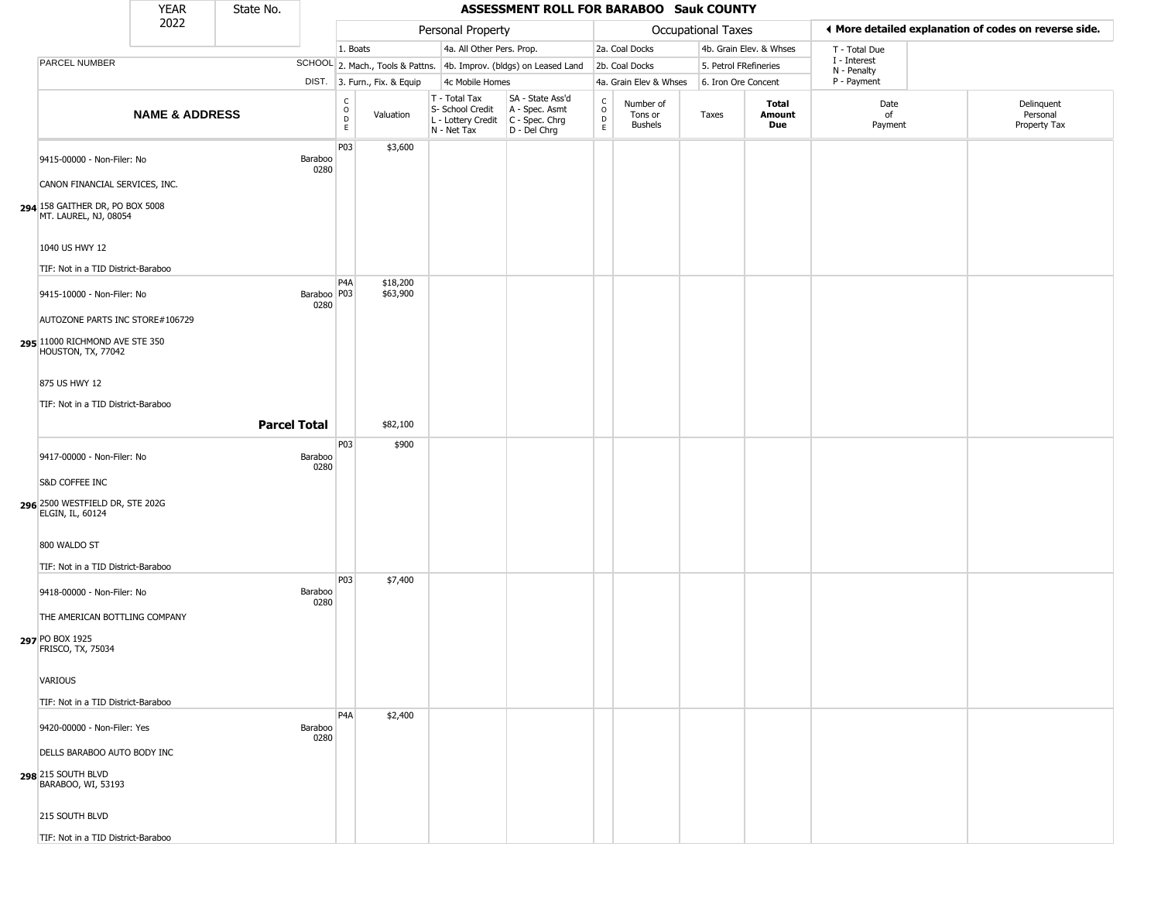|                                                          | <b>YEAR</b>               | State No.           |                       |                      |                              |                                                                        | ASSESSMENT ROLL FOR BARABOO Sauk COUNTY                              |                                            |                                        |                     |                         |                             |                                                       |
|----------------------------------------------------------|---------------------------|---------------------|-----------------------|----------------------|------------------------------|------------------------------------------------------------------------|----------------------------------------------------------------------|--------------------------------------------|----------------------------------------|---------------------|-------------------------|-----------------------------|-------------------------------------------------------|
|                                                          | 2022                      |                     |                       |                      |                              | Personal Property                                                      |                                                                      |                                            |                                        | Occupational Taxes  |                         |                             | ♦ More detailed explanation of codes on reverse side. |
|                                                          |                           |                     |                       | 1. Boats             |                              | 4a. All Other Pers. Prop.                                              |                                                                      |                                            | 2a. Coal Docks                         |                     | 4b. Grain Elev. & Whses | T - Total Due               |                                                       |
| PARCEL NUMBER                                            |                           |                     |                       |                      |                              |                                                                        | SCHOOL 2. Mach., Tools & Pattns. 4b. Improv. (bldgs) on Leased Land  |                                            | 2b. Coal Docks                         |                     | 5. Petrol FRefineries   | I - Interest<br>N - Penalty |                                                       |
|                                                          |                           |                     |                       |                      | DIST. 3. Furn., Fix. & Equip | 4c Mobile Homes                                                        |                                                                      |                                            | 4a. Grain Elev & Whses                 | 6. Iron Ore Concent |                         | P - Payment                 |                                                       |
|                                                          | <b>NAME &amp; ADDRESS</b> |                     |                       | $\rm _o^c$<br>D<br>E | Valuation                    | T - Total Tax<br>S- School Credit<br>L - Lottery Credit<br>N - Net Tax | SA - State Ass'd<br>A - Spec. Asmt<br>C - Spec. Chrg<br>D - Del Chrg | $\begin{array}{c} C \\ 0 \\ E \end{array}$ | Number of<br>Tons or<br><b>Bushels</b> | Taxes               | Total<br>Amount<br>Due  | Date<br>of<br>Payment       | Delinquent<br>Personal<br>Property Tax                |
| 9415-00000 - Non-Filer: No                               |                           |                     | Baraboo<br>0280       | P03                  | \$3,600                      |                                                                        |                                                                      |                                            |                                        |                     |                         |                             |                                                       |
| CANON FINANCIAL SERVICES, INC.                           |                           |                     |                       |                      |                              |                                                                        |                                                                      |                                            |                                        |                     |                         |                             |                                                       |
| 294 158 GAITHER DR, PO BOX 5008<br>MT. LAUREL, NJ, 08054 |                           |                     |                       |                      |                              |                                                                        |                                                                      |                                            |                                        |                     |                         |                             |                                                       |
| 1040 US HWY 12                                           |                           |                     |                       |                      |                              |                                                                        |                                                                      |                                            |                                        |                     |                         |                             |                                                       |
| TIF: Not in a TID District-Baraboo                       |                           |                     |                       |                      |                              |                                                                        |                                                                      |                                            |                                        |                     |                         |                             |                                                       |
| 9415-10000 - Non-Filer: No                               |                           |                     | Baraboo   P03<br>0280 | P <sub>4</sub> A     | \$18,200<br>\$63,900         |                                                                        |                                                                      |                                            |                                        |                     |                         |                             |                                                       |
| AUTOZONE PARTS INC STORE#106729                          |                           |                     |                       |                      |                              |                                                                        |                                                                      |                                            |                                        |                     |                         |                             |                                                       |
| 295 11000 RICHMOND AVE STE 350<br>HOUSTON, TX, 77042     |                           |                     |                       |                      |                              |                                                                        |                                                                      |                                            |                                        |                     |                         |                             |                                                       |
| 875 US HWY 12                                            |                           |                     |                       |                      |                              |                                                                        |                                                                      |                                            |                                        |                     |                         |                             |                                                       |
| TIF: Not in a TID District-Baraboo                       |                           |                     |                       |                      |                              |                                                                        |                                                                      |                                            |                                        |                     |                         |                             |                                                       |
|                                                          |                           | <b>Parcel Total</b> |                       |                      | \$82,100                     |                                                                        |                                                                      |                                            |                                        |                     |                         |                             |                                                       |
|                                                          |                           |                     |                       | P03                  | \$900                        |                                                                        |                                                                      |                                            |                                        |                     |                         |                             |                                                       |
| 9417-00000 - Non-Filer: No                               |                           |                     | Baraboo<br>0280       |                      |                              |                                                                        |                                                                      |                                            |                                        |                     |                         |                             |                                                       |
| S&D COFFEE INC                                           |                           |                     |                       |                      |                              |                                                                        |                                                                      |                                            |                                        |                     |                         |                             |                                                       |
| 296 2500 WESTFIELD DR, STE 202G<br>ELGIN, IL, 60124      |                           |                     |                       |                      |                              |                                                                        |                                                                      |                                            |                                        |                     |                         |                             |                                                       |
| 800 WALDO ST                                             |                           |                     |                       |                      |                              |                                                                        |                                                                      |                                            |                                        |                     |                         |                             |                                                       |
| TIF: Not in a TID District-Baraboo                       |                           |                     |                       |                      |                              |                                                                        |                                                                      |                                            |                                        |                     |                         |                             |                                                       |
| 9418-00000 - Non-Filer: No                               |                           |                     | Baraboo<br>0280       | P03                  | \$7,400                      |                                                                        |                                                                      |                                            |                                        |                     |                         |                             |                                                       |
| THE AMERICAN BOTTLING COMPANY                            |                           |                     |                       |                      |                              |                                                                        |                                                                      |                                            |                                        |                     |                         |                             |                                                       |
| 297 PO BOX 1925<br>FRISCO, TX, 75034                     |                           |                     |                       |                      |                              |                                                                        |                                                                      |                                            |                                        |                     |                         |                             |                                                       |
| VARIOUS                                                  |                           |                     |                       |                      |                              |                                                                        |                                                                      |                                            |                                        |                     |                         |                             |                                                       |
| TIF: Not in a TID District-Baraboo                       |                           |                     |                       |                      |                              |                                                                        |                                                                      |                                            |                                        |                     |                         |                             |                                                       |
| 9420-00000 - Non-Filer: Yes                              |                           |                     | Baraboo<br>0280       | P <sub>4</sub> A     | \$2,400                      |                                                                        |                                                                      |                                            |                                        |                     |                         |                             |                                                       |
| DELLS BARABOO AUTO BODY INC                              |                           |                     |                       |                      |                              |                                                                        |                                                                      |                                            |                                        |                     |                         |                             |                                                       |
| 298 215 SOUTH BLVD<br>BARABOO, WI, 53193                 |                           |                     |                       |                      |                              |                                                                        |                                                                      |                                            |                                        |                     |                         |                             |                                                       |
| 215 SOUTH BLVD                                           |                           |                     |                       |                      |                              |                                                                        |                                                                      |                                            |                                        |                     |                         |                             |                                                       |
| TIF: Not in a TID District-Baraboo                       |                           |                     |                       |                      |                              |                                                                        |                                                                      |                                            |                                        |                     |                         |                             |                                                       |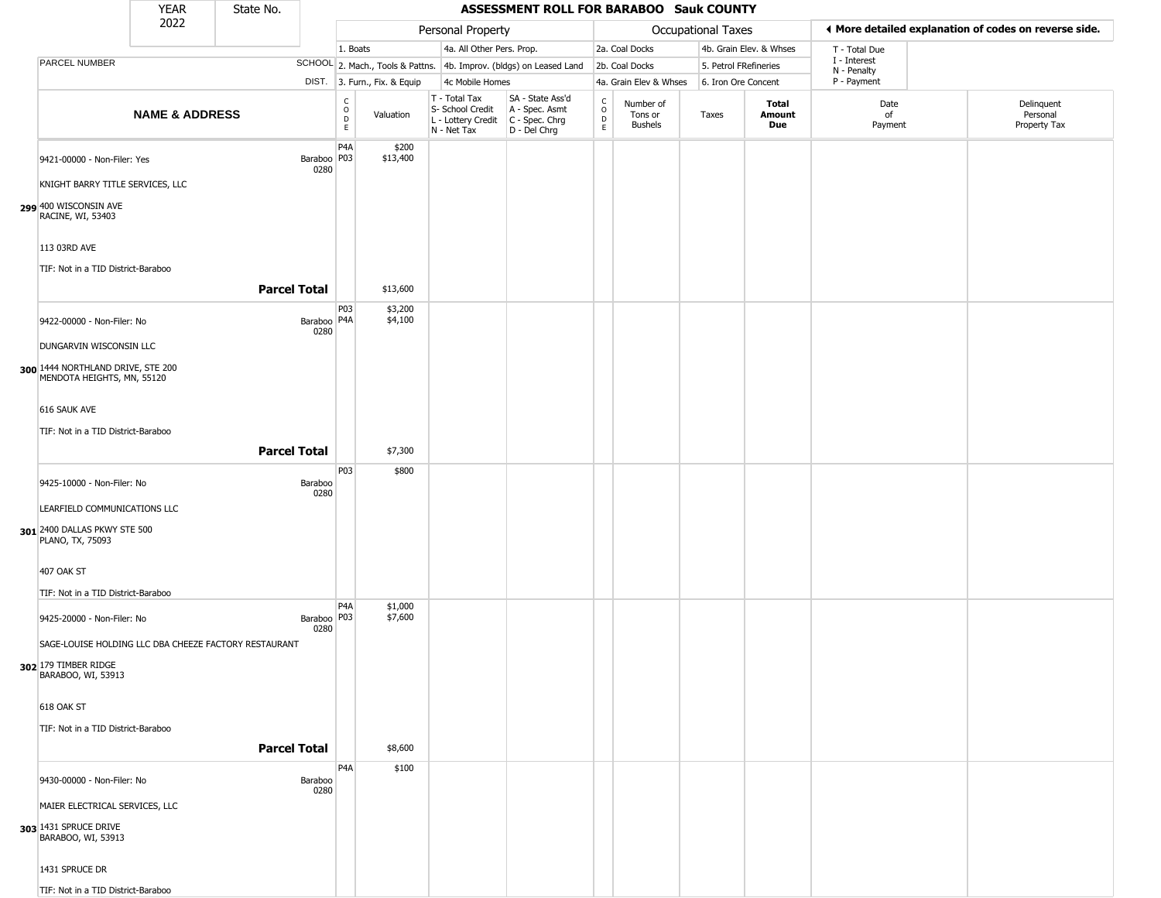|                                                                 | <b>YEAR</b>               | State No.                                             |                         |                                                          |                              |                                                                                       | ASSESSMENT ROLL FOR BARABOO Sauk COUNTY                             |                                   |                                 |                           |                         |                             |                                                       |
|-----------------------------------------------------------------|---------------------------|-------------------------------------------------------|-------------------------|----------------------------------------------------------|------------------------------|---------------------------------------------------------------------------------------|---------------------------------------------------------------------|-----------------------------------|---------------------------------|---------------------------|-------------------------|-----------------------------|-------------------------------------------------------|
|                                                                 | 2022                      |                                                       |                         |                                                          |                              | Personal Property                                                                     |                                                                     |                                   |                                 | <b>Occupational Taxes</b> |                         |                             | ◀ More detailed explanation of codes on reverse side. |
|                                                                 |                           |                                                       |                         | 1. Boats                                                 |                              | 4a. All Other Pers. Prop.                                                             |                                                                     |                                   | 2a. Coal Docks                  |                           | 4b. Grain Elev. & Whses | T - Total Due               |                                                       |
| PARCEL NUMBER                                                   |                           |                                                       |                         |                                                          |                              |                                                                                       | SCHOOL 2. Mach., Tools & Pattns. 4b. Improv. (bldgs) on Leased Land |                                   | 2b. Coal Docks                  | 5. Petrol FRefineries     |                         | I - Interest<br>N - Penalty |                                                       |
|                                                                 |                           |                                                       |                         |                                                          | DIST. 3. Furn., Fix. & Equip | 4c Mobile Homes                                                                       |                                                                     |                                   | 4a. Grain Elev & Whses          | 6. Iron Ore Concent       |                         | P - Payment                 |                                                       |
|                                                                 | <b>NAME &amp; ADDRESS</b> |                                                       |                         | $\begin{matrix} 0 \\ 0 \\ D \end{matrix}$<br>$\mathsf E$ | Valuation                    | T - Total Tax<br>S- School Credit<br>L - Lottery Credit C - Spec. Chrg<br>N - Net Tax | SA - State Ass'd<br>A - Spec. Asmt<br>D - Del Chrg                  | $\frac{c}{0}$<br>$\mathsf D$<br>E | Number of<br>Tons or<br>Bushels | Taxes                     | Total<br>Amount<br>Due  | Date<br>of<br>Payment       | Delinquent<br>Personal<br>Property Tax                |
| 9421-00000 - Non-Filer: Yes                                     |                           |                                                       | Baraboo   P03  <br>0280 | P <sub>4</sub> A                                         | \$200<br>\$13,400            |                                                                                       |                                                                     |                                   |                                 |                           |                         |                             |                                                       |
| KNIGHT BARRY TITLE SERVICES, LLC                                |                           |                                                       |                         |                                                          |                              |                                                                                       |                                                                     |                                   |                                 |                           |                         |                             |                                                       |
| 299 400 WISCONSIN AVE<br>RACINE, WI, 53403                      |                           |                                                       |                         |                                                          |                              |                                                                                       |                                                                     |                                   |                                 |                           |                         |                             |                                                       |
| 113 03RD AVE<br>TIF: Not in a TID District-Baraboo              |                           |                                                       |                         |                                                          |                              |                                                                                       |                                                                     |                                   |                                 |                           |                         |                             |                                                       |
|                                                                 |                           | <b>Parcel Total</b>                                   |                         |                                                          | \$13,600                     |                                                                                       |                                                                     |                                   |                                 |                           |                         |                             |                                                       |
| 9422-00000 - Non-Filer: No                                      |                           |                                                       | Baraboo P4A<br>0280     | P03                                                      | \$3,200<br>\$4,100           |                                                                                       |                                                                     |                                   |                                 |                           |                         |                             |                                                       |
| DUNGARVIN WISCONSIN LLC                                         |                           |                                                       |                         |                                                          |                              |                                                                                       |                                                                     |                                   |                                 |                           |                         |                             |                                                       |
| 300 1444 NORTHLAND DRIVE, STE 200<br>MENDOTA HEIGHTS, MN, 55120 |                           |                                                       |                         |                                                          |                              |                                                                                       |                                                                     |                                   |                                 |                           |                         |                             |                                                       |
| 616 SAUK AVE                                                    |                           |                                                       |                         |                                                          |                              |                                                                                       |                                                                     |                                   |                                 |                           |                         |                             |                                                       |
| TIF: Not in a TID District-Baraboo                              |                           |                                                       |                         |                                                          |                              |                                                                                       |                                                                     |                                   |                                 |                           |                         |                             |                                                       |
|                                                                 |                           | <b>Parcel Total</b>                                   |                         |                                                          | \$7,300                      |                                                                                       |                                                                     |                                   |                                 |                           |                         |                             |                                                       |
|                                                                 |                           |                                                       |                         | P03                                                      | \$800                        |                                                                                       |                                                                     |                                   |                                 |                           |                         |                             |                                                       |
| 9425-10000 - Non-Filer: No                                      |                           |                                                       | Baraboo<br>0280         |                                                          |                              |                                                                                       |                                                                     |                                   |                                 |                           |                         |                             |                                                       |
| LEARFIELD COMMUNICATIONS LLC                                    |                           |                                                       |                         |                                                          |                              |                                                                                       |                                                                     |                                   |                                 |                           |                         |                             |                                                       |
| 301 2400 DALLAS PKWY STE 500<br>PLANO, TX, 75093                |                           |                                                       |                         |                                                          |                              |                                                                                       |                                                                     |                                   |                                 |                           |                         |                             |                                                       |
| 407 OAK ST                                                      |                           |                                                       |                         |                                                          |                              |                                                                                       |                                                                     |                                   |                                 |                           |                         |                             |                                                       |
| TIF: Not in a TID District-Baraboo                              |                           |                                                       |                         |                                                          |                              |                                                                                       |                                                                     |                                   |                                 |                           |                         |                             |                                                       |
| 9425-20000 - Non-Filer: No                                      |                           |                                                       | Baraboo P03<br>0280     | P <sub>4</sub> A                                         | \$1,000<br>\$7,600           |                                                                                       |                                                                     |                                   |                                 |                           |                         |                             |                                                       |
|                                                                 |                           | SAGE-LOUISE HOLDING LLC DBA CHEEZE FACTORY RESTAURANT |                         |                                                          |                              |                                                                                       |                                                                     |                                   |                                 |                           |                         |                             |                                                       |
| 302 179 TIMBER RIDGE<br>BARABOO, WI, 53913                      |                           |                                                       |                         |                                                          |                              |                                                                                       |                                                                     |                                   |                                 |                           |                         |                             |                                                       |
| 618 OAK ST                                                      |                           |                                                       |                         |                                                          |                              |                                                                                       |                                                                     |                                   |                                 |                           |                         |                             |                                                       |
| TIF: Not in a TID District-Baraboo                              |                           |                                                       |                         |                                                          |                              |                                                                                       |                                                                     |                                   |                                 |                           |                         |                             |                                                       |
|                                                                 |                           | <b>Parcel Total</b>                                   |                         |                                                          | \$8,600                      |                                                                                       |                                                                     |                                   |                                 |                           |                         |                             |                                                       |
| 9430-00000 - Non-Filer: No                                      |                           |                                                       | Baraboo<br>0280         | P <sub>4</sub> A                                         | \$100                        |                                                                                       |                                                                     |                                   |                                 |                           |                         |                             |                                                       |
| MAIER ELECTRICAL SERVICES, LLC                                  |                           |                                                       |                         |                                                          |                              |                                                                                       |                                                                     |                                   |                                 |                           |                         |                             |                                                       |
| 303 1431 SPRUCE DRIVE<br>BARABOO, WI, 53913                     |                           |                                                       |                         |                                                          |                              |                                                                                       |                                                                     |                                   |                                 |                           |                         |                             |                                                       |
| 1431 SPRUCE DR                                                  |                           |                                                       |                         |                                                          |                              |                                                                                       |                                                                     |                                   |                                 |                           |                         |                             |                                                       |
| TIF: Not in a TID District-Baraboo                              |                           |                                                       |                         |                                                          |                              |                                                                                       |                                                                     |                                   |                                 |                           |                         |                             |                                                       |

\_\_\_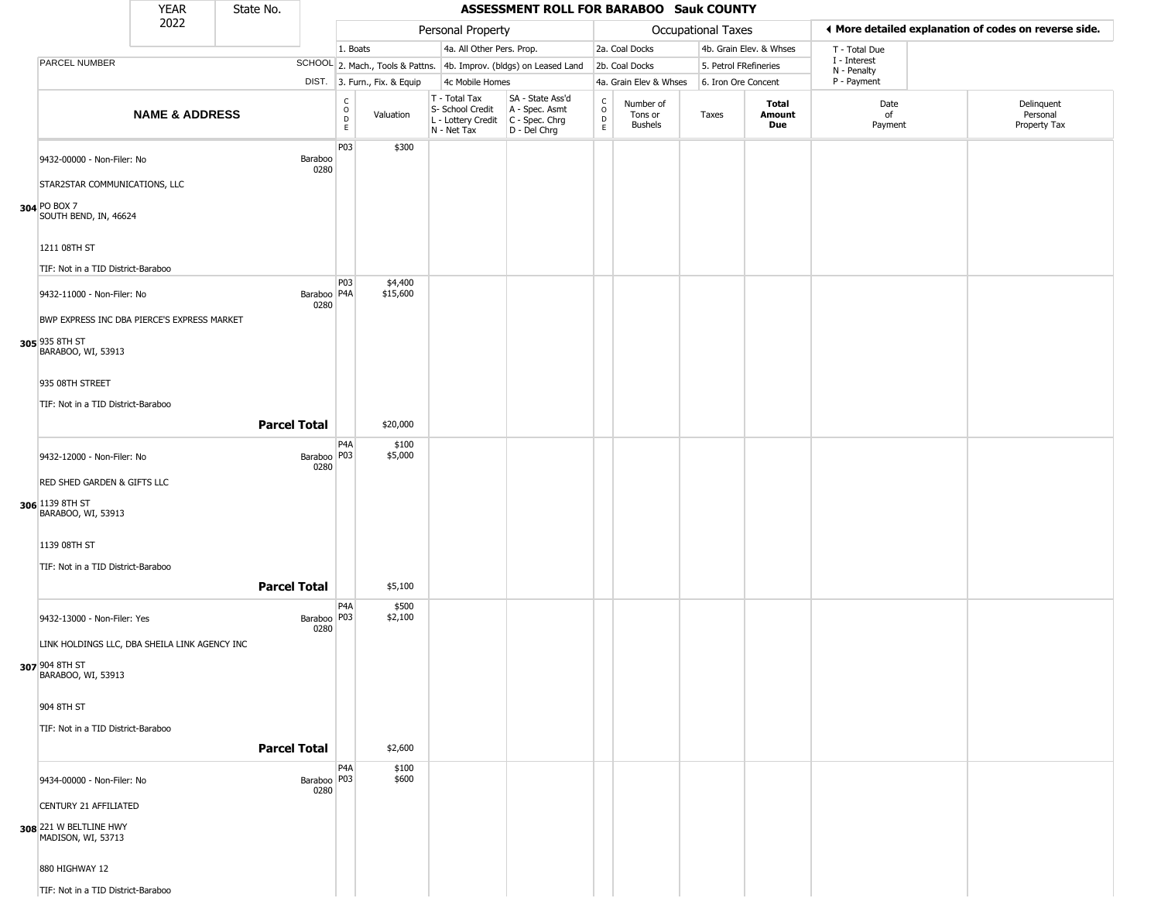|                                                                                                                                      | <b>YEAR</b>               | State No. |                         |                                           |                              |                                                                        | ASSESSMENT ROLL FOR BARABOO Sauk COUNTY                              |                      |                                        |                           |                         |                             |                                                       |
|--------------------------------------------------------------------------------------------------------------------------------------|---------------------------|-----------|-------------------------|-------------------------------------------|------------------------------|------------------------------------------------------------------------|----------------------------------------------------------------------|----------------------|----------------------------------------|---------------------------|-------------------------|-----------------------------|-------------------------------------------------------|
|                                                                                                                                      | 2022                      |           |                         |                                           |                              | Personal Property                                                      |                                                                      |                      |                                        | <b>Occupational Taxes</b> |                         |                             | ♦ More detailed explanation of codes on reverse side. |
|                                                                                                                                      |                           |           |                         | 1. Boats                                  |                              | 4a. All Other Pers. Prop.                                              |                                                                      |                      | 2a. Coal Docks                         |                           | 4b. Grain Elev. & Whses | T - Total Due               |                                                       |
| PARCEL NUMBER                                                                                                                        |                           |           |                         |                                           |                              |                                                                        | SCHOOL 2. Mach., Tools & Pattns. 4b. Improv. (bldgs) on Leased Land  |                      | 2b. Coal Docks                         | 5. Petrol FRefineries     |                         | I - Interest<br>N - Penalty |                                                       |
|                                                                                                                                      |                           |           |                         |                                           | DIST. 3. Furn., Fix. & Equip | 4c Mobile Homes                                                        |                                                                      |                      | 4a. Grain Elev & Whses                 | 6. Iron Ore Concent       |                         | P - Payment                 |                                                       |
|                                                                                                                                      | <b>NAME &amp; ADDRESS</b> |           |                         | C<br>$\circ$<br>$\overrightarrow{D}$<br>E | Valuation                    | T - Total Tax<br>S- School Credit<br>L - Lottery Credit<br>N - Net Tax | SA - State Ass'd<br>A - Spec. Asmt<br>C - Spec. Chrg<br>D - Del Chrg | $\rm _o^C$<br>D<br>E | Number of<br>Tons or<br><b>Bushels</b> | Taxes                     | Total<br>Amount<br>Due  | Date<br>of<br>Payment       | Delinquent<br>Personal<br>Property Tax                |
| 9432-00000 - Non-Filer: No<br>STAR2STAR COMMUNICATIONS, LLC<br>304 PO BOX 7<br>SOUTH BEND, IN, 46624                                 |                           |           | Baraboo<br>0280         | P03                                       | \$300                        |                                                                        |                                                                      |                      |                                        |                           |                         |                             |                                                       |
| 1211 08TH ST<br>TIF: Not in a TID District-Baraboo                                                                                   |                           |           | Baraboo   P4A           | P03                                       | \$4,400<br>\$15,600          |                                                                        |                                                                      |                      |                                        |                           |                         |                             |                                                       |
| 9432-11000 - Non-Filer: No<br>BWP EXPRESS INC DBA PIERCE'S EXPRESS MARKET<br>305 935 8TH ST<br>BARABOO, WI, 53913<br>935 08TH STREET |                           |           | 0280                    |                                           |                              |                                                                        |                                                                      |                      |                                        |                           |                         |                             |                                                       |
| TIF: Not in a TID District-Baraboo                                                                                                   |                           |           |                         |                                           |                              |                                                                        |                                                                      |                      |                                        |                           |                         |                             |                                                       |
|                                                                                                                                      |                           |           | <b>Parcel Total</b>     |                                           | \$20,000                     |                                                                        |                                                                      |                      |                                        |                           |                         |                             |                                                       |
|                                                                                                                                      |                           |           |                         | P <sub>4</sub> A                          | \$100                        |                                                                        |                                                                      |                      |                                        |                           |                         |                             |                                                       |
| 9432-12000 - Non-Filer: No<br>RED SHED GARDEN & GIFTS LLC<br>306 1139 8TH ST<br>BARABOO, WI, 53913                                   |                           |           | Baraboo   P03  <br>0280 |                                           | \$5,000                      |                                                                        |                                                                      |                      |                                        |                           |                         |                             |                                                       |
| 1139 08TH ST<br>TIF: Not in a TID District-Baraboo                                                                                   |                           |           | <b>Parcel Total</b>     |                                           | \$5,100                      |                                                                        |                                                                      |                      |                                        |                           |                         |                             |                                                       |
| 9432-13000 - Non-Filer: Yes<br>LINK HOLDINGS LLC, DBA SHEILA LINK AGENCY INC<br>307 904 8TH ST<br>BARABOO, WI, 53913                 |                           |           | Baraboo P03<br>0280     | P <sub>4</sub> A                          | \$500<br>\$2,100             |                                                                        |                                                                      |                      |                                        |                           |                         |                             |                                                       |
| 904 8TH ST<br>TIF: Not in a TID District-Baraboo                                                                                     |                           |           | <b>Parcel Total</b>     |                                           | \$2,600                      |                                                                        |                                                                      |                      |                                        |                           |                         |                             |                                                       |
| 9434-00000 - Non-Filer: No<br><b>CENTURY 21 AFFILIATED</b><br>308 221 W BELTLINE HWY<br>MADISON, WI, 53713<br>880 HIGHWAY 12         |                           |           | Baraboo   P03  <br>0280 | P4A                                       | \$100<br>\$600               |                                                                        |                                                                      |                      |                                        |                           |                         |                             |                                                       |
| TIF: Not in a TID District-Baraboo                                                                                                   |                           |           |                         |                                           |                              |                                                                        |                                                                      |                      |                                        |                           |                         |                             |                                                       |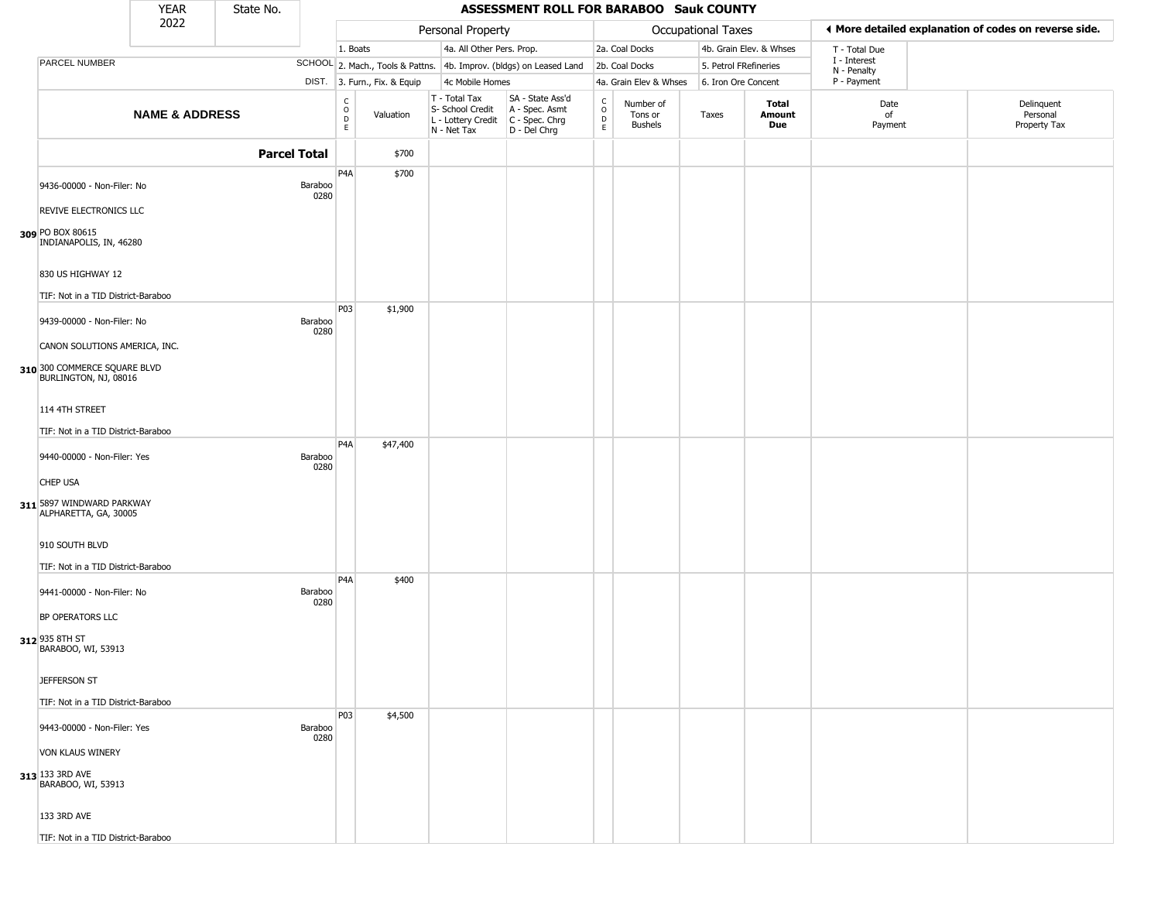|                                                                                                               | <b>YEAR</b>               | State No.           |                 |                         |                              |                                                                          | ASSESSMENT ROLL FOR BARABOO Sauk COUNTY                              |                                                 |                                 |                       |                         |                             |                                                       |
|---------------------------------------------------------------------------------------------------------------|---------------------------|---------------------|-----------------|-------------------------|------------------------------|--------------------------------------------------------------------------|----------------------------------------------------------------------|-------------------------------------------------|---------------------------------|-----------------------|-------------------------|-----------------------------|-------------------------------------------------------|
|                                                                                                               | 2022                      |                     |                 |                         |                              | Personal Property                                                        |                                                                      |                                                 |                                 | Occupational Taxes    |                         |                             | ♦ More detailed explanation of codes on reverse side. |
|                                                                                                               |                           |                     |                 | 1. Boats                |                              | 4a. All Other Pers. Prop.                                                |                                                                      |                                                 | 2a. Coal Docks                  |                       | 4b. Grain Elev. & Whses | T - Total Due               |                                                       |
| PARCEL NUMBER                                                                                                 |                           |                     |                 |                         |                              |                                                                          | SCHOOL 2. Mach., Tools & Pattns. 4b. Improv. (bldgs) on Leased Land  |                                                 | 2b. Coal Docks                  | 5. Petrol FRefineries |                         | I - Interest<br>N - Penalty |                                                       |
|                                                                                                               |                           |                     |                 |                         | DIST. 3. Furn., Fix. & Equip | 4c Mobile Homes                                                          |                                                                      |                                                 | 4a. Grain Elev & Whses          | 6. Iron Ore Concent   |                         | P - Payment                 |                                                       |
|                                                                                                               | <b>NAME &amp; ADDRESS</b> |                     |                 | $\frac{C}{O}$<br>D<br>E | Valuation                    | $T - Total Tax$<br>S- School Credit<br>L - Lottery Credit<br>N - Net Tax | SA - State Ass'd<br>A - Spec. Asmt<br>C - Spec. Chrg<br>D - Del Chrg | $\begin{array}{c} C \\ O \\ D \\ E \end{array}$ | Number of<br>Tons or<br>Bushels | Taxes                 | Total<br>Amount<br>Due  | Date<br>of<br>Payment       | Delinquent<br>Personal<br>Property Tax                |
|                                                                                                               |                           | <b>Parcel Total</b> |                 |                         | \$700                        |                                                                          |                                                                      |                                                 |                                 |                       |                         |                             |                                                       |
| 9436-00000 - Non-Filer: No                                                                                    |                           |                     | Baraboo<br>0280 | P <sub>4</sub> A        | \$700                        |                                                                          |                                                                      |                                                 |                                 |                       |                         |                             |                                                       |
| REVIVE ELECTRONICS LLC<br>309 PO BOX 80615<br>INDIANAPOLIS, IN, 46280<br>830 US HIGHWAY 12                    |                           |                     |                 |                         |                              |                                                                          |                                                                      |                                                 |                                 |                       |                         |                             |                                                       |
| TIF: Not in a TID District-Baraboo                                                                            |                           |                     |                 |                         |                              |                                                                          |                                                                      |                                                 |                                 |                       |                         |                             |                                                       |
| 9439-00000 - Non-Filer: No<br>CANON SOLUTIONS AMERICA, INC.                                                   |                           |                     | Baraboo<br>0280 | P03                     | \$1,900                      |                                                                          |                                                                      |                                                 |                                 |                       |                         |                             |                                                       |
| 310 300 COMMERCE SQUARE BLVD<br>BURLINGTON, NJ, 08016<br>114 4TH STREET<br>TIF: Not in a TID District-Baraboo |                           |                     |                 | P <sub>4</sub> A        | \$47,400                     |                                                                          |                                                                      |                                                 |                                 |                       |                         |                             |                                                       |
| 9440-00000 - Non-Filer: Yes<br><b>CHEP USA</b>                                                                |                           |                     | Baraboo<br>0280 |                         |                              |                                                                          |                                                                      |                                                 |                                 |                       |                         |                             |                                                       |
| 311 5897 WINDWARD PARKWAY<br>ALPHARETTA, GA, 30005<br>910 SOUTH BLVD<br>TIF: Not in a TID District-Baraboo    |                           |                     |                 |                         |                              |                                                                          |                                                                      |                                                 |                                 |                       |                         |                             |                                                       |
| 9441-00000 - Non-Filer: No<br>BP OPERATORS LLC<br>312 935 8TH ST<br>BARABOO, WI, 53913                        |                           |                     | Baraboo<br>0280 | P <sub>4</sub> A        | \$400                        |                                                                          |                                                                      |                                                 |                                 |                       |                         |                             |                                                       |
| JEFFERSON ST<br>TIF: Not in a TID District-Baraboo                                                            |                           |                     |                 |                         |                              |                                                                          |                                                                      |                                                 |                                 |                       |                         |                             |                                                       |
| 9443-00000 - Non-Filer: Yes<br>VON KLAUS WINERY                                                               |                           |                     | Baraboo<br>0280 | <b>P03</b>              | \$4,500                      |                                                                          |                                                                      |                                                 |                                 |                       |                         |                             |                                                       |
| 313 133 3RD AVE<br>BARABOO, WI, 53913<br>133 3RD AVE                                                          |                           |                     |                 |                         |                              |                                                                          |                                                                      |                                                 |                                 |                       |                         |                             |                                                       |
| TIF: Not in a TID District-Baraboo                                                                            |                           |                     |                 |                         |                              |                                                                          |                                                                      |                                                 |                                 |                       |                         |                             |                                                       |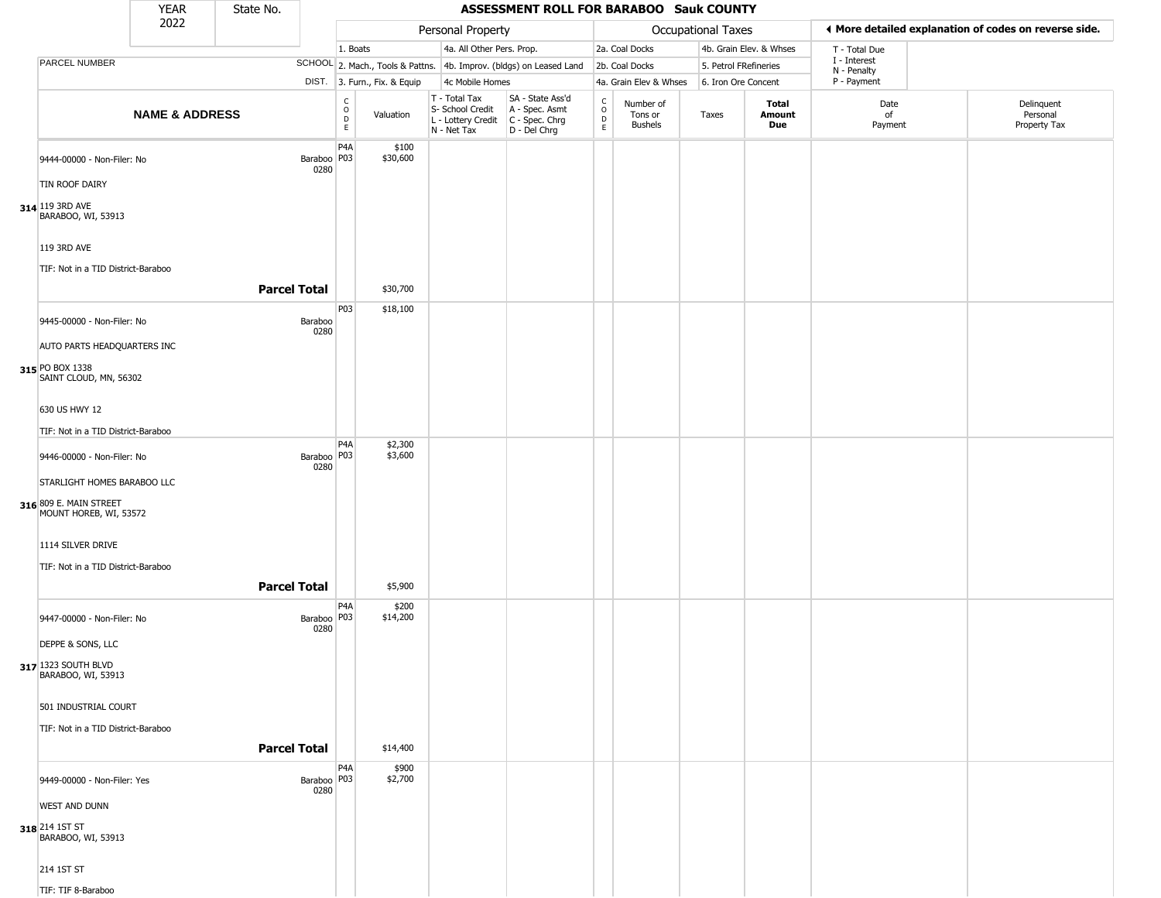|                                                  | <b>YEAR</b>               | State No.           |                         | ASSESSMENT ROLL FOR BARABOO Sauk COUNTY         |                    |                                                                                         |                                                                     |                                   |                                                       |                       |                               |                             |                                        |  |  |  |
|--------------------------------------------------|---------------------------|---------------------|-------------------------|-------------------------------------------------|--------------------|-----------------------------------------------------------------------------------------|---------------------------------------------------------------------|-----------------------------------|-------------------------------------------------------|-----------------------|-------------------------------|-----------------------------|----------------------------------------|--|--|--|
|                                                  | 2022                      |                     |                         | Personal Property<br><b>Occupational Taxes</b>  |                    |                                                                                         |                                                                     |                                   | ◀ More detailed explanation of codes on reverse side. |                       |                               |                             |                                        |  |  |  |
|                                                  |                           |                     |                         | 1. Boats                                        |                    | 4a. All Other Pers. Prop.                                                               |                                                                     |                                   | 2a. Coal Docks                                        |                       | 4b. Grain Elev. & Whses       | T - Total Due               |                                        |  |  |  |
| <b>PARCEL NUMBER</b>                             |                           |                     |                         |                                                 |                    |                                                                                         | SCHOOL 2. Mach., Tools & Pattns. 4b. Improv. (bldgs) on Leased Land |                                   | 2b. Coal Docks                                        | 5. Petrol FRefineries |                               | I - Interest<br>N - Penalty |                                        |  |  |  |
|                                                  |                           |                     |                         | DIST. 3. Furn., Fix. & Equip<br>4c Mobile Homes |                    |                                                                                         |                                                                     |                                   | 4a. Grain Elev & Whses                                | 6. Iron Ore Concent   |                               | P - Payment                 |                                        |  |  |  |
|                                                  | <b>NAME &amp; ADDRESS</b> |                     |                         | $_{\rm o}^{\rm c}$<br>D<br>E                    | Valuation          | T - Total Tax<br>S- School Credit<br>L - Lottery Credit   C - Spec. Chrg<br>N - Net Tax | SA - State Ass'd<br>A - Spec. Asmt<br>D - Del Chrg                  | $\mathsf{C}$<br>$\circ$<br>D<br>E | Number of<br>Tons or<br><b>Bushels</b>                | Taxes                 | <b>Total</b><br>Amount<br>Due | Date<br>of<br>Payment       | Delinquent<br>Personal<br>Property Tax |  |  |  |
| 9444-00000 - Non-Filer: No                       |                           |                     | Baraboo   P03  <br>0280 | P <sub>4</sub> A                                | \$100<br>\$30,600  |                                                                                         |                                                                     |                                   |                                                       |                       |                               |                             |                                        |  |  |  |
| TIN ROOF DAIRY                                   |                           |                     |                         |                                                 |                    |                                                                                         |                                                                     |                                   |                                                       |                       |                               |                             |                                        |  |  |  |
| 314 119 3RD AVE<br>BARABOO, WI, 53913            |                           |                     |                         |                                                 |                    |                                                                                         |                                                                     |                                   |                                                       |                       |                               |                             |                                        |  |  |  |
| 119 3RD AVE                                      |                           |                     |                         |                                                 |                    |                                                                                         |                                                                     |                                   |                                                       |                       |                               |                             |                                        |  |  |  |
| TIF: Not in a TID District-Baraboo               |                           | <b>Parcel Total</b> |                         |                                                 | \$30,700           |                                                                                         |                                                                     |                                   |                                                       |                       |                               |                             |                                        |  |  |  |
| 9445-00000 - Non-Filer: No                       |                           |                     | Baraboo                 | P03                                             | \$18,100           |                                                                                         |                                                                     |                                   |                                                       |                       |                               |                             |                                        |  |  |  |
| AUTO PARTS HEADQUARTERS INC                      |                           |                     | 0280                    |                                                 |                    |                                                                                         |                                                                     |                                   |                                                       |                       |                               |                             |                                        |  |  |  |
| 315 PO BOX 1338<br>SAINT CLOUD, MN, 56302        |                           |                     |                         |                                                 |                    |                                                                                         |                                                                     |                                   |                                                       |                       |                               |                             |                                        |  |  |  |
| 630 US HWY 12                                    |                           |                     |                         |                                                 |                    |                                                                                         |                                                                     |                                   |                                                       |                       |                               |                             |                                        |  |  |  |
| TIF: Not in a TID District-Baraboo               |                           |                     |                         |                                                 |                    |                                                                                         |                                                                     |                                   |                                                       |                       |                               |                             |                                        |  |  |  |
| 9446-00000 - Non-Filer: No                       |                           |                     | Baraboo   P03  <br>0280 | P <sub>4</sub> A                                | \$2,300<br>\$3,600 |                                                                                         |                                                                     |                                   |                                                       |                       |                               |                             |                                        |  |  |  |
| STARLIGHT HOMES BARABOO LLC                      |                           |                     |                         |                                                 |                    |                                                                                         |                                                                     |                                   |                                                       |                       |                               |                             |                                        |  |  |  |
| 316 809 E. MAIN STREET<br>MOUNT HOREB, WI, 53572 |                           |                     |                         |                                                 |                    |                                                                                         |                                                                     |                                   |                                                       |                       |                               |                             |                                        |  |  |  |
| 1114 SILVER DRIVE                                |                           |                     |                         |                                                 |                    |                                                                                         |                                                                     |                                   |                                                       |                       |                               |                             |                                        |  |  |  |
| TIF: Not in a TID District-Baraboo               |                           |                     |                         |                                                 |                    |                                                                                         |                                                                     |                                   |                                                       |                       |                               |                             |                                        |  |  |  |
|                                                  |                           | <b>Parcel Total</b> |                         | P4A                                             | \$5,900<br>\$200   |                                                                                         |                                                                     |                                   |                                                       |                       |                               |                             |                                        |  |  |  |
| 9447-00000 - Non-Filer: No                       |                           |                     | Baraboo   P03  <br>0280 |                                                 | \$14,200           |                                                                                         |                                                                     |                                   |                                                       |                       |                               |                             |                                        |  |  |  |
| DEPPE & SONS, LLC                                |                           |                     |                         |                                                 |                    |                                                                                         |                                                                     |                                   |                                                       |                       |                               |                             |                                        |  |  |  |
| 317 1323 SOUTH BLVD<br>BARABOO, WI, 53913        |                           |                     |                         |                                                 |                    |                                                                                         |                                                                     |                                   |                                                       |                       |                               |                             |                                        |  |  |  |
| 501 INDUSTRIAL COURT                             |                           |                     |                         |                                                 |                    |                                                                                         |                                                                     |                                   |                                                       |                       |                               |                             |                                        |  |  |  |
| TIF: Not in a TID District-Baraboo               |                           | <b>Parcel Total</b> |                         |                                                 | \$14,400           |                                                                                         |                                                                     |                                   |                                                       |                       |                               |                             |                                        |  |  |  |
| 9449-00000 - Non-Filer: Yes                      |                           |                     | Baraboo   P03           | P4A                                             | \$900<br>\$2,700   |                                                                                         |                                                                     |                                   |                                                       |                       |                               |                             |                                        |  |  |  |
| <b>WEST AND DUNN</b>                             |                           |                     | 0280                    |                                                 |                    |                                                                                         |                                                                     |                                   |                                                       |                       |                               |                             |                                        |  |  |  |
| 318 214 1ST ST<br>BARABOO, WI, 53913             |                           |                     |                         |                                                 |                    |                                                                                         |                                                                     |                                   |                                                       |                       |                               |                             |                                        |  |  |  |
| 214 1ST ST                                       |                           |                     |                         |                                                 |                    |                                                                                         |                                                                     |                                   |                                                       |                       |                               |                             |                                        |  |  |  |
| TIF: TIF 8-Baraboo                               |                           |                     |                         |                                                 |                    |                                                                                         |                                                                     |                                   |                                                       |                       |                               |                             |                                        |  |  |  |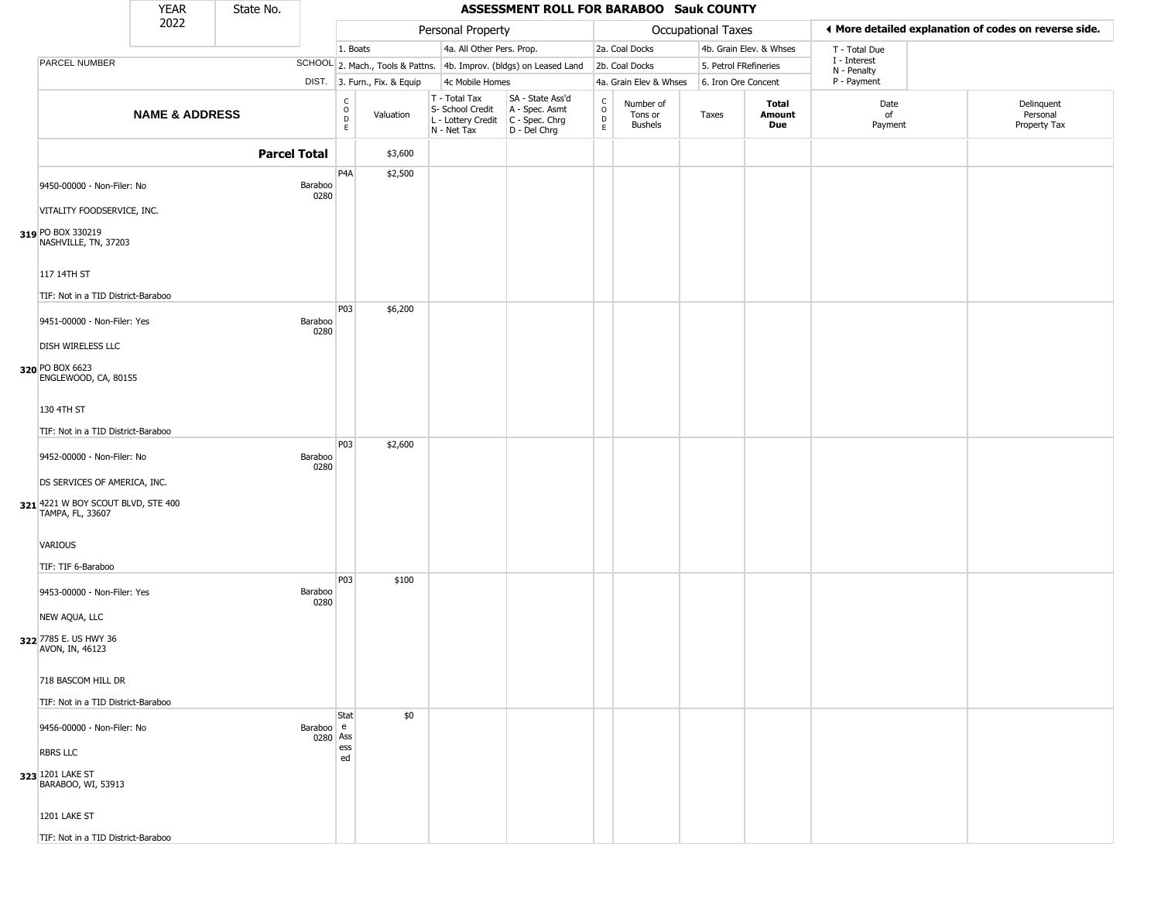|                                                        | <b>YEAR</b>               | State No.           |                       | ASSESSMENT ROLL FOR BARABOO Sauk COUNTY |                              |                                                                        |                                                                      |                                                            |                                        |                       |                         |                             |                                                       |
|--------------------------------------------------------|---------------------------|---------------------|-----------------------|-----------------------------------------|------------------------------|------------------------------------------------------------------------|----------------------------------------------------------------------|------------------------------------------------------------|----------------------------------------|-----------------------|-------------------------|-----------------------------|-------------------------------------------------------|
|                                                        | 2022                      |                     |                       |                                         |                              | Personal Property                                                      |                                                                      |                                                            |                                        | Occupational Taxes    |                         |                             | ♦ More detailed explanation of codes on reverse side. |
|                                                        |                           |                     |                       | 1. Boats                                |                              | 4a. All Other Pers. Prop.                                              |                                                                      |                                                            | 2a. Coal Docks                         |                       | 4b. Grain Elev. & Whses | T - Total Due               |                                                       |
| PARCEL NUMBER                                          |                           |                     |                       |                                         |                              |                                                                        | SCHOOL 2. Mach., Tools & Pattns. 4b. Improv. (bldgs) on Leased Land  |                                                            | 2b. Coal Docks                         | 5. Petrol FRefineries |                         | I - Interest<br>N - Penalty |                                                       |
|                                                        |                           |                     |                       |                                         | DIST. 3. Furn., Fix. & Equip | 4c Mobile Homes                                                        |                                                                      |                                                            | 4a. Grain Elev & Whses                 | 6. Iron Ore Concent   |                         | P - Payment                 |                                                       |
|                                                        | <b>NAME &amp; ADDRESS</b> |                     |                       | $\frac{c}{0}$<br>D<br>E                 | Valuation                    | T - Total Tax<br>S- School Credit<br>L - Lottery Credit<br>N - Net Tax | SA - State Ass'd<br>A - Spec. Asmt<br>C - Spec. Chrg<br>D - Del Chrg | $\begin{smallmatrix} C\\ O\\ O\\ D \end{smallmatrix}$<br>E | Number of<br>Tons or<br><b>Bushels</b> | Taxes                 | Total<br>Amount<br>Due  | Date<br>of<br>Payment       | Delinquent<br>Personal<br>Property Tax                |
|                                                        |                           | <b>Parcel Total</b> |                       |                                         | \$3,600                      |                                                                        |                                                                      |                                                            |                                        |                       |                         |                             |                                                       |
| 9450-00000 - Non-Filer: No                             |                           |                     | Baraboo<br>0280       | P <sub>4</sub> A                        | \$2,500                      |                                                                        |                                                                      |                                                            |                                        |                       |                         |                             |                                                       |
| VITALITY FOODSERVICE, INC.                             |                           |                     |                       |                                         |                              |                                                                        |                                                                      |                                                            |                                        |                       |                         |                             |                                                       |
| 319 PO BOX 330219<br>NASHVILLE, TN, 37203              |                           |                     |                       |                                         |                              |                                                                        |                                                                      |                                                            |                                        |                       |                         |                             |                                                       |
| 117 14TH ST                                            |                           |                     |                       |                                         |                              |                                                                        |                                                                      |                                                            |                                        |                       |                         |                             |                                                       |
| TIF: Not in a TID District-Baraboo                     |                           |                     |                       |                                         |                              |                                                                        |                                                                      |                                                            |                                        |                       |                         |                             |                                                       |
| 9451-00000 - Non-Filer: Yes                            |                           |                     | Baraboo               | <b>P03</b>                              | \$6,200                      |                                                                        |                                                                      |                                                            |                                        |                       |                         |                             |                                                       |
| DISH WIRELESS LLC                                      |                           |                     | 0280                  |                                         |                              |                                                                        |                                                                      |                                                            |                                        |                       |                         |                             |                                                       |
| 320 PO BOX 6623<br>ENGLEWOOD, CA, 80155                |                           |                     |                       |                                         |                              |                                                                        |                                                                      |                                                            |                                        |                       |                         |                             |                                                       |
| 130 4TH ST                                             |                           |                     |                       |                                         |                              |                                                                        |                                                                      |                                                            |                                        |                       |                         |                             |                                                       |
| TIF: Not in a TID District-Baraboo                     |                           |                     |                       |                                         |                              |                                                                        |                                                                      |                                                            |                                        |                       |                         |                             |                                                       |
| 9452-00000 - Non-Filer: No                             |                           |                     | Baraboo<br>0280       | P03                                     | \$2,600                      |                                                                        |                                                                      |                                                            |                                        |                       |                         |                             |                                                       |
| DS SERVICES OF AMERICA, INC.                           |                           |                     |                       |                                         |                              |                                                                        |                                                                      |                                                            |                                        |                       |                         |                             |                                                       |
| 321 4221 W BOY SCOUT BLVD, STE 400<br>TAMPA, FL, 33607 |                           |                     |                       |                                         |                              |                                                                        |                                                                      |                                                            |                                        |                       |                         |                             |                                                       |
| VARIOUS                                                |                           |                     |                       |                                         |                              |                                                                        |                                                                      |                                                            |                                        |                       |                         |                             |                                                       |
| TIF: TIF 6-Baraboo                                     |                           |                     |                       |                                         |                              |                                                                        |                                                                      |                                                            |                                        |                       |                         |                             |                                                       |
| 9453-00000 - Non-Filer: Yes                            |                           |                     | Baraboo<br>0280       | P03                                     | \$100                        |                                                                        |                                                                      |                                                            |                                        |                       |                         |                             |                                                       |
| NEW AQUA, LLC                                          |                           |                     |                       |                                         |                              |                                                                        |                                                                      |                                                            |                                        |                       |                         |                             |                                                       |
| 322 7785 E. US HWY 36<br>AVON, IN, 46123               |                           |                     |                       |                                         |                              |                                                                        |                                                                      |                                                            |                                        |                       |                         |                             |                                                       |
| 718 BASCOM HILL DR                                     |                           |                     |                       |                                         |                              |                                                                        |                                                                      |                                                            |                                        |                       |                         |                             |                                                       |
| TIF: Not in a TID District-Baraboo                     |                           |                     |                       |                                         |                              |                                                                        |                                                                      |                                                            |                                        |                       |                         |                             |                                                       |
| 9456-00000 - Non-Filer: No                             |                           |                     | Baraboo e<br>0280 Ass | Stat                                    | \$0                          |                                                                        |                                                                      |                                                            |                                        |                       |                         |                             |                                                       |
| <b>RBRS LLC</b>                                        |                           |                     |                       | ess<br>ed                               |                              |                                                                        |                                                                      |                                                            |                                        |                       |                         |                             |                                                       |
| 323 1201 LAKE ST<br>BARABOO, WI, 53913                 |                           |                     |                       |                                         |                              |                                                                        |                                                                      |                                                            |                                        |                       |                         |                             |                                                       |
| 1201 LAKE ST                                           |                           |                     |                       |                                         |                              |                                                                        |                                                                      |                                                            |                                        |                       |                         |                             |                                                       |
| TIF: Not in a TID District-Baraboo                     |                           |                     |                       |                                         |                              |                                                                        |                                                                      |                                                            |                                        |                       |                         |                             |                                                       |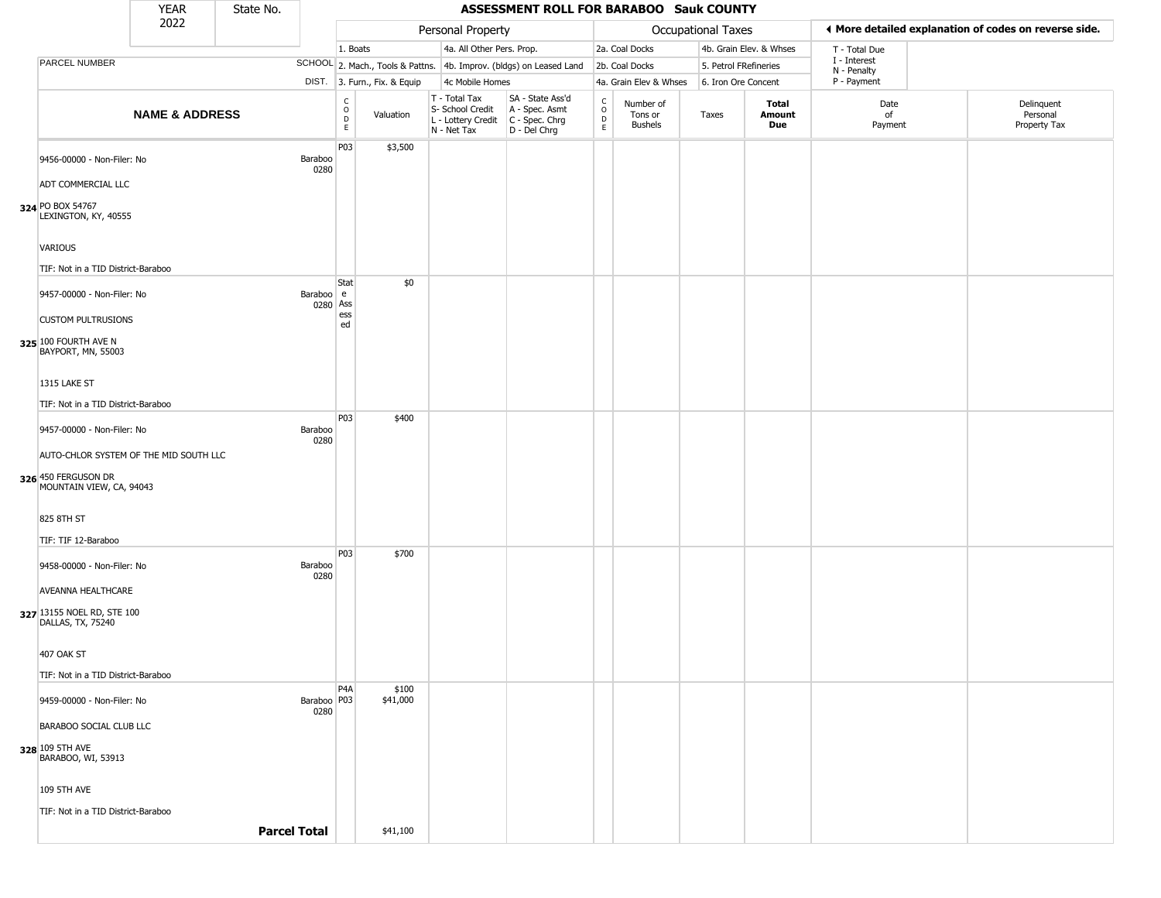|                                                                                           | <b>YEAR</b>               | State No.           |                       | <b>ASSESSMENT ROLL FOR BARABOO Sauk COUNTY</b> |                              |                                                                        |                                                                      |                                              |                                 |                       |                         |                             |                                                       |
|-------------------------------------------------------------------------------------------|---------------------------|---------------------|-----------------------|------------------------------------------------|------------------------------|------------------------------------------------------------------------|----------------------------------------------------------------------|----------------------------------------------|---------------------------------|-----------------------|-------------------------|-----------------------------|-------------------------------------------------------|
|                                                                                           | 2022                      |                     |                       |                                                |                              | Personal Property                                                      |                                                                      |                                              |                                 | Occupational Taxes    |                         |                             | ♦ More detailed explanation of codes on reverse side. |
|                                                                                           |                           |                     |                       | 1. Boats                                       |                              | 4a. All Other Pers. Prop.                                              |                                                                      |                                              | 2a. Coal Docks                  |                       | 4b. Grain Elev. & Whses | T - Total Due               |                                                       |
| PARCEL NUMBER                                                                             |                           |                     |                       |                                                |                              |                                                                        | SCHOOL 2. Mach., Tools & Pattns. 4b. Improv. (bldgs) on Leased Land  |                                              | 2b. Coal Docks                  | 5. Petrol FRefineries |                         | I - Interest<br>N - Penalty |                                                       |
|                                                                                           |                           |                     |                       |                                                | DIST. 3. Furn., Fix. & Equip | 4c Mobile Homes                                                        |                                                                      |                                              | 4a. Grain Elev & Whses          | 6. Iron Ore Concent   |                         | P - Payment                 |                                                       |
|                                                                                           | <b>NAME &amp; ADDRESS</b> |                     |                       | C<br>$\circ$<br>$\mathsf D$<br>$\mathsf E$     | Valuation                    | T - Total Tax<br>S- School Credit<br>L - Lottery Credit<br>N - Net Tax | SA - State Ass'd<br>A - Spec. Asmt<br>C - Spec. Chrg<br>D - Del Chrg | $\int_{0}^{c}$<br>$\mathsf D$<br>$\mathsf E$ | Number of<br>Tons or<br>Bushels | Taxes                 | Total<br>Amount<br>Due  | Date<br>of<br>Payment       | Delinquent<br>Personal<br>Property Tax                |
| 9456-00000 - Non-Filer: No                                                                |                           |                     | Baraboo<br>0280       | P03                                            | \$3,500                      |                                                                        |                                                                      |                                              |                                 |                       |                         |                             |                                                       |
| ADT COMMERCIAL LLC<br>324 PO BOX 54767<br>LEXINGTON, KY, 40555                            |                           |                     |                       |                                                |                              |                                                                        |                                                                      |                                              |                                 |                       |                         |                             |                                                       |
| VARIOUS                                                                                   |                           |                     |                       |                                                |                              |                                                                        |                                                                      |                                              |                                 |                       |                         |                             |                                                       |
| TIF: Not in a TID District-Baraboo                                                        |                           |                     |                       |                                                |                              |                                                                        |                                                                      |                                              |                                 |                       |                         |                             |                                                       |
| 9457-00000 - Non-Filer: No<br><b>CUSTOM PULTRUSIONS</b>                                   |                           |                     | Baraboo e<br>0280 Ass | Stat<br>ess                                    | \$0                          |                                                                        |                                                                      |                                              |                                 |                       |                         |                             |                                                       |
| 325 100 FOURTH AVE N<br>BAYPORT, MN, 55003                                                |                           |                     |                       | ed                                             |                              |                                                                        |                                                                      |                                              |                                 |                       |                         |                             |                                                       |
| 1315 LAKE ST                                                                              |                           |                     |                       |                                                |                              |                                                                        |                                                                      |                                              |                                 |                       |                         |                             |                                                       |
| TIF: Not in a TID District-Baraboo                                                        |                           |                     |                       |                                                |                              |                                                                        |                                                                      |                                              |                                 |                       |                         |                             |                                                       |
| 9457-00000 - Non-Filer: No                                                                |                           |                     | Baraboo<br>0280       | P03                                            | \$400                        |                                                                        |                                                                      |                                              |                                 |                       |                         |                             |                                                       |
| AUTO-CHLOR SYSTEM OF THE MID SOUTH LLC<br>326 450 FERGUSON DR<br>MOUNTAIN VIEW, CA, 94043 |                           |                     |                       |                                                |                              |                                                                        |                                                                      |                                              |                                 |                       |                         |                             |                                                       |
| 825 8TH ST                                                                                |                           |                     |                       |                                                |                              |                                                                        |                                                                      |                                              |                                 |                       |                         |                             |                                                       |
| TIF: TIF 12-Baraboo                                                                       |                           |                     |                       | P <sub>0</sub> 3                               | \$700                        |                                                                        |                                                                      |                                              |                                 |                       |                         |                             |                                                       |
| 9458-00000 - Non-Filer: No<br>AVEANNA HEALTHCARE                                          |                           |                     | Baraboo<br>0280       |                                                |                              |                                                                        |                                                                      |                                              |                                 |                       |                         |                             |                                                       |
| 327 13155 NOEL RD, STE 100<br>DALLAS, TX, 75240                                           |                           |                     |                       |                                                |                              |                                                                        |                                                                      |                                              |                                 |                       |                         |                             |                                                       |
| <b>407 OAK ST</b><br>TIF: Not in a TID District-Baraboo                                   |                           |                     |                       |                                                |                              |                                                                        |                                                                      |                                              |                                 |                       |                         |                             |                                                       |
| 9459-00000 - Non-Filer: No                                                                |                           |                     | Baraboo   P03<br>0280 | P <sub>4</sub> A                               | \$100<br>\$41,000            |                                                                        |                                                                      |                                              |                                 |                       |                         |                             |                                                       |
| BARABOO SOCIAL CLUB LLC                                                                   |                           |                     |                       |                                                |                              |                                                                        |                                                                      |                                              |                                 |                       |                         |                             |                                                       |
| 328 109 5TH AVE<br>BARABOO, WI, 53913                                                     |                           |                     |                       |                                                |                              |                                                                        |                                                                      |                                              |                                 |                       |                         |                             |                                                       |
| <b>109 5TH AVE</b>                                                                        |                           |                     |                       |                                                |                              |                                                                        |                                                                      |                                              |                                 |                       |                         |                             |                                                       |
| TIF: Not in a TID District-Baraboo                                                        |                           | <b>Parcel Total</b> |                       |                                                | \$41,100                     |                                                                        |                                                                      |                                              |                                 |                       |                         |                             |                                                       |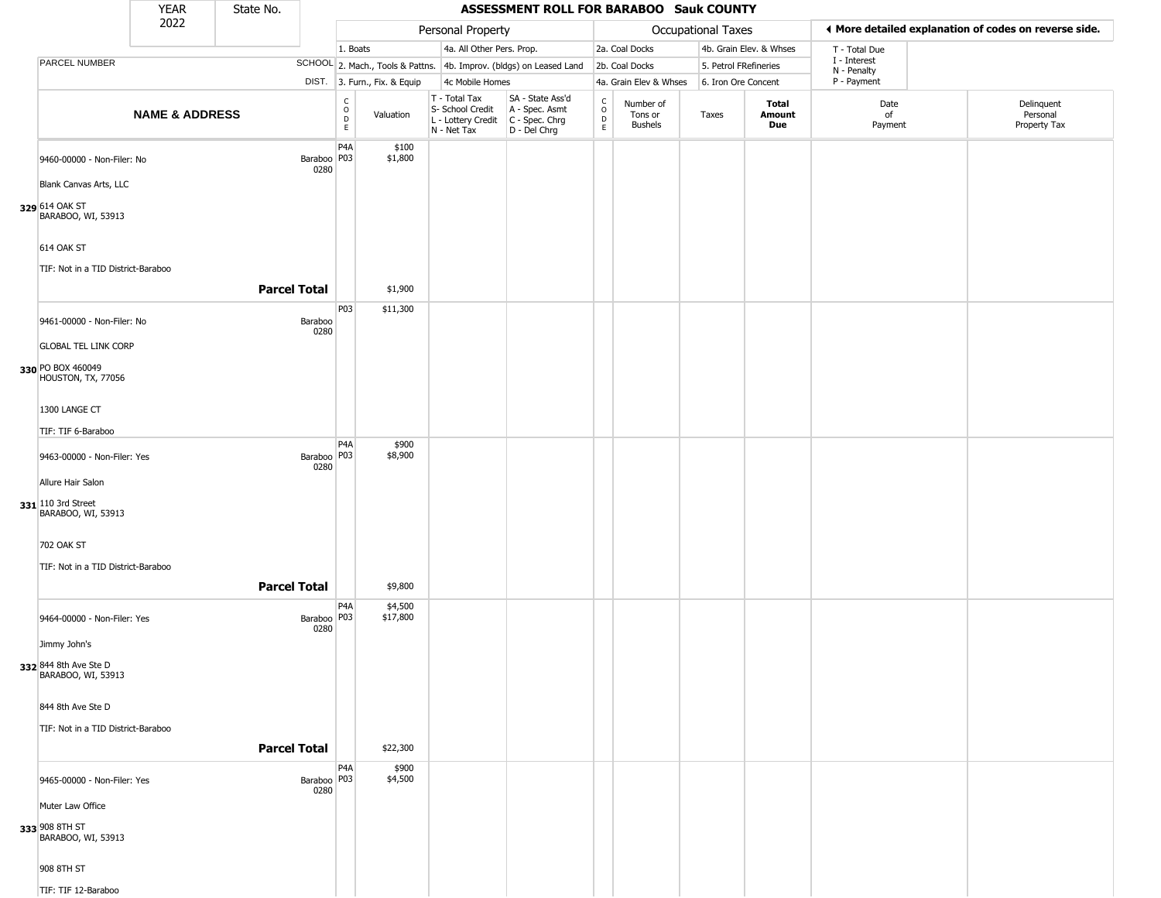|                                                               | <b>YEAR</b>               | State No.           |                       | ASSESSMENT ROLL FOR BARABOO Sauk COUNTY |                              |                                                                        |                                                                      |                                            |                                        |                           |                         |                             |                                                       |
|---------------------------------------------------------------|---------------------------|---------------------|-----------------------|-----------------------------------------|------------------------------|------------------------------------------------------------------------|----------------------------------------------------------------------|--------------------------------------------|----------------------------------------|---------------------------|-------------------------|-----------------------------|-------------------------------------------------------|
|                                                               | 2022                      |                     |                       |                                         |                              | Personal Property                                                      |                                                                      |                                            |                                        | <b>Occupational Taxes</b> |                         |                             | ◀ More detailed explanation of codes on reverse side. |
|                                                               |                           |                     |                       | 1. Boats                                |                              | 4a. All Other Pers. Prop.                                              |                                                                      |                                            | 2a. Coal Docks                         |                           | 4b. Grain Elev. & Whses | T - Total Due               |                                                       |
| <b>PARCEL NUMBER</b>                                          |                           |                     |                       |                                         |                              |                                                                        | SCHOOL 2. Mach., Tools & Pattns. 4b. Improv. (bldgs) on Leased Land  |                                            | 2b. Coal Docks                         | 5. Petrol FRefineries     |                         | I - Interest<br>N - Penalty |                                                       |
|                                                               |                           |                     |                       |                                         | DIST. 3. Furn., Fix. & Equip | 4c Mobile Homes                                                        |                                                                      |                                            | 4a. Grain Elev & Whses                 | 6. Iron Ore Concent       |                         | P - Payment                 |                                                       |
|                                                               | <b>NAME &amp; ADDRESS</b> |                     |                       | $_{\rm o}^{\rm c}$<br>$\mathsf D$<br>E  | Valuation                    | T - Total Tax<br>S- School Credit<br>L - Lottery Credit<br>N - Net Tax | SA - State Ass'd<br>A - Spec. Asmt<br>C - Spec. Chrg<br>D - Del Chrg | $\begin{array}{c} C \\ 0 \\ E \end{array}$ | Number of<br>Tons or<br><b>Bushels</b> | Taxes                     | Total<br>Amount<br>Due  | Date<br>of<br>Payment       | Delinquent<br>Personal<br>Property Tax                |
| 9460-00000 - Non-Filer: No<br>Blank Canvas Arts, LLC          |                           |                     | Baraboo   P03<br>0280 | P <sub>4</sub> A                        | \$100<br>\$1,800             |                                                                        |                                                                      |                                            |                                        |                           |                         |                             |                                                       |
| 329 614 OAK ST<br>BARABOO, WI, 53913                          |                           |                     |                       |                                         |                              |                                                                        |                                                                      |                                            |                                        |                           |                         |                             |                                                       |
| <b>614 OAK ST</b>                                             |                           |                     |                       |                                         |                              |                                                                        |                                                                      |                                            |                                        |                           |                         |                             |                                                       |
| TIF: Not in a TID District-Baraboo                            |                           |                     |                       |                                         |                              |                                                                        |                                                                      |                                            |                                        |                           |                         |                             |                                                       |
|                                                               |                           | <b>Parcel Total</b> |                       |                                         | \$1,900                      |                                                                        |                                                                      |                                            |                                        |                           |                         |                             |                                                       |
| 9461-00000 - Non-Filer: No                                    |                           |                     | Baraboo<br>0280       | P03                                     | \$11,300                     |                                                                        |                                                                      |                                            |                                        |                           |                         |                             |                                                       |
| <b>GLOBAL TEL LINK CORP</b>                                   |                           |                     |                       |                                         |                              |                                                                        |                                                                      |                                            |                                        |                           |                         |                             |                                                       |
| 330 PO BOX 460049<br>HOUSTON, TX, 77056                       |                           |                     |                       |                                         |                              |                                                                        |                                                                      |                                            |                                        |                           |                         |                             |                                                       |
| 1300 LANGE CT                                                 |                           |                     |                       |                                         |                              |                                                                        |                                                                      |                                            |                                        |                           |                         |                             |                                                       |
| TIF: TIF 6-Baraboo                                            |                           |                     |                       |                                         |                              |                                                                        |                                                                      |                                            |                                        |                           |                         |                             |                                                       |
| 9463-00000 - Non-Filer: Yes                                   |                           |                     | Baraboo   P03<br>0280 | P <sub>4</sub> A                        | \$900<br>\$8,900             |                                                                        |                                                                      |                                            |                                        |                           |                         |                             |                                                       |
| Allure Hair Salon<br>331 110 3rd Street<br>BARABOO, WI, 53913 |                           |                     |                       |                                         |                              |                                                                        |                                                                      |                                            |                                        |                           |                         |                             |                                                       |
| 702 OAK ST                                                    |                           |                     |                       |                                         |                              |                                                                        |                                                                      |                                            |                                        |                           |                         |                             |                                                       |
| TIF: Not in a TID District-Baraboo                            |                           |                     |                       |                                         |                              |                                                                        |                                                                      |                                            |                                        |                           |                         |                             |                                                       |
|                                                               |                           | <b>Parcel Total</b> |                       |                                         | \$9,800                      |                                                                        |                                                                      |                                            |                                        |                           |                         |                             |                                                       |
| 9464-00000 - Non-Filer: Yes                                   |                           |                     | Baraboo P03<br>0280   | P <sub>4</sub> A                        | \$4,500<br>\$17,800          |                                                                        |                                                                      |                                            |                                        |                           |                         |                             |                                                       |
| Jimmy John's                                                  |                           |                     |                       |                                         |                              |                                                                        |                                                                      |                                            |                                        |                           |                         |                             |                                                       |
| 332 844 8th Ave Ste D<br>BARABOO, WI, 53913                   |                           |                     |                       |                                         |                              |                                                                        |                                                                      |                                            |                                        |                           |                         |                             |                                                       |
| 844 8th Ave Ste D                                             |                           |                     |                       |                                         |                              |                                                                        |                                                                      |                                            |                                        |                           |                         |                             |                                                       |
| TIF: Not in a TID District-Baraboo                            |                           |                     |                       |                                         |                              |                                                                        |                                                                      |                                            |                                        |                           |                         |                             |                                                       |
|                                                               |                           | <b>Parcel Total</b> |                       |                                         | \$22,300                     |                                                                        |                                                                      |                                            |                                        |                           |                         |                             |                                                       |
| 9465-00000 - Non-Filer: Yes                                   |                           |                     | Baraboo   P03<br>0280 | P <sub>4</sub> A                        | \$900<br>\$4,500             |                                                                        |                                                                      |                                            |                                        |                           |                         |                             |                                                       |
| Muter Law Office                                              |                           |                     |                       |                                         |                              |                                                                        |                                                                      |                                            |                                        |                           |                         |                             |                                                       |
| 333 908 8TH ST<br>BARABOO, WI, 53913                          |                           |                     |                       |                                         |                              |                                                                        |                                                                      |                                            |                                        |                           |                         |                             |                                                       |
| 908 8TH ST                                                    |                           |                     |                       |                                         |                              |                                                                        |                                                                      |                                            |                                        |                           |                         |                             |                                                       |
| TIF: TIF 12-Baraboo                                           |                           |                     |                       |                                         |                              |                                                                        |                                                                      |                                            |                                        |                           |                         |                             |                                                       |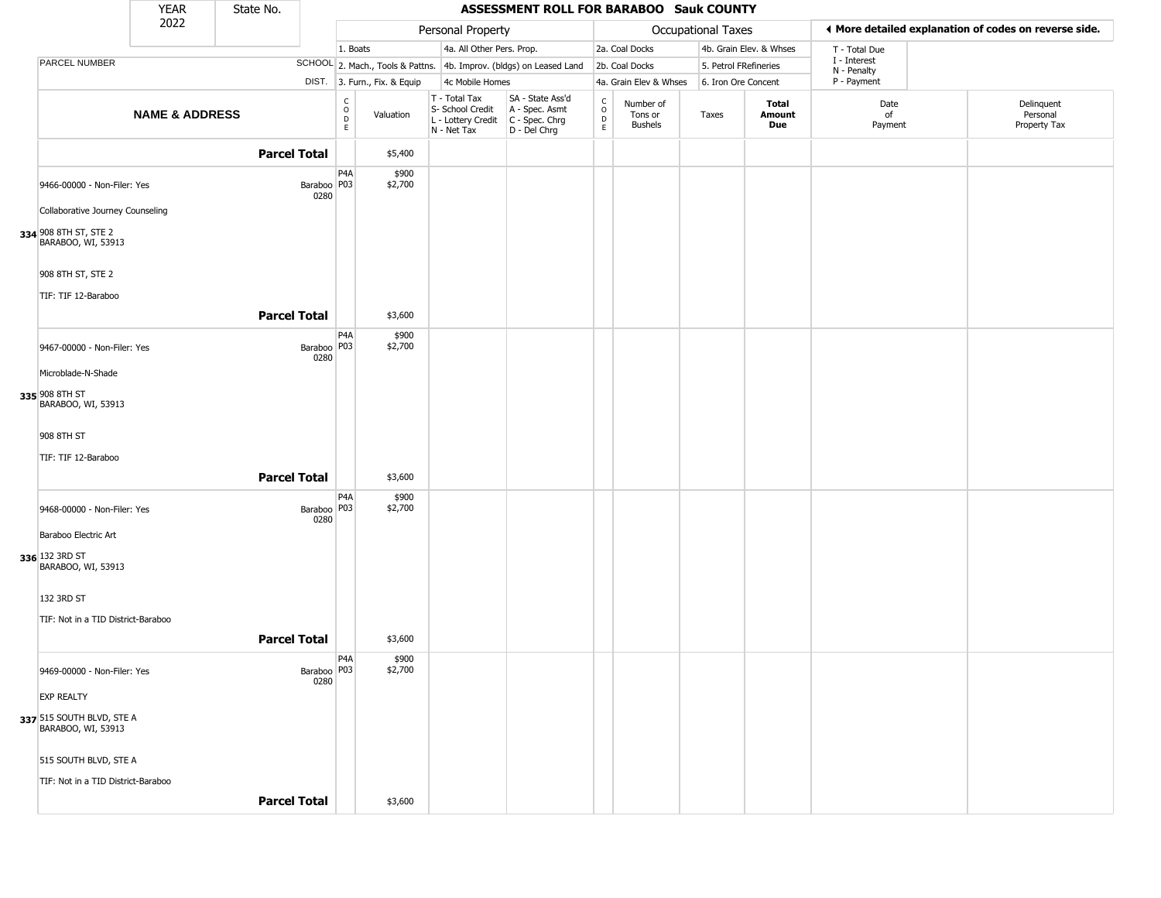|                                                                 | <b>YEAR</b>               | State No.           |                       | ASSESSMENT ROLL FOR BARABOO Sauk COUNTY      |                              |                                                                        |                                                                      |                                 |                                 |                       |                         |                             |  |                                                       |
|-----------------------------------------------------------------|---------------------------|---------------------|-----------------------|----------------------------------------------|------------------------------|------------------------------------------------------------------------|----------------------------------------------------------------------|---------------------------------|---------------------------------|-----------------------|-------------------------|-----------------------------|--|-------------------------------------------------------|
|                                                                 | 2022                      |                     |                       |                                              |                              | Personal Property                                                      |                                                                      |                                 |                                 | Occupational Taxes    |                         |                             |  | ◀ More detailed explanation of codes on reverse side. |
|                                                                 |                           |                     |                       | 1. Boats                                     |                              | 4a. All Other Pers. Prop.                                              |                                                                      |                                 | 2a. Coal Docks                  |                       | 4b. Grain Elev. & Whses | T - Total Due               |  |                                                       |
| PARCEL NUMBER                                                   |                           |                     |                       |                                              |                              |                                                                        | SCHOOL 2. Mach., Tools & Pattns. 4b. Improv. (bldgs) on Leased Land  |                                 | 2b. Coal Docks                  | 5. Petrol FRefineries |                         | I - Interest<br>N - Penalty |  |                                                       |
|                                                                 |                           |                     |                       |                                              | DIST. 3. Furn., Fix. & Equip | 4c Mobile Homes                                                        |                                                                      |                                 | 4a. Grain Elev & Whses          | 6. Iron Ore Concent   |                         | P - Payment                 |  |                                                       |
|                                                                 | <b>NAME &amp; ADDRESS</b> |                     |                       | $\begin{array}{c}\nC \\ O \\ D\n\end{array}$ | Valuation                    | T - Total Tax<br>S- School Credit<br>L - Lottery Credit<br>N - Net Tax | SA - State Ass'd<br>A - Spec. Asmt<br>C - Spec. Chrg<br>D - Del Chrg | $\frac{C}{O}$<br>$\overline{D}$ | Number of<br>Tons or<br>Bushels | Taxes                 | Total<br>Amount<br>Due  | Date<br>of<br>Payment       |  | Delinquent<br>Personal<br>Property Tax                |
|                                                                 |                           | <b>Parcel Total</b> |                       |                                              | \$5,400                      |                                                                        |                                                                      |                                 |                                 |                       |                         |                             |  |                                                       |
| 9466-00000 - Non-Filer: Yes<br>Collaborative Journey Counseling |                           |                     | Baraboo   P03<br>0280 | P4A                                          | \$900<br>\$2,700             |                                                                        |                                                                      |                                 |                                 |                       |                         |                             |  |                                                       |
| 334 908 8TH ST, STE 2<br>BARABOO, WI, 53913                     |                           |                     |                       |                                              |                              |                                                                        |                                                                      |                                 |                                 |                       |                         |                             |  |                                                       |
| 908 8TH ST, STE 2                                               |                           |                     |                       |                                              |                              |                                                                        |                                                                      |                                 |                                 |                       |                         |                             |  |                                                       |
| TIF: TIF 12-Baraboo                                             |                           | <b>Parcel Total</b> |                       |                                              | \$3,600                      |                                                                        |                                                                      |                                 |                                 |                       |                         |                             |  |                                                       |
| 9467-00000 - Non-Filer: Yes                                     |                           |                     | Baraboo   P03<br>0280 | P <sub>4</sub> A                             | \$900<br>\$2,700             |                                                                        |                                                                      |                                 |                                 |                       |                         |                             |  |                                                       |
| Microblade-N-Shade                                              |                           |                     |                       |                                              |                              |                                                                        |                                                                      |                                 |                                 |                       |                         |                             |  |                                                       |
| 335 908 8TH ST<br>BARABOO, WI, 53913                            |                           |                     |                       |                                              |                              |                                                                        |                                                                      |                                 |                                 |                       |                         |                             |  |                                                       |
| 908 8TH ST                                                      |                           |                     |                       |                                              |                              |                                                                        |                                                                      |                                 |                                 |                       |                         |                             |  |                                                       |
| TIF: TIF 12-Baraboo                                             |                           | <b>Parcel Total</b> |                       |                                              | \$3,600                      |                                                                        |                                                                      |                                 |                                 |                       |                         |                             |  |                                                       |
|                                                                 |                           |                     |                       | P <sub>4</sub> A                             | \$900                        |                                                                        |                                                                      |                                 |                                 |                       |                         |                             |  |                                                       |
| 9468-00000 - Non-Filer: Yes                                     |                           |                     | Baraboo   P03<br>0280 |                                              | \$2,700                      |                                                                        |                                                                      |                                 |                                 |                       |                         |                             |  |                                                       |
| Baraboo Electric Art                                            |                           |                     |                       |                                              |                              |                                                                        |                                                                      |                                 |                                 |                       |                         |                             |  |                                                       |
| 336 132 3RD ST<br>BARABOO, WI, 53913                            |                           |                     |                       |                                              |                              |                                                                        |                                                                      |                                 |                                 |                       |                         |                             |  |                                                       |
| 132 3RD ST                                                      |                           |                     |                       |                                              |                              |                                                                        |                                                                      |                                 |                                 |                       |                         |                             |  |                                                       |
| TIF: Not in a TID District-Baraboo                              |                           |                     |                       |                                              |                              |                                                                        |                                                                      |                                 |                                 |                       |                         |                             |  |                                                       |
|                                                                 |                           | <b>Parcel Total</b> |                       |                                              | \$3,600                      |                                                                        |                                                                      |                                 |                                 |                       |                         |                             |  |                                                       |
| 9469-00000 - Non-Filer: Yes                                     |                           |                     | Baraboo   P03<br>0280 | P4A                                          | \$900<br>\$2,700             |                                                                        |                                                                      |                                 |                                 |                       |                         |                             |  |                                                       |
| <b>EXP REALTY</b>                                               |                           |                     |                       |                                              |                              |                                                                        |                                                                      |                                 |                                 |                       |                         |                             |  |                                                       |
| 337 515 SOUTH BLVD, STE A<br>BARABOO, WI, 53913                 |                           |                     |                       |                                              |                              |                                                                        |                                                                      |                                 |                                 |                       |                         |                             |  |                                                       |
| 515 SOUTH BLVD, STE A                                           |                           |                     |                       |                                              |                              |                                                                        |                                                                      |                                 |                                 |                       |                         |                             |  |                                                       |
| TIF: Not in a TID District-Baraboo                              |                           |                     |                       |                                              |                              |                                                                        |                                                                      |                                 |                                 |                       |                         |                             |  |                                                       |
|                                                                 |                           | <b>Parcel Total</b> |                       |                                              | \$3,600                      |                                                                        |                                                                      |                                 |                                 |                       |                         |                             |  |                                                       |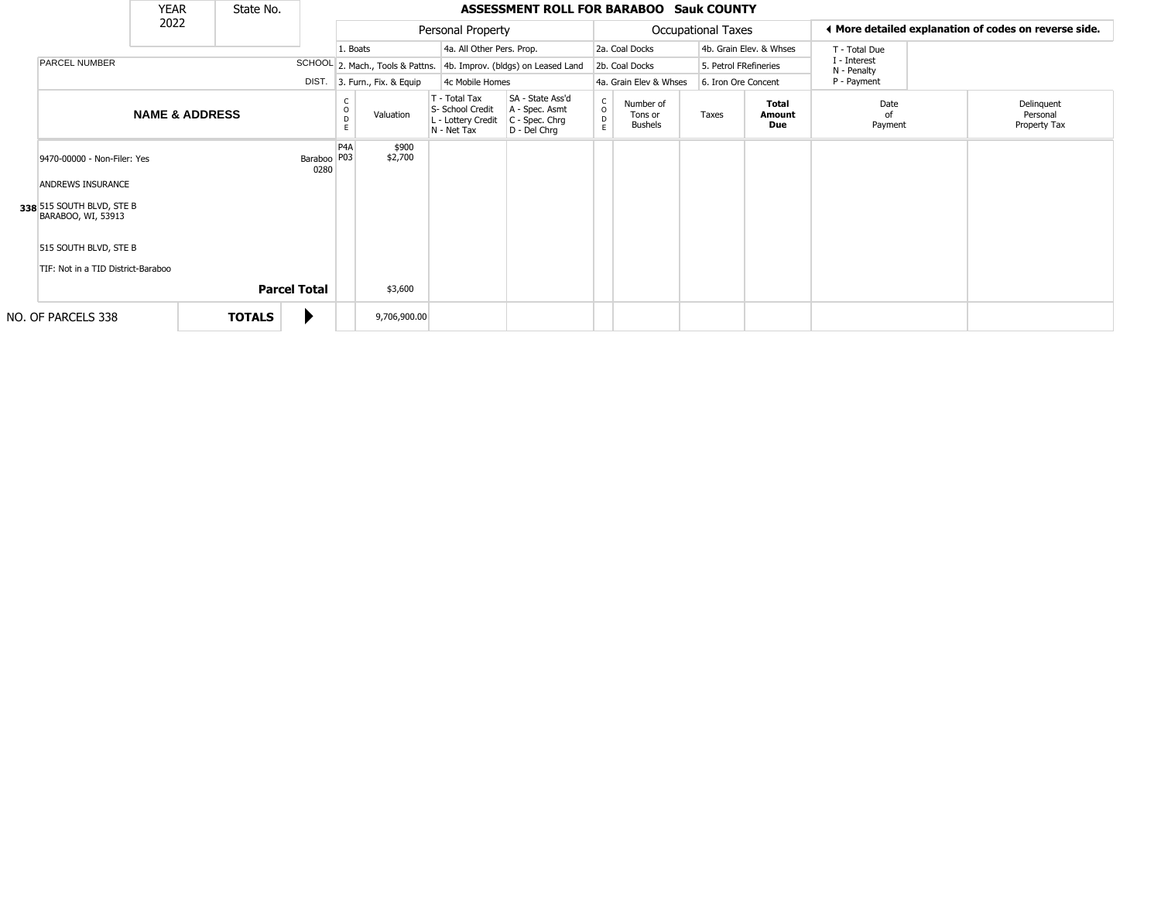|                                                 | <b>YEAR</b>               |               | State No.           |                         |                  |                              |                                                                        | <b>ASSESSMENT ROLL FOR BARABOO Sauk COUNTY</b>                       |                                                |                                        |                           |                               |                             |                                                       |
|-------------------------------------------------|---------------------------|---------------|---------------------|-------------------------|------------------|------------------------------|------------------------------------------------------------------------|----------------------------------------------------------------------|------------------------------------------------|----------------------------------------|---------------------------|-------------------------------|-----------------------------|-------------------------------------------------------|
|                                                 | 2022                      |               |                     |                         |                  |                              | Personal Property                                                      |                                                                      |                                                |                                        | <b>Occupational Taxes</b> |                               |                             | ◀ More detailed explanation of codes on reverse side. |
|                                                 |                           |               |                     |                         | 1. Boats         |                              | 4a. All Other Pers. Prop.                                              |                                                                      |                                                | 2a. Coal Docks                         |                           | 4b. Grain Elev. & Whses       | T - Total Due               |                                                       |
| PARCEL NUMBER                                   |                           |               |                     |                         |                  |                              |                                                                        | SCHOOL 2. Mach., Tools & Pattns. 4b. Improv. (bldgs) on Leased Land  |                                                | 2b. Coal Docks                         |                           | 5. Petrol FRefineries         | I - Interest<br>N - Penalty |                                                       |
|                                                 |                           |               |                     |                         |                  | DIST. 3. Furn., Fix. & Equip | 4c Mobile Homes                                                        |                                                                      |                                                | 4a. Grain Elev & Whses                 |                           | 6. Iron Ore Concent           | P - Payment                 |                                                       |
|                                                 | <b>NAME &amp; ADDRESS</b> |               |                     |                         | D<br>F.          | Valuation                    | T - Total Tax<br>S- School Credit<br>L - Lottery Credit<br>N - Net Tax | SA - State Ass'd<br>A - Spec. Asmt<br>C - Spec. Chrg<br>D - Del Chrg | $\mathsf{C}$<br>$\circ$<br>$\overline{D}$<br>E | Number of<br>Tons or<br><b>Bushels</b> | Taxes                     | <b>Total</b><br>Amount<br>Due | Date<br>of<br>Payment       | Delinquent<br>Personal<br>Property Tax                |
| 9470-00000 - Non-Filer: Yes                     |                           |               |                     | Baraboo   P03  <br>0280 | P <sub>4</sub> A | \$900<br>\$2,700             |                                                                        |                                                                      |                                                |                                        |                           |                               |                             |                                                       |
| ANDREWS INSURANCE                               |                           |               |                     |                         |                  |                              |                                                                        |                                                                      |                                                |                                        |                           |                               |                             |                                                       |
| 338 515 SOUTH BLVD, STE B<br>BARABOO, WI, 53913 |                           |               |                     |                         |                  |                              |                                                                        |                                                                      |                                                |                                        |                           |                               |                             |                                                       |
| 515 SOUTH BLVD, STE B                           |                           |               |                     |                         |                  |                              |                                                                        |                                                                      |                                                |                                        |                           |                               |                             |                                                       |
| TIF: Not in a TID District-Baraboo              |                           |               |                     |                         |                  |                              |                                                                        |                                                                      |                                                |                                        |                           |                               |                             |                                                       |
|                                                 |                           |               | <b>Parcel Total</b> |                         |                  | \$3,600                      |                                                                        |                                                                      |                                                |                                        |                           |                               |                             |                                                       |
| NO. OF PARCELS 338                              |                           | <b>TOTALS</b> |                     |                         |                  | 9,706,900.00                 |                                                                        |                                                                      |                                                |                                        |                           |                               |                             |                                                       |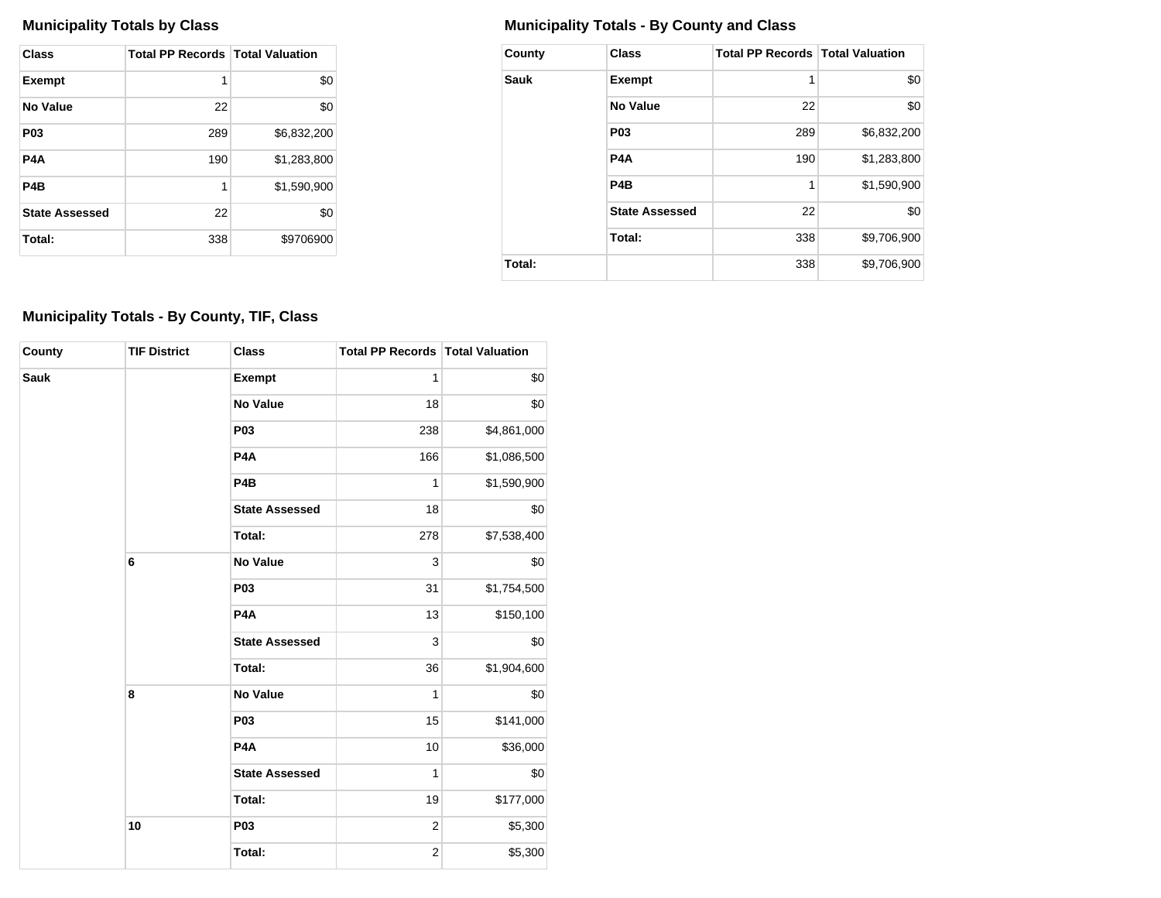| Class                 | <b>Total PP Records   Total Valuation</b> |             |
|-----------------------|-------------------------------------------|-------------|
| <b>Exempt</b>         | 1                                         | \$0         |
| No Value              | 22                                        | \$0         |
| P <sub>0</sub> 3      | 289                                       | \$6,832,200 |
| P4A                   | 190                                       | \$1,283,800 |
| P4B                   | 1                                         | \$1,590,900 |
| <b>State Assessed</b> | 22                                        | \$0         |
| Total:                | 338                                       | \$9706900   |

## **Municipality Totals by Class Municipality Totals - By County and Class**

| County      | <b>Class</b>          | <b>Total PP Records   Total Valuation</b> |             |
|-------------|-----------------------|-------------------------------------------|-------------|
| <b>Sauk</b> | <b>Exempt</b>         | 1                                         | \$0         |
|             | No Value              | 22                                        | \$0         |
|             | P <sub>0</sub> 3      | 289                                       | \$6,832,200 |
|             | P <sub>4</sub> A      | 190                                       | \$1,283,800 |
|             | P <sub>4</sub> B      | 1                                         | \$1,590,900 |
|             | <b>State Assessed</b> | 22                                        | \$0         |
|             | Total:                | 338                                       | \$9,706,900 |
| Total:      |                       | 338                                       | \$9,706,900 |

## **Municipality Totals - By County, TIF, Class**

| County | <b>TIF District</b> | <b>Class</b>          | <b>Total PP Records Total Valuation</b> |             |  |  |
|--------|---------------------|-----------------------|-----------------------------------------|-------------|--|--|
| Sauk   |                     | <b>Exempt</b>         | 1                                       | \$0         |  |  |
|        |                     | <b>No Value</b>       | 18                                      | \$0         |  |  |
|        |                     | P <sub>0</sub> 3      | 238                                     | \$4,861,000 |  |  |
|        |                     | P <sub>4</sub> A      | 166                                     | \$1,086,500 |  |  |
|        |                     | P <sub>4</sub> B      | 1                                       | \$1,590,900 |  |  |
|        |                     | <b>State Assessed</b> | 18                                      | \$0         |  |  |
|        |                     | Total:                | 278                                     | \$7,538,400 |  |  |
|        | 6                   | <b>No Value</b>       | 3                                       | \$0         |  |  |
|        |                     | P03                   | 31                                      | \$1,754,500 |  |  |
|        |                     | P <sub>4</sub> A      | 13                                      | \$150,100   |  |  |
|        |                     | <b>State Assessed</b> | 3                                       | \$0         |  |  |
|        |                     | Total:                | 36                                      | \$1,904,600 |  |  |
|        | 8                   | <b>No Value</b>       | 1                                       | \$0         |  |  |
|        |                     | P03                   | 15                                      | \$141,000   |  |  |
|        |                     | P <sub>4</sub> A      | 10                                      | \$36,000    |  |  |
|        |                     | <b>State Assessed</b> | 1                                       | \$0         |  |  |
|        |                     | Total:                | 19                                      | \$177,000   |  |  |
|        | 10                  | P03                   | $\overline{2}$                          | \$5,300     |  |  |
|        |                     | Total:                | $\overline{c}$                          | \$5,300     |  |  |